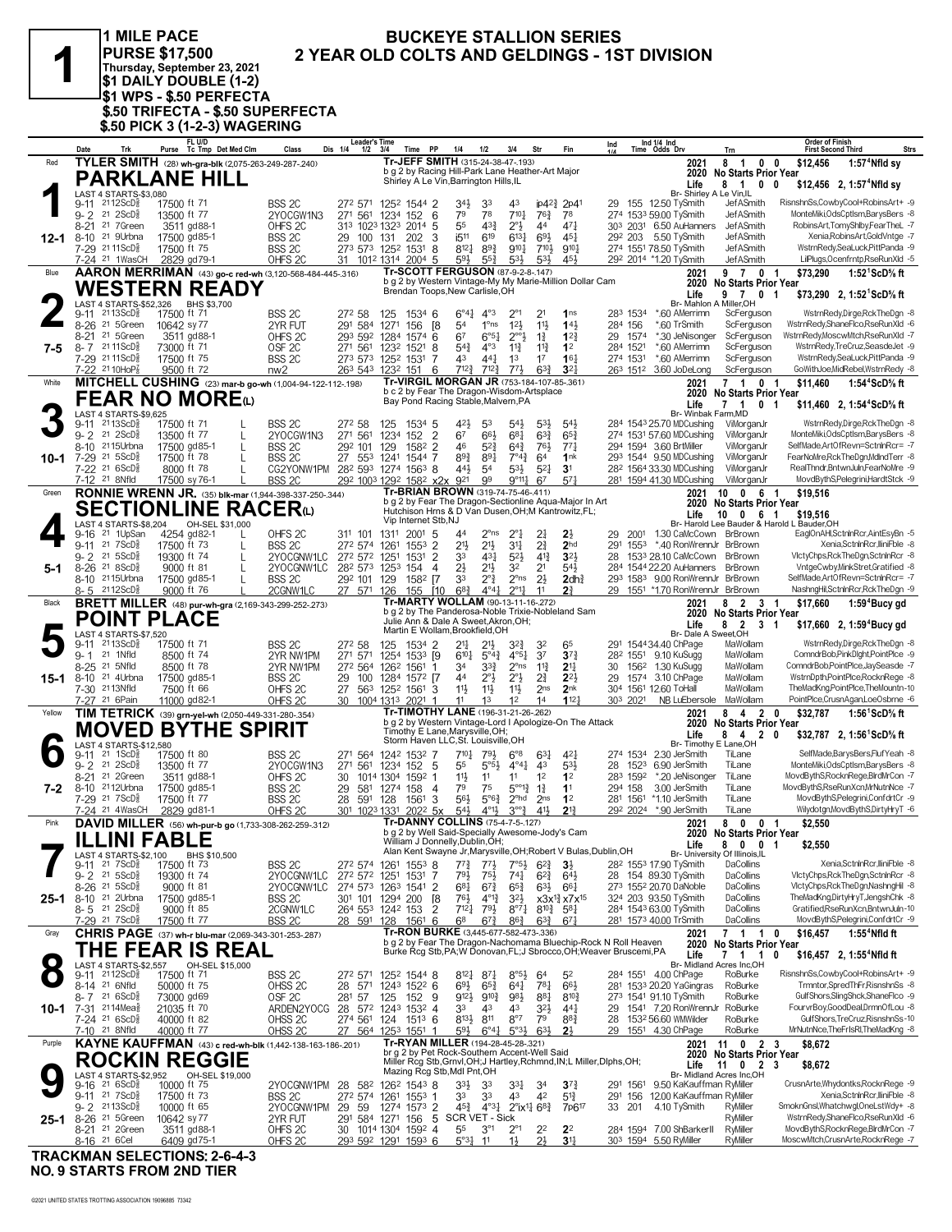| v |  |
|---|--|
|   |  |

1 MILE PACE PURSE \$17,500<br>Thursday, September 23, 2021<br>\$1 DAILY DOUBLE (1-2)<br>\$1 WPS - \$.50 PERFECTA \$.50 TRIFECTA - \$.50 SUPERFECTA<br>\$.50 PICK 3 (1-2-3) WAGERING

#### **BUCKEYE STALLION SERIES** 2 YEAR OLD COLTS AND GELDINGS - 1ST DIVISION

|           | Date            | Trk                                                            | FL U/D<br>Purse Tc Tmp Det Med Clm                                         | Class                                  | <b>Leader's Time</b><br>Dis 1/4 1/2 3/4                       |                            | <b>PP</b><br>Time                                | 1/4                                                                                                                                    | 1/2                                                                                   | 3/4                                          | Str                                   | Fin                                                                         | Ind       |                      | Ind 1/4 Ind<br>Time Odds Drv                                     | Trn                                                           | <b>Order of Finish</b><br><b>Strs</b><br><b>First Second Third</b>                 |
|-----------|-----------------|----------------------------------------------------------------|----------------------------------------------------------------------------|----------------------------------------|---------------------------------------------------------------|----------------------------|--------------------------------------------------|----------------------------------------------------------------------------------------------------------------------------------------|---------------------------------------------------------------------------------------|----------------------------------------------|---------------------------------------|-----------------------------------------------------------------------------|-----------|----------------------|------------------------------------------------------------------|---------------------------------------------------------------|------------------------------------------------------------------------------------|
| Red       |                 |                                                                | TYLER SMITH (28) wh-gra-blk (2,075-263-249-287-.240)                       |                                        |                                                               |                            |                                                  | Tr-JEFF SMITH (315-24-38-47-.193)                                                                                                      |                                                                                       |                                              |                                       |                                                                             |           |                      | 2021                                                             | 8 1 0 0                                                       | $1:574$ Nfld sy<br>\$12,456                                                        |
|           |                 |                                                                | <b>PARKLANE HILL</b>                                                       |                                        |                                                               |                            |                                                  | b g 2 by Racing Hill-Park Lane Heather-Art Major<br>Shirley A Le Vin, Barrington Hills, IL                                             |                                                                                       |                                              |                                       |                                                                             |           |                      |                                                                  | 2020 No Starts Prior Year                                     |                                                                                    |
|           |                 | LAST 4 STARTS-\$3,080                                          |                                                                            |                                        |                                                               |                            |                                                  |                                                                                                                                        |                                                                                       |                                              |                                       |                                                                             |           |                      | Life                                                             | 81<br>Br- Shirley A Le Vin, IL                                | $0\quad 0$<br>$$12,456$ 2, 1:57 <sup>4</sup> Nfld sy                               |
|           |                 | 9-11 2112ScD <sup>3</sup>                                      | 17500 ft 71                                                                | BSS <sub>2C</sub>                      | 272 571 1252 1544 2                                           |                            |                                                  | 34}                                                                                                                                    | 33                                                                                    | 43                                           |                                       | $ip42\frac{3}{4}$ 2p41                                                      |           |                      | 29 155 12.50 TySmith                                             | JefASmith                                                     | RisnshnSs,CowbyCool+RobinsArt+ -9                                                  |
|           | $9 - 2$<br>8-21 | $21 \, 2$ ScD $\frac{5}{8}$<br>21 7Green                       | 13500 ft 77<br>3511 gd88-1                                                 | 2YOCGW1N3<br>OHFS <sub>2C</sub>        | 271 561 1234 152 6<br>313 1023 1323 2014 5                    |                            |                                                  | 79<br>55                                                                                                                               | 78<br>43 <sup>3</sup>                                                                 | $7^{10}$<br>$2^{\circ}$                      | $76\frac{3}{4}$<br>44                 | 78<br>471                                                                   |           |                      | 274 1533 59.00 TySmith<br>303 2031 6.50 AuHanners                | <b>JefASmith</b><br>JefASmith                                 | MonteMiki, OdsCptlsm, Barys Bers -8<br>RobinsArt,TomyShlby,FearTheL -7             |
| 12-1      |                 | 8-10 <sup>21</sup> 9Urbna                                      | 17500 gd85-1                                                               | BSS <sub>2C</sub>                      | 29 100 131                                                    |                            | 3<br>202                                         | i <sub>511</sub>                                                                                                                       | 619                                                                                   | $6^{13}$                                     | 693                                   | $45\frac{1}{4}$                                                             |           | 292 203              | 5.50 TvSmith                                                     | JefASmith                                                     | Xenia, Robins Art, Gold Vntge -7                                                   |
|           |                 | 7-29 2111ScDs                                                  | 17500 ft 75                                                                | BSS <sub>2C</sub>                      | 273 573 1252 1531                                             |                            | 8                                                | $8^{12}$                                                                                                                               | $89\frac{3}{4}$                                                                       | $9^{10}\frac{1}{4}$                          | $7^{10}$                              | $9^{10}$                                                                    |           |                      | 274 1551 78.50 TySmith                                           | JefASmith                                                     | WstrnRedy,SeaLuck,PittPanda -9                                                     |
|           |                 | 7-24 <sup>21</sup> 1WasCH                                      | 2829 gd79-1                                                                | OHFS <sub>2C</sub>                     | 31 1012 1314 2004 5                                           |                            |                                                  | 593<br><b>Tr-SCOTT FERGUSON (87-9-2-8-.147)</b>                                                                                        | $55\frac{3}{4}$                                                                       | $5^{31}$                                     | 53}                                   | 454                                                                         |           |                      | 292 2014 *1.20 TySmith                                           | JefASmith                                                     | LilPlugs, Ocenfrntp, RseRunXld -5                                                  |
| Blue      |                 |                                                                | AARON MERRIMAN (43) go-c red-wh (3,120-568-484-445-.316)                   |                                        |                                                               |                            |                                                  | b g 2 by Western Vintage-My My Marie-Million Dollar Cam                                                                                |                                                                                       |                                              |                                       |                                                                             |           |                      | 2021                                                             | 9 7 0 1<br>2020 No Starts Prior Year                          | \$73,290<br>1:52 <sup>1</sup> ScD% ft                                              |
|           |                 |                                                                | <b>WESTERN READY</b>                                                       |                                        |                                                               |                            |                                                  | Brendan Toops, New Carlisle, OH                                                                                                        |                                                                                       |                                              |                                       |                                                                             |           |                      | Life                                                             | 97<br>$\mathbf 0$                                             | \$73,290 2, 1:52 <sup>1</sup> ScD <sup>5</sup> / <sub>8</sub> ft<br>-1             |
|           | $9 - 11$        | $2113$ ScD $\frac{5}{8}$                                       | LAST 4 STARTS-\$52,326 BHS \$3,700<br>17500 ft 71                          | BSS <sub>2C</sub>                      | 272 58                                                        | 125                        | 1534 6                                           | $6^{\circ}4^{\frac{1}{4}}$                                                                                                             | $4^{\circ}3$                                                                          | $2^{\circ_1}$                                | 2 <sup>1</sup>                        | 1 <sub>ns</sub>                                                             |           | 283 1534             | *.60 AMerrimn                                                    | Br- Mahlon A Miller, OH<br>ScFerguson                         | WstrnRedy,Dirge,RckTheDgn -8                                                       |
|           |                 | 8-26 <sup>21</sup> 5Green                                      | 10642 sy 77                                                                | 2YR FUT                                | 291 584                                                       | 1271                       | 156<br>[8                                        | 54                                                                                                                                     | $1^{\circ}$ ns                                                                        | 12 <sup>1</sup>                              | 11                                    | 143                                                                         |           | 284 156              | *.60 TrSmith                                                     | ScFerguson                                                    | WstrnRedy,ShaneFlco,RseRunXld -6                                                   |
|           |                 | 8-21 21 5Green                                                 | 3511 gd88-1                                                                | OHFS <sub>2C</sub>                     | 293 592 1284 1574 6                                           |                            |                                                  | 67                                                                                                                                     | $6°5\frac{1}{4}$                                                                      | $2^{\circ}2^{\circ}$                         | $1\frac{3}{4}$                        | $1^{22}$                                                                    |           | 29 1574              | *.30 JeNisonger                                                  | ScFerguson                                                    | WstrnRedy,MoscwMtch,RseRunXld -7                                                   |
| 7-5       |                 | 8-7 2111ScD <sup>5</sup><br>7-29 2111ScD                       | 73000 ft 71<br>17500 ft 75                                                 | OSF <sub>2C</sub><br>BSS <sub>2C</sub> | 271 561<br>273 573 1252 1531                                  | 1232 1521                  | 8<br>7                                           | $5^{4}$<br>43                                                                                                                          | $4^{\circ}3$<br>441                                                                   | $11\frac{3}{4}$<br>1 <sup>3</sup>            | $11\frac{3}{4}$<br>17                 | 1 <sup>2</sup><br>16 <sub>1</sub>                                           |           | 284 1521<br>274 1531 | *.60 AMerrimn<br>*.60 AMerrimn                                   | ScFerguson<br>ScFerguson                                      | WstrnRedy,TreCruz,SeasdeJet -9<br>WstrnRedy,SeaLuck,PittPanda -9                   |
|           |                 | 7-22 21 10HoP <sup>7</sup>                                     | 9500 ft 72                                                                 | nw <sub>2</sub>                        | 263 543 1232 151                                              |                            | 6                                                | $7^{12\frac{3}{4}}$                                                                                                                    | $7^{12\frac{3}{4}}$                                                                   | 773                                          | $63\frac{3}{4}$                       | 3 <sup>2</sup>                                                              |           |                      | 263 1512 3.60 JoDeLong                                           | ScFerguson                                                    | GoWithJoe, MidRebel, WstrnRedy -8                                                  |
| White     |                 |                                                                | MITCHELL CUSHING (23) mar-b go-wh (1,004-94-122-112-.198)                  |                                        |                                                               |                            |                                                  | Tr-VIRGIL MORGAN JR (753-184-107-85-361)                                                                                               |                                                                                       |                                              |                                       |                                                                             |           |                      | 2021                                                             | 7 1                                                           | 0 <sub>1</sub><br>1:54 <sup>4</sup> ScD% ft<br>\$11,460                            |
|           |                 |                                                                | <b>FEAR NO MORE</b> (L)                                                    |                                        |                                                               |                            |                                                  | b c 2 by Fear The Dragon-Wisdom-Artsplace<br>Bay Pond Racing Stable, Malvern, PA                                                       |                                                                                       |                                              |                                       |                                                                             |           |                      | Life                                                             | 2020 No Starts Prior Year<br>7 1                              | 0 <sub>1</sub><br>\$11,460 2, 1:54 <sup>4</sup> ScD <sup>5</sup> / <sub>8</sub> ft |
|           |                 | LAST 4 STARTS-\$9,625                                          |                                                                            |                                        |                                                               |                            |                                                  |                                                                                                                                        |                                                                                       |                                              |                                       |                                                                             |           |                      | Br- Winbak Farm, MD                                              |                                                               |                                                                                    |
|           | 9-11<br>$9 - 2$ | 2113ScD៖<br>$21 \text{ } 2SCD\frac{5}{8}$                      | 17500 ft 71<br>13500 ft 77<br>L                                            | <b>BSS 2C</b><br>2YOCGW1N3             | 272 58<br>271                                                 | 125<br>561 1234 152        | 1534 5<br>$\overline{2}$                         | 42}<br>67                                                                                                                              | 53<br>66}                                                                             | 54}<br>681                                   | $5^{3}\frac{1}{2}$<br>$63\frac{3}{4}$ | 543<br>$65\frac{3}{4}$                                                      |           |                      | 284 1543 25.70 MDCushing<br>274 1531 57.60 MDCushing             | ViMorganJr<br>ViMorganJr                                      | WstrnRedy,Dirge,RckTheDgn -8<br>MonteMiki, OdsCptlsm, Barys Bers -8                |
|           |                 | 8-10 2115 Urbna                                                | 17500 gd85-1<br>L                                                          | BSS <sub>2C</sub>                      | 292 101 129                                                   |                            | 1582<br>$\overline{2}$                           | 46                                                                                                                                     | $5^{2}$                                                                               | $64\frac{3}{4}$                              | 761                                   | $77\frac{1}{4}$                                                             |           |                      | 294 1594 3.60 BrtMiller                                          | ViMorganJr                                                    | SelfMade, Art Of Revn=Sctnin Rcr= - 7                                              |
| $10 - 1$  |                 | 7-29 21 5ScD <sup>5</sup>                                      | 17500 ft 78                                                                | BSS <sub>2C</sub>                      | 27 553 1241 1544 7                                            |                            |                                                  | 893                                                                                                                                    | $8^{9}1$                                                                              | $7^{\circ}4^{\frac{3}{4}}$                   | 64                                    | 1nk                                                                         |           |                      | 293 1544 9.50 MDCushing                                          | ViMorganJr                                                    | FearNoMre, Rck The Dgn, Mdlnd Terr -8                                              |
|           |                 | 7-22 21 6ScD <sup>5</sup><br>7-12 <sup>21</sup> 8Nfld          | 8000 ft 78<br>L<br>17500 sy 76-1                                           | CG2YONW1PM<br>BSS <sub>2C</sub>        | 28 <sup>2</sup> 593 1274 1563 8<br>292 1003 1292 1582 x2x 921 |                            |                                                  | 441,                                                                                                                                   | 5 <sup>4</sup><br>99                                                                  | $5^{31}$<br>$9^{\circ}11\frac{1}{4}$         | $5^{21}$<br>67                        | 3 <sup>1</sup><br>57 <sub>1</sub>                                           |           |                      | 28 <sup>2</sup> 1564 33.30 MDCushing<br>281 1594 41.30 MDCushing | ViMorganJr<br>ViMorganJr                                      | RealThndr, BntwnJuln, FearNoMre -9<br>MovdBythS,Pelegrini,HardtStck -9             |
| Green     |                 |                                                                | <b>RONNIE WRENN JR.</b> (35) blk-mar (1,944-398-337-250-.344)              |                                        |                                                               |                            |                                                  | Tr-BRIAN BROWN (319-74-75-46-.411)                                                                                                     |                                                                                       |                                              |                                       |                                                                             |           |                      | 2021                                                             | 10 0 6 1                                                      | \$19,516                                                                           |
|           |                 |                                                                | <b>SECTIONLINE RACER</b> W                                                 |                                        |                                                               |                            |                                                  | b g 2 by Fear The Dragon-Sectionline Aqua-Major In Art<br>Hutchison Hrns & D Van Dusen, OH; M Kantrowitz, FL;                          |                                                                                       |                                              |                                       |                                                                             |           |                      |                                                                  | 2020 No Starts Prior Year                                     |                                                                                    |
|           |                 | LAST 4 STARTS-\$8,204                                          | OH-SEL \$31,000                                                            |                                        |                                                               | Vip Internet Stb, NJ       |                                                  |                                                                                                                                        |                                                                                       |                                              |                                       |                                                                             |           |                      | Life                                                             | 10 0 6 1                                                      | \$19,516<br>Br- Harold Lee Bauder & Harold L Bauder, OH                            |
|           |                 | 9-16 <sup>21</sup> 1UpSan                                      | 4254 gd82-1<br>L                                                           | OHFS 2C                                | 311 101 1311                                                  |                            | 2001<br>-5                                       | 4 <sup>4</sup>                                                                                                                         | 2°ns                                                                                  | $2^{\circ}1$                                 | $2\frac{1}{4}$                        | 2}                                                                          | 29        | 2001                 | 1.30 CaMcCown BrBrown                                            |                                                               | EaglOnAHI,SctnInRcr,AintEsyBn -5                                                   |
|           | $9 - 2$         | 9-11 21 7 ScD <sup>3</sup><br>21 5 ScD <sup>5</sup>            | 17500 ft 73<br>L<br>19300 ft 74<br>L                                       | BSS <sub>2C</sub><br>2YOCGNW1LC        | 272 574<br>272 572 1251                                       | 1261                       | $\overline{2}$<br>1553<br>$\overline{2}$<br>1531 | 213<br>33                                                                                                                              | $21\frac{1}{2}$<br>$43\frac{1}{4}$                                                    | 34<br>$5^{2}$                                | $2\frac{3}{4}$<br>$4^{13}$            | 2 <sub>hd</sub><br>32}                                                      | 291<br>28 | 1553                 | *.40 RonWrennJr BrBrown<br>1533 28.10 CaMcCown                   | <b>BrBrown</b>                                                | Xenia.SctnlnRcr.lliniFble -8<br>VictyChps,RckTheDgn,SctninRcr -8                   |
| $5-1$     |                 | 8-26 21 8ScD <sup>5</sup>                                      | 9000 ft 81                                                                 | 2YOCGNW1LC                             | 282 573 1253 154                                              |                            |                                                  | 2}<br>4                                                                                                                                | $21\frac{1}{2}$                                                                       | 32                                           | 2 <sup>1</sup>                        | 543                                                                         |           |                      | 284 1544 22.20 AuHanners                                         | BrBrown                                                       | VntgeCwby,MinkStret,Gratified -8                                                   |
|           |                 | 8-10 2115 Urbna                                                | 17500 gd85-1                                                               | BSS <sub>2C</sub>                      | 292 101 129                                                   |                            | 1582 [7                                          | 33                                                                                                                                     | $2^{\circ}$ $\frac{3}{4}$                                                             | $2^{\circ}$ ns                               | $2\frac{1}{2}$                        | 2dh <sub>4</sub> <sup>3</sup>                                               |           |                      | 293 1583 9.00 RonWrennJr BrBrown                                 |                                                               | SelfMade, Art 0 fRevn=SctnlnRcr= - 7                                               |
| Black     | 8-5             | 2112ScD៖                                                       | 9000 ft 76<br><b>BRETT MILLER</b> (48) pur-wh-gra (2,169-343-299-252-.273) | 2CGNW1LC                               | 27 571 126                                                    |                            | 155 [10                                          | $6^{8}$ <sub>4</sub><br>Tr-MARTY WOLLAM (90-13-11-16-272)                                                                              | $4^{\circ}4^{\frac{1}{4}}$                                                            | $2^{\circ}11$                                | 11                                    | 21                                                                          |           |                      | 29 1551 *1.70 RonWrennJr BrBrown<br>2021                         | 2<br>8                                                        | NashngHil,SctnInRcr,RckTheDgn -9<br>3 1<br>\$17,660<br>$1:594$ Bucy gd             |
|           |                 |                                                                | POINT PLACE                                                                |                                        |                                                               |                            |                                                  | b g 2 by The Panderosa-Noble Trixie-Nobleland Sam                                                                                      |                                                                                       |                                              |                                       |                                                                             |           |                      |                                                                  | 2020 No Starts Prior Year                                     |                                                                                    |
|           |                 | <b>LAST 4 STARTS-\$7,520</b>                                   |                                                                            |                                        |                                                               |                            |                                                  | Julie Ann & Dale A Sweet, Akron, OH;<br>Martin E Wollam, Brookfield, OH                                                                |                                                                                       |                                              |                                       |                                                                             |           |                      | Life<br>Br- Dale A Sweet, OH                                     | 8 2 3                                                         | \$17,660 2, 1:59 <sup>4</sup> Bucy gd<br>-1                                        |
|           |                 | 9-11 2113ScD <sup>5</sup>                                      | 17500 ft 71                                                                | BSS 2C                                 | 272 58                                                        | 125                        | 1534 2                                           | 21}                                                                                                                                    |                                                                                       | 32}                                          | 32                                    | 65                                                                          |           |                      | 291 154434.40 ChPage                                             | MaWollam                                                      | WstrnRedy,Dirge,RckTheDgn -8                                                       |
|           | $9 - 1$         | 21 1Nfld                                                       | 8500 ft 74                                                                 | 2YR NW1PM                              | 271 571                                                       | 1254 1533 [9               |                                                  | $6^{10}\frac{1}{4}$                                                                                                                    | $5^{\circ}4^{\frac{3}{4}}$                                                            | $4^{\circ}5^{\frac{1}{4}}$                   | 3 <sup>7</sup>                        | $3^{7}$                                                                     |           |                      | 28 <sup>2</sup> 1551 9.10 KuSugg                                 | MaWollam                                                      | ComndrBob,PinkDlght,PointPlce -9                                                   |
| 15-1      |                 | 8-25 <sup>21</sup> 5Nfld<br>8-10 <sup>21</sup> 4Urbna          | 8500 ft 78<br>17500 gd85-1                                                 | 2YR NW1PM<br>BSS <sub>2C</sub>         | 272 564 1262 1561<br>29                                       | 100 1284 1572 [7           |                                                  | 34<br>44                                                                                                                               | $3^{3}\frac{3}{4}$<br>$2^{\circ}$                                                     | $2^{\circ}$ ns<br>$2^{\circ}$                | $11\frac{3}{4}$<br>$2\frac{3}{4}$     | 2 <sup>11</sup><br>$2^{2}$                                                  | 30<br>29  | 1574                 | 156 <sup>2</sup> 1.30 KuSugg<br>3.10 ChPage                      | MaWollam<br>MaWollam                                          | ComndrBob,PointPlce,JaySeasde -7<br>WstrnDpth,PointPlce,RocknRege -8               |
|           |                 | 7-30 2113Nfld                                                  | 7500 ft 66                                                                 | OHFS <sub>2C</sub>                     | 27                                                            | 563 1252 1561              | 3                                                | 11}                                                                                                                                    | $11\frac{1}{2}$                                                                       | $11\frac{1}{2}$                              | 2 <sub>ns</sub>                       | 2nk                                                                         |           |                      | 304 1561 12.60 ToHall                                            | MaWollam                                                      | TheMadKng,PointPlce,TheMountn-10                                                   |
|           |                 | 7-27 21 6 Pain                                                 | 11000 gd82-1                                                               | OHFS <sub>2C</sub>                     | 30                                                            | 1004 1313 2021             | -1                                               | 11                                                                                                                                     | 1 <sup>3</sup>                                                                        | 1 <sup>2</sup>                               | 1 <sup>4</sup>                        | 1127                                                                        |           | 303 2021             | NB LuEbersole                                                    | MaWollam                                                      | PointPlce,CrusnAgan,LoeOsbrne -6                                                   |
| Yellow    |                 |                                                                | TIM TETRICK (39) grn-yel-wh (2,050-449-331-280-.354)                       |                                        |                                                               |                            |                                                  | Tr-TIMOTHY LANE (196-31-21-26-.262)<br>b g 2 by Western Vintage-Lord I Apologize-On The Attack                                         |                                                                                       |                                              |                                       |                                                                             |           |                      | 2021                                                             | 8 4 2 0<br>2020 No Starts Prior Year                          | \$32,787<br>1:56 <sup>1</sup> ScD% ft                                              |
|           |                 |                                                                | <b>MOVED BYTHE SPIRIT</b>                                                  |                                        |                                                               |                            |                                                  | Timothy E Lane, Marysville, OH;<br>Storm Haven LLC, St. Louisville, OH                                                                 |                                                                                       |                                              |                                       |                                                                             |           |                      | Life                                                             | 8420                                                          | \$32,787 2, 1:56 <sup>1</sup> ScD% ft                                              |
| 0         |                 | LAST 4 STARTS-\$12,580<br>9-11 <sup>21</sup> 1ScD <sup>3</sup> | 17500 ft 80                                                                | BSS <sub>2C</sub>                      | 271 564 1242 1532 7                                           |                            |                                                  | 7101                                                                                                                                   | 793                                                                                   | $6^{\circ}8$                                 | $63\frac{1}{4}$                       | 421                                                                         |           |                      | 274 1534 2.30 JerSmith                                           | Br- Timothy E Lane, OH<br>TiLane                              | SelfMade,BarysBers,FlufYeah -8                                                     |
|           | $9 - 2$         | $21 \, 2$ ScD $\frac{5}{8}$                                    | 13500 ft 77                                                                | 2YOCGW1N3                              | 27 <sup>1</sup><br>561                                        | 1234 152 5                 |                                                  | 55                                                                                                                                     | $5^{\circ}5^{\circ}$                                                                  | $4^{\circ}4^{\frac{1}{4}}$                   | 43                                    | $5^{3}\frac{1}{2}$                                                          |           |                      | 28 1523 6.90 JerSmith                                            | TiLane                                                        | MonteMiki, OdsCptlsm, BarysBers -8                                                 |
|           | $8 - 21$        | 21 2Green                                                      | 3511 gd88-1                                                                | OHFS <sub>2C</sub>                     | 30                                                            | 1014 1304 1592 1           |                                                  | 11}<br>79                                                                                                                              | 11                                                                                    | 11                                           | 1 <sup>2</sup>                        | 1 <sup>2</sup>                                                              |           | 283 1592<br>294 158  | *.20 JeNisonger<br>3.00 JerSmith                                 | TiLane                                                        | MovdBythS,RocknRege,BlrdMrCon -7<br>MovdBythS,RseRunXcn,MrNutnNce -7               |
| 7-2       |                 | 8-10 2112Urbna<br>7-29 <sup>21</sup> 7ScD <sup>3</sup>         | 17500 gd85-1<br>17500 ft 77                                                | BSS <sub>2C</sub><br>BSS <sub>2C</sub> | 29<br>28                                                      | 581 1274 158<br>591 128    | -4<br>3<br>1561                                  | 561                                                                                                                                    | 75<br>$5^{\circ}6\frac{3}{4}$                                                         | $5^{\circ 0}$ <sup>3</sup><br>$2^{\circ}$ hd | $1\frac{3}{4}$<br>2 <sub>ns</sub>     | 1 <sup>1</sup><br>1 <sup>2</sup>                                            |           | 281 1561             | *1.10 JerSmith                                                   | TiLane<br>TiLane                                              | MovdBythS,Pelegrini,ConfdrtCr -9                                                   |
|           |                 | 7-24 <sup>21</sup> 4WasCH                                      | 2829 gd81-1                                                                | OHFS <sub>2C</sub>                     | 301                                                           | 1023 1331 2022 5x          |                                                  | 54}                                                                                                                                    | $4^{01}$                                                                              | $3^{00}\frac{3}{4}$                          | $41\frac{1}{2}$                       | $2^{13}$                                                                    |           |                      | 292 2024 *.90 JerSmith                                           | TiLane                                                        | Wilydotgn, MovdByth S, DirtyHryT -6                                                |
| Pink      |                 |                                                                | DAVID MILLER (56) wh-pur-b go (1,733-308-262-259-.312)                     |                                        |                                                               |                            |                                                  | <b>Tr-DANNY COLLINS (75-4-7-5-.127)</b><br>2 by Well Said-Specially Awesome-Jody's Cam                                                 |                                                                                       |                                              |                                       |                                                                             |           |                      | 2021                                                             | 80                                                            | \$2,550<br>0 <sub>1</sub>                                                          |
|           |                 |                                                                | ILLINI FABLE                                                               |                                        |                                                               |                            |                                                  | William J Donnelly, Dublin, OH;                                                                                                        |                                                                                       |                                              |                                       |                                                                             |           |                      | Life                                                             | 2020 No Starts Prior Year<br>$0\quad 0$<br>8                  | -1<br>\$2,550                                                                      |
|           | 9-11            | LAST 4 STARTS-\$2,100<br>217SCD <sub>8</sub> <sup>5</sup>      | BHS \$10,500<br>17500 ft 73                                                | BSS 2C                                 | 272 574 1261 1553 8                                           |                            |                                                  | Alan Kent Swayne Jr, Marysville, OH; Robert V Bulas, Dublin, OH<br>$7^{7\frac{3}{4}}$                                                  | $77\frac{1}{2}$                                                                       | $7°5\frac{1}{2}$                             | $6^{2}$                               | $3\frac{1}{2}$                                                              |           |                      | 28 <sup>2</sup> 1553 17.90 TySmith                               | Br- University Of Illinois, IL<br>DaCollins                   | Xenia, SctnlnRcr, lliniFble -8                                                     |
|           |                 | $9 - 2$ 21 5 ScD <sup>3</sup>                                  | 19300 ft 74                                                                | 2YOCGNW1LC                             | 272 572 1251 1531 7                                           |                            |                                                  | 791                                                                                                                                    | 75}                                                                                   | 741                                          | $6^{2}\frac{3}{4}$                    | $64\frac{1}{2}$                                                             |           |                      | 28 154 89.30 TySmith                                             | DaCollins                                                     | VictyChps,RckTheDgn,SctninRcr -8                                                   |
|           |                 | 8-26 21 5ScD <sup>5</sup>                                      | 9000 ft 81                                                                 | 2YOCGNW1LC                             | 274 573 1263 1541 2                                           |                            |                                                  | $6^{81}$                                                                                                                               | $6^{7}\frac{3}{4}$                                                                    | $65\frac{3}{4}$                              | $63\frac{1}{2}$                       | $66\frac{1}{4}$                                                             |           |                      | 273 1552 20.70 DaNoble                                           | DaCollins                                                     | VictyChps,RckTheDgn,NashngHil -8                                                   |
| $25 - 1$  |                 | 8-10 21 2Urbna<br>$8 - 5$ 21 $2$ ScD $\frac{5}{8}$             | 17500 gd85-1<br>9000 ft 85                                                 | BSS 2C<br>2CGNW1LC                     | 301 101 1294 200<br>264 553 1242 153                          |                            | [8<br>$\overline{2}$                             | 76}<br>$7^{12}$                                                                                                                        | $4^{\circ}1^{\circ}$<br>793                                                           | $3^{21}$<br>$8^{07}\frac{1}{4}$              |                                       | x3x <sup>13</sup> <sub>4</sub> x7x <sup>15</sup><br>$8^{10}\frac{3}{7}$ 581 |           |                      | 324 203 93.50 TySmith<br>284 1543 63.00 TySmith                  | DaCollins<br>DaCollins                                        | TheMadKng,DirtyHryT,JengshChk -8<br>Gratified,RseRunXcn,BntwnJuln-10               |
|           |                 | 7-29 21 7 ScD <sup>3</sup>                                     | 17500 ft 77                                                                | BSS <sub>2</sub> C                     | 28 591 128                                                    |                            | $156^1$ 6                                        | 68                                                                                                                                     | $6^{7}$                                                                               | $86\frac{3}{4}$                              | $63\frac{3}{4}$                       | 671                                                                         |           |                      | 281 1573 40.00 TrSmith                                           | DaCollins                                                     | MovdBythS,Pelegrini,ConfdrtCr -9                                                   |
| Gray      |                 |                                                                | CHRIS PAGE (37) wh-r blu-mar (2,069-343-301-253-.287)                      |                                        |                                                               |                            |                                                  | Tr-RON BURKE (3,445-677-582-473-.336)                                                                                                  |                                                                                       |                                              |                                       |                                                                             |           |                      | 2021                                                             | 7 1<br>$\overline{1}$                                         | 0<br>\$16.457<br>1:55 <sup>4</sup> Nfld ft                                         |
|           |                 |                                                                | THE FEAR IS REAL                                                           |                                        |                                                               |                            |                                                  | b g 2 by Fear The Dragon-Nachomama Bluechip-Rock N Roll Heaven<br>Burke Rcg Stb, PA; W Donovan, FL; J Sbrocco, OH; Weaver Bruscemi, PA |                                                                                       |                                              |                                       |                                                                             |           |                      | 2020<br>Life                                                     | <b>No Starts Prior Year</b><br>7 1 1                          | 0<br>\$16,457 2, 1:55 <sup>4</sup> Nfld ft                                         |
| $\bullet$ |                 | LAST 4 STARTS-\$2,557                                          | OH-SEL \$15,000                                                            |                                        |                                                               |                            |                                                  |                                                                                                                                        |                                                                                       |                                              |                                       |                                                                             |           |                      |                                                                  | Br- Midland Acres Inc,OH                                      |                                                                                    |
|           |                 | 9-11 2112ScD<br>8-14 <sup>21</sup> 6Nfld                       | 17500 ft 71<br>50000 ft 75                                                 | BSS 2C<br>OHSS <sub>2C</sub>           | 272 571<br>28 571                                             | 1252 1544 8<br>1243 1522 6 |                                                  | $8^{12}\frac{1}{4}$<br>$69\frac{1}{2}$                                                                                                 | $8^{7}\frac{1}{4}$<br>$65\frac{3}{4}$                                                 | $8^{\circ 5}$<br>$64\frac{1}{4}$             | 64<br>781                             | 52<br>$66\frac{1}{2}$                                                       |           |                      | 284 1551 4.00 ChPage<br>281 1533 20.20 YaGingras                 | RoBurke<br>RoBurke                                            | RisnshnSs,CowbyCool+RobinsArt+ -9<br>Trmntor,SpredThFr,RisnshnSs -8                |
|           |                 | $8 - 7$ 21 $6$ ScD $\frac{5}{8}$                               | 73000 gd69                                                                 | OSF <sub>2C</sub>                      | 281 57                                                        | 125                        | 152 9                                            | $9^{12}\frac{1}{2}$                                                                                                                    | $9^{10}\frac{3}{4}$                                                                   | 98}                                          | $8^{8}$                               | $8^{10\frac{3}{4}}$                                                         |           |                      | 273 1541 91.10 TySmith                                           | RoBurke                                                       | GulfShors, SlingShck, ShaneFlco -9                                                 |
| 10-1      |                 | 7-31 2114Mea                                                   | 21035 ft 70                                                                | ARDEN2YOCG                             | 28 572 1243 1532 4                                            |                            |                                                  | 33                                                                                                                                     | 43                                                                                    | 43                                           | $3^{2}\frac{1}{2}$                    | $44\frac{1}{4}$                                                             |           |                      | 29 1541 7.20 RonWrennJr RoBurke                                  |                                                               | FourvrBov.GoodDeal.DrmnOfLou -8                                                    |
|           |                 | 7-24 21 6ScD <sup>5</sup><br>7-10 <sup>21</sup> 8Nfld          | 40000 ft 82<br>40000 ft 77                                                 | OHSS 2C<br>OHSS 2C                     | 274 561 124 1513 6<br>27 564 1253 1551 1                      |                            |                                                  | $8^{13}\frac{1}{2}$<br>59}                                                                                                             | 811<br>$6^{\circ}4^{\frac{1}{4}}$                                                     | $8^{\circ}7$<br>5°33                         | 79<br>63}                             | $8^{8}{}_{4}^{3}$<br>2}                                                     | 28        |                      | 1532 56.60 WMWilder<br>29 1551 4.30 ChPage                       | RoBurke<br>RoBurke                                            | GulfShors, TreCruz, Risnshn Ss-10<br>MrNutnNce, The FrIsRI, The MadKng -8          |
| Purple    |                 |                                                                | <b>KAYNE KAUFFMAN</b> (43) c red-wh-blk (1,442-138-163-186-.201)           |                                        |                                                               |                            |                                                  | Tr-RYAN MILLER (194-28-45-28-.321)                                                                                                     |                                                                                       |                                              |                                       |                                                                             |           |                      | 2021                                                             | 11 0 2 3                                                      | \$8,672                                                                            |
|           |                 |                                                                | <b>ROCKIN REGGIE</b>                                                       |                                        |                                                               |                            |                                                  | br g 2 by Pet Rock-Southern Accent-Well Said<br>Miller Rcg Stb, Grnvl, OH; J Hartley, Rchmnd, IN; L Miller, Dlphs, OH;                 |                                                                                       |                                              |                                       |                                                                             |           |                      |                                                                  | 2020 No Starts Prior Year                                     |                                                                                    |
| Ő         |                 | LAST 4 STARTS-\$2,952                                          | OH-SEL \$19,000                                                            |                                        |                                                               |                            |                                                  | Mazing Rcg Stb, Mdl Pnt, OH                                                                                                            |                                                                                       |                                              |                                       |                                                                             |           |                      | Life                                                             | 11<br>$\bullet$<br>$\overline{2}$<br>Br- Midland Acres Inc,OH | 3<br>\$8,672                                                                       |
|           |                 | $9-16$ 21 6ScD <sup>5</sup><br>9-11 21 7 ScD <sup>3</sup>      | 10000 ft 75                                                                | 2YOCGNW1PM                             | 28 582 1262 1543 8                                            |                            |                                                  | 3 <sup>3</sup><br>33                                                                                                                   | 33                                                                                    | $3^{31}$<br>43                               | 34<br>42                              | $3^{72}$                                                                    |           |                      | 291 1561 9.50 KaKauffman RyMiller                                |                                                               | CrusnArte, Whydontks, RocknRege -9<br>Xenia, Sctnin Rcr, IliniFble -8              |
|           |                 | 9-2 2113ScD                                                    | 17500 ft 73<br>10000 ft 65                                                 | BSS 2C<br>2YOCGNW1PM                   | 272 574 1261 1553 1<br>29<br>59                               | 1274 1573 2                |                                                  |                                                                                                                                        | 33<br>$4^{5}\frac{3}{4}$ $4^{0}3\frac{1}{4}$ $2^{0}1x^{1}\frac{1}{4}6^{8}\frac{3}{4}$ |                                              |                                       | $5^{\frac{13}{4}}$<br>7p617                                                 |           | 33 201               | 291 156 12.00 KaKauffman RyMiller<br>4.10 TySmith                | RyMiller                                                      | SmoknGnsl, Whatchwgl, OneLstWdy+ -8                                                |
| 25-1      |                 | 8-26 <sup>21</sup> 5Green                                      | 10642 sy 77                                                                | 2YR FUT                                | 291 584 1271 156 5                                            |                            |                                                  | SCR VET - Sick                                                                                                                         |                                                                                       |                                              |                                       |                                                                             |           |                      |                                                                  | RyMiller                                                      | WstrnRedy,ShaneFlco,RseRunXld -6                                                   |
|           |                 | 8-21 21 2Green<br>8-16 21 6Cel                                 | 3511 gd88-1<br>6409 gd75-1                                                 | OHFS 2C<br>OHFS <sub>2C</sub>          | 30<br>293 592 1291 1593 6                                     | 1014 1304 1592 4           |                                                  | 55<br>$5^{\circ}3^{\circ}_4$                                                                                                           | $3^{\circ}1$<br>11                                                                    | $2^{\circ}1$<br>$1\frac{1}{2}$               | 2 <sup>2</sup><br>2}                  | $2^2$<br>3 <sup>11</sup>                                                    |           |                      | 284 1594 7.00 ShBarkerII<br>303 1594 5.50 RyMiller               | RyMiller<br>RyMiller                                          | MovdBythS,RocknRege,BlrdMrCon -7<br>MoscwMtch,CrusnArte,RocknRege -7               |
|           |                 |                                                                |                                                                            |                                        |                                                               |                            |                                                  |                                                                                                                                        |                                                                                       |                                              |                                       |                                                                             |           |                      |                                                                  |                                                               |                                                                                    |

**TRACKMAN SELECTIONS: 2-6-4-3 NO. 9 STARTS FROM 2ND TIER**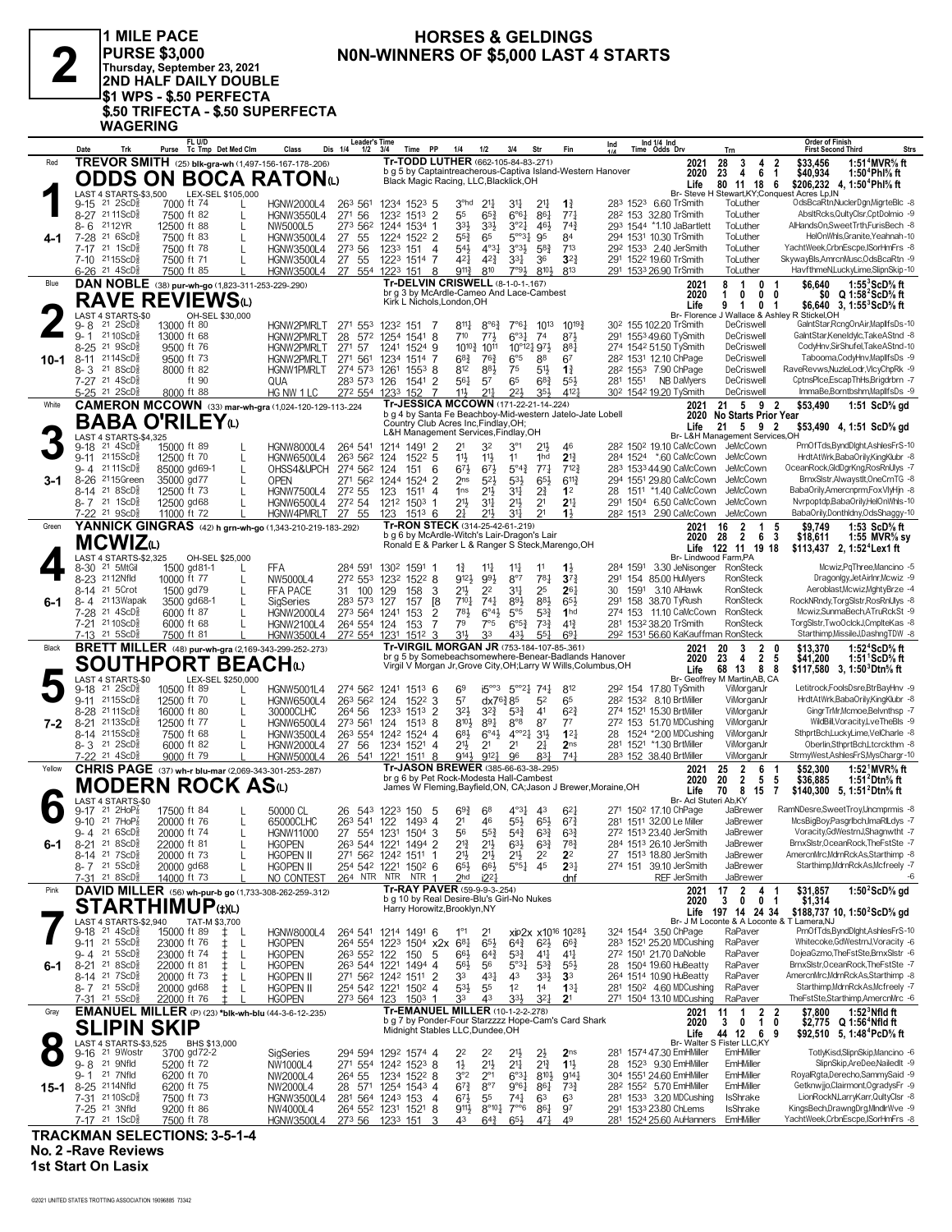

**1 MILE PACE PURSE \$3,000 Thursday, September 23, 2021 2ND HALF DAILY DOUBLE \$1 WPS - \$.50 PERFECTA \$.50 TRIFECTA - \$.50 SUPERFECTA WAGERING**

#### **HORSES & GELDINGS N0N-WINNERS OF \$5,000 LAST 4 STARTS 2**

Date Trk Purse Tc Tmp Det Med Clm Class Dis 1/4 1/2 3/4 Time PP 1/4 1/2 3/4 Str Fin two dds Drv<br>Red **TREVOR SMITH** (25) blk-gra-wh (1,497-156-167-178-206) **Tr-TODD LUTHER** (662-105-84-83-.271) **FL U/D Det Med Clm Class Dis 1/4 1/2 3/4 Time PP 1/4 1/2 3/4 Str Fin Ind Tc Tmp 1/4 Time Odds Drv Leader's Time Ind 1/4 Ind Order of Finish Trn First Second Third Strs** 3°hd 21¼ 31¼ 283 9-15 6.60 TrSmith ToLuther OdsBcaRtn,NuclerDgn,MigrteBlc -8 21 2ScDÁ 7000 ft 74 L HGNW2000L4 263 561 1234 1523 5 21¼ **1**¾ 1523 LAST 4 STARTS-\$3,500 LEX-SEL \$105,000 55 65¾ 6°6¼ 282 8-27 32.80 TrSmith ToLuther AbsltRcks,QultyClsr,CptDolmio -9 21 11ScDÁ 7500 ft 82 L HGNW3550L4 271 56 1232 1513 2 86¼ 77¼ 153 34 33<sup>2</sup> 3<sup>32</sup> 32<sup>3</sup> 32<sup>4</sup> 452 3<sup>24</sup> 33<sup>4</sup> 33<sup>2</sup> 3<sup>24</sup> 3<sup>24</sup> 324 334 3<sup>2</sup> 3<sup>24</sup> 452 4 29 1544 11.10 JaBartlett ToLuther AlHandsOn,SweetTrth,FurisBech -8 21 6260 ft 83 L HGNW3500L4 27 55 1224 152<sup>2</sup> 2 55 3<sup>2</sup> 65 5° 34 564 7-28 <sup>21</sup> 6ScD<sup>§</sup> 7500 ft 83 L HGNW3500L4 27 55 1224 152<sup>2</sup> 2 55 $\frac{3}{4}$  65 5°<sup>31</sup> 95 84 294 1531 10.30 TrSmith ToLuther HelOnWhls,Granite,Yeahnah 10 7-17 <sup>21</sup> 1ScD $\frac{3}{5}$  7500 ft 78 L HGNW3500L4 273 56 1233 151 4 54½ 4°3½ 5°3½ 5°3½ 713 292 1533 240 JerSmith ToLuther YachtWeek,CrbnEscpe,ISorHmFrs -8 424 424 324 1922 1136D 1241 1273 56 1233 151 4 124 323 58 1234 2022 1533 240 JerSmith ToLuther YachtWeek,CrbnEscpe,ISorHmFrs -8<br>1991 1992 1993 1994 1994 11 12 150 1234 1512 154 1624 17 17 17 1824 17 17 17 17 17 17 17 17 17 6<u>-26 <sup>21</sup> 4ScD៖ 7500 ft 85 L HGNW3500L4 27 554 1223 151 8 911½ 810 7°9½ 810½ 813 291 1533 26.90 TrSmith ToLuther HavfthmeN,LuckyLime,SlipnSkip-10<br>DANNOBLE (38) pur-wh-go (1,823-311-253-229 290) **Tr-DELVIN CRISWELL** (8-1-0</u> **4-1 Life 80 11 18 6 \$206,232 4,**<br>Br- Steve H Stewart,KY;Conquest Acres Lp,IN b g 5 by Captaintreacherous-Captiva Island-Western Hanover Black Magic Racing, LLC,Blacklick,OH  **23 4 6 1 \$40,934 1:50<sup>4</sup>Phl⅝ ft 28 3 4 2 \$33,456 1:51<sup>4</sup>MVR⅝ ft \$206,232 4, 1:50<sup>4</sup>Phl<sup>5</sup>/<sub>8</sub> ft**<br>t Acres Lp, IN<br>OdsBcaRtn, NuclerDgn, MigrteBlc -8 **2020 Tr-TODD LUTHER** (662-105-84-83-.271) **ODDS ON BOCA RATON(L)**<br> **1** LAST 4 STARTS-\$3,500<br>
9-15 21 2ScD§ 7000 ft 74 L00<br>  $\frac{1}{2}$  HGNW2000L4 263 561 814 814 814 814 814 814 814 814 86 102.20 8 14 814 86 102.20 8 14 8°64 7°64 1013 10194 802 1551020 TrSmith DeCriswell GalntStar,RcngOnAir,MapllfsDs-10 8 21 2ScDÁ 13000 ft 80 HGNW2PMRLT 271 553 1232 151 7 811 8°64 7°64 1013  $\frac{1}{2}$  7110 ScD $\frac{2}{3}$  710 68 THENW2PMRLT 28 572 1254 1541 8 710 77 $\frac{1}{4}$  6°3 $\frac{1}{4}$  774 87 $\frac{1}{4}$  291 1553 49.60 TySmith DeCriswell GalntStar,KeneIdylc,TakeAStnd 8<br>1999 8-25 21 9500 ft 76 HGNW2PMRLT 271 57 12 1012× 10125 8-25 9500 ft 76 FIGNW2PMRLT 271 57 1241 1524 9 10<sup>10</sup>3 10<sup>11</sup> 10<sup>°12</sup>4 974 884 274 1542 51.50 TySmith DeCriswell CodyHnv,SirShufel,TakeAStnd-10 1452 511 211 984 974 1542 51.50 TySmith DeCriswell CodyHnv,SirShuf 8-11 <sup>21</sup>14ScD៖ 9500 ft 73 HGNW2PMRLT 271 561 1234 1514 7 6<sup>8</sup>≵ 76½ 6°5 88 67 282 1531 12.10 ChPage DeCriswell Tabooma,CodyHnv,MaplfsDs 9 812 88½ 75 282 8- 3 7.90 ChPage DeCriswell RaveRevws,NuzleLodr,VlcyChpRk -9 21 8ScDÁ 8000 ft 82 HGNW1PMRLT 274 573 1261 1553 8 51½ **1**¾ 1553 56¼ 57 65 281 7-27 NB DaMyers DeCriswell CptnsPlce,EscapThHs,Brigdrbrn -7 21 4ScDÁ ft 90 QUA 283 573 126 1541 2 68¾ 55½ 1551 11½ 21¼ 22½ 302 5-25 19.20 TySmith DeCriswell ImmaBe,Borntbshm,MapllfsDs -9 21 2ScDÁ 8000 ft 88 HG NW 1 LC 272 554 1233 152 7 35½ 412¼ 1542 **Tr-JESSICA MCCOWN** (171-22-21-14-.224) **DAN NOBLE** (38) **pur-wh-go** (1,823-311-253-229-.290) Blue **2021 10-1** Br- Florence J Wallace & Ashley br g 3 by McArdle-Cameo And Lace-Cambest Kirk L Nichols,London,OH  **1 0 0 0 \$0 Q 1:58<sup>2</sup>ScD⅝ ft 8 1 0 1 \$6,640 1:55<sup>3</sup>ScD⅝ ft 9 1 0 1 \$6,640 1:55<sup>3</sup>ScD⅝ ft Life 3, 2020 RAVE REVIEWS**<sup>(L)</sup> CAST 4 STARTS-1<br>CH-SEL \$30,000<br>13000 ft 80 9-18 <sup>21</sup> 4ScD}} 15000 ft 89 L HGNW8000L4 264 541 1214 1491 2 21 32 3°1 21½ 46 28<sup>2</sup> 150<sup>2</sup> 19.10 CaMcCown JeMcCown PrnOfTds,ByndDlght,AshlesFrS-10<br>9-11 2115ScD}} 12500 ft 70 L HGNW6500L4 263 562 124 1522 5 67½ 67½ 5°4¾ 283 9- 4 44.90 CaMcCown JeMcCown OceanRock,GldDgrKng,RosRnUlys -7 21 11ScDÁ 85000 gd69-1 L OHSS4&UPCH 274 562 124 151 6 77¼ 712¾ 1533 8-26 <sup>21</sup>15Green 35000 gd77 L OPEN 271 562 1244 1524 2 2ns 52} 53} 65} 611} 294 1551 29.80 CaMcCown JeMcCown BrnxSlstr,Alwaystlt,OneCrnTG -8<br>8-14 <sup>21</sup> 8ScD§ 12500 ft 73 L HGNW7500L4 272 55 123 214 21 8ScD 21500 ft 73 L HGNW7500L4 272 55 123 1511 4 1ns 21 21 21 21 28 1511 140 CallcCown Jellocown BabaOrily,Amercnpm-FoxVlyHjn 8<br>21 21 1 ScD 21 12500 gd68 L HGNW6500L4 272 54 1212 1503 1 211 211 211 21 214 291 1504 6. 7-22 <sup>21</sup> 9ScD≩ 11000 ft 72 L HGNW4PMRLT 27 55 123 1513 6 2∄ 2½ 3½ 2<sup>1</sup> 1½ 28<sup>2</sup> 1513 290 CaMcCown JeMcCown BabaOrily,Donthldny,OdsShaggy-10<br>YANNICK GINGRAS (42) h grn-wh-go (1,343-210-219-183-292) Tr-RON STECK (314-25-42 White **CAMERON MCCOWN** (33) **mar-wh-gra** (1,024-120-129-113-.224 Tr-JESSICA MCCOWN (171-22-21-14-.224) **2021 21 5 9 2 \$53,490** 1:51 ScD% gd **3-1 2020 No Starts Prior Year<br>Life 21 5 9 2 \$53,490 4, 1:51 ScD% gd<br>Br- L&H Management Services,OH** b g 4 by Santa Fe Beachboy-Mid-western Jatelo-Jate Lobell Country Club Acres Inc,Findlay,OH; L&H Management Services,Findlay,OH **BABA O'RILEY**(L)<br> **3-18** <sup>21</sup> 4ScD<sup>3</sup><br> **3-11** 2115ScD<sup>3</sup><br> **3-11** 2115ScD<sup>3</sup><br> **3-21** 2125ScD<sup>5</sup> LAST 4 STARTS-\$4,325 14 14 1500 gd81-1 1 1500 gd81-1 1 14 14 14 11 11 12 284 1591 states and the manch the metal of the metal of the<br>14 21 500 11 500 11 17 L NW5000L4 272 553 1232 1522 8 9121 981 8°7 781 373 291 154 85.00 Hullyers RonSteck Dra 9-23 2112Nfld 10000 ft 77 L NW5000L4 272 553 1232 1522 8 9123 993 8°7 781 373 291 154 85.00 HuMyers RonSteck Dragonlgy,JetAirlnr,Mcwiz 9<br>1914 1915 1921 1500 gd 79 L FFA PACE 31 100 129 158 3 213 22 314 25 264 30 1591 3.10 21 5Crot 1500 gd 79 L FFA PACE 31 100 129 158 3 21<sup>3</sup> 22 311 25 261 30 1591 3.10 AlHawk RonSteck Aeroblast,Mcwiz,MghtyBrze 4<br>21 21 31 Alex 3500 gd 68-1 L SigSeries 283 573 127 157 18 710 741 894 865 291 158 38.70 TyRush Ro 74 2113Wapak 3500 gd68-1 L YTY. VTY 203 573 127 157 18 7101 741 891 881 651 291 158 38.70 TyRush RonSteck RockNRndy,TorgSlstr,RosRnUlys -8<br>7-28 21 4ScD 6000 ft 87 L HGNW2000L4 273 564 1241 153 2 781 6°41 5°5 531 1nd 274 15 7-28 21 4ScD៖ 6000 ft 87 L HGNW2000L4 273 564 1241 153 2 78½ 6°4½ 5°5 53¥ 1nd 274 153 11.10 CaMcCown RonSteck Mcwiz,SunmaBech,ATruRckSt 9<br>7-21 21 10ScD៖ 6000 ft 68 L HGNW2100L4 264 554 124 153 7 7<sup>9</sup> 7°5 6°5≹ 73≹ 41≹ 281 7-21 <sup>21</sup>10ScD<sub>s</sub> 6000 ft 68 L HGNW2100L4 264 554 124 153 7 7<sup>9</sup> 7°5 6°5≩ 73≩ 41≩ 281 153<sup>2</sup> 38.20 TrSmith RonSteck TorgSlstr,TwoOclckJ,CmplteKas 8 7-13 <sup>21</sup> 5ScD<u>≹ 7500 ft 81 L HGNW3500L4 272 554 1231 1512 3 314 33 434 55 $\frac{1}{4}$  59 $\frac{1}{4}$  59 $\frac{1}{2}$  69 $\frac{1}{4}$  292 153<sup>1</sup> 56.60 KaKauffman RonSteck Starthimp,MissileJ,DashngTDW -8<br>**BRETT MILLER** (48) pur-wh-gra (2</u> **YANNICK GINGRAS** (42) **h grn-wh-go** (1,343-210-219-183-.292) Green **2021 6-1** Br- Lindwood Farm,PA b g 6 by McArdle-Witch's Lair-Dragon's Lair Ronald E & Parker L & Ranger S Steck,Marengo,OH  **28 2 6 3 \$18,611 1:55 MVR⅝ sy 16 2 1 5 \$9,749 1:53 ScD⅝ ft 2020 Life 2, 122 11 19 18 \$113,437 1:52<sup>4</sup> Lex1 ft MCWIZ**(L)<br> **4**  $_{6-30}^{LAST 4 STARTS-$2,32}$ <br>  $_{8-23}^{8-30}$  21  $_{5NtGil}^{2NtGil}$ LAST 4 STARTS-\$2,325 OH-SEL \$25,000 9-18 <sup>21</sup> 2ScD}} 10500 ft 89 L HGNW5001L4 274 562 1241 1513 6 6<sup>9</sup> i5°°3 5°°21 741 812 292 154 17.80 TySmith ViMorganJr LetitrockFoolsDsre,BtrBayHnv 9<br>9-11 2115ScD}} 12500 ft 70 L HGNW6500L4 263 562 124 1522 32× 32€ 320× 32× 53× 53× 53× 53× 53× 41 622 3 57 41×76 500 11 522 3 57 41×76 502 1532 8.10 BrtMiller ViMorganJr HrdtAtWrk,Baba0rilyKingKlubr + 30× 532 1532 8.10 BrtMiller ViMorganJr HrdtAtWrk,Baba0rilyKingKlubr + 30000CLH 8-21 <sup>21</sup>13ScD៖ 12500 ft 77 L HGNW6500L4 273 561 124 1513 8 8<sup>101</sup>ء 8°<sup>8</sup> 87 77 27<sup>2</sup> 153 51.70 MDCushing ViMorganJr WildBill,Voracity,LveTheBls 9 8-14 <sup>21</sup>15ScD៖ 7500 ft 68 L HGNW3500L4 26<sup>3</sup> 554 1242 1524 4 6<sup>81</sup>2 6°<sup>41</sup>2 4°°21, 311 121 28 1524 \*200 MDCushing VillorganJr SthprtBch,LuckyLime,VelCharle +8<br>8-3 <sup>21</sup> 2ScD៖ 6000 ft 82 L HGNW2000L4 27 56 1234 1521 4 211 2 7-<u>22 21 4ScD≹ 9000 ft 79 L HGNW5000L4 26 541 1221 1511 8 914} 912 $\frac{1}{4}$  96 83 $\frac{1}{4}$  74 $\frac{1}{4}$  283 152 38.40 BrtMiller VilMorganJr StrmyWest,AshlesFrS,MysChargr-10 [152] NNOrganJr StrmyWest,AshlesFrS,MysChargr-10 [</u> **BRETT MILLER** (48) **pur-wh-gra** (2,169-343-299-252-.273) Black **2021 7-2 Life 68 13 8 8 \$117,580 3,**<br>Br- Geoffrey M Martin,AB, CA br g 5 by Somebeachsomewhere-Benear-Badlands Hanover Virgil V Morgan Jr,Grove City,OH;Larry W Wills,Columbus,OH  **23 4 2 5 \$41,200 1:51<sup>1</sup>ScD⅝ ft 20 3 2 0 \$13,370 1:52<sup>4</sup>ScD⅝ ft 2** 0 \$13,370 1:52<sup>4</sup>ScD<sup>5</sup>% ft</sub><br>
2 5 \$41,200 1:51<sup>1</sup>ScD<sup>5</sup>% ft<br>
8 8 \$117,580 3, 1:50<sup>3</sup>Dtn<sup>5</sup>% ft **2020 SOUTHPORT BEACH**(L)<br> **SOUTHPORT BEACH**<br> **S**  $^{14}$   $^{21}$   $^{25}$ C<sub>250</sub><sup>3</sup><br> **5**  $^{14}$   $^{21}$   $^{25}$ C<sub>250</sub><sup>3</sup><br> **5**  $^{15}$ C<sub>250</sub><sup>6</sup><br> **5**  $^{15}$ C<sub>250</sub><sup>6</sup><br> **5**  $^{15}$ C<sub>250</sub><sup>6</sup><br> **5**  $^{16}$ C<sub>2</sub><br> **5**  $^{16}$ C<sub>2</sub><br> **5**  $^{16}$ C<sub>2</sub> LAST 4 STARTS-\$0 LEX-SEL \$250,000 694 6947 21 2HoPa James 17500 ft 84 L 50000 CL 26 543 1223 150 5 693 68 4°33 43 623 271 1502 17.10 ChPage JaBrewer RamNDesre,SweetTroy,Uncmprmis -8<br>19.10 21 7HoPa 20000 ft 76 L 65000 CLHC 263 541 122 1493 4 21 46 553 673 6 20.1 21 7HoPÅ 20000 ft 76 L 65000CLHC 263 541 122 1493 4 21 46 55½ 67½ 281 1511 3200 Le Miller JaBrewer McsBigBoy,Pasgrlbch,ImaRiLdys 7<br>29 9-4 21 6ScD 20000 ft 74 L HGNW11000 27 554 1231 1504 3 56 55½ 63½ 63½ 67½ 1513 23. 9-4 21 6ScD∛ 20000 ft 74 L HGNW11000 27 554 1231 1504 3 56 553 543 633 272 1513 23.40 JerSmith JaBrewer Voracity,GdWestrnJ,Shagnwtht 7<br>8-21 21 8ScD∛ 22000 ft 81 L HGOPEN 263 544 1221 1494 2 213 213 633 783 284 1513 26.10 21 21 8ScD៖ 22000 ft 81 L HGOPEN 263 544 1221 1494 2 21} 21} 63} 63} 78} 284 1513 26.10 JerSmith JaBrewer BrnxSlstr,OceanRock,TheFstSte 7<br>8-14 21 7ScD։ 20000 ft 73 L HGOPEN II 271 562 1242 1511 1 21} 21} 21} 22 22 27 1513 21½ 21½ 21½ 27 8-14 18.80 JerSmith JaBrewer AmercnMrc,MdrnRckAs,Starthimp -8 21 7ScDÁ 20000 ft 73 L HGOPEN II 271 562 1242 1511 1 22 **2**2 1513 6. 17 21 5ScD 66 20000 gd68 L HGOPEN II 254 542 1221 1502 6 65<sup>1</sup> 65<sup>1</sup> 65<sup>1</sup> 5<sup>65</sup>4 45 231 274 151 39.10 JerSmith JaBrewer Starthimp,MdrnRckAs,Mcfreely -7 21 53cD 487 274 151 39.10 JerSmith JaBrewer Starthimp,MdrnRckAs,Mc 2hd i22¼ 7-31 REF JerSmith JaBrewer -6 21 8ScDÁ 14000 ft 73 L NO CONTEST 264 NTR NTR NTR 1 dnf **CHRIS PAGE** (37) **wh-r blu-mar** (2,069-343-301-253-.287) Yellow **2021 6-1** Br- Acl Stuteri Ab,KY br g 6 by Pet Rock-Modesta Hall-Cambest James W Fleming,Bayfield,ON, CA;Jason J Brewer,Moraine,OH **25 2 6 1 \$52,300 1:52<sup>1</sup>MVR% ft**<br> **20 2 5 5 \$36,885 1:51<sup>2</sup>Dtn<sup>§</sup> ft<br>
<b>70 8 15 7 \$140.300 5.1:51<sup>2</sup>Dtn<sup>§</sup> ft 25 2 6 1 \$52,300 1:52<sup>1</sup>MVR⅝ ft 70 8 15 7 \$140,300 1:51<sup>2</sup>Dtn⅝ ft Life 5, 2020 MODERN ROCK AS**(L)<br> **6**  $\frac{\text{LAS} + \text{STARTS} - \text{SD}}{9-17}$  and  $\frac{24}{17}$  and  $\frac{24}{17}$  and  $\frac{24}{17}$  and  $\frac{24}{17}$  and  $\frac{24}{17}$  and  $\frac{24}{17}$  and  $\frac{24}{17}$  and  $\frac{24}{17}$  and  $\frac{24}{17}$  and  $\frac{24}{17}$  and  $\$ LAST 4 STARTS-\$0<br> $9-17$  <sup>21</sup> 2HoP $\frac{7}{8}$ 1°1 21 xip2x 324 9-18 3.50 ChPage RaPaver PrnOfTds,ByndDlght,AshlesFrS-10 21 4ScDÁ 15000 ft 89 ‡ L HGNW8000L4 264 541 1214 1491 6 x1016 1028½ 1544 9-11 <sup>21</sup> 5ScD}} 23000 ft 76 ‡ L HGOPEN 264 554 1223 1504 x2x 6<sup>81</sup>} 65<sup>1</sup>} 65<sup>1</sup>} 66<sup>3</sup>} 283 1521 25.20 MDCushing RaPaver Whitecoke,GdWestrnJ,Voracity 6<br>9- 4 <sup>21</sup> 5ScD}} 23000 ft 74 ‡ L HGOPEN 263 552 122 150 5 66<sup>1</sup>} 64  $56\frac{1}{2}$  560  $56\frac{1}{2}$  56  $56\frac{1}{2}$  56  $56\frac{1}{2}$  56  $56\frac{1}{2}$  56  $56\frac{1}{2}$  574 554 564 1960 HuBeatty RaPaver BrnxSlstr,OceanRock,TheFstSte -7<br>
8-14 <sup>21</sup> 7ScD $\frac{1}{2}$  20000 ft 73  $\pm$  L HGOPEN II 271 56<sup>2</sup> 12 334 33 20000 ft 73 ± L HGOPEN II 271 562 1242 1511 2 33 434 43 334 33 264 1514 10.90 HuBeatty RaPaver AmercnMrcMdrnRckAs,Starthimp -8 321 21 5 562 1242 1511 2 33 434 43 33 264 1514 10.90 HuBeatty RaPaver AmercnMrcMckAs,St 8-7 <sup>21</sup> 5ScD៖ 20000 gd68 ‡ L HGOPEN II 254 542 1221 1502 4 53½ 55 12 14 **1**3½ 281 1502 4.60 MDCushing RaPaver Starthimp,MdmRckAs,Mcfreely 7<br>7-<u>31 21 5ScD៖ 22000 ft 76 ‡ L HGOPEN 273 564 123 1503 1 33 43 33½ 32½ **2**1 271 1</u> **DAVID MILLER** (56) **wh-pur-b go** (1,733-308-262-259-.312) Pink **2021 6-1** Br- J M Loconte & A Loconte & T Lamera NJ b g 10 by Real Desire-Blu's Girl-No Nukes Harry Horowitz,Brooklyn,NY  **3 0 0 1 \$1,314 17 2 4 1 \$31,857 1:50<sup>2</sup>ScD⅝ gd 197 14 24 34 \$188,737 1:50<sup>2</sup>ScD⅝ gd Life 10, 2020 Tr-RAY PAVER** (59-9-9-3-254) **STARTHIMUP**(#)(L)<br>
9-18 <sup>21</sup> 4ScD<sup>3</sup> 15000 ft 89 <sup>±</sup> L<br>
9-18 <sup>21</sup> 4ScD<sup>3</sup> 15000 ft 89 ± L<br>
9-11 21 5ScD<sup>3</sup> 23000 ft 74 ± L LAST 4 STARTS-\$2,940 22 22 21½ 281 9-16 47.30 EmHMiller EmHMiller TotlyKisd,SlipnSkip,Mancino -6 21 9Wostr 3700 gd 72-2 SigSeries 294 594 1292 1574 4 2½ **2**ns 1574 1½ 21½ 21¼ 28 9- 8 9.30 EmHMiller EmHMiller SlipnSkip,AreDee,NailedIt -9 21 9Nfld 5200 ft 72 NW1000L4 271 554 1242 1523 8 21¾ **1**1½ 1523 **SLIPIN SKIP 8**  $3-8$  21 9Nfld 5200 ft 72 NW1000L4  $271$  554 1242 1523 8  $\frac{1}{12}$   $\frac{1}{2}$   $\frac{1}{2}$   $\frac{1}{2}$   $\frac{1}{4}$   $\frac{1}{2}$   $\frac{1}{4}$   $\frac{1}{2}$   $\frac{1}{4}$   $\frac{1}{2}$   $\frac{1}{4}$   $\frac{1}{3}$   $\frac{1}{2}$   $\frac{1}{3}$   $\frac{1}{4}$   $\frac{1}{3}$   $\frac$ 67¾ 8°7 9°6¼ 282 8-25 5.70 EmHMiller EmHMiller Getknwjjo,Clairmont,OgradysFr -9 21 14Nfld 6200 ft 75 NW2000L4 28 571 1254 1543 4 86¼ 73¾ 1552 6720 51.1 1910 1200 11.52 1.1 1.2000 1.2000 1.2000 1.2000 1.2000 1.2000 1.2000 1.2000 1.2000 1.2000 1.2000 1.20<br>1/2000 1.2000 1.2000 ft 73 1.4 HGNW35000L4 264 554 1243 153 4 67 $\frac{1}{2}$  55 744 63 63 281 533 3.20 MDCushing .<br>1915 8°10′4 9200 ft 86 MW4000L4 264 552 1231 1521 8 9114 8°104 7°°6 864 97 291 1533 23.80 ChLems IsShrake KingsBech,DrawngDrg,MlndlrWve 9<br>1917 21 1ScD៖ 7500 ft 78 HGNW3500L4 273 56 1233 151 3 43 64≹ 65½ 47½ 49 281 1524 YachtWeek,CrbnEscpe,ISorHmFrs -8 **EMANUEL MILLER** (P) (23) **\*blk-wh-blu** (44-3-6-12-.235) Gray **2021 15-1** Life 44 12 6<br>Br- Walter S Fister LLC,KY<br>281 1574 47.30 EmHMiller EmHMiller b g 7 by Ponder-Four Starzzzz Hope-Cam's Card Shark Midnight Stables LLC,Dundee,OH  **3 0 1 0 \$2,775 Q 1:56<sup>4</sup>Nfld ft 11 1 2 2 \$7,800 1:52<sup>3</sup>Nfld ft 44 12 6 9 \$92,510 1:48<sup>4</sup>PcD⅝ ft Life 5, 2020** LAST 4 STARTS-\$3,525 BHS \$13,000

**TRACKMAN SELECTIONS: 3-5-1-4 No. 2 -Rave Reviews**

**1st Start On Lasix**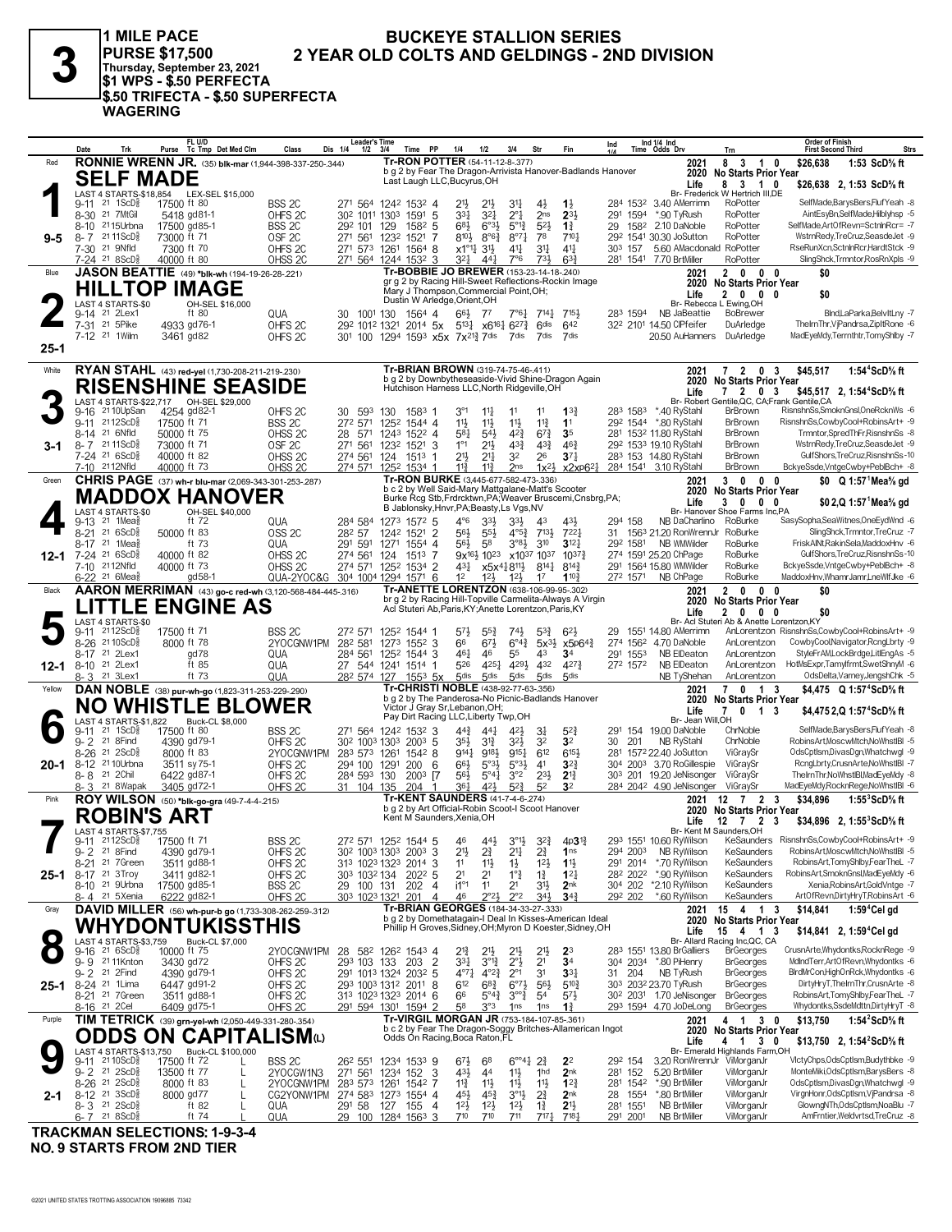| o |  |
|---|--|
| ٠ |  |

1 MILE PACE PURSE \$17,500 2 YEA<br>Thursday, September 23, 2021<br>\$1 WPS - \$.50 PERFECTA<br>\$.50 TRIFECTA - \$.50 SUPERFECTA **WAGERING** 

#### **BUCKEYE STALLION SERIES** 2 YEAR OLD COLTS AND GELDINGS - 2ND DIVISION

|          | Date<br>Trk                                                     | FL U/D<br>Purse Tc Tmp Det Med Clm                            | Class<br>Dis 1/4                         | <b>Leader's Time</b><br>Time PP<br>$1/2$ $3/4$                                                                                                                         | 1/4<br>1/2                                                                                                         | Str<br>3/4                                                                       | Fin                               | Ind                              | Ind $1/4$ Ind<br>Time Odds Drv                      | Trn                                                         | Order of Finish<br>Strs<br><b>First Second Third</b>                   |
|----------|-----------------------------------------------------------------|---------------------------------------------------------------|------------------------------------------|------------------------------------------------------------------------------------------------------------------------------------------------------------------------|--------------------------------------------------------------------------------------------------------------------|----------------------------------------------------------------------------------|-----------------------------------|----------------------------------|-----------------------------------------------------|-------------------------------------------------------------|------------------------------------------------------------------------|
| Red      |                                                                 | <b>RONNIE WRENN JR.</b> (35) blk-mar (1,944-398-337-250-.344) |                                          |                                                                                                                                                                        | Tr-RON POTTER (54-11-12-8-.377)                                                                                    |                                                                                  |                                   |                                  | 2021                                                | 8 3<br>$\overline{1}$<br>0                                  | \$26,638<br>1:53 ScD% ft                                               |
|          | <b>SELF MADE</b>                                                |                                                               |                                          |                                                                                                                                                                        | b g 2 by Fear The Dragon-Arrivista Hanover-Badlands Hanover<br>Last Laugh LLC, Bucyrus, OH                         |                                                                                  |                                   |                                  | 2020                                                | <b>No Starts Prior Year</b>                                 |                                                                        |
|          |                                                                 | LAST 4 STARTS-\$18,854 LEX-SEL \$15,000                       |                                          |                                                                                                                                                                        |                                                                                                                    |                                                                                  |                                   |                                  | Life                                                | 8 3 1 0<br>Br- Frederick W Hertrich III,DE                  | \$26,638 2, 1:53 ScD% ft                                               |
|          | $9-11$ 21 1ScDs                                                 | 17500 ft 80                                                   | BSS <sub>2C</sub>                        | 271 564 1242 1532 4                                                                                                                                                    | 21}<br>$21\frac{1}{2}$                                                                                             | 34<br>$4\frac{1}{2}$                                                             | $1\frac{1}{2}$                    | 284 1532                         | 3.40 AMerrimn                                       | RoPotter                                                    | SelfMade,BarysBers,FlufYeah -8                                         |
|          | 8-30 21 7MtGil                                                  | 5418 gd81-1                                                   | OHFS <sub>2C</sub>                       | 30 <sup>2</sup> 1011 130 <sup>3</sup> 1591 5                                                                                                                           | $3^{31}$<br>$3^{2}$                                                                                                | $2^{\circ}1$<br>2 <sub>ns</sub>                                                  | $2^{3}$                           | 291 1594                         | *.90 TyRush                                         | RoPotter                                                    | AintEsyBn,SelfMade,Hilblyhsp -5                                        |
|          | 2115Urbna<br>8-10                                               | 17500 gd85-1                                                  | BSS <sub>2C</sub>                        | 292 101<br>129<br>$158^2$ 5                                                                                                                                            | $6^{8}\frac{1}{2}$<br>$6^{o3}\frac{1}{2}$                                                                          | $5^{\circ}1^3$<br>$5^{21}$                                                       | $1\frac{3}{4}$                    | 29                               | 158 <sup>2</sup> 2.10 DaNoble                       | RoPotter                                                    | SelfMade, ArtOfRevn=SctnlnRcr= -7                                      |
| 9-5      | 8-7 2111ScD <sup>5</sup><br>7-30 <sup>21</sup> 9Nfld            | 73000 ft 71                                                   | OSF <sub>2C</sub>                        | 271 561<br>1232<br>1521                                                                                                                                                | $8^{\circ}6\frac{3}{4}$<br>8104<br>7                                                                               | $8^{\circ}7\frac{1}{4}$<br>78                                                    | 7104<br>$4^{11}$                  |                                  | 292 1541 30.30 JoSutton<br>5.60 AMacdonald RoPotter | RoPotter                                                    | WstrnRedy,TreCruz,SeasdeJet -9<br>RseRunXcn,SctnlnRcr,HardtStck -9     |
|          | 7-24 <sup>21</sup> 8ScD <sup>3</sup>                            | 7300 ft 70<br>40000 ft 80                                     | OHFS <sub>2C</sub><br>OHSS <sub>2C</sub> | 271 573 1261 1564 8<br>271 564 1244 1532 3                                                                                                                             | $x1^{\circ}12}31\frac{1}{2}$<br>$3^{2}$<br>441                                                                     | 411<br>31<br>7°6<br>731                                                          | 63 <sup>3</sup>                   | 303 157<br>281 1541              | 7.70 BrtMiller                                      | RoPotter                                                    | SlingShck,Trmntor,RosRnXpls -9                                         |
| Blue     |                                                                 | JASON BEATTIE (49) *blk-wh (194-19-26-28-221)                 |                                          |                                                                                                                                                                        | Tr-BOBBIE JO BREWER (153-23-14-18-240)                                                                             |                                                                                  |                                   |                                  | 2021                                                | 20<br>$0\quad 0$                                            | \$0                                                                    |
|          |                                                                 | <b>HILLTOP IMAGE</b>                                          |                                          |                                                                                                                                                                        | gr g 2 by Racing Hill-Sweet Reflections-Rockin Image                                                               |                                                                                  |                                   |                                  | 2020                                                | <b>No Starts Prior Year</b>                                 |                                                                        |
|          |                                                                 |                                                               |                                          |                                                                                                                                                                        | Mary J Thompson, Commercial Point, OH;<br>Dustin W Arledge, Orient, OH                                             |                                                                                  |                                   |                                  | Life                                                | 2000                                                        | \$0                                                                    |
|          | LAST 4 STARTS-\$0<br>9-14 <sup>21</sup> 2Lex1                   | OH-SEL \$16,000<br>ft 80                                      | QUA<br>30                                | 1564 4<br>1001 130                                                                                                                                                     | 661 77                                                                                                             | $7^\circ 64$<br>$7^{14\frac{1}{4}}$                                              | 7151,                             | 283 1594                         | NB JaBeattie                                        | Br- Rebecca L Ewing, OH<br><b>BoBrewer</b>                  | Blnd,LaParka,BelvItLny -7                                              |
|          | 7-31 <sup>21</sup> 5Pike                                        | 4933 gd76-1                                                   | OHFS <sub>2C</sub>                       | 292 1012 1321<br>2014 5x                                                                                                                                               | $5^{13}\frac{1}{4}$ $\times 6^{16}\frac{1}{4}$ $6^{27}\frac{3}{4}$                                                 | 6 <sup>dis</sup>                                                                 | 642                               |                                  | 322 2101 14.50 CIPfeifer                            | DuArledge                                                   | ThelrnThr,VjPandrsa,ZipItRone -6                                       |
|          | 7-12 21 1 Wilm                                                  | 3461 gd82                                                     | OHFS <sub>2C</sub><br>301                | 100 1294 1593 x5x 7x213 7dis                                                                                                                                           |                                                                                                                    | 7dis<br>7dis                                                                     | 7dis                              |                                  | 20.50 AuHanners DuArledge                           |                                                             | MadEyeMdy,Terrnthtr,TomyShlby -7                                       |
| 25-1     |                                                                 |                                                               |                                          |                                                                                                                                                                        |                                                                                                                    |                                                                                  |                                   |                                  |                                                     |                                                             |                                                                        |
| White    |                                                                 |                                                               |                                          |                                                                                                                                                                        | Tr-BRIAN BROWN (319-74-75-46-.411)                                                                                 |                                                                                  |                                   |                                  |                                                     |                                                             |                                                                        |
|          |                                                                 | RYAN STAHL (43) red-yel (1,730-208-211-219-.230)              |                                          |                                                                                                                                                                        | b g 2 by Downbytheseaside-Vivid Shine-Dragon Again                                                                 |                                                                                  |                                   |                                  | 2021<br>2020                                        | 7 <sub>2</sub><br>$\mathbf 0$<br>-3<br>No Starts Prior Year | \$45,517<br>1:54 <sup>4</sup> ScD% ft                                  |
|          |                                                                 | <b>RISENSHINE SEASIDE</b>                                     |                                          |                                                                                                                                                                        | Hutchison Harness LLC, North Ridgeville, OH                                                                        |                                                                                  |                                   |                                  | Life                                                | 7 2 0 3                                                     | \$45,517 2, 1:54 <sup>4</sup> ScD <sup>5</sup> / <sub>8</sub> ft       |
|          | <b>LAST 4 STARTS-\$22,717</b>                                   | OH-SEL \$29,000                                               |                                          |                                                                                                                                                                        |                                                                                                                    |                                                                                  |                                   |                                  |                                                     | Br- Robert Gentile, QC, CA; Frank Gentile, CA               |                                                                        |
|          | 21 10UpSan<br>9-16<br>9-11 2112ScD <sup>5</sup>                 | 4254 gd82-1<br>17500 ft 71                                    | OHFS <sub>2C</sub><br>BSS <sub>2C</sub>  | 30 593<br>130<br>1583 1<br>272 571<br>1252 1544 4                                                                                                                      | $3^{\circ}1$<br>$11\frac{1}{4}$<br>11号<br>$11\frac{1}{2}$                                                          | 11<br>11<br>$11\frac{1}{2}$<br>$11\frac{3}{4}$                                   | $13\frac{3}{4}$<br>1 <sup>1</sup> | 28 <sup>3</sup> 158 <sup>3</sup> | *.40 RyStahl<br>292 1544 *.80 RyStahl               | <b>BrBrown</b><br><b>BrBrown</b>                            | RisnshnSs,SmoknGnsl,OneRcknWs -6<br>RisnshnSs,CowbyCool+RobinsArt+ -9  |
|          | 8-14 21 6Nfld                                                   | 50000 ft 75                                                   | OHSS <sub>2C</sub>                       | 28 571<br>1243 1522 4                                                                                                                                                  | 581<br>$5^{4}$                                                                                                     | $4^{2}\frac{3}{4}$<br>$6^{73}$                                                   | 3 <sub>5</sub>                    |                                  | 281 1532 11.80 RyStahl                              | <b>BrBrown</b>                                              | Trmntor,SpredThFr,RisnshnSs -8                                         |
| 3-1      | 8-7 2111ScD <sup>5</sup>                                        | 73000 ft 71                                                   | OSF <sub>2C</sub>                        | 271 561<br>1232 1521 3                                                                                                                                                 | $1^{\circ}1$<br>$21\frac{1}{2}$                                                                                    | $4^{3}\frac{3}{4}$<br>$4^{3}\frac{3}{4}$                                         | $46\frac{3}{4}$                   |                                  | 292 1533 19.10 RyStahl                              | <b>BrBrown</b>                                              | WstrnRedy,TreCruz,SeasdeJet -9                                         |
|          | 7-24 21 6ScD <sup>§</sup>                                       | 40000 ft 82                                                   | OHSS <sub>2C</sub>                       | 274 561<br>124<br>1513 1                                                                                                                                               | $21\frac{1}{2}$<br>2 <sup>11</sup>                                                                                 | 32<br>26                                                                         | $3^{7}{}_{4}$                     |                                  | 283 153 14.80 RyStahl                               | <b>BrBrown</b>                                              | GulfShors.TreCruz.RisnshnSs-10                                         |
|          | 7-10 2112Nfld                                                   | 40000 ft 73                                                   | OHSS <sub>2C</sub>                       | 274 571 1252 1534 1                                                                                                                                                    | $11\frac{3}{4}$<br>$11\frac{3}{4}$                                                                                 | 1x <sup>2</sup><br>2 <sub>ns</sub>                                               | x2xp62 <sub>1</sub>               | 284 1541 3.10 RyStahl            |                                                     | BrBrown                                                     | BckyeSsde,VntgeCwby+PeblBch+ -8                                        |
| Green    |                                                                 | CHRIS PAGE (37) wh-r blu-mar (2,069-343-301-253-287)          |                                          |                                                                                                                                                                        | Tr-RON BURKE (3,445-677-582-473-.336)<br>b c 2 by Well Said-Mary Mattgalane-Matt's Scooter                         |                                                                                  |                                   |                                  | 2021<br>2020                                        | 30<br>$0\quad 0$                                            | \$0 Q 1:57 Mea % gd                                                    |
|          |                                                                 | <b>MADDOX HANOVER</b>                                         |                                          |                                                                                                                                                                        | Burke Rcg Stb, Frdrcktwn, PA; Weaver Bruscemi, Cnsbrg, PA;                                                         |                                                                                  |                                   |                                  | Life                                                | <b>No Starts Prior Year</b><br>$\bullet$<br>$0\quad 0$<br>3 | \$0 2, Q 1:57 Mea% gd                                                  |
|          | LAST 4 STARTS-\$0                                               | OH-SEL \$40,000                                               |                                          |                                                                                                                                                                        | B Jablonsky, Hnvr, PA; Beasty, Ls Vgs, NV                                                                          |                                                                                  |                                   |                                  |                                                     | Br- Hanover Shoe Farms Inc,PA                               |                                                                        |
|          | 9-13 <sup>21</sup> 1Mea <sup>5</sup>                            | ft 72                                                         | QUA                                      | 284 584 1273 1572 5                                                                                                                                                    | $4^{\circ}6$<br>3 <sup>3</sup>                                                                                     | 3 <sup>3</sup><br>43                                                             | 431                               | 294 158                          | NB DaCharlino                                       | RoBurke                                                     | SasySopha,SeaWitnes,OneEydWnd -6<br>SlingShck.Trmntor.TreCruz -7       |
|          | $8 - 21$<br>$216$ ScD $\frac{1}{2}$<br>8-17 <sup>21</sup> 1Mea៖ | 50000 ft 83<br>ft 73                                          | OSS <sub>2C</sub>                        | 282 57<br>1242 1521 2<br>291 591                                                                                                                                       | 56}<br>$55\frac{1}{2}$<br>56}<br>58                                                                                | $4^{\circ}5^3$ 713 $\frac{1}{2}$<br>$3^{08}\frac{1}{2}$<br>$3^{10}$              | 7221<br>$3^{12}$                  | 292 1581                         | 31 1563 21.20 RonWrennJr<br>NB WMWilder             | RoBurke<br>RoBurke                                          | FriskAlNt, RakinSela, MaddoxHnv -6                                     |
| 12-1     | 7-24 21 6ScD <sup>5</sup>                                       | 40000 ft 82                                                   | QUA<br>OHSS <sub>2C</sub>                | 1271<br>$155^4$ 4<br>274 561<br>124<br>1513                                                                                                                            | $9x^{16}\frac{1}{2}$ 10 <sup>23</sup><br>7                                                                         | x10 <sup>37</sup> 10 <sup>37</sup>                                               | $10^{37}$                         |                                  | 274 1591 25.20 ChPage                               | RoBurke                                                     | GulfShors, TreCruz, RisnshnSs-10                                       |
|          | 7-10 2112Nfld                                                   | 40000 ft 73                                                   | OHSS <sub>2C</sub>                       | 274 571 1252 1534 2                                                                                                                                                    | 431                                                                                                                | x5x <sup>41</sup> <sub>4</sub> 8 <sup>11</sup> }<br>$8^{14}\frac{1}{4}$          | $8^{14\frac{3}{4}}$               |                                  | 291 1564 15.80 WMWilder                             | RoBurke                                                     | BckyeSsde,VntgeCwby+PeblBch+ -8                                        |
|          | $6 - 22$<br>$21.6$ Mea $\frac{5}{8}$                            | gd 58-1                                                       | QUA-2YOC&G                               | 304 1004 1294 1571 6                                                                                                                                                   | 12<br>12 <sup>1</sup>                                                                                              | $12\frac{1}{2}$<br>17                                                            | 110 <sub>7</sub>                  | 272 1571                         | NB ChPage                                           | RoBurke                                                     | MaddoxHnv.WhamrJamrLneWlfJke -6                                        |
| Black    |                                                                 | AARON MERRIMAN (43) go-c red-wh (3,120-568-484-445-.316)      |                                          |                                                                                                                                                                        | Tr-ANETTE LORENTZON (638-106-99-95-302)                                                                            |                                                                                  |                                   |                                  | 2021                                                | 20<br>$0\quad 0$                                            | \$0                                                                    |
|          |                                                                 | LITTLE ENGINE AS                                              |                                          |                                                                                                                                                                        | br g 2 by Racing Hill-Topville Carmelita-Always A Virgin<br>Acl Stuteri Ab, Paris, KY; Anette Lorentzon, Paris, KY |                                                                                  |                                   |                                  | 2020<br>Life                                        | <b>No Starts Prior Year</b><br>2 0 0 0                      | \$0                                                                    |
|          | LAST 4 STARTS-\$0                                               |                                                               |                                          |                                                                                                                                                                        |                                                                                                                    |                                                                                  |                                   |                                  |                                                     | Br- Acl Stuteri Ab & Anette Lorentzon, KY                   |                                                                        |
|          | $9-11$ $2112$ ScD <sup>3</sup>                                  | 17500 ft 71                                                   | BSS <sub>2C</sub>                        | 272 571<br>1252 1544 1                                                                                                                                                 | $5^{7}\frac{1}{2}$<br>$55\frac{3}{4}$                                                                              | 74}<br>531                                                                       | $6^{2}$                           | 29.                              | 1551 14.80 AMerrimn                                 |                                                             | AnLorentzon RisnshnSs,CowbyCool+RobinsArt+ -9                          |
|          | 8-26 <sup>21</sup> 10 ScD <sup>3</sup>                          | 8000 ft 78                                                    | 2YOCGNW1PM                               | 282 581<br>1273 1552 3                                                                                                                                                 | $67\frac{1}{2}$<br>66                                                                                              | $6^{\circ}4^{\frac{3}{4}}$<br>$5x^{3}\frac{1}{2}$                                | x5p64}                            |                                  | 274 1562 4.70 DaNoble                               | AnLorentzon                                                 | CowbyCool,Navigator,RcngLbrty -9                                       |
|          | 8-17 21 2Lex1                                                   | gd78<br>ft 85                                                 | QUA                                      | 284 561 1252 1544 3                                                                                                                                                    | 461<br>46                                                                                                          | 55<br>43                                                                         | 3 <sup>4</sup>                    | 291 1553                         | NB ElDeaton                                         | AnLorentzon                                                 | StyleFrAM,LockBrdge,LitlEngAs -5                                       |
| 12-1     | 8-10 <sup>21</sup> 2Lex1<br>8-3 21 3Lex1                        | ft 73                                                         | QUA<br>QUA                               | 27 544 1241 1514 1<br>282 574 127<br>$155^3$ 5x                                                                                                                        | 526<br>$5$ dis<br>5 <sub>dis</sub>                                                                                 | 4251 4291<br>432<br>5 <sub>dis</sub><br>5 <sub>dis</sub>                         | 4273<br>5 <sub>dis</sub>          | 272 1572                         | NB ElDeaton<br>NB TyShehan                          | AnLorentzon<br>AnLorentzon                                  | HotMsExpr,Tamylfrmt,SwetShnyM -6<br>OdsDelta,Varney,JengshChk -5       |
| Yellow   |                                                                 | DAN NOBLE (38) pur-wh-go (1,823-311-253-229-290)              |                                          |                                                                                                                                                                        | Tr-CHRISTI NOBLE (438-92-77-63-.356)                                                                               |                                                                                  |                                   |                                  | 2021                                                | $\mathbf{7}$<br>$\overline{1}$<br>-3<br>$\mathbf{0}$        | \$4,475 Q 1:57 <sup>4</sup> ScD% ft                                    |
|          |                                                                 | <b>NO WHISTLE BLOWER</b>                                      |                                          |                                                                                                                                                                        | b g 2 by The Panderosa-No Picnic-Badlands Hanover                                                                  |                                                                                  |                                   |                                  | 2020                                                | <b>No Starts Prior Year</b>                                 |                                                                        |
|          |                                                                 |                                                               |                                          |                                                                                                                                                                        | Victor J Gray Sr, Lebanon, OH;<br>Pay Dirt Racing LLC, Liberty Twp, OH                                             |                                                                                  |                                   |                                  | Life                                                | 7<br>0 <sub>1</sub><br>3                                    | \$4,475 2,Q 1:57 <sup>4</sup> ScD <sup>5</sup> % ft                    |
|          | LAST 4 STARTS-\$1,822<br>$21 \t1SCD8$<br>9-11                   | Buck-CL \$8,000<br>17500 ft 80                                | BSS <sub>2C</sub>                        | 271 564 1242 1532 3                                                                                                                                                    | $44\frac{3}{4}$<br>441                                                                                             | $4^{2}\frac{1}{2}$<br>31                                                         | $5^{2}$                           |                                  | Br- Jean Will, OH<br>291 154 19.00 DaNoble          | ChrNoble                                                    | SelfMade,BarysBers,FlufYeah -8                                         |
|          | 9-2 21 8Find                                                    | 4390 gd79-1                                                   | OHFS <sub>2C</sub>                       | 30 <sup>2</sup> 100 <sup>3</sup> 130 <sup>3</sup> 200 <sup>3</sup> 5                                                                                                   | $35\frac{1}{2}$<br>31}                                                                                             | $3^{21}$<br>32                                                                   | 3 <sup>2</sup>                    | 30<br>201                        | NB RyStahl                                          | ChrNoble                                                    | RobinsArt.MoscwMtch.NoWhstIBI -5                                       |
|          | 8-26 <sup>21</sup> 2ScD <sup>5</sup>                            | 8000 ft 83                                                    | 2YOCGNW1PM                               | 283 573 1261<br>15428                                                                                                                                                  | 914 <sup>1</sup><br>9184                                                                                           | $9^{15}$<br>612                                                                  | $6^{15}$                          |                                  | 281 1572 22.40 JoSutton                             | ViGraySr                                                    | OdsCptlsm,DivasDgn,Whatchwgl -9                                        |
| 20-1     | 8-12 <sup>21</sup> 10Urbna                                      | 3511 sy 75-1                                                  | OHFS <sub>2C</sub>                       | 294 100 1291<br>200 6                                                                                                                                                  | 66}<br>$5°3\frac{1}{2}$                                                                                            | $5°3\frac{1}{2}$<br>41                                                           | $3^{2}3$                          |                                  | 304 2003 3.70 RoGillespie                           | ViGraySr                                                    | RcngLbrty,CrusnArte,NoWhstIBI -7                                       |
|          | 8-8 <sup>21</sup> 2Chil                                         | 6422 gd87-1                                                   | OHFS <sub>2C</sub>                       | 284 593 130<br>2003 [7                                                                                                                                                 | 56}<br>$5^{\circ}4^{\circ}$                                                                                        | 3°2<br>$2^{3}\frac{1}{2}$                                                        | $2^{13}$                          |                                  | 303 201 19.20 JeNisonger                            | ViGraySr                                                    | TheIrnThr,NoWhstIBI,MadEyeMdy -8                                       |
| Pink     | 8-3 21 8 Wapak                                                  | 3405 gd72-1                                                   | OHFS <sub>2C</sub>                       | 31 104 135<br>204                                                                                                                                                      | 421<br>361<br>-1<br><b>Tr-KENT SAUNDERS (41-7-4-6-.274)</b>                                                        | $5^{2}$<br>5 <sup>2</sup>                                                        | 3 <sup>2</sup>                    |                                  | 284 2042 4.90 JeNisonger ViGraySr                   | 2 <sub>3</sub>                                              | MadEyeMdy,RocknRege,NoWhstIBI -6                                       |
|          |                                                                 | ROY WILSON (50) *blk-go-gra (49-7-4-4-215)                    |                                          |                                                                                                                                                                        | b g 2 by Art Official-Robin Scoot-I Scoot Hanover                                                                  |                                                                                  |                                   |                                  | 2021                                                | 12 7<br>2020 No Starts Prior Year                           | \$34.896<br>1:55 $3$ ScD $\%$ ft                                       |
|          | <b>ROBIN'S ART</b>                                              |                                                               |                                          |                                                                                                                                                                        | Kent M Saunders, Xenia, OH                                                                                         |                                                                                  |                                   |                                  | Life                                                | 12 7 2 3                                                    | \$34,896 2, 1:55 ${}^{3}$ ScD ${}^{5}$ s ft                            |
|          | LAST 4 STARTS-\$7,755                                           |                                                               |                                          | 272 571 1252 1544 5 46 44 $\frac{1}{2}$ 3 <sup>o</sup> 1 <sup>1</sup> <sub>2</sub> 32 <sup>3</sup> <sub>4</sub> 4p31 <sup>3</sup> <sub>4</sub> 293 1551 10.60 RyWilson |                                                                                                                    |                                                                                  |                                   |                                  |                                                     | Br- Kent M Saunders, OH                                     | RisnshnSs,CowbyCool+RobinsArt+ -9                                      |
|          | 9-11 2112SCD<br>9-2 21 8Find                                    | 17500 ft 71<br>4390 gd79-1                                    | <b>BSS 2C</b><br>OHFS <sub>2C</sub>      | 30 <sup>2</sup> 100 <sup>3</sup> 130 <sup>3</sup> 200 <sup>3</sup> 3                                                                                                   | 2 <sup>1</sup><br>$2\frac{3}{4}$                                                                                   | $2^{3}_{4}$<br>$2^{11}$                                                          | 1 <sub>ns</sub>                   |                                  | 294 2003 NB RyWilson                                | Kesaunders<br>KeSaunders                                    | RobinsArt, MoscwMtch, NoWhstIBI -5                                     |
|          | 8-21 21 7Green                                                  | 3511 gd88-1                                                   | OHFS <sub>2C</sub>                       | 313 1023 1323 2014 3                                                                                                                                                   | 11<br>$11\frac{1}{2}$                                                                                              | $1\frac{1}{2}$<br>$12\frac{1}{2}$                                                | $1\frac{11}{2}$                   |                                  | 291 2014 *.70 RyWilson                              | KeSaunders                                                  | RobinsArt,TomyShlby,FearTheL -7                                        |
| $25 - 1$ | 8-17 <sup>21</sup> 3Troy                                        | 3411 gd82-1                                                   | OHFS <sub>2C</sub>                       | 303 1032 134 2022 5                                                                                                                                                    | 2 <sup>1</sup><br>21                                                                                               | $1^{\circ}$ $\frac{3}{4}$<br>$1\frac{3}{4}$                                      | $12\frac{1}{4}$                   |                                  | 282 2022 *.90 RyWilson                              | KeSaunders                                                  | RobinsArt,SmoknGnsl,MadEyeMdy -6                                       |
|          | 8-10 <sup>21</sup> 9Urbna                                       | 17500 gd85-1                                                  | BSS <sub>2C</sub>                        | 29 100 131<br>202                                                                                                                                                      | $i1^{\circ}1$<br>1 <sup>1</sup><br>$\overline{4}$                                                                  | 2 <sup>1</sup><br>3 <sup>1</sup>                                                 | 2 <sub>nk</sub>                   |                                  | 304 202 *2.10 RyWilson                              | KeSaunders                                                  | Xenia, Robins Art, Gold Vntge - 7                                      |
|          | 8-4 <sup>21</sup> 5Xenia                                        | 6222 gd82-1                                                   | OHFS <sub>20</sub>                       | 303 1023 1321 201                                                                                                                                                      | 46<br>$2^{\circ}2^{\circ}$<br>4                                                                                    | $2^{\circ}2$<br>$34\frac{1}{2}$                                                  | $34\frac{3}{4}$                   | 292 202                          | *.60 RyWilson                                       | KeSaunders                                                  | ArtOfRevn,DirtyHryT,RobinsArt -6                                       |
| Gray     |                                                                 | DAVID MILLER (56) wh-pur-b go (1,733-308-262-259-.312)        |                                          |                                                                                                                                                                        | Tr-BRIAN GEORGES (184-34-33-27-.333)<br>b g 2 by Domethatagain-I Deal In Kisses-American Ideal                     |                                                                                  |                                   |                                  | 2021<br>2020                                        | 15 4 1 3<br><b>No Starts Prior Year</b>                     | 1:59 $4$ Cel gd<br>\$14,841                                            |
|          |                                                                 | WHYDONTUKISSTHIS                                              |                                          |                                                                                                                                                                        | Phillip H Groves, Sidney, OH; Myron D Koester, Sidney, OH                                                          |                                                                                  |                                   |                                  | Life                                                | 15 4 1 3                                                    | \$14,841 2, 1:59 <sup>4</sup> Cel gd                                   |
|          | LAST 4 STARTS-\$3.759<br>$9-16$ 21 6ScD <sup>5</sup>            | <b>Buck-CL \$7,000</b>                                        |                                          |                                                                                                                                                                        |                                                                                                                    |                                                                                  |                                   |                                  |                                                     | Br- Allard Racing Inc, QC, CA                               | CrusnArte, Whydontks, RocknRege -9                                     |
|          | 9-9 2111Knton                                                   | 10000 ft 75<br>3430 gd72                                      | 2YOCGNW1PM<br>OHFS <sub>2C</sub>         | 28 582 1262 1543 4<br>293 103 133 203 2                                                                                                                                | $2^{13}$<br>$21\frac{1}{2}$<br>$3^{012}$<br>$3^{31}$                                                               | 2 <sup>11</sup><br>2 <sup>11</sup><br>$2^{\circ}$ <sub>2</sub><br>2 <sup>1</sup> | $2^3$<br>3 <sup>4</sup>           |                                  | 283 1551 13.80 BrGalliers<br>304 2034 *.80 PiHenry  | <b>BrGeorges</b><br><b>BrGeorges</b>                        | MdIndTerr,ArtOfRevn,Whydontks -6                                       |
|          | 9-2 <sup>21</sup> 2 Find                                        | 4390 gd79-1                                                   | OHFS <sub>2C</sub>                       | 291 1013 1324 2032 5                                                                                                                                                   | $4^{\circ}2^{\frac{3}{4}}$<br>$4^{07}\frac{1}{4}$                                                                  | $2^{\circ}1$<br>3 <sup>1</sup>                                                   | 33 <sub>1</sub>                   | 204<br>31                        | NB TyRush                                           | <b>BrGeorges</b>                                            | BirdMrCon,HighOnRck,Whydontks -6                                       |
| 25-1     | 8-24 <sup>21</sup> 1 Lima                                       | 6447 gd91-2                                                   | OHFS <sub>2C</sub>                       | 293 1003 1312 2011 8                                                                                                                                                   | 612<br>$6^{8}\frac{3}{4}$                                                                                          | $6^{97}\frac{1}{2}$<br>$56\frac{1}{2}$                                           | $5^{10}$                          |                                  | 303 2032 23.70 TyRush                               | <b>BrGeorges</b>                                            | DirtyHryT,TheIrnThr,CrusnArte -8                                       |
|          | 8-21 <sup>21</sup> 7Green                                       | 3511 gd88-1                                                   | OHFS <sub>2C</sub>                       | 313 1023 1323 2014 6                                                                                                                                                   | 66<br>$5^{\circ}4^{\circ}$                                                                                         | $3^{\circ}$ <sup>3</sup><br>5 <sup>4</sup>                                       | $5^{7}\frac{1}{2}$                |                                  | 30 <sup>2</sup> 203 <sup>1</sup> 1.70 JeNisonger    | <b>BrGeorges</b>                                            | RobinsArt,TomyShlby,FearTheL -7                                        |
|          | 8-16 <sup>21</sup> 2Cel                                         | 6409 gd75-1                                                   | OHFS <sub>2C</sub>                       | 291 594 1301 1594 2                                                                                                                                                    | 58<br>3°3                                                                                                          | 1ns<br>1ns                                                                       | $1\frac{3}{4}$                    |                                  | 293 1594 4.70 JoDeLong                              | <b>BrGeorges</b>                                            | Whydontks,SsdeMdttn,DirtyHryT -8                                       |
| Purple   |                                                                 | TIM TETRICK (39) grn-yel-wh (2,050-449-331-280-.354)          |                                          |                                                                                                                                                                        | Tr-VIRGIL MORGAN JR (753-184-107-85-.361)<br>b c 2 by Fear The Dragon-Soggy Britches-Allamerican Ingot             |                                                                                  |                                   |                                  | 2021                                                | 4 1 3 0<br>2020 No Starts Prior Year                        | 1:54 $2$ ScD $\%$ ft<br>\$13,750                                       |
|          |                                                                 | <b>ODDS ON CAPITALISM</b>                                     |                                          |                                                                                                                                                                        | Odds On Racing, Boca Raton, FL                                                                                     |                                                                                  |                                   |                                  | Life                                                | 4 1 3 0                                                     | \$13,750 2, 1:54 <sup>2</sup> ScD <sup>5</sup> / <sub>8</sub> ft       |
|          | LAST 4 STARTS-\$13,750                                          | Buck-CL \$100,000                                             |                                          |                                                                                                                                                                        |                                                                                                                    |                                                                                  |                                   |                                  |                                                     | Br- Emerald Highlands Farm, OH                              |                                                                        |
|          | 9-11 2110ScD <sup>3</sup><br>$9 - 2$ 21 $2$ ScD $\frac{5}{8}$   | 17500 ft 72                                                   | BSS <sub>2C</sub>                        | 26 <sup>2</sup> 551 1234 1533 9<br>271 561 1234 152 3                                                                                                                  | $6^{7}\frac{1}{2}$<br>6 <sup>8</sup><br>43}                                                                        | $6^{\circ}4^{\circ}4^{\circ}2^{\circ}4$                                          | $2^2$<br>2 <sub>nk</sub>          | 292 154                          | 3.20 RonWrennJr ViMorganJr<br>5.20 BrtMiller        | ViMorganJr                                                  | VlctyChps,OdsCptlsm,Budythbke -9<br>MonteMiki, OdsCptIsm, BarysBers -8 |
|          | 8-26 <sup>21</sup> 2ScD <sup>3</sup>                            | 13500 ft 77<br>L<br>8000 ft 83                                | 2YOCGW1N3<br>2YOCGNW1PM                  | 283 573 1261 1542 7                                                                                                                                                    | 44<br>$11\frac{3}{4}$<br>$11\frac{1}{2}$                                                                           | $11\frac{1}{2}$<br>1hd<br>11<br>$11\frac{1}{2}$                                  | $1^{22}$                          | 281 152<br>281 1542              | *.90 BrtMiller                                      | ViMorganJr                                                  | OdsCptlsm,DivasDgn,Whatchwgl -9                                        |
| 2-1      | 8-12 <sup>21</sup> 3ScD <sup>3</sup>                            | 8000 gd77                                                     | CG2YONW1PM                               | 274 583 1273 1554 4                                                                                                                                                    | 45}<br>$45\frac{3}{4}$                                                                                             | $3^{01}\frac{1}{2}$<br>$2^{3}_{4}$                                               | 2 <sub>nk</sub>                   | 28 1554                          | *.80 BrtMiller                                      | ViMorganJr                                                  | VirgnHonr, OdsCptlsm, VjPandrsa -8                                     |
|          | $8 - 3$ 21 $2$ ScD $\frac{5}{8}$                                | ft $82$                                                       | QUA                                      | 291 58 127 155                                                                                                                                                         | $12\frac{1}{2}$<br>$12\frac{1}{2}$<br>$\overline{4}$                                                               | $12\frac{1}{2}$<br>$1\frac{3}{4}$                                                | 2 <sup>1</sup>                    | 281 1551                         | <b>NB BrtMiller</b>                                 | ViMorganJr                                                  | GlowngNTh,OdsCptlsm,NoaBlu -7                                          |
|          | $6 - 7$ 21 8ScD <sup>5</sup>                                    | ft 74                                                         | QUA                                      | 29 100 1284 1563 3                                                                                                                                                     | 710<br>710                                                                                                         | $7^{17}\frac{1}{4}$<br>711                                                       | $7^{18}$                          | 291 2001                         | <b>NB BrtMiller</b>                                 | ViMorganJr                                                  | AmFrntier, Weldvrtsd, TreCruz -8                                       |
|          |                                                                 | TRACKMAN CELECTIONS 4 0.0                                     |                                          |                                                                                                                                                                        |                                                                                                                    |                                                                                  |                                   |                                  |                                                     |                                                             |                                                                        |

**TRACKMAN SELECTIONS: 1-9-3-4 NO. 9 STARTS FROM 2ND TIER**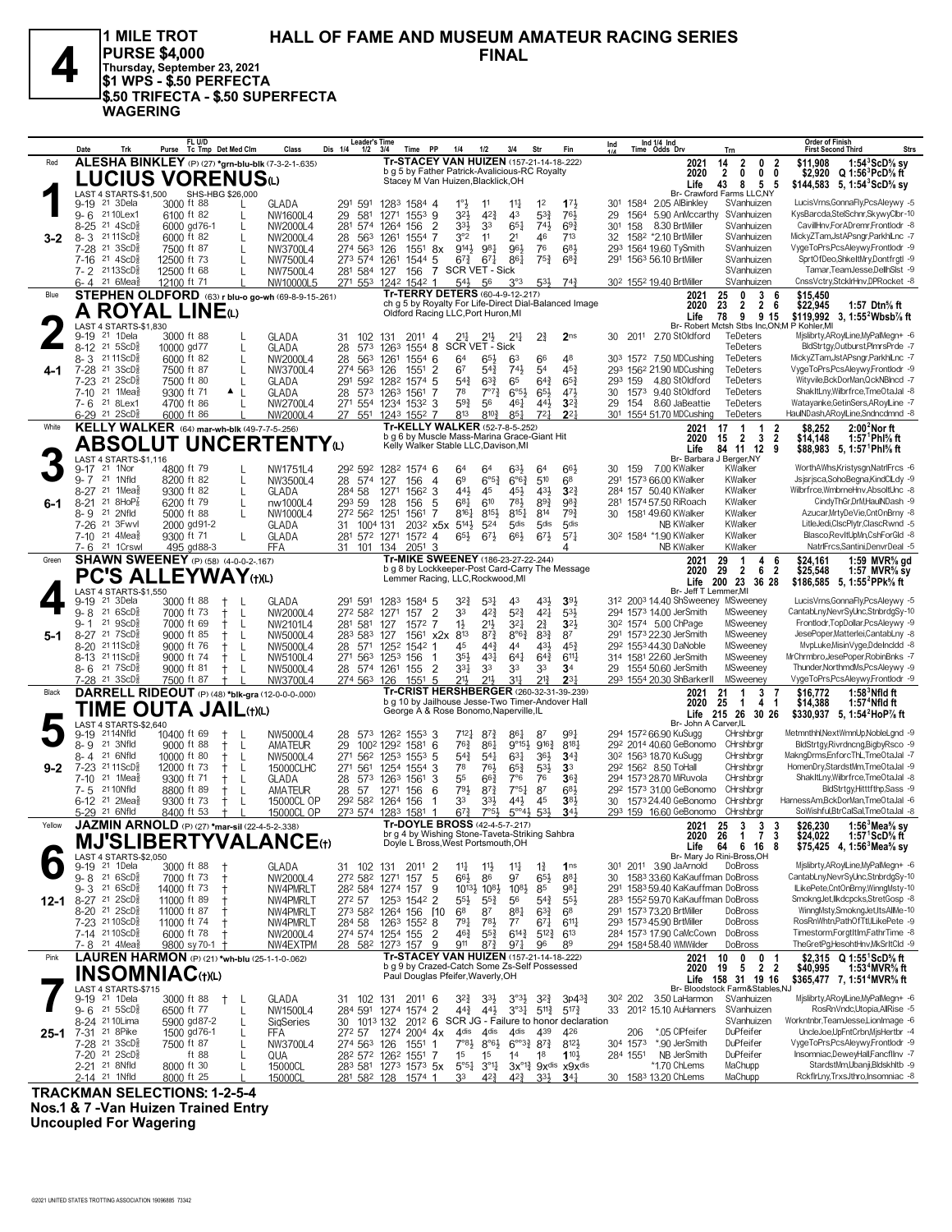

**HALL OF FAME AND MUSEUM AMATEUR RACING SERIES FINAL PURSE \$4,000**<br>
Thursday, September 23, 2021<br>
\$1 WPS - \$.50 PERFECTA **1 MILE TROT \$1 WPS - \$.50 PERFECTA \$.50 TRIFECTA - \$.50 SUPERFECTA WAGERING**

|         | Date                                                                    | Trk               | FL U/D<br>Purse Tc Tmp Det Med Clm                             |                                        | Class                                                            | <b>Leader's Time</b><br>Dis 1/4<br>$1/2$ $3/4$                                              |                                                      | Time PP                                                                                      | 1/4                                | 1/2                                                            | 3/4                                 | Str                               | Fin                                                                             | Ind             |          | Ind 1/4 Ind<br>Time Odds Drv                                          | Trn                                         |                                                         | <b>Order of Finish</b><br><b>First Second Third</b> |                                                                                             | <b>Strs</b> |
|---------|-------------------------------------------------------------------------|-------------------|----------------------------------------------------------------|----------------------------------------|------------------------------------------------------------------|---------------------------------------------------------------------------------------------|------------------------------------------------------|----------------------------------------------------------------------------------------------|------------------------------------|----------------------------------------------------------------|-------------------------------------|-----------------------------------|---------------------------------------------------------------------------------|-----------------|----------|-----------------------------------------------------------------------|---------------------------------------------|---------------------------------------------------------|-----------------------------------------------------|---------------------------------------------------------------------------------------------|-------------|
| Red     |                                                                         |                   | ALESHA BINKLEY (P) (27) *grn-blu-blk (7-3-2-1-.635)            |                                        |                                                                  |                                                                                             |                                                      | Tr-STACEY VAN HUIZEN (157-21-14-18-222)<br>b g 5 by Father Patrick-Avalicious-RC Royalty     |                                    |                                                                |                                     |                                   |                                                                                 |                 |          | 2021<br>2020                                                          | $\overline{2}$<br>14<br>$\overline{2}$<br>0 | 0<br>2<br>$\mathbf 0$<br>0                              | \$11.908                                            | 1:54 $3$ ScD $\%$ sy<br>\$2,920 Q 1:56 PcD % ft                                             |             |
|         |                                                                         |                   | <b>LUCIUS VORENUS</b> ധ                                        |                                        |                                                                  |                                                                                             |                                                      | Stacey M Van Huizen, Blacklick, OH                                                           |                                    |                                                                |                                     |                                   |                                                                                 |                 |          | Life                                                                  | 43<br>8                                     | 5 <sub>5</sub>                                          |                                                     | \$144,583 5, 1:54 $^{\circ}$ ScD $\%$ sy                                                    |             |
|         | LAST 4 STARTS-\$1,500<br>9-19 <sup>21</sup> 3Dela                       |                   | 3000 ft 88                                                     | SHS-HBG \$26,000<br>L                  | GLADA                                                            | 291 591                                                                                     | 1283 1584 4                                          |                                                                                              | $1^{\circ}$                        | 11                                                             | $11\frac{1}{4}$                     | 1 <sup>2</sup>                    | $1^{7}$                                                                         | 301             | 1584     | Br- Crawford Farms LLC,NY<br>2.05 AlBinkley                           | SVanhuizen                                  |                                                         |                                                     | LucisVrns,GonnaFly,PcsAleywy -5                                                             |             |
|         | 9-6 2110Lex1                                                            |                   | 6100 ft 82                                                     | L                                      | NW1600L4                                                         | 29<br>581                                                                                   | 1271                                                 | $155^3$ 9                                                                                    | 32}                                | $4^{2}\frac{3}{4}$                                             | 43                                  | $5^{3}\frac{3}{4}$                | 761,                                                                            | 29              | 1564     | 5.90 AnMccarthy                                                       | SVanhuizen                                  |                                                         |                                                     | KysBarcda,StelSchnr,SkywyClbr-10                                                            |             |
|         | 8-25 <sup>21</sup> 4ScD <sup>3</sup>                                    |                   | 6000 gd76-1                                                    | L                                      | NW2000L4                                                         | 281 574                                                                                     | 1264                                                 | $\overline{2}$<br>156                                                                        | 334                                | 33                                                             | $65\frac{1}{4}$                     | 743                               | $69\frac{3}{4}$                                                                 | 30 <sup>1</sup> | 158      | 8.30 BrtMiller                                                        | SVanhuizen                                  |                                                         |                                                     | CavillHnv,ForADremr,Frontlodr -8<br>MickyZTam,JstAPsngr,ParkhlLnc -7                        |             |
| $3 - 2$ | 8-3 2111ScD <sup>3</sup><br>7-28 <sup>21</sup> 3ScD <sup>5</sup>        |                   | 6000 ft 82<br>7500 ft 87                                       | L                                      | NW2000L4<br>NW3700L4                                             | 28<br>563<br>274 563 126                                                                    | 1261                                                 | 1554<br>-7<br>$155^1$ 8x                                                                     | $3^{\circ}2$<br>9143               | 11<br>981                                                      | 21<br>96}                           | 46<br>76                          | 713<br>$6^{8}$                                                                  | 32<br>293       |          | 1582 *2.10 BrtMiller<br>1564 19.60 TySmith                            | SVanhuizen<br>SVanhuizen                    |                                                         |                                                     | VygeToPrs,PcsAleywy,Frontlodr -9                                                            |             |
|         | $21 \text{ } 4\text{ScD}^5_8$<br>7-16                                   |                   | 12500 ft 73                                                    | L                                      | NW7500L4                                                         | 273 574 1261                                                                                |                                                      | 1544<br>5                                                                                    | $67\frac{3}{4}$                    | $67\frac{1}{4}$                                                | 861                                 | $75\frac{3}{4}$                   | $6^{8}$ <sub>4</sub>                                                            |                 |          | 291 1563 56.10 BrtMiller                                              | SVanhuizen                                  |                                                         |                                                     | SprtOfDeo,ShkeltMry,Dontfrgtl -9                                                            |             |
|         | 7-2 2113ScD <sup>3</sup><br>$6 - 4$ 21 6 Mea <sub>8</sub>               |                   | 12500 ft 68                                                    | L                                      | NW7500L4                                                         | 281 584 127                                                                                 |                                                      | 156<br>7                                                                                     | SCR VET - Sick                     |                                                                |                                     |                                   |                                                                                 |                 |          |                                                                       | SVanhuizen<br>SVanhuizen                    |                                                         |                                                     | Tamar, TeamJesse, DellhSIst -9<br>CnssVctry,StckIrHnv,DPRocket -8                           |             |
| Blue    |                                                                         |                   | 12100 ft 71                                                    |                                        | NW10000L5<br>STEPHEN OLDFORD (63) r blu-o go-wh (69-8-9-15-.261) | 271 553 1242 1542 1                                                                         |                                                      | Tr-TERRY DETERS (60-4-9-12-217)                                                              | 543                                | 56                                                             | $3^{\circ}3$                        |                                   | $5^{3\frac{1}{2}}$ 74 <sup>3</sup>                                              |                 |          | 30 <sup>2</sup> 155 <sup>2</sup> 19.40 BrtMiller<br>2021              | 25<br>0                                     | 3<br>6                                                  | \$15,450                                            |                                                                                             |             |
|         |                                                                         |                   | A ROYAL LINEO                                                  |                                        |                                                                  |                                                                                             |                                                      |                                                                                              |                                    |                                                                |                                     |                                   | ch g 5 by Royalty For Life-Direct Dial-Balanced Image                           |                 |          | 2020                                                                  | 23<br>$\overline{2}$                        | $\overline{2}$<br>6                                     | \$22,945                                            | 1:57 Dtn% ft                                                                                |             |
|         | LAST 4 STARTS-\$1,830                                                   |                   |                                                                |                                        |                                                                  |                                                                                             |                                                      | Oldford Racing LLC, Port Huron, MI                                                           |                                    |                                                                |                                     |                                   |                                                                                 |                 |          | Life                                                                  | 78                                          | 9 9 15                                                  | Br- Robert Mctsh Stbs Inc.ON:M P Kohler.MI          | \$119,992 3, 1:55 <sup>2</sup> Wbsb <sup>7</sup> / <sub>8</sub> ft                          |             |
|         | 9-19 21 1 Dela                                                          |                   | 3000 ft 88                                                     |                                        | GLADA                                                            | 102<br>31                                                                                   | 131                                                  | $201^1$ 4                                                                                    |                                    | 21}                                                            | $2^{11}$                            | 21                                | 2 <sub>ns</sub>                                                                 |                 |          | 30 2011 2.70 StOldford                                                | TeDeters                                    |                                                         |                                                     | Mislibrty, ARoylLine, MyPalMegn+ -6                                                         |             |
|         | 8-12 21 5ScD <sup>5</sup><br>8-3 2111ScD                                |                   | 10000 gd77<br>6000 ft 82                                       | L<br>L                                 | GLADA<br>NW2000L4                                                | 28<br>573<br>28<br>563                                                                      | 1263<br>1261                                         | $1554$ 8<br>$155^{4}$ 6                                                                      | <b>SCR VET - Sick</b><br>64        | 65}                                                            | 63                                  | 66                                | 48                                                                              | 303             |          | 1572 7.50 MDCushing                                                   | TeDeters<br>TeDeters                        |                                                         |                                                     | BldStrtgy,Outburst,PImrsPrde -7<br>MickyZTam,JstAPsngr,ParkhlLnc -7                         |             |
| 4-1     | 7-28 <sup>21</sup> 3ScD                                                 |                   | 7500 ft 87                                                     |                                        | NW3700L4                                                         | 274 563 126                                                                                 |                                                      | 1551 2                                                                                       | 67                                 | $54\frac{3}{4}$                                                | $74\frac{1}{2}$                     | 54                                | $45\frac{3}{4}$                                                                 |                 |          | 293 1562 21.90 MDCushing                                              | TeDeters                                    |                                                         |                                                     | VygeToPrs,PcsAleywy,Frontlodr -9                                                            |             |
|         | $7-23$ 21                                                               | 2ScD <sub>8</sub> | 7500 ft 80                                                     | L                                      | GLADA                                                            | 291 592 1282                                                                                |                                                      | 1574<br>5                                                                                    | $5^{4}$                            | $63\frac{3}{4}$                                                | 65                                  | $64\frac{3}{4}$                   | $65\frac{3}{4}$                                                                 |                 | 293 159  | 4.80 StOldford                                                        | TeDeters                                    |                                                         |                                                     | Wityvile,BckDorMan,QckNBlncd -7                                                             |             |
|         | 21 1Mea<br>7-10<br>7-6 21 8Lex1                                         |                   | 9300 ft 71<br>4700 ft 86                                       | $\blacktriangle$<br>-L<br>$\mathbf{I}$ | GLADA<br>NW2700L4                                                | 28<br>271<br>554                                                                            | 573 1263 1561<br>1234 1532 3                         | 7                                                                                            | 78<br>59}                          | $7^{\circ}7^{\circ}$<br>56                                     | $6^{\circ 5\frac{1}{2}}$<br>461     | $65\frac{1}{2}$<br>443            | 471,<br>$3^{2}3$                                                                | 30<br>29        | 154      | 1573 9.40 StOldford<br>8.60 JaBeattie                                 | TeDeters<br>TeDeters                        |                                                         |                                                     | ShakItLny, Wilbrfrce, TmeOtaJal -8<br>Watayanke, Getin Sers, ARoylLine -7                   |             |
|         | $6-29$ 21 $2ScD_{8}^{5}$                                                |                   | 6000 ft 86                                                     |                                        | NW2000L4                                                         | 27 551                                                                                      | 1243 1552 7                                          |                                                                                              | 813                                | $8^{10}\frac{3}{4}$                                            | $85\frac{1}{4}$                     | $72\frac{1}{2}$                   | $2^{2}$                                                                         |                 |          | 301 1554 51.70 MDCushing                                              | TeDeters                                    |                                                         |                                                     | HaulNDash, ARoylLine, Sndncdmnd -8                                                          |             |
| White   |                                                                         |                   | KELLY WALKER (64) mar-wh-blk (49-7-7-5-256)                    |                                        |                                                                  |                                                                                             |                                                      | Tr-KELLY WALKER (52-7-8-5-.252)<br>b q 6 by Muscle Mass-Marina Grace-Giant Hit               |                                    |                                                                |                                     |                                   |                                                                                 |                 |          | 2021<br>2020                                                          | 17<br>-1                                    | 2<br>$\overline{1}$                                     | \$8,252                                             | $2:002$ Nor ft                                                                              |             |
|         |                                                                         |                   |                                                                |                                        | <b>ABSOLUT UNCERTENTYO</b>                                       |                                                                                             |                                                      | Kelly Walker Stable LLC, Davison, MI                                                         |                                    |                                                                |                                     |                                   |                                                                                 |                 |          | Life                                                                  | 15<br>$\overline{2}$<br>84 11 12            | $\overline{\mathbf{2}}$<br>$\overline{\mathbf{3}}$<br>9 | \$14,148                                            | 1:57 $^{\circ}$ PhI% ft<br>\$88,983 5, 1:57 <sup>1</sup> Phl <sup>5</sup> / <sub>8</sub> ft |             |
|         | LAST 4 STARTS-\$1,116<br>$9 - 17$<br>21 1Nor                            |                   | 4800 ft 79                                                     |                                        | NW1751L4                                                         | 292 592                                                                                     | 1282 1574 6                                          |                                                                                              | 64                                 | 64                                                             | $63\frac{1}{2}$                     | 64                                | 663                                                                             |                 | 30 159   | Br- Barbara J Berger, NY<br>7.00 KWalker                              | KWalker                                     |                                                         |                                                     | WorthAWhs,Kristysgn,NatrlFrcs -6                                                            |             |
|         | $9 - 7$<br>21 1Nfld                                                     |                   | 8200 ft 82                                                     | L                                      | NW3500L4                                                         | 28 574                                                                                      | 127                                                  | 156<br>$\overline{4}$                                                                        | 69                                 | $6^{\circ 5\frac{3}{4}}$                                       | $6^{63}$                            | 510                               | 68                                                                              |                 |          | 291 1573 66.00 KWalker                                                | KWalker                                     |                                                         |                                                     | Jsjsrjsca,SohoBegna,KindClLdy -9                                                            |             |
|         | 8-27 <sup>21</sup> 1Mea                                                 |                   | 9300 ft 82                                                     | L                                      | GLADA                                                            | 284 58                                                                                      | 1271                                                 | $156^2$ 3                                                                                    | 443                                | 45                                                             | 45}                                 | 431                               | $3^{2}3$                                                                        |                 |          | 284 157 50.40 KWalker                                                 | KWalker                                     |                                                         |                                                     | Wilbrfrce,WmbrneHnv,AbsoltUnc -8                                                            |             |
| 6-1     | $8 - 21$<br>21<br>21 2Nfld<br>8-9                                       | 8HOP <sub>8</sub> | 6200 ft 79<br>$5000$ ft 88                                     | L<br>L                                 | nw1000L4<br>NW1000L4                                             | 293 59<br>272 562 1251                                                                      | 128                                                  | 156<br>5<br>1561<br>7                                                                        | $6^{81}$<br>$8^{16}\frac{1}{4}$    | 610<br>8153                                                    | 783<br>$8^{15}$                     | $89\frac{3}{4}$<br>814            | 983<br>$79\frac{3}{4}$                                                          |                 |          | 281 1574 57.50 RiRoach<br>30 1581 49.60 KWalker                       | KWalker<br>KWalker                          |                                                         |                                                     | CindyThGr,DrM,HaulNDash -9<br>Azucar, MrtyDeVie, CntOnBrny -8                               |             |
|         | 7-26 21 3Fwvl                                                           |                   | 2000 gd91-2                                                    |                                        | GLADA                                                            | 1004 131<br>31.                                                                             |                                                      | 203 <sup>2</sup> x <sub>5</sub> x                                                            | $5^{14}$                           | $5^{24}$                                                       | $5$ dis                             | 5 <sub>dis</sub>                  | 5 <sub>dis</sub>                                                                |                 |          | <b>NB KWalker</b>                                                     | KWalker                                     |                                                         |                                                     | LitleJedi,ClscPlytr,ClascRwnd -5                                                            |             |
|         | 7-10 <sup>21</sup> 4Mea <sup>§</sup><br>21 1Crswl<br>7-6                |                   | 9300 ft 71<br>495 gd88-3                                       | L                                      | GLADA<br><b>FFA</b>                                              | 281 572                                                                                     | 1271                                                 | 1572 4                                                                                       | $65\frac{1}{2}$                    | $67\frac{1}{2}$                                                | $66\frac{1}{2}$                     | $67\frac{1}{2}$                   | $5^{7}$                                                                         |                 |          | 30 <sup>2</sup> 1584 *1.90 KWalker<br>NB KWalker                      | KWalker<br>KWalker                          |                                                         |                                                     | Blasco,RevItUpMn,CshForGld -8<br>NatrlFrcs,Santini,DenvrDeal -5                             |             |
| Green   |                                                                         |                   | <b>SHAWN SWEENEY</b> (P) (58) (4-0-0-2-.167)                   |                                        |                                                                  | 31 101                                                                                      | 134                                                  | $2051$ 3<br>Tr-MIKE SWEENEY (186-23-27-22-.244)                                              |                                    |                                                                |                                     |                                   |                                                                                 |                 |          | 2021                                                                  | 29<br>-1                                    | 4<br>6                                                  | \$24,161                                            | 1:59 MVR% gd                                                                                |             |
|         |                                                                         |                   | PC'S ALLEYWAY (t)(L)                                           |                                        |                                                                  |                                                                                             |                                                      | Lemmer Racing, LLC, Rockwood, MI                                                             |                                    |                                                                |                                     |                                   | b g 8 by Lockkeeper-Post Card-Carry The Message                                 |                 |          | 2020                                                                  | 29<br>$\overline{2}$                        | 6<br>$\overline{2}$                                     | \$25,548                                            | 1:57 MVR $\%$ sy                                                                            |             |
|         | LAST 4 STARTS-\$1,550                                                   |                   |                                                                |                                        |                                                                  |                                                                                             |                                                      |                                                                                              |                                    |                                                                |                                     |                                   |                                                                                 |                 |          | Br- Jeff T Lemmer, MI                                                 | Life 200 23 36 28                           |                                                         |                                                     | \$186,585 5, 1:55 <sup>2</sup> PPk <sup>5</sup> / <sub>8</sub> ft                           |             |
|         | 21 3Dela<br>$9 - 19$                                                    |                   | 3000 ft 88                                                     | $^+$                                   | GLADA                                                            | 291 591                                                                                     | 1283 1584 5                                          |                                                                                              | $3^{2}$                            | $5^{3}$                                                        | 43                                  | 431                               | 391                                                                             |                 |          | 312 2003 14.40 ShSweeney MSweeney                                     |                                             |                                                         |                                                     | LucisVrns, GonnaFly, PcsAleywy -5                                                           |             |
|         | 21 6ScD<br>9-8<br>$21 \text{ } 9$ ScD $\frac{5}{8}$<br>$9 - 1$          |                   | 7000 ft 73<br>7000 ft 69                                       | L<br>$^+$<br>L                         | NW2000L4<br>NW2101L4                                             | 272 582 1271<br>281 581                                                                     | 127                                                  | 157<br>2<br>1572 7                                                                           | 33<br>$1\frac{1}{2}$               | $4^{2}\frac{3}{4}$<br>$21\frac{1}{2}$                          | $5^{2}$<br>$3^{2}$                  | 421<br>$2\frac{3}{4}$             | $5^{3}$<br>$3^{21}$                                                             |                 |          | 294 1573 14.00 JerSmith<br>30 <sup>2</sup> 1574 5.00 ChPage           | MSweeney<br>MSweeney                        |                                                         |                                                     | CantabLny, NevrSyUnc, StnbrdgSy-10<br>Frontlodr, TopDollar, PcsAleywy -9                    |             |
| 5-1     | 8-27 21 7 ScD <sup>5</sup>                                              |                   | 9000 ft 85                                                     | L<br>$^+$                              | NW5000L4                                                         | 283 583                                                                                     | 127                                                  | $156^1$ x2x                                                                                  | 813                                | $8^{7\frac{3}{4}}$                                             | 8°6 <sup>3</sup>                    | $8^{3}\frac{3}{4}$                | 87                                                                              |                 |          | 291 1573 22.30 JerSmith                                               | MSweeney                                    |                                                         |                                                     | JesePoper, Matterlei, CantabLny -8                                                          |             |
|         | 8-20 2111ScD <sup>3</sup><br>8-13 2111ScD                               |                   | 9000 ft 76<br>9000 ft 74                                       | L<br>+<br>L<br>$^+$                    | NW5000L4<br>NW5100L4                                             | 28<br>271 563                                                                               | 571 1252<br>1253 156                                 | 1542<br>-1<br>-1                                                                             | 45<br>35}                          | $44\frac{3}{4}$<br>$4^{3}$                                     | 44<br>$64\frac{1}{4}$               | 431<br>$64\frac{3}{4}$            | $45\frac{3}{4}$<br>$6^{11}$                                                     |                 |          | 29 <sup>2</sup> 1553 44.30 DaNoble<br>314 1581 22.60 JerSmith         | MSweeney<br>MSweeney                        |                                                         |                                                     | MvpLuke, Misin Vyge, Ddelncldd -8<br>MrChrmbro, JesePoper, RobinBnks -7                     |             |
|         | $8 - 6$ 21 7 ScD <sup>5</sup>                                           |                   | 9000 ft 81                                                     | L                                      | NW5000L4                                                         | 28 574 1261 155                                                                             |                                                      | 2                                                                                            | 331                                | 33                                                             | 33                                  | 33                                | 3 <sup>4</sup>                                                                  |                 |          | 29 1554 50.60 JerSmith                                                | MSweeney                                    |                                                         |                                                     | Thunder, NorthmdMs, PcsAleywy -9                                                            |             |
|         | 7-28 <sup>21</sup> 3ScD <sup>5</sup>                                    |                   | 7500 ft 87                                                     |                                        | NW3700L4                                                         | 274 563 126                                                                                 |                                                      | 1551<br>5                                                                                    | 21,                                | 211,                                                           | 31                                  | 213                               | $2^{3}$                                                                         |                 |          | 293 1554 20.30 ShBarkerII                                             | MSweeney                                    |                                                         |                                                     | VygeToPrs,PcsAleywy,Frontlodr -9                                                            |             |
| Black   |                                                                         |                   | DARRELL RIDEOUT (P) (48) *blk-gra (12-0-0-0-.000)              |                                        |                                                                  |                                                                                             |                                                      | Tr-CRIST HERSHBERGER (260-32-31-39-.239)<br>b g 10 by Jailhouse Jesse-Two Timer-Andover Hall |                                    |                                                                |                                     |                                   |                                                                                 |                 |          | 2021<br>2020                                                          | 21<br>$\mathbf{1}$<br>25<br>$\overline{1}$  | 3<br>4<br>-1                                            | \$16,772<br>\$14,388                                | $1:583$ Nfld ft<br>1:57 <sup>4</sup> Nfld ft                                                |             |
|         |                                                                         |                   | TIME OUTA JAIL(t)(L)                                           |                                        |                                                                  |                                                                                             |                                                      | George A & Rose Bonomo, Naperville, IL                                                       |                                    |                                                                |                                     |                                   |                                                                                 |                 |          | Br- John A Carver, IL                                                 | Life 215 26 30 26                           |                                                         |                                                     | \$330,937 5, 1:54 HoP % ft                                                                  |             |
|         | LAST 4 STARTS-\$2,640<br>2114Nfld<br>$9 - 19$                           |                   | 10400 ft 69                                                    |                                        | NW5000L4                                                         | 28                                                                                          | 573 1262 1553 3                                      |                                                                                              | $7^{12}\frac{1}{4}$                | $8^{7}_{4}$                                                    | 861                                 | 87                                | 991                                                                             |                 |          | 294 1572 66.90 KuSugg                                                 | CHrshbrgr                                   |                                                         |                                                     | Metmnthhl,NextWmnUp,NobleLgnd -9                                                            |             |
|         | 21 3Nfld<br>8-9                                                         |                   | 9000 ft 88                                                     | L<br>Ť                                 | AMATEUR                                                          | 29                                                                                          | 100 <sup>2</sup> 129 <sup>2</sup> 158 <sup>1</sup> 6 |                                                                                              | $76\frac{3}{4}$                    | 861                                                            | $9^{\circ}15\frac{1}{2}$            | $9^{16}\frac{3}{4}$               | $8^{18}$                                                                        |                 |          | 292 2014 40.60 GeBonomo                                               | CHrshbrgr                                   |                                                         |                                                     | BldStrtgy,Rivrdncng,BigbyRsco -9                                                            |             |
| $9 - 2$ | 21 6Nfld<br>8-4<br>7-23 2111ScD}                                        |                   | $10000$ ft 80<br>12000 ft 73                                   | L<br>$^+$<br>L<br>$^+$                 | NW5000L4<br>15000CLHC                                            | 27 <sup>1</sup><br>27 <sup>1</sup><br>561                                                   | 562 1253 1553<br>1254 1554                           | -5<br>3                                                                                      | $5^{4}$<br>78                      | $54\frac{1}{4}$<br>763                                         | $63\frac{1}{4}$<br>$65\frac{3}{4}$  | $36\frac{1}{2}$<br>53}            | $34\frac{3}{4}$<br>3 <sup>3</sup>                                               |                 |          | 30 <sup>2</sup> 156 <sup>3</sup> 18.70 KuSugg<br>292 1562 8.50 ToHall | CHrshbrgr<br>CHrshbrgr                      |                                                         |                                                     | MakngDrms,EnforcThL,TmeOtaJal -7<br>HomenDry,StardstMm,TmeOtaJal -9                         |             |
|         | $21$ 1Mea $\frac{5}{8}$<br>$7 - 10$                                     |                   | 9300 ft 71                                                     | L<br>$^+$                              | GLADA                                                            | 28<br>573                                                                                   | 1263 1561                                            | 3                                                                                            | 55                                 | $66\frac{3}{4}$                                                | 7°6                                 | 76                                | 36 <sub>1</sub>                                                                 |                 |          | 294 1573 28.70 MiRuvola                                               | CHrshbrgr                                   |                                                         |                                                     | ShakItLny, Wilbrfrce, TmeOtaJal -8                                                          |             |
|         | 7-5 21 10 N fld<br>6-12 <sup>21</sup> 2Mea                              |                   | 8800 ft 89<br>9300 ft 73                                       | L<br>L                                 | AMATEUR<br>15000CL OP                                            | 28<br>57<br>292 582                                                                         | 1271<br>1264 156                                     | 156<br>6                                                                                     | 793<br>33                          | $8^{7}\frac{3}{4}$<br>33}                                      | 7°5 <sub>4</sub><br>$44\frac{1}{2}$ | 87<br>45                          | $6^{8}$<br>38 <sup>1</sup>                                                      |                 |          | 292 1573 31.00 GeBonomo<br>30 1573 24.40 GeBonomo                     | CHrshbrar<br>CHrshbrar                      |                                                         |                                                     | BldStrtgy,Hittffthp,Sass -9<br>HarnessAm,BckDorMan,TmeOtaJal -6                             |             |
|         | 5-29 21 6Nfld                                                           |                   | 8400 ft 53                                                     |                                        | 15000CL OP                                                       | 273 574 1283 1581                                                                           |                                                      |                                                                                              | $67\frac{3}{4}$                    | $7°5\frac{1}{2}$                                               | $5^{\circ 4}$ <sup>3</sup>          | $5^{3}$                           | $34\frac{1}{2}$                                                                 |                 |          | 293 159 16.60 GeBonomo                                                | CHrshbrgr                                   |                                                         |                                                     | SoWishful,BtrCalSal,TmeOtaJal -8                                                            |             |
| Yellow  |                                                                         |                   | <b>JAZMIN ARNOLD</b> (P) (27) *mar-sil (22-4-5-2-.338)         |                                        |                                                                  |                                                                                             |                                                      | Tr-DOYLE BROSS (42-4-5-7-.217)                                                               |                                    |                                                                |                                     |                                   |                                                                                 |                 |          | 2021                                                                  | 25<br>3                                     | 3<br>3                                                  | \$26,230                                            | 1:56 $3$ Mea $\%$ sy                                                                        |             |
|         |                                                                         |                   |                                                                |                                        | <b>MJ'SLIBERTYVALANCE(t)</b>                                     |                                                                                             |                                                      | br g 4 by Wishing Stone-Taveta-Striking Sahbra<br>Doyle L Bross, West Portsmouth, OH         |                                    |                                                                |                                     |                                   |                                                                                 |                 |          | Life                                                                  | 2020 26 1<br>64 6 16 8                      | 73                                                      | \$24.022                                            | 1:57 ScD $\%$ ft<br>\$75,425 4, 1:56 <sup>3</sup> Mea <sup>5</sup> / <sub>8</sub> sy        |             |
|         | LAST 4 STARTS-\$2,050                                                   |                   |                                                                |                                        |                                                                  |                                                                                             |                                                      |                                                                                              |                                    |                                                                |                                     |                                   |                                                                                 |                 |          | Br- Mary Jo Rini-Bross, OH                                            |                                             |                                                         |                                                     |                                                                                             |             |
|         | 9-19 <sup>21</sup> 1Dela<br>$9 - 8$ 21 6 ScD <sup>3</sup>               |                   | 3000 ft 88<br>7000 ft 73                                       | $\pm$                                  | GLADA<br>NW2000L4                                                | 31 102 131<br>272 582 1271 157                                                              |                                                      | 2011 2<br>5                                                                                  | $11\frac{1}{4}$<br>$66\frac{1}{2}$ | 11<br>86                                                       | $11\frac{1}{4}$<br>97               | $1\frac{3}{4}$<br>$65\frac{1}{2}$ | 1 <sub>ns</sub><br>$8^{8}$                                                      | 30              |          | 301 2011 3.90 JaArnold<br>1583 33.60 KaKauffman DoBross               | DoBross                                     |                                                         |                                                     | Mislibrty, ARoylLine, MyPalMegn+ -6<br>CantabLny, NevrSyUnc, StnbrdgSy-10                   |             |
|         | $9 - 3$ 21 6ScD <sup>3</sup>                                            |                   | 14000 ft 73                                                    |                                        | NW4PMRLT                                                         | 28 <sup>2</sup> 584 1274 157                                                                |                                                      | 9                                                                                            |                                    | 10 <sup>13</sup> / <sub>2</sub> 10 <sup>8</sup> / <sub>2</sub> | $10^{8}$                            | 85                                | 981                                                                             | 291             |          | 1583 59.40 KaKauffman DoBross                                         |                                             |                                                         |                                                     | ILikePete,CntOnBrny,WinngMsty-10                                                            |             |
| 12-1    | 8-27 <sup>21</sup> 2ScD <sup>5</sup><br>$8-20$ 21 $2$ ScD $\frac{5}{8}$ |                   | 11000 ft 89<br>11000 ft 87                                     |                                        | NW4PMRLT<br>NW4PMRLT                                             | 272 57<br>273 582 1264 156                                                                  | 1253 1542 2                                          | [10                                                                                          | $5^{5\frac{1}{2}}$<br>68           | $55\frac{3}{4}$<br>87                                          | 56<br>881                           | $5^{4}$<br>$63\frac{3}{4}$        | $55\frac{1}{2}$<br>68                                                           |                 |          | 283 1552 59.70 KaKauffman DoBross<br>291 1573 73.20 BrtMiller         | DoBross                                     |                                                         |                                                     | SmokngJet,Ilkdcpcks,StretGosp -8<br>WinngMsty,SmokngJet,ItsAllMe-10                         |             |
|         | 7-23 2110ScD <sup>3</sup>                                               |                   | 11000 ft 74                                                    |                                        | NW4PMRLT                                                         | 284 58                                                                                      | 1263 1552 8                                          |                                                                                              | $79\frac{1}{4}$                    | $78\frac{1}{2}$                                                | $7^7$                               | $67\frac{1}{4}$                   | $6^{11}\frac{1}{4}$                                                             |                 |          | 293 1573 45.90 BrtMiller                                              | DoBross                                     |                                                         |                                                     | RosRnWhtn,PathOfTtl,ILikePete -9                                                            |             |
|         | 7-14 2110ScD <sup>3</sup>                                               |                   | 6000 ft 78                                                     |                                        | NW2000L4                                                         | 274 574 1254 155                                                                            |                                                      | 2                                                                                            | 46}                                | $55\frac{3}{4}$                                                | $6^{14}\frac{3}{4}$                 | $5^{12}\frac{3}{4}$               | $6^{13}$                                                                        |                 |          | 284 1573 17.90 CaMcCown                                               | DoBross                                     |                                                         |                                                     | Timestorm,ForgtItIm,FathrTime -8                                                            |             |
| Pink    | 7-8 <sup>21</sup> 4Mea                                                  |                   | 9800 sy 70-1<br>LAUREN HARMON (P) (21) *wh-blu (25-1-1-0-.062) |                                        | NW4EXTPM                                                         | 28 582 1273 157                                                                             |                                                      | 9<br>Tr-STACEY VAN HUIZEN (157-21-14-18-222)                                                 | 911                                | $8^{7}\frac{3}{4}$                                             | 971                                 | 96                                | 89                                                                              |                 |          | 294 1584 58.40 WMWilder<br>2021                                       | DoBross<br>10<br>0                          | 0<br>-1                                                 |                                                     | TheGretPg,HesohtHnv,MkSrItCld -9<br>\$2,315 Q 1:55 <sup>1</sup> ScD% ft                     |             |
|         |                                                                         |                   | <b>INSOMNIAC(t)(L)</b>                                         |                                        |                                                                  |                                                                                             |                                                      | b g 9 by Crazed-Catch Some Zs-Self Possessed                                                 |                                    |                                                                |                                     |                                   |                                                                                 |                 |          | 2020                                                                  | 19<br>5                                     | $\overline{2}$<br>$\overline{2}$                        | \$40,995                                            | 1:53 <sup>4</sup> MVR% ft                                                                   |             |
|         | LAST 4 STARTS-\$715                                                     |                   |                                                                |                                        |                                                                  |                                                                                             |                                                      | Paul Douglas Pfeifer, Waverly, OH                                                            |                                    |                                                                |                                     |                                   |                                                                                 |                 |          | Br- Bloodstock Farm&Stables,NJ                                        | Life 158 31 19 16                           |                                                         |                                                     | \$365,477 7, 1:51 MVR% ft                                                                   |             |
|         | 9-19 21 1 Dela                                                          |                   | 3000 ft 88                                                     | $^{+}$<br>L                            | GLADA                                                            | 31 102 131                                                                                  |                                                      | $201^1$ 6                                                                                    | $3^{24}$                           | 3 <sup>3</sup>                                                 | $3^{03}\frac{1}{2}$                 | $3^{2}$                           | $3p43\frac{3}{4}$                                                               |                 |          | 30 <sup>2</sup> 202 3.50 LaHarmon                                     | SVanhuizen                                  |                                                         |                                                     | Mislibrty, ARoylLine, MyPalMegn+ -6                                                         |             |
|         | $9 - 6$ 21 5 ScD <sup>5</sup><br>8-24 <sup>21</sup> 10 Lima             |                   | 6500 ft 77<br>5900 gd87-2                                      | L<br>L                                 | NW1500L4<br>SigSeries                                            | 284 591 1274 1574 2                                                                         |                                                      |                                                                                              | $44\frac{3}{4}$                    | 441                                                            | 3°3 <sub>4</sub>                    | $5^{11}$                          | $5^{17}\frac{3}{4}$<br>30 1013 132 2012 6 SCR JG - Failure to honor declaration |                 |          | 33 2012 15.10 AuHanners                                               | SVanhuizen<br>SVanhuizen                    |                                                         |                                                     | RosRnVndc,Utopia,AllRise -5<br>Workntnbr,TeamJesse,LionImage -6                             |             |
| 25-1    | 7-31 <sup>21</sup> 8Pike                                                |                   | 1500 gd76-1                                                    |                                        | FFA                                                              | 27 <sup>2</sup> 57 1274 2004 4x                                                             |                                                      |                                                                                              | 4 <sup>dis</sup>                   | 4 <sup>dis</sup>                                               | 4dis                                | 439                               | 426                                                                             |                 | 206      | *.05 CIPfeifer                                                        | DuPfeifer                                   |                                                         |                                                     | UncleJoe,UpFntCrbn,MjsHertbr -4                                                             |             |
|         | 7-28 <sup>21</sup> 3ScD <sup>3</sup>                                    |                   | 7500 ft 87                                                     | L                                      | NW3700L4                                                         | 274 563 126                                                                                 |                                                      | 1551<br>-1                                                                                   | $7^\circ 8\frac{1}{2}$             | $8^{\circ}6\frac{1}{2}$                                        | $6^{\circ}3^3$ $87^3$               |                                   | 8123                                                                            |                 | 304 1573 | *.90 JerSmith                                                         | DuPfeifer                                   |                                                         |                                                     | VygeToPrs,PcsAleywy,Frontlodr -9                                                            |             |
|         | 7-20 21 2ScD <sup>5</sup><br>2-21 21 8Nfld                              |                   | ft 88<br>8000 ft 30                                            |                                        | QUA<br>15000CL                                                   | 28 <sup>2</sup> 57 <sup>2</sup> 126 <sup>2</sup> 155 <sup>1</sup> 7<br>283 581 1273 1573 5x |                                                      |                                                                                              | 15<br>$5^{\circ 5}$ <sup>1</sup>   | 15<br>$3^{011}$                                                | 14                                  | 18                                | $1^{10}$<br>$3x^{q}$ 9x <sup>dis</sup> x9x <sup>dis</sup>                       |                 |          | 284 1551 NB JerSmith<br>*1.70 ChLems                                  | DuPfeifer<br>MaChupp                        |                                                         |                                                     | Insomniac,DeweyHall,Fancfllnv -7<br>StardstMm,Ubanji,Bldskhltb -9                           |             |
|         | 2-14 <sup>21</sup> 1Nfld                                                |                   | 8000 ft 25                                                     |                                        | 15000CL                                                          | 281 582 128 1574 1                                                                          |                                                      |                                                                                              | 33                                 | 42}                                                            | 42}                                 | $3^{3}\frac{1}{2}$                | $34\frac{1}{4}$                                                                 |                 |          | 30 1583 13.20 ChLems                                                  | MaChupp                                     |                                                         |                                                     | RckflrLny,TrxsJthro,Insomniac -8                                                            |             |

**TRACKMAN SELECTIONS: 1-2-5-4 Nos.1 & 7 -Van Huizen Trained Entry Uncoupled For Wagering**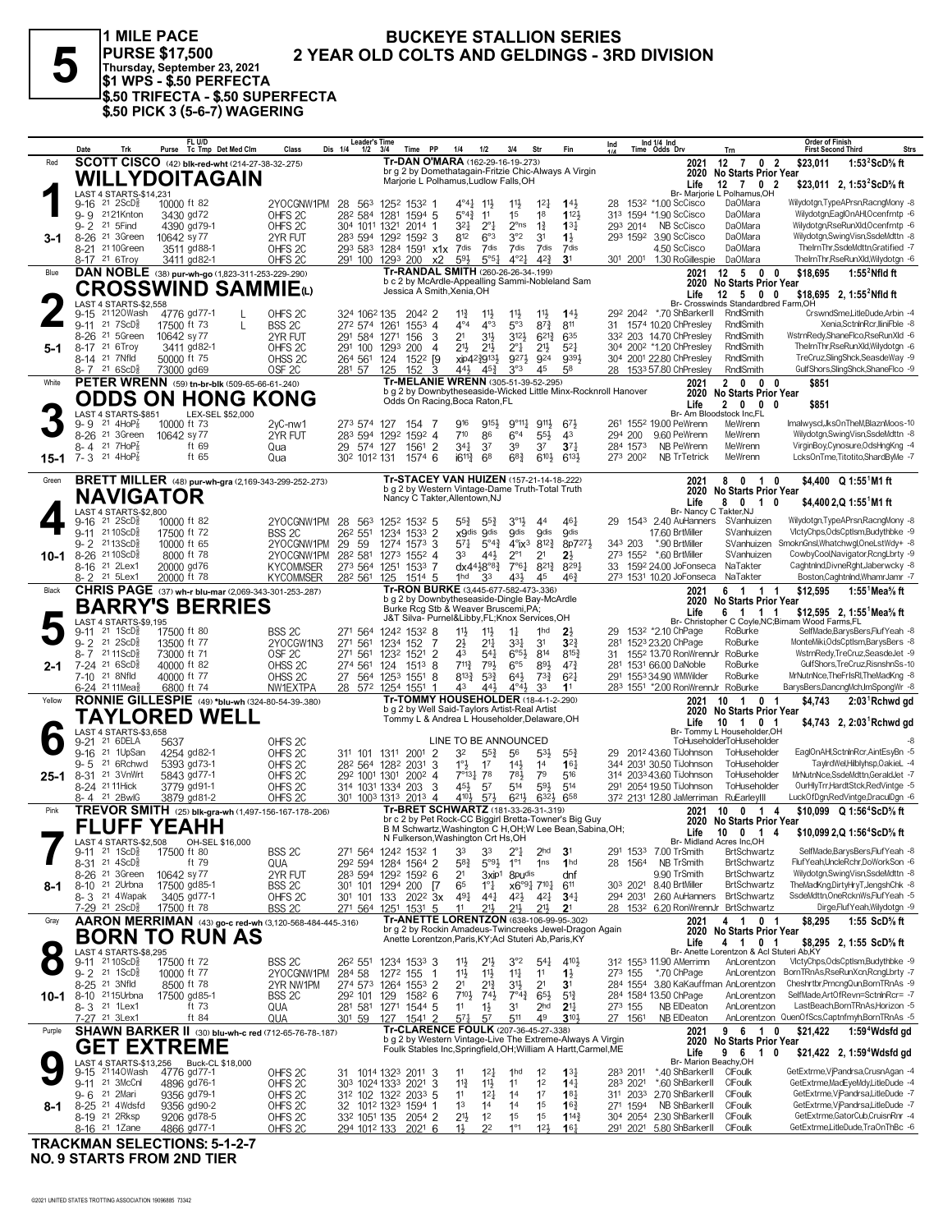1 MILE PACE **BUCKEYE STALLION SERIES I WILE PACE<br>
PURSE \$17,500 2 YEA**<br>
Thursday, September 23, 2021<br>
\$1 WPS - \$.50 PERFECTA<br>
\$.50 TRIFECTA - \$.50 SUPERFECTA<br>
\$.50 PICK 3 (5-6-7) WAGERING 2 YEAR OLD COLTS AND GELDINGS - 3RD DIVISION

|                             | Date                                                        |                                                            |                            | FL U/D                      | Purse Tc Tmp Det Med Clm                                | Class                                                        | <b>Leader's Time</b><br>Dis 1/4<br>$1/2$ $3/4$    |                            | Time PP               |                      | 1/4                              | 1/2                                | 3/4                                                                                         | Str                                        | Fin                                                                                                                          | Ind     |                      | Ind 1/4 Ind<br>Time Odds Drv                             | Trn                                                           | <b>Order of Finish</b><br><b>First Second Third</b> | <b>Strs</b>                                                                    |
|-----------------------------|-------------------------------------------------------------|------------------------------------------------------------|----------------------------|-----------------------------|---------------------------------------------------------|--------------------------------------------------------------|---------------------------------------------------|----------------------------|-----------------------|----------------------|----------------------------------|------------------------------------|---------------------------------------------------------------------------------------------|--------------------------------------------|------------------------------------------------------------------------------------------------------------------------------|---------|----------------------|----------------------------------------------------------|---------------------------------------------------------------|-----------------------------------------------------|--------------------------------------------------------------------------------|
| Red                         |                                                             |                                                            |                            |                             | <b>SCOTT CISCO</b> (42) blk-red-wht (214-27-38-32-.275) |                                                              |                                                   |                            |                       |                      |                                  |                                    | Tr-DAN O'MARA (162-29-16-19-.273)                                                           |                                            | br g 2 by Domethatagain-Fritzie Chic-Always A Virgin                                                                         |         |                      | 2021<br>2020                                             | $12$ 7 0 2<br>No Starts Prior Year                            | \$23,011                                            | 1:53 $2$ ScD $\%$ ft                                                           |
|                             |                                                             |                                                            |                            |                             | WILLYDOITAGAIN                                          |                                                              |                                                   |                            |                       |                      |                                  |                                    | Marjorie L Polhamus, Ludlow Falls, OH                                                       |                                            |                                                                                                                              |         |                      | Life                                                     | $12 \t7 \t0 \t2$                                              |                                                     | \$23,011 2, 1:53 <sup>2</sup> ScD% ft                                          |
|                             |                                                             | LAST 4 STARTS-\$14.231                                     |                            |                             |                                                         |                                                              |                                                   |                            |                       |                      |                                  |                                    |                                                                                             |                                            |                                                                                                                              |         |                      |                                                          | Br- Marjorie L Polhamus, OH                                   |                                                     |                                                                                |
|                             | 9-16                                                        | $21 \, 2$ ScD $\frac{5}{8}$<br>9-9 2121Knton               | 10000 ft 82                | 3430 gd72                   |                                                         | 2YOCGNW1PM<br>OHFS <sub>2C</sub>                             | 28 563 1252 1532 1<br>282 584 1281                |                            | 1594 5                |                      | 4°41,<br>$5^{\circ}4\frac{3}{4}$ | 11,<br>11                          | $11\frac{1}{2}$<br>1 <sup>5</sup>                                                           | 12 <sup>1</sup><br>18                      | $14\frac{1}{2}$<br>1123                                                                                                      | 28      |                      | 153 <sup>2</sup> *1.00 ScCisco<br>313 1594 *1.90 ScCisco | DaOMara<br><b>DaOMara</b>                                     |                                                     | Wilydotgn,TypeAPrsn,RacngMony -8<br>Wilydotgn,EaglOnAHI,Ocenfrntp -6           |
|                             | $9 - 2$                                                     | 21 5 Find                                                  |                            | 4390 gd79-1                 |                                                         | OHFS <sub>2C</sub>                                           | 304 1011 1321                                     |                            | 2014 1                |                      | 321                              | $2^{\circ}1$                       | $2^{\circ}$ ns                                                                              | $1\frac{3}{4}$                             | $13\frac{1}{4}$                                                                                                              |         |                      | 293 2014 NB ScCisco                                      | <b>DaOMara</b>                                                |                                                     | Wilvdotan.RseRunXld.Ocenfrntp -6                                               |
| 3-1                         |                                                             | 8-26 <sup>21</sup> 3Green                                  | 10642 sy 77                |                             |                                                         | 2YR FUT                                                      | 283 594 1292 1592 3<br>293 583 1284 1591 x1x 7dis |                            |                       |                      | 812                              | 6°3<br>7dis                        | 3°2<br>7dis                                                                                 | 31<br>7dis                                 | $1\frac{1}{2}$<br>7dis                                                                                                       |         |                      | 293 1592 3.90 ScCisco<br>4.50 ScCisco                    | <b>DaOMara</b><br><b>DaOMara</b>                              |                                                     | Wilydotgn,SwingVisn,SsdeMdttn -8<br>ThelmThr,SsdeMdttn,Gratified -7            |
|                             | 8-17 21 6Troy                                               | 8-21 <sup>21</sup> 10Green                                 |                            | 3511 gd88-1<br>3411 gd82-1  |                                                         | OHFS <sub>2C</sub><br>OHFS <sub>2C</sub>                     | 291 100 1293 200                                  |                            |                       | х2                   | 593                              | 5°5 <sub>4</sub>                   | $4^{\circ}2\frac{1}{2}$                                                                     | $4^{2}3$                                   | 3 <sup>1</sup>                                                                                                               |         | 301 2001             | 1.30 RoGillespie                                         | DaOMara                                                       |                                                     | TheIrnThr,RseRunXld,Wilydotgn -6                                               |
| Blue                        |                                                             |                                                            |                            |                             | DAN NOBLE (38) pur-wh-go (1,823-311-253-229-290)        |                                                              |                                                   |                            |                       |                      |                                  |                                    | Tr-RANDAL SMITH (260-26-26-34-.199)                                                         |                                            |                                                                                                                              |         |                      | 2021                                                     | $12 \quad 5 \quad 0 \quad 0$                                  | \$18,695                                            | $1:552$ Nfld ft                                                                |
|                             |                                                             |                                                            |                            |                             |                                                         | CROSSWIND SAMMIEധ                                            |                                                   |                            |                       |                      | Jessica A Smith, Xenia, OH       |                                    |                                                                                             |                                            | b c 2 by McArdle-Appealling Sammi-Nobleland Sam                                                                              |         |                      | Life                                                     | 2020 No Starts Prior Year<br>$12 \quad 5 \quad 0 \quad 0$     |                                                     | \$18.695 2. 1:55 <sup>2</sup> Nfld ft                                          |
|                             |                                                             | LAST 4 STARTS-\$2,558                                      |                            |                             |                                                         |                                                              |                                                   |                            |                       |                      |                                  |                                    |                                                                                             |                                            |                                                                                                                              |         |                      |                                                          | Br- Crosswinds Standardbred Farm,OH                           |                                                     |                                                                                |
|                             | 9-11 21 7 ScD <sup>3</sup>                                  | 9-15 21120Wash                                             | 17500 ft 73                | 4776 gd77-1                 | L                                                       | OHFS <sub>2C</sub>                                           | 324 1062 135                                      |                            | 2042 2                |                      | $11\frac{3}{4}$<br>$4^{\circ}4$  | $11\frac{1}{2}$<br>$4^{\circ}3$    | 11<br>5°3                                                                                   | 11                                         | 14 <sup>1</sup>                                                                                                              |         | 292 2042             | *.70 ShBarkerII<br>1574 10.20 ChPresley                  | RndlSmith<br>RndlSmith                                        |                                                     | CrswndSmeLitleDude.Arbin -4<br>Xenia.SctnlnRcr.lliniFble -8                    |
|                             |                                                             | 8-26 21 5Green                                             | 10642 sy 77                |                             |                                                         | BSS <sub>2C</sub><br>2YR FUT                                 | 272 574 1261<br>291 584 1271                      |                            | $155^3$ 4<br>156      | 3                    | 2 <sup>1</sup>                   | 31}                                | $3^{12}$                                                                                    | $8^{73}$<br>$6^{21\frac{3}{4}}$            | 811<br>635                                                                                                                   | 31      |                      | 332 203 14.70 ChPresley                                  | RndlSmith                                                     |                                                     | WstrnRedv.ShaneFlco.RseRunXld -6                                               |
| 5-1                         | 8-17 21 6 Troy                                              |                                                            |                            | 3411 gd82-1                 |                                                         | OHFS <sub>2C</sub>                                           | 291 100                                           | 1293                       | 200                   | 4                    | 21}                              | $21\frac{1}{2}$                    | $2^{\circ}1$                                                                                | 21}                                        | $5^{2}$                                                                                                                      |         |                      | 304 2002 *1.20 ChPresley                                 | RndlSmith                                                     |                                                     | ThelrnThr.RseRunXld.Wilvdotan -6                                               |
|                             | 8-14 <sup>21</sup> 7Nfld<br>$8 - 7$ 21 6 ScD <sup>3</sup>   |                                                            | 73000 gd69                 | 50000 ft 75                 |                                                         | OHSS <sub>2C</sub><br>OSF <sub>2C</sub>                      | 264 561<br>281 57                                 | 124<br>125                 | 1522 [9<br>152        | 3                    | xip42}913}<br>441,               | 45}                                | 9273<br>3°3                                                                                 | 924<br>45                                  | 9391<br>58                                                                                                                   | 28      |                      | 304 2001 22.80 ChPresley<br>1533 57.80 ChPresley         | RndlSmith<br>RndlSmith                                        |                                                     | TreCruz.SlingShck.SeasdeWay -9<br>GulfShors, SlingShck, ShaneFlco -9           |
| White                       |                                                             |                                                            |                            |                             | PETER WRENN (59) tn-br-blk (509-65-66-61-.240)          |                                                              |                                                   |                            |                       |                      |                                  |                                    | Tr-MELANIE WRENN (305-51-39-52-.295)                                                        |                                            |                                                                                                                              |         |                      | 2021                                                     | 2 0 0 0                                                       | \$851                                               |                                                                                |
|                             |                                                             |                                                            |                            |                             |                                                         | ODDS ON HONG KONG                                            |                                                   |                            |                       |                      |                                  |                                    |                                                                                             |                                            | b g 2 by Downbytheseaside-Wicked Little Minx-Rocknroll Hanover                                                               |         |                      | 2020                                                     | No Starts Prior Year                                          |                                                     |                                                                                |
|                             |                                                             | LAST 4 STARTS-\$851                                        |                            |                             | LEX-SEL \$52,000                                        |                                                              |                                                   |                            |                       |                      | Odds On Racing, Boca Raton, FL   |                                    |                                                                                             |                                            |                                                                                                                              |         |                      | Life                                                     | 2000<br>Br- Am Bloodstock Inc,FL                              | \$851                                               |                                                                                |
|                             | $9 - 9$ 21 4HoP $\frac{7}{8}$                               |                                                            | 10000 ft 73                |                             |                                                         | $2yC-nw1$                                                    | 273 574 127                                       |                            | 154 7                 |                      | 916                              | 9154                               | $9^{\circ}11\frac{1}{4}$                                                                    | 9111,                                      | $6^{71}$                                                                                                                     |         |                      | 261 1552 19.00 PeWrenn                                   | MeWrenn                                                       |                                                     | Imalwyscl,JksOnTheM,BlaznMoos-10                                               |
|                             | 8-4                                                         | 8-26 <sup>21</sup> 3Green<br>21 $7HOP_8^7$                 | 10642 sy 77                | ft 69                       |                                                         | 2YR FUT                                                      | 283 594 1292 1592 4<br>29 574 127                 |                            | 1561 2                |                      | 710<br>341                       | 86<br>3 <sup>7</sup>               | $6^{\circ}4$<br>39                                                                          | $55\frac{1}{2}$<br>37                      | 43<br>$3^{7}{}_{4}$                                                                                                          | 294 200 | 284 1573             | 9.60 PeWrenn<br>NB PeWrenn                               | MeWrenn<br>MeWrenn                                            |                                                     | Wilydotgn,SwingVisn,SsdeMdttn -8<br>VirginBoy,Cynosure,OdsHngKng -4            |
| $15 - 1$                    | $7 - 3$                                                     | 21 $4HOP2$                                                 |                            | ft 65                       |                                                         | Qua<br>Qua                                                   | 302 1012 131                                      |                            | 1574 6                |                      | $i6^{11}\frac{3}{4}$             | 6 <sup>8</sup>                     | $6^{8}\frac{3}{4}$                                                                          | 6103                                       | $6^{13}$                                                                                                                     |         | 273 2002             | <b>NB TrTetrick</b>                                      | MeWrenn                                                       |                                                     | LcksOnTme,Titotito,ShardByMe -7                                                |
|                             |                                                             |                                                            |                            |                             |                                                         |                                                              |                                                   |                            |                       |                      |                                  |                                    |                                                                                             |                                            |                                                                                                                              |         |                      |                                                          |                                                               |                                                     |                                                                                |
| Green                       |                                                             |                                                            |                            |                             |                                                         | <b>BRETT MILLER</b> (48) pur-wh-gra (2,169-343-299-252-.273) |                                                   |                            |                       |                      |                                  |                                    | Tr-STACEY VAN HUIZEN (157-21-14-18-222)<br>b g 2 by Western Vintage-Dame Truth-Total Truth  |                                            |                                                                                                                              |         |                      | 2021<br>2020                                             | 80<br>0<br>$\blacksquare$<br>No Starts Prior Year             |                                                     | \$4.400 Q 1:55 <sup>1</sup> M1 ft                                              |
|                             |                                                             | <b>NAVIGATOR</b>                                           |                            |                             |                                                         |                                                              |                                                   |                            |                       |                      | Nancy C Takter, Allentown, NJ    |                                    |                                                                                             |                                            |                                                                                                                              |         |                      | Life                                                     | 80<br>10                                                      |                                                     | \$4,400 2,Q 1:55 <sup>1</sup> M1 ft                                            |
|                             | $9-16$ 21 $2$ ScD $\frac{3}{8}$                             | LAST 4 STARTS-\$2,800                                      | 10000 ft 82                |                             |                                                         | 2YOCGNW1PM                                                   | 28 563 1252 1532 5                                |                            |                       |                      | 55}                              | $55\frac{3}{4}$                    | $3^{01}$                                                                                    | 44                                         | 461                                                                                                                          | 29      |                      | 1543 2.40 AuHanners                                      | Br- Nancy C Takter, NJ<br>SVanhuizen                          |                                                     | Wilvdotan.TvpeAPrsn.RacnaMonv -8                                               |
|                             | 9-11 2110ScD                                                |                                                            | 17500 ft 72                |                             |                                                         | BSS <sub>2C</sub>                                            | 262 551                                           | 1234 1533 2                |                       |                      | x9dis 9dis                       |                                    | <b>gdis</b>                                                                                 | <b>gdis</b>                                | <b>9dis</b>                                                                                                                  |         |                      | 17.60 BrtMiller                                          | SVanhuizen                                                    |                                                     | VlctvChps.OdsCptlsm.Budvthbke -9                                               |
|                             | 9-2 2113ScD <sup>5</sup><br>8-26 2110ScD <sup>5</sup>       |                                                            | 10000 ft 65                | 8000 ft 78                  |                                                         | 2YOCGNW1PM<br>2YOCGNW1PM                                     | 59<br>29<br>282 581                               | 1274 1573 3<br>1273 1552 4 |                       |                      | 571<br>33                        | $5^{\circ}4^{\frac{3}{4}}$<br>443  | $4^{\circ}$ ix <sup>3</sup><br>$2^{\circ}1$                                                 | 8123<br>2 <sup>1</sup>                     | 8p7273<br>$2\frac{1}{2}$                                                                                                     | 343 203 |                      | *.90 BrtMiller<br>273 1552 *.60 BrtMiller                | SVanhuizen<br>SVanhuizen                                      |                                                     | SmoknGnsl, Whatchwgl, OneLstWdy+ -8<br>CowbyCool, Navigator, RcngLbrty -9      |
| 10-1                        | 8-16 <sup>21</sup> 2Lex1                                    |                                                            | 20000 gd76                 |                             |                                                         | <b>KYCOMMSER</b>                                             | 273 564 1251 1533 7                               |                            |                       |                      |                                  | dx4418°81                          | $7^{\circ}6^{\circ}4$                                                                       | $8^{212}_{4}$                              | 8291                                                                                                                         |         |                      | 33 1592 24.00 JoFonseca                                  | NaTakter                                                      |                                                     | Caghtnlnd.DivneRght.Jaberwcky -8                                               |
|                             | 8-2 <sup>21</sup> 5Lex1                                     |                                                            | 20000 ft 78                |                             |                                                         | <b>KYCOMMSER</b>                                             | 282 561                                           | 125                        | 1514 5                |                      | 1hd                              | 33                                 | 431                                                                                         | 45                                         | 463                                                                                                                          |         |                      | 273 1531 10.20 JoFonseca                                 | NaTakter                                                      |                                                     | Boston,Caghtnlnd,WhamrJamr -7                                                  |
| Black                       |                                                             |                                                            |                            |                             |                                                         | CHRIS PAGE (37) wh-r blu-mar (2,069-343-301-253-.287)        |                                                   |                            |                       |                      |                                  |                                    | Tr-RON BURKE (3,445-677-582-473-.336)<br>b g 2 by Downbytheseaside-Dingle Bay-McArdle       |                                            |                                                                                                                              |         |                      | 2021                                                     | 6 1 1 1<br>2020 No Starts Prior Year                          | \$12,595                                            | 1:55 $^1$ Mea $\%$ ft                                                          |
|                             |                                                             |                                                            |                            |                             | <b>BARRY'S BERRIES</b>                                  |                                                              |                                                   |                            |                       |                      |                                  |                                    | Burke Rcg Stb & Weaver Bruscemi, PA;                                                        |                                            |                                                                                                                              |         |                      | Life                                                     | 6 1 1 1                                                       |                                                     | \$12,595 2, 1:55 <sup>1</sup> Mea <sup>5</sup> / <sub>8</sub> ft               |
|                             | 9-11                                                        | LAST 4 STARTS-\$9,195<br>$21 \text{ } 1$ ScD $\frac{5}{8}$ | 17500 ft 80                |                             |                                                         | BSS <sub>2C</sub>                                            | 271 564 1242 1532 8                               |                            |                       |                      | 11支                              | $11\frac{1}{2}$                    | J&T Silva- Purnel&Libby,FL;Knox Services,OH<br>$1\frac{1}{4}$                               | 1hd                                        | 2 <sub>3</sub>                                                                                                               | 29      |                      | 153 <sup>2</sup> *2.10 ChPage                            | Br- Christopher C Coyle, NC; Birnam Wood Farms, FL<br>RoBurke |                                                     | SelfMade,BarysBers,FlufYeah -8                                                 |
|                             | $9 - 2$                                                     | $21 \, 2$ ScD $\frac{5}{8}$                                | 13500 ft 77                |                             |                                                         | 2YOCGW1N3                                                    | 271 561                                           | 1234 152                   |                       | -7                   | 2½                               | $21\frac{1}{4}$                    | $3^{31}$                                                                                    | 3 <sup>1</sup>                             | $3^{2}$                                                                                                                      | 281     |                      | 1523 23.20 ChPage                                        | RoBurke                                                       |                                                     | MonteMiki, OdsCptlsm, BarysBers -8                                             |
|                             | 8-7 2111ScD                                                 |                                                            | 73000 ft 71                |                             |                                                         | OSF <sub>2C</sub>                                            | 271 561                                           | 1232 1521                  |                       | $\overline{2}$       | 43                               | $5^{4}$                            | $6^{\circ 5\frac{1}{2}}$                                                                    | 814                                        | $8^{15\frac{3}{4}}$                                                                                                          | 31      |                      | 1552 13.70 RonWrennJr                                    | RoBurke                                                       |                                                     | WstrnRedy,TreCruz,SeasdeJet -9                                                 |
| 2-1                         | 7-24 21 6ScD <sup>5</sup><br>7-10 21 8Nfld                  |                                                            | 40000 ft 82<br>40000 ft 77 |                             |                                                         | OHSS <sub>2C</sub><br>OHSS <sub>2C</sub>                     | 274 561<br>27 564 1253 1551 8                     | 124                        | 1513                  | 8                    | 711}<br>$8^{13}\frac{3}{4}$      | 791<br>$5^{3}\frac{3}{4}$          | $6^{\circ}5$<br>$64\frac{1}{2}$                                                             | 893<br>$73\frac{3}{4}$                     | $47\frac{3}{4}$<br>$6^{2}$                                                                                                   |         |                      | 281 1531 66.00 DaNoble<br>291 1553 34.90 WMWilder        | RoBurke<br>RoBurke                                            |                                                     | GulfShors, TreCruz, RisnshnSs-10<br>MrNutnNce, The FrIsRI, The MadKng -8       |
|                             | 6-24 <sup>21</sup> 11 Mea <sup>§</sup>                      |                                                            |                            | 6800 ft 74                  |                                                         | NW1EXTPA                                                     | 28 572 1254 1551                                  |                            |                       | -1                   | 43                               | 441                                | $4^{\circ}4\frac{1}{2}$                                                                     | 33                                         | 1 <sup>1</sup>                                                                                                               |         |                      | 283 1551 *2.00 RonWrennJr RoBurke                        |                                                               |                                                     | BarysBers,DancngMch,ImSpongWr -8                                               |
| Yellow                      |                                                             |                                                            |                            |                             |                                                         | RONNIE GILLESPIE (49) *blu-wh (324-80-54-39-380)             |                                                   |                            |                       |                      |                                  |                                    | <b>Tr-TOMMY HOUSEHOLDER (18-4-1-2-290)</b><br>b g 2 by Well Said-Taylors Artist-Real Artist |                                            |                                                                                                                              |         |                      | 2021                                                     | 10 1 0 1                                                      | \$4,743                                             | $2:03$ Rchwd gd                                                                |
|                             |                                                             | TAYLORED WELL                                              |                            |                             |                                                         |                                                              |                                                   |                            |                       |                      |                                  |                                    | Tommy L & Andrea L Householder, Delaware, OH                                                |                                            |                                                                                                                              |         |                      | Life                                                     | 2020 No Starts Prior Year<br>10 1 0 1                         |                                                     | \$4,743 2, 2:03 Rchwd gd                                                       |
|                             | 9-21 21 6DELA                                               | LAST 4 STARTS-\$3,658                                      |                            |                             |                                                         |                                                              |                                                   |                            |                       |                      |                                  |                                    | LINE TO BE ANNOUNCED                                                                        |                                            |                                                                                                                              |         |                      |                                                          | Br- Tommy L Householder, OH<br>ToHuseholderToHuseholder       |                                                     |                                                                                |
|                             | $9 - 16$                                                    | 21 1UpSan                                                  | 5637                       | 4254 gd82-1                 |                                                         | OHFS <sub>2C</sub><br>OHFS <sub>2C</sub>                     | 311 101 1311 2001                                 |                            |                       | $\overline{2}$       | 32                               | $55\frac{3}{4}$                    | 56                                                                                          | $53\frac{1}{2}$                            | $55\frac{3}{4}$                                                                                                              | 29      |                      | 2012 43.60 TiJohnson                                     | ToHuseholder                                                  |                                                     | EaglOnAHI,SctnInRcr,AintEsyBn -5                                               |
|                             | $9 - 5$                                                     | 21 6Rchwd                                                  |                            | 5393 gd73-1                 |                                                         | OHFS <sub>2C</sub>                                           | 282 564 1282 2031                                 |                            |                       | 3                    | $1^\circ \frac{1}{2}$            | 17                                 | $14\frac{1}{2}$                                                                             | 1 <sup>4</sup>                             | 16 <sub>1</sub>                                                                                                              |         |                      | 344 2031 30.50 TiJohnson                                 | ToHuseholder                                                  |                                                     | TaylrdWel,Hilblyhsp,OakieL -4                                                  |
| $25 - 1$                    | 8-24 21 11 Hick                                             | 8-31 <sup>21</sup> 3VnWrt                                  |                            | 5843 gd77-1<br>3779 gd91-1  |                                                         | OHFS <sub>2C</sub><br>OHFS <sub>2C</sub>                     | 292 1001 1301 2002 4<br>314 1031 1334 203         |                            |                       | 3                    | 7°131 78<br>454                  | 57                                 | 78}<br>514                                                                                  | 79<br>593                                  | 516<br>514                                                                                                                   |         |                      | 314 2033 43.60 TiJohnson<br>291 2054 19.50 TiJohnson     | ToHuseholder<br>ToHuseholder                                  |                                                     | MrNutnNce.SsdeMdttn.GeraldJet -7<br>OurHlyTrr,HardtStck,RedVintge -5           |
|                             | 8-4 21 2BwlG                                                |                                                            |                            | 3879 gd81-2                 |                                                         | OHFS <sub>2C</sub>                                           | 301 1003 1313 2013 4                              |                            |                       |                      | 4104                             | $5^{7}$                            | $6^{21}$                                                                                    | 632}                                       | 658                                                                                                                          |         |                      | 372 2131 12.80 JaMerriman RuEarleyIII                    |                                                               |                                                     | LuckOfDgn,RedVintge,DraculDgn -6                                               |
| Pink                        |                                                             |                                                            |                            |                             |                                                         | TREVOR SMITH (25) blk-gra-wh (1,497-156-167-178-206)         |                                                   |                            |                       |                      |                                  |                                    | Tr-BRET SCHWARTZ (181-33-26-31-.319)                                                        |                                            |                                                                                                                              |         |                      | 2021                                                     | 10 0 1 4                                                      |                                                     | \$10.099 Q 1:56 <sup>4</sup> ScD% ft                                           |
|                             |                                                             | <b>FLUFF YEAHH</b>                                         |                            |                             |                                                         |                                                              |                                                   |                            |                       |                      |                                  |                                    |                                                                                             |                                            | br c 2 by Pet Rock-CC Biggirl Bretta-Towner's Big Guy<br>B M Schwartz, Washington C H, OH; W Lee Bean, Sabina, OH;           |         |                      | Life                                                     | 2020 No Starts Prior Year<br>10 0 1 4                         |                                                     | \$10,099 2,Q 1:56 <sup>4</sup> ScD% ft                                         |
|                             |                                                             | LAST 4 STARTS-\$2,508                                      |                            | OH-SEL \$16,000             |                                                         |                                                              |                                                   |                            |                       | N Fulkerson, Washing |                                  |                                    |                                                                                             |                                            |                                                                                                                              |         |                      |                                                          | Br- Midland Acres Inc,OH                                      |                                                     |                                                                                |
|                             | $9-11$ 21 1ScD <sup>3</sup><br>8-31 21 4ScD <sup>5</sup>    |                                                            | 17500 ft 80                | ft 79                       |                                                         | BSS <sub>2C</sub><br>QUA                                     | 271 564 1242 1532 1<br>292 594 1284 1564 2        |                            |                       |                      | 33<br>$5^{8}$                    | 33<br>$5°9\frac{1}{2}$             | $2^{\circ}1$<br>$1^{\circ}1$                                                                | 2 <sub>hd</sub><br>1 <sub>ns</sub>         | 3 <sup>1</sup><br>1 <sub>hd</sub>                                                                                            | 28      | 1564                 | 291 1533 7.00 TrSmith<br>NB TrSmith                      | <b>BrtSchwartz</b><br><b>BrtSchwartz</b>                      |                                                     | SelfMade,BarysBers,FlufYeah -8<br>FlufYeah,UncleRchr,DoWorkSon -6              |
|                             |                                                             | 8-26 <sup>21</sup> 3Green                                  | 10642 sy 77                |                             |                                                         | 2YR FUT                                                      | 283 594 1292 1592 6                               |                            |                       |                      | 2 <sup>1</sup>                   | 3xip <sup>1</sup>                  | 8pu <sup>dis</sup>                                                                          |                                            | dnf                                                                                                                          |         |                      | 9.90 TrSmith                                             | <b>BrtSchwartz</b>                                            |                                                     | Wilydotgn,SwingVisn,SsdeMdttn -8                                               |
| 8-1                         |                                                             | 8-10 <sup>21</sup> 2Urbna<br>8-3 <sup>21</sup> 4Wapak      |                            | 17500 gd85-1<br>3405 gd77-1 |                                                         | BSS <sub>2C</sub>                                            | 301 101 1294 200                                  |                            |                       | $\sqrt{7}$           | 65                               | $1^{\circ}$ $\frac{1}{4}$          |                                                                                             | $x6^{\circ}9\frac{1}{4}$ 710 $\frac{1}{4}$ | 611                                                                                                                          |         |                      | 303 2021 8.40 BrtMiller                                  | <b>BrtSchwartz</b><br><b>BrtSchwartz</b>                      |                                                     | TheMadKng,DirtyHryT,JengshChk -8<br>SsdeMdttn,OneRcknWs,FlufYeah -5            |
|                             | 7-29 21 2ScD <sup>3</sup>                                   |                                                            | 17500 ft 78                |                             |                                                         | OHFS <sub>2C</sub><br><b>BSS 2C</b>                          | 301 101 133<br>271 564 1251 1531 5                |                            | 202 <sup>2</sup> 3x   |                      | 491<br>11                        | 441<br>211                         | $4^{21}$<br>$21\frac{1}{2}$                                                                 | 421<br>$21\frac{1}{2}$                     | $34\frac{1}{4}$<br>2 <sup>1</sup>                                                                                            |         |                      | 294 2031 2.60 AuHanners                                  | 28 1532 6.20 RonWrennJr BrtSchwartz                           |                                                     | Dirge,FlufYeah,Wilydotgn -9                                                    |
| Gray                        |                                                             |                                                            |                            |                             |                                                         | AARON MERRIMAN (43) go-c red-wh (3,120-568-484-445-.316)     |                                                   |                            |                       |                      |                                  |                                    |                                                                                             |                                            | Tr-ANETTE LORENTZON (638-106-99-95-.302)                                                                                     |         |                      | 2021                                                     | 4 1<br>01                                                     | \$8,295                                             | 1:55 ScD% ft                                                                   |
|                             |                                                             |                                                            |                            |                             | <b>BORN TO RUN AS</b>                                   |                                                              |                                                   |                            |                       |                      |                                  |                                    | Anette Lorentzon, Paris, KY; Acl Stuteri Ab, Paris, KY                                      |                                            | br g 2 by Rockin Amadeus-Twincreeks Jewel-Dragon Again                                                                       |         |                      | Life                                                     | 2020 No Starts Prior Year<br>4 1 0 1                          |                                                     |                                                                                |
|                             |                                                             | LAST 4 STARTS-\$8,295                                      |                            |                             |                                                         |                                                              |                                                   |                            |                       |                      |                                  |                                    |                                                                                             |                                            |                                                                                                                              |         |                      |                                                          | Br- Anette Lorentzon & Acl Stuteri Ab,KY                      |                                                     | \$8,295 2, 1:55 ScD% ft                                                        |
|                             | 9-11 21 10 ScD <sup>3</sup><br>$9 - 2$ 21 1ScD <sup>5</sup> |                                                            | 17500 ft 72<br>10000 ft 77 |                             |                                                         | BSS <sub>2C</sub><br>2YOCGNW1PM                              | 26 <sup>2</sup> 551<br>284 58                     | 1234 1533 3<br>1272 155    |                       | $\overline{1}$       | 11물<br>$11\frac{1}{2}$           | $21\frac{1}{2}$<br>$11\frac{1}{2}$ | 3°2<br>$11\frac{1}{4}$                                                                      | $54\frac{1}{4}$<br>11                      | 410}<br>$1\frac{1}{2}$                                                                                                       | 273 155 |                      | 312 1553 11.90 AMerrimn<br>*.70 ChPage                   | AnLorentzon<br>AnLorentzon                                    |                                                     | VlctyChps,OdsCptlsm,Budythbke -9<br>BornTRnAs,RseRunXcn,RcngLbrty -7           |
|                             | 8-25 21 3Nfld                                               |                                                            |                            | 8500 ft 78                  |                                                         | 2YR NW1PM                                                    | 274 573 1264 1553 2                               |                            |                       |                      | 21                               | $2^{13}$                           | 3 <sup>1</sup> }                                                                            | 2 <sup>1</sup>                             | 3 <sup>1</sup>                                                                                                               |         |                      |                                                          | 284 1554 3.80 KaKauffman AnLorentzon                          |                                                     | Cheshrtbr, PrncngQun, BornTRnAs -9                                             |
| 10-1                        | 8-10 <sup>21</sup> 15Urbna                                  |                                                            |                            | 17500 gd85-1                |                                                         | BSS <sub>2C</sub>                                            | 292 101 129                                       |                            | $158^2$ 6             |                      | $7^{10\frac{1}{2}}$              | $74\frac{1}{2}$                    | $7^{\circ}4^3$ 6 <sup>51</sup> / <sub>2</sub>                                               |                                            | $5^{13}$                                                                                                                     |         |                      | 284 1584 13.50 ChPage                                    | AnLorentzon                                                   |                                                     | SelfMade, Art Of Revn=Sctnin Rcr= - 7                                          |
|                             | 8-3 <sup>21</sup> 1Lex1<br>7-27 <sup>21</sup> 3Lex1         |                                                            |                            | ft 73<br>ft 84              |                                                         | QUA<br>QUA                                                   | 281 581 1271 1544 5<br>301 59 127 1541 2          |                            |                       |                      | 11<br>571                        | $1\frac{1}{2}$<br>57               | 31<br>511                                                                                   | 2 <sub>hd</sub><br>49                      | 2 <sup>11</sup><br>$3^{10}$                                                                                                  | 273 155 | 27 1561              | NB ElDeaton<br>NB ElDeaton                               | AnLorentzon                                                   |                                                     | LastBeach,BornTRnAs,Horizon -5<br>AnLorentzon QuenOfScs,Captnfmyh,BornTRnAs -5 |
| Purple                      |                                                             |                                                            |                            |                             |                                                         | <b>SHAWN BARKER II</b> (30) blu-wh-c red (712-65-76-78-.187) |                                                   |                            |                       |                      |                                  |                                    | Tr-CLARENCE FOULK (207-36-45-27-.338)                                                       |                                            |                                                                                                                              |         |                      | 2021                                                     | 9 6 1<br>0                                                    | \$21.422                                            | 1:59 <sup>4</sup> Wdsfd gd                                                     |
|                             |                                                             | <b>GET EXTREME</b>                                         |                            |                             |                                                         |                                                              |                                                   |                            |                       |                      |                                  |                                    |                                                                                             |                                            | b g 2 by Western Vintage-Live The Extreme-Always A Virgin<br>Foulk Stables Inc, Springfield, OH; William A Hartt, Carmel, ME |         |                      |                                                          | 2020 No Starts Prior Year                                     |                                                     |                                                                                |
|                             |                                                             | LAST 4 STARTS-\$13,256 Buck-CL \$18,000                    |                            |                             |                                                         |                                                              |                                                   |                            |                       |                      |                                  |                                    |                                                                                             |                                            |                                                                                                                              |         |                      | Life                                                     | 9 6<br>10<br>Br- Marion Beachy, OH                            |                                                     | \$21,422 2, 1:59 Wdsfd gd                                                      |
|                             |                                                             | 9-15 21140Wash                                             |                            | 4776 gd77-1                 |                                                         | OHFS <sub>2C</sub>                                           | 31 1014 1323 2011 3                               |                            |                       |                      | 11                               | $12\frac{1}{4}$                    | 1hd                                                                                         | 1 <sup>2</sup>                             | $13\frac{1}{4}$                                                                                                              |         | 283 2011             | *.40 ShBarkerII                                          | CIFoulk                                                       |                                                     | GetExtrme, VjPandrsa, CrusnAgan -4                                             |
|                             | 9-6 21 2Mari                                                | 9-11 21 3McCnl                                             |                            | 4896 gd76-1<br>9356 gd79-1  |                                                         | OHFS <sub>2C</sub><br>OHFS <sub>2C</sub>                     | 303 1024 1333 2021<br>312 102 1322 2033 5         |                            |                       | 3                    | 11<br>11                         | $11\frac{1}{2}$<br>12 <sup>1</sup> | 11<br>1 <sup>4</sup>                                                                        | 1 <sup>2</sup><br>1 <sup>7</sup>           | 14 <sup>1</sup><br>$18\frac{1}{4}$                                                                                           |         | 283 2021<br>311 2033 | *.60 ShBarkerII<br>2.70 ShBarkerII                       | CIFoulk<br>CIFoulk                                            |                                                     | GetExtrme, MadEyeMdy, LitleDude -4<br>GetExtrme, VjPandrsa, LitleDude -7       |
| 8-1                         |                                                             | 8-25 21 4Wdsfd                                             |                            | 9356 gd90-2                 |                                                         | OHFS <sub>2C</sub>                                           | 32 1012 1323 1594 1                               |                            |                       |                      | 1 <sup>3</sup>                   | 14                                 | 1 <sup>4</sup>                                                                              | 1 <sup>5</sup>                             | $16\frac{3}{4}$                                                                                                              |         | 271 1594             | NB ShBarkerII                                            | CIFoulk                                                       |                                                     | GetExtrme, VjPandrsa, LitleDude -7                                             |
|                             | 8-19 <sup>21</sup> 2Rksp<br>8-16 <sup>21</sup> 1Zane        |                                                            |                            | 9206 gd78-5<br>4866 gd77-1  |                                                         | OHFS <sub>2C</sub><br>OHFS <sub>2C</sub>                     | 332 1051 135<br>294 1012 133                      |                            | $2054$ 2<br>$202^1$ 6 |                      | 21号<br>1}                        | 1 <sup>2</sup><br>22               | 1 <sup>5</sup><br>$1^{\circ}1$                                                              | 1 <sup>5</sup><br>$12\frac{1}{2}$          | $1^{14\frac{3}{4}}$<br>$16\frac{1}{4}$                                                                                       |         |                      | 304 2054 2.30 ShBarkerll<br>291 2021 5.80 ShBarkerII     | CIFoulk<br>CIFoulk                                            |                                                     | GetExtrme,GatorCub,CruisnRnr -4<br>GetExtrme,LitleDude,TraOnThBc -6            |
| TRACKMAN SELECTIONS 5-1-2-7 |                                                             |                                                            |                            |                             |                                                         |                                                              |                                                   |                            |                       |                      |                                  |                                    |                                                                                             |                                            |                                                                                                                              |         |                      |                                                          |                                                               |                                                     |                                                                                |

TRACKMAN SELECTIONS: 5-1-2-7 **NO. 9 STARTS FROM 2ND TIER**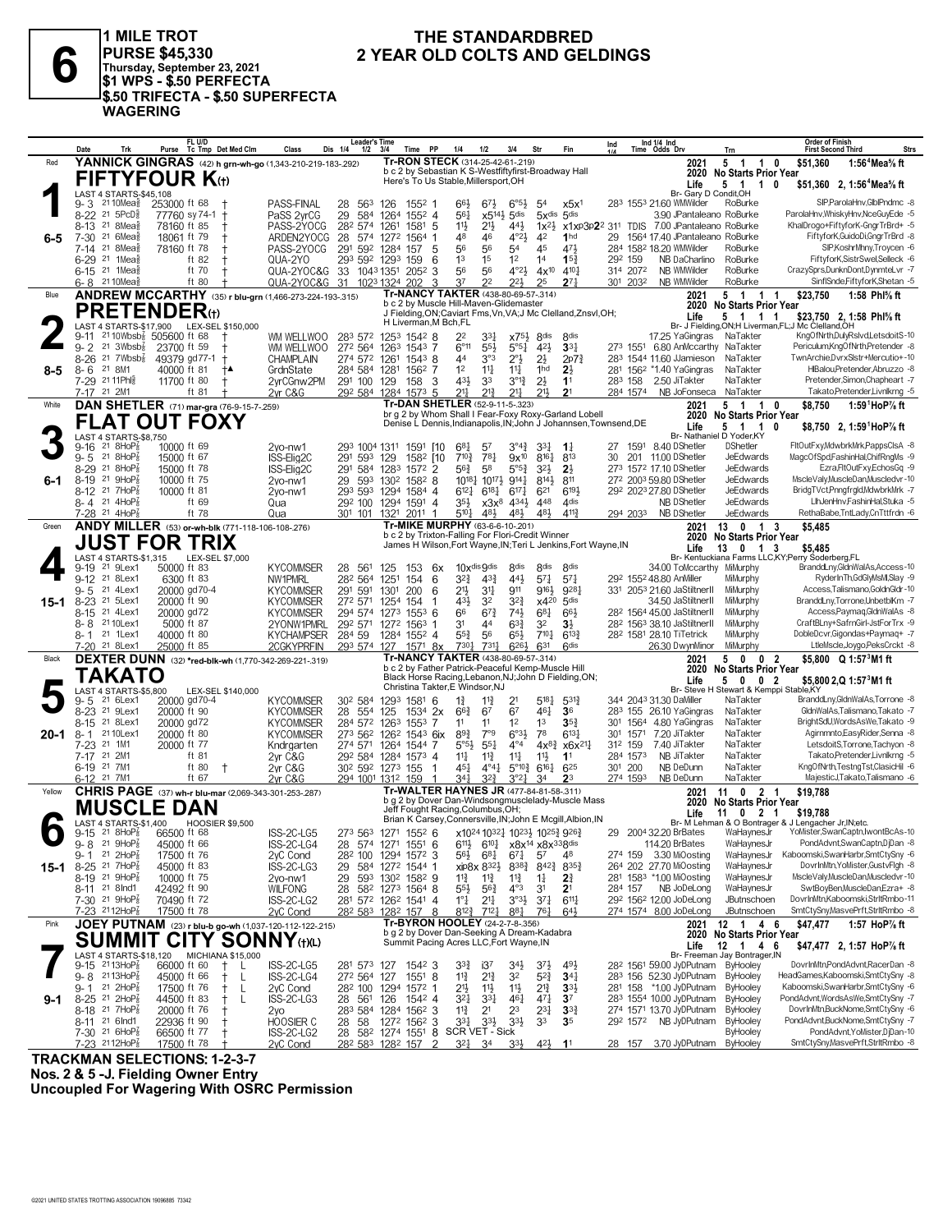

1 MILE TROT PURSE \$45,330<br>Thursday, September 23, 2021<br>\$1 WPS - \$.50 PERFECTA \$.50 TRIFECTA - \$.50 SUPERFECTA **WAGERING** 

#### THE STANDARDBRED 2 YEAR OLD COLTS AND GELDINGS

|          | Date<br>Trk                                                  | FL U/D<br>Tc Tmp Det Med Clm<br>Purse                     | Class                                | <b>Leader's Time</b><br>Dis 1/4<br>$1/2$ $3/4$                              |      | Time PP                                                                                     | 1/4                                                 | 1/2                                                                               | 3/4                                            | Str                                      | Fin                                                               | Ind     |                      | Ind 1/4 Ind<br>Time Odds Drv                                                    | Trn                                                                | <b>Order of Finish</b><br><b>First Second Third</b><br><b>Strs</b>              |
|----------|--------------------------------------------------------------|-----------------------------------------------------------|--------------------------------------|-----------------------------------------------------------------------------|------|---------------------------------------------------------------------------------------------|-----------------------------------------------------|-----------------------------------------------------------------------------------|------------------------------------------------|------------------------------------------|-------------------------------------------------------------------|---------|----------------------|---------------------------------------------------------------------------------|--------------------------------------------------------------------|---------------------------------------------------------------------------------|
| Red      |                                                              | YANNICK GINGRAS (42) h grn-wh-go (1,343-210-219-183-.292) |                                      |                                                                             |      | Tr-RON STECK (314-25-42-61-.219)                                                            |                                                     |                                                                                   |                                                |                                          |                                                                   |         |                      | 2021                                                                            | 5<br>$\overline{1}$<br>$\overline{1}$                              | 0<br>\$51.360<br>1:56 <sup>4</sup> Mea% ft                                      |
|          |                                                              | <b>FIFTYFOUR K</b> (t)                                    |                                      |                                                                             |      | b c 2 by Sebastian K S-Westfiftyfirst-Broadway Hall<br>Here's To Us Stable, Millersport, OH |                                                     |                                                                                   |                                                |                                          |                                                                   |         |                      | 2020<br>Life                                                                    | No Starts Prior Year<br>5 1<br>10                                  | \$51,360 2, 1:56 <sup>4</sup> Mea <sup>5</sup> / <sub>8</sub> ft                |
|          | LAST 4 STARTS-\$45,108                                       |                                                           |                                      |                                                                             |      |                                                                                             |                                                     |                                                                                   |                                                |                                          |                                                                   |         |                      | Br- Garv D Condit.OH                                                            |                                                                    |                                                                                 |
|          | $9 - 3$<br>21 10Mea§                                         | 253000 ft 68                                              | PASS-FINAL                           | 563<br>28                                                                   | 126  | 1552 1                                                                                      | 66}                                                 | 673                                                                               | $6^{95}\frac{1}{2}$                            | 54                                       | x5x <sup>1</sup>                                                  |         |                      | 283 1553 21.60 WMWilder                                                         | RoBurke                                                            | SIP,ParolaHnv,GlblPndmc -8                                                      |
|          | 8-22 21 5PcD <sup>5</sup><br>21 8Mea<br>$8 - 13$             | 77760 sy 74-1 +<br>78160 ft 85                            | PaSS 2yrCG<br>PASS-2YOCG             | 29<br>584<br>282 574                                                        | 1261 | 1264 1552 4<br>$1581$ 5                                                                     | $56\frac{1}{4}$<br>$11\frac{1}{2}$                  | 21}                                                                               | $x5^{14}$ 5dis<br>441                          | $1x^2\frac{1}{2}$                        | 5xdis 5dis                                                        |         |                      | 3.90 JPantaleano RoBurke<br>x1xp3p22 311 TDIS 7.00 JPantaleano RoBurke          |                                                                    | ParolaHnv, Whisk yHnv, Nce Guy Ede -5<br>KhalDrogo+FiftyforK-GngrTrBrd+ -5      |
| $6-5$    | 7-30 <sup>21</sup> 6Mea                                      | 18061 ft 79<br>t                                          | ARDEN2YOCG                           | 28                                                                          |      | 574 1272 1564 1                                                                             | 48                                                  | 46                                                                                | $4^{\circ}2\frac{1}{2}$                        | 42                                       | 1 <sub>hd</sub>                                                   | 29      |                      | 1564 17.40 JPantaleano RoBurke                                                  |                                                                    | FiftyforK, GuidoDi, GngrTrBrd -8                                                |
|          | 7-14 <sup>21</sup> 8Mea <sup>§</sup>                         | 78160 ft 78                                               | PASS-2YOCG                           | 291 592 1284                                                                |      | 157<br>5                                                                                    | 56                                                  | 56                                                                                | 54                                             | 45                                       | 471                                                               |         |                      | 284 1582 18.20 WMWilder                                                         | RoBurke                                                            | SIP, KoshrMhny, Troycen -6                                                      |
|          | 6-29 <sup>21</sup> 1Mea <sup>5</sup>                         | ft $82$<br>ft 70                                          | QUA-2YO                              | 293 592 1293                                                                |      | 159<br>6                                                                                    | 1 <sup>3</sup>                                      | 1 <sup>5</sup>                                                                    | 1 <sup>2</sup>                                 | 14                                       | $15\frac{3}{4}$                                                   | 292 159 |                      | NB DaCharlino                                                                   | RoBurke<br>RoBurke                                                 | FiftyforK,SistrSwel,Selleck -6<br>CrazySprs,DunknDont,DynmteLvr -7              |
|          | 6-15 <sup>21</sup> 1Mea <sup>5</sup><br>6-8 2110Mea          | ft 80                                                     | QUA-2YOC&G<br>QUA-2YOC&G             | 33 1043 1351 2052<br>31 1023 1324 202                                       |      | 3<br>3                                                                                      | 56<br>37                                            | 56<br>22                                                                          | $4^{\circ}2\frac{1}{2}$<br>221                 | $4x^{10}$<br>25                          | 4101<br>27 <sub>7</sub>                                           |         | 314 2072<br>301 2032 | NB WMWilder<br>NB WMWilder                                                      | RoBurke                                                            | SinflSnde,FiftyforK,Shetan -5                                                   |
| Blue     |                                                              | ANDREW MCCARTHY (35) r blu-grn (1,466-273-224-193-.315)   |                                      |                                                                             |      | Tr-NANCY TAKTER (438-80-69-57-.314)                                                         |                                                     |                                                                                   |                                                |                                          |                                                                   |         |                      | 2021                                                                            | 5<br>$\overline{1}$<br>1 1                                         | 1:58 Phl% ft<br>\$23,750                                                        |
|          | <b>PRETENDER</b> (t)                                         |                                                           |                                      |                                                                             |      | b c 2 by Muscle Hill-Maven-Glidemaster                                                      |                                                     |                                                                                   |                                                |                                          | J Fielding, ON; Caviart Fms, Vn, VA; J Mc Clelland, Znsvl, OH;    |         |                      |                                                                                 | 2020 No Starts Prior Year                                          |                                                                                 |
|          |                                                              | LAST 4 STARTS-\$17,900 LEX-SEL \$150,000                  |                                      |                                                                             |      | H Liverman, M Bch, FL                                                                       |                                                     |                                                                                   |                                                |                                          |                                                                   |         |                      | Life                                                                            | 5<br>1 1<br>$\overline{1}$                                         | \$23,750 2, 1:58 Phl% ft<br>Br- J Fielding, ON:H Liverman, FL:J Mc Clelland, OH |
|          | $9 - 11$                                                     | 2110Wbsb <sub>8</sub> 505600 ft 68                        | WM WELLWOO                           | 283 572                                                                     |      | 1253 1542 8                                                                                 | 22                                                  | 33}                                                                               | $x75\frac{1}{2}$                               | 8 <sup>dis</sup>                         | <b><i><u>Rdis</u></i></b>                                         |         |                      | 17.25 YaGingras                                                                 | NaTakter                                                           | KngOfNrth,DulyRsIvd,LetsdoitS-10                                                |
|          | $9 - 2$<br>21 $3Wbsb8$                                       | 23700 ft 59                                               | WM WELLWOO                           | 272 564                                                                     |      | 1263 1543 7                                                                                 | $6^{\circ}11$<br>44                                 | 55 <sup>1</sup>                                                                   | $5^{\circ 5}$ <sup>1</sup>                     | 421                                      | $33\frac{1}{4}$                                                   |         |                      | 273 1551 6.80 AnMccarthy NaTakter<br>283 1544 11.60 JJamieson                   |                                                                    | Periculum,KngOfNrth,Pretender -8<br>TwnArchie,DvrxSlstr+Mercutio+-10            |
| $8 - 5$  | $8 - 26$<br>21 $7Wbsb\frac{7}{8}$<br>21 8M1<br>8-6           | 49379 gd77-1 +<br>40000 ft 81                             | <b>CHAMPLAIN</b><br>GrdnState        | 274 572 1261 1543 8<br>284 584 1281                                         |      | 1562 7                                                                                      | 1 <sup>2</sup>                                      | 3°3<br>$11\frac{1}{4}$                                                            | $2^{\circ}$<br>$11\frac{1}{4}$                 | $2\frac{1}{2}$<br>1 <sup>hd</sup>        | 2p7 <sub>4</sub><br>$2\frac{1}{2}$                                |         |                      | 281 1562 *1.40 YaGingras                                                        | NaTakter<br>NaTakter                                               | HIBalou, Pretender, Abruzzo -8                                                  |
|          | 7-29 21 11 Phis                                              | 11700 ft 80<br>$\mathsf{t}$                               | 2vrCGnw2PM                           | 291 100 129                                                                 |      | 158<br>-3                                                                                   | 43}                                                 | 33                                                                                | $3^{012}$                                      | $2\frac{1}{2}$                           | 1 <sup>1</sup>                                                    | 283 158 |                      | 2.50 JiTakter                                                                   | NaTakter                                                           | Pretender, Simon, Chapheart -7                                                  |
|          | 7-17 21 2M1                                                  | ft 81                                                     | 2yr C&G                              | 292 584 1284 1573 5                                                         |      |                                                                                             | $21\frac{1}{4}$                                     | $21\frac{3}{2}$                                                                   | 211                                            | 211                                      | 2 <sup>1</sup>                                                    |         | 284 1574             | NB JoFonseca NaTakter                                                           |                                                                    | Takato, Pretender, Livnlkrng - 5                                                |
| White    |                                                              | <b>DAN SHETLER</b> (71) mar-gra (76-9-15-7-259)           |                                      |                                                                             |      | Tr-DAN SHETLER (52-9-11-5-.323)                                                             |                                                     |                                                                                   |                                                |                                          | br g 2 by Whom Shall I Fear-Foxy Roxy-Garland Lobell              |         |                      | 2021<br>2020                                                                    | $5 \quad 1$<br>$\overline{1}$<br><b>No Starts Prior Year</b>       | 1:59 $^1$ HoP $\%$ ft<br>$\mathbf 0$<br>\$8.750                                 |
|          |                                                              | <b>FLAT OUT FOXY</b>                                      |                                      |                                                                             |      |                                                                                             |                                                     |                                                                                   |                                                |                                          | Denise L Dennis, Indianapolis, IN; John J Johannsen, Townsend, DE |         |                      | Life                                                                            | 5 1 1                                                              | 0<br>\$8,750 2, 1:59 HoP% ft                                                    |
|          | LAST 4 STARTS-\$8,750<br>21 8HoP $\frac{7}{8}$<br>9-16       | 10000 ft 69                                               |                                      |                                                                             |      |                                                                                             | 681                                                 |                                                                                   | $3^{04}\frac{3}{4}$                            | 334                                      |                                                                   |         |                      | 27 1591 8.40 DShetler                                                           | Br- Nathaniel D Yoder, KY<br><b>DShetler</b>                       | FItOutFxy,MdwbrkMrk,PappsClsA -8                                                |
|          | $9 - 5$ 21 8HoP $\frac{7}{8}$                                | 15000 ft 67                                               | 2vo-nw1<br>ISS-Elig2C                | 293 1004 1311 1591 [10<br>291<br>593 129                                    |      | 1582 [10                                                                                    | $7^{10}$                                            | 5 <sup>7</sup><br>781                                                             | $9x^{10}$                                      | 8161                                     | $1\frac{1}{4}$<br>813                                             | 30      |                      | 201 11.00 DShetler                                                              | JeEdwards                                                          | MagcOfSpd,FashinHal,ChifRngMs -9                                                |
|          | 21 8HoP $_{8}^{\prime}$<br>$8 - 29$                          | 15000 ft 78                                               | ISS-Elig2C                           | 291                                                                         |      | 584 1283 1572 2                                                                             | 563                                                 | 58                                                                                | $5^{\circ 5\frac{3}{4}}$                       | 3 <sup>2</sup>                           | $2\frac{1}{2}$                                                    |         |                      | 273 1572 17.10 DShetler                                                         | JeEdwards                                                          | Ezra,FltOutFxy,EchosGq -9                                                       |
| 6-1      | 21 $9HOP_8^7$<br>$8 - 19$                                    | 10000 ft 75                                               | 2vo-nw1                              | 29 593 1302 1582 8                                                          |      |                                                                                             |                                                     | $10^{18}\frac{1}{4}$ 10 <sup>17</sup> $\frac{1}{2}$ 9 <sup>14</sup> $\frac{1}{4}$ |                                                | 8144                                     | 811                                                               |         |                      | 272 2003 59.80 DShetler                                                         | JeEdwards                                                          | MscleValy, MuscleDan, Muscledvr-10                                              |
|          | 8-12 <sup>21</sup> 7HoP <sub>8</sub><br>8-4 21 4HoP          | 10000 ft 81<br>ft 69                                      | 2vo-nw1<br>Qua                       | 293 593 1294 1584 4<br>292 100 1294 1591 4                                  |      |                                                                                             | $6^{12}$<br>35}                                     | $6^{18}$                                                                          | $6^{17}\frac{1}{4}$<br>$x3x^8$ 434}            | 621<br>448                               | 6193<br>4 <sub>dis</sub>                                          |         |                      | 292 2023 27.80 DShetler<br>NB DShetler                                          | JeEdwards<br>JeEdwards                                             | BridgTVct,Pnngfrgld,MdwbrkMrk -7<br>LihJenHnv,FashinHal,Stuka -5                |
|          | $7-28$ 21 4HoP $\frac{7}{8}$                                 | ft 78                                                     | Qua                                  | 301 101 1321 2011 1                                                         |      |                                                                                             | 5104                                                | 481                                                                               | 481                                            | 481                                      | 4113                                                              |         | 294 2033             | NB DShetler                                                                     | JeEdwards                                                          | RethaBabe,TntLady,CnTttfrdn -6                                                  |
| Green    |                                                              | ANDY MILLER (53) or-wh-blk (771-118-106-108-.276)         |                                      |                                                                             |      | Tr-MIKE MURPHY (63-6-6-10-.201)                                                             |                                                     |                                                                                   |                                                |                                          |                                                                   |         |                      | 2021                                                                            | 13<br>$0 \t1 \t3$                                                  | \$5.485                                                                         |
|          |                                                              | <b>JUST FOR TRIX</b>                                      |                                      |                                                                             |      | b c 2 by Trixton-Falling For Flori-Credit Winner                                            |                                                     |                                                                                   |                                                |                                          | James H Wilson, Fort Wayne, IN; Teri L Jenkins, Fort Wayne, IN    |         |                      | 2020<br>Life                                                                    | No Starts Prior Year<br>13<br>$\mathbf{0}$<br>$\overline{1}$       | -3                                                                              |
|          | LAST 4 STARTS-\$1,315                                        | LEX-SEL \$7,000                                           |                                      |                                                                             |      |                                                                                             |                                                     |                                                                                   |                                                |                                          |                                                                   |         |                      |                                                                                 |                                                                    | \$5,485<br>Br- Kentuckiana Farms LLC,KY;Perry Soderberg,FL                      |
|          | 21 9Lex1<br>9-19                                             | 50000 ft 83                                               | <b>KYCOMMSER</b>                     | 28<br>561                                                                   | 125  | 153<br>6x                                                                                   |                                                     | 10xdis 9dis                                                                       | 8 <sub>dis</sub>                               | 8 <sub>dis</sub>                         | 8 <sub>dis</sub>                                                  |         |                      | 34.00 ToMccarthy MiMurphy                                                       |                                                                    | BranddLny, GldnWalAs, Access-10<br>RyderInTh.GdGIvMsMI.Slav -9                  |
|          | 9-12 21 8Lex1<br>$9 - 5$<br>21 4Lex1                         | 6300 ft 83<br>20000 gd70-4                                | NW1PMRL<br><b>KYCOMMSER</b>          | 282 564 1251<br>291 591                                                     | 1301 | 154<br>6<br>200<br>6                                                                        | $3^{2}\frac{3}{4}$<br>$21\frac{1}{2}$               | $4^{3}\frac{3}{4}$<br>3 <sup>11</sup>                                             | 441<br>911                                     | $5^{7}$<br>9164                          | $5^{7}$<br>9281                                                   |         |                      | 292 1552 48.80 AnMiller<br>331 2053 21.60 JaStiltnerII                          | MiMurphy<br>MiMurphy                                               | Access, Talismano, GoldnGldr-10                                                 |
| $15 - 1$ | 8-23 <sup>21</sup> 5Lex1                                     | 20000 ft 90                                               | <b>KYCOMMSER</b>                     | 272 571                                                                     | 1254 | 154<br>1                                                                                    | 431                                                 | 3 <sup>2</sup>                                                                    | $3^{2^{3}}$                                    | $x4^{20}$                                | 5 <sub>dis</sub>                                                  |         |                      | 34.50 JaStiltnerII                                                              | MiMurphy                                                           | BranddLny,Torrone,UnbetblKm -7                                                  |
|          | 21 4Lex1<br>$8 - 15$                                         | 20000 gd72                                                | <b>KYCOMMSER</b>                     | 294 574 1273                                                                |      | $155^3$ 6                                                                                   | 66                                                  | $6^{7}\frac{3}{4}$                                                                | $74\frac{1}{2}$                                | $6^{8}$ <sub>1</sub>                     | $66\frac{1}{2}$                                                   |         |                      | 28 <sup>2</sup> 1564 45.00 JaStiltnerII                                         | MiMurphy                                                           | Access, Paymaq, Gldn WalAs -8                                                   |
|          | 8-8 2110Lex1<br>8-1 21 1Lex1                                 | 5000 ft 87<br>40000 ft 80                                 | 2YONW1PMRL<br><b>KYCHAMPSER</b>      | 292 571 1272 1563 1<br>284 59 1284 1552 4                                   |      |                                                                                             | 31<br>$55\frac{3}{4}$                               | 44<br>56                                                                          | $63\frac{3}{4}$<br>$65\frac{1}{2}$             | 3 <sup>2</sup><br>$7^{10}$               | $3\frac{1}{2}$<br>$6^{13}\frac{3}{4}$                             |         |                      | 28 <sup>2</sup> 156 <sup>3</sup> 38.10 JaStiltnerII<br>282 1581 28.10 TiTetrick | MiMurphy<br>MiMurphy                                               | CraftBLny+SafrnGirl-JstForTrx -9<br>DobleDcvr, Gigondas+Paymaq+ -7              |
|          |                                                              | 25000 ft 85                                               | 2CGKYPRFIN                           | 293 574 127                                                                 |      | 1571 8x                                                                                     | 7301                                                | $731\frac{1}{4}$                                                                  | 6263                                           | 631                                      | <b>Gdis</b>                                                       |         |                      | 26.30 DwynMinor                                                                 | MiMurphy                                                           | LtleMscle,Joygo,PeksCrckt -8                                                    |
| Black    |                                                              | DEXTER DUNN (32) *red-blk-wh (1,770-342-269-221-.319)     |                                      |                                                                             |      | Tr-NANCY TAKTER (438-80-69-57-.314)                                                         |                                                     |                                                                                   |                                                |                                          |                                                                   |         |                      | 2021                                                                            | 0 <sub>2</sub><br>5<br>$\mathbf{0}$                                | \$5,800 $Q$ 1:57 $3$ M1 ft                                                      |
|          | TAKATO                                                       |                                                           |                                      |                                                                             |      | b c 2 by Father Patrick-Peaceful Kemp-Muscle Hill                                           |                                                     |                                                                                   |                                                |                                          | Black Horse Racing, Lebanon, NJ; John D Fielding, ON;             |         |                      | 2020<br>Life                                                                    | <b>No Starts Prior Year</b><br>5<br>$\mathbf{0}$<br>0 <sub>2</sub> | \$5,800 2,Q 1:57 <sup>3</sup> M1 ft                                             |
|          | LAST 4 STARTS-\$5.800                                        | LEX-SEL \$140,000                                         |                                      |                                                                             |      | Christina Takter, E Windsor, NJ                                                             |                                                     |                                                                                   |                                                |                                          |                                                                   |         |                      |                                                                                 | Br- Steve H Stewart & Kemppi Stable, KY                            |                                                                                 |
|          | 21 6Lex1<br>9-5<br>8-23 <sup>21</sup> 9 Lex1                 | 20000 gd70-4<br>20000 ft 90                               | <b>KYCOMMSER</b>                     | 30 <sup>2</sup> 584<br>28<br>554                                            | 1293 | 1581<br>6<br>$153^4$ 2x                                                                     | $1\frac{3}{4}$<br>$66\frac{3}{4}$                   | $11\frac{3}{4}$<br>67                                                             | 21<br>67                                       | 5181<br>461                              | $5^{31}$<br>36                                                    |         |                      | 344 2043 31.30 DaMiller<br>283 155 26.10 YaGingras                              | NaTakter<br>NaTakter                                               | BranddLny,GldnWalAs,Torrone -8<br>GldnWalAs,Talismano,Takato -7                 |
|          | 21 8Lex1<br>$8 - 15$                                         | 20000 gd72                                                | <b>KYCOMMSER</b><br><b>KYCOMMSER</b> | 284 572 1263                                                                | 125  | $155^3$ 7                                                                                   | 11                                                  | 11                                                                                | 1 <sup>2</sup>                                 | 1 <sup>3</sup>                           | $35\frac{3}{4}$                                                   |         |                      | 301 1564 4.80 YaGingras                                                         | NaTakter                                                           | BrightSdU, Words As We, Takato -9                                               |
| $20 - 1$ | 21 10Lex1<br>8-1                                             | 20000 ft 80                                               | <b>KYCOMMSER</b>                     | 273 562 1262 1543 6ix                                                       |      |                                                                                             | $89\frac{3}{4}$                                     | 7°9                                                                               | $6^{o_{3}}$                                    | 78                                       | $6^{13}\frac{1}{4}$                                               |         | 301 1571             | 7.20 JiTakter                                                                   | NaTakter                                                           | Agimmnto,EasyRider,Senna -8                                                     |
|          | 21 1M1<br>$7 - 23$                                           | 20000 ft 77<br>ft 81                                      | Kndrgarten                           | 274 571 1264 1544 7                                                         |      |                                                                                             | $5^{\circ 5}\frac{1}{2}$                            | $55\frac{1}{4}$                                                                   | $4^{\circ}4$                                   | $4x^{8}$                                 | x6x <sup>21</sup>                                                 | 312 159 | 284 1573             | 7.40 JiTakter                                                                   | NaTakter<br>NaTakter                                               | LetsdoitS, Torrone, Tachyon -8<br>Takato,Pretender,Livnlkrng -5                 |
|          | 7-17 21 2M1<br>6-19 21 7M1                                   | ft 80<br>$\pm$                                            | 2yr C&G<br>2yr C&G                   | 292 584 1284 1573 4<br>30 <sup>2</sup> 59 <sup>2</sup> 127 <sup>3</sup> 155 |      | -1                                                                                          | 14<br>45}                                           | $11\frac{3}{4}$<br>$4^{\circ}4^{\frac{1}{4}}$                                     | $11\frac{1}{4}$<br>$5^{\circ}10^{\frac{3}{4}}$ | 11号<br>$6^{16}\frac{1}{4}$               | 1 <sup>1</sup><br>625                                             | 301 200 |                      | NB JiTakter<br>NB DeDunn                                                        | NaTakter                                                           | KngOfNrth,TestngTst,ClasicHil -6                                                |
|          | 6-12 <sup>21</sup> 7M1                                       | ft 67                                                     | 2vr C&G                              | 294 1001 1312 159                                                           |      |                                                                                             | 341                                                 | $3^{2}\frac{3}{4}$                                                                | $3^{°2}4$                                      | 34                                       | 2 <sup>3</sup>                                                    |         | 274 1593             | NB DeDunn                                                                       | NaTakter                                                           | MajesticJ, Takato, Talismano -6                                                 |
| Yellow   |                                                              | CHRIS PAGE (37) wh-r blu-mar (2,069-343-301-253-.287)     |                                      |                                                                             |      | Tr-WALTER HAYNES JR (477-84-81-58-.311)                                                     |                                                     |                                                                                   |                                                |                                          | b g 2 by Dover Dan-Windsongmusclelady-Muscle Mass                 |         |                      | 2021                                                                            | 11 0<br>- 2                                                        | \$19,788<br>-1                                                                  |
|          | <b>MUSCLE DAN</b>                                            |                                                           |                                      |                                                                             |      | Jeff Fought Racing, Columbus, OH;                                                           |                                                     |                                                                                   |                                                |                                          |                                                                   |         |                      | 2020<br>Life                                                                    | <b>No Starts Prior Year</b><br>11<br>$0 \t2 \t1$                   | \$19,788                                                                        |
|          | LAST 4 STARTS-\$1,400                                        | <b>HOOSIER \$9,500</b>                                    |                                      |                                                                             |      |                                                                                             |                                                     |                                                                                   |                                                |                                          | Brian K Carsey, Connersville, IN; John E Mcgill, Albion, IN       |         |                      |                                                                                 |                                                                    | Br- M Lehman & O Bontrager & J Lengacher Jr, IN; etc.                           |
|          | $9-15$ 21 8HoP <sub>8</sub><br>$9 - 8$<br>21 $9HOP_8^7$      | 66500 ft 68<br>45000 ft 66                                | ISS-2C-LG5<br>ISS-2C-LG4             | 273 563 1271 1552 6<br>28 574 1271 1551 6                                   |      |                                                                                             | x1024 10321 10231 10253 9263<br>$6^{11}\frac{1}{2}$ | $6^{10}\frac{1}{4}$                                                               |                                                | x8x <sup>14</sup> x8x <sup>33</sup> 8dis |                                                                   | 29      |                      | 2004 32.20 BrBates<br>114.20 BrBates                                            | WaHaynesJr<br>WaHaynesJr                                           | YoMister,SwanCaptn,IwontBcAs-10<br>PondAdvnt,SwanCaptn,DjDan -8                 |
|          | 21 $2HOP_8^7$<br>$9 - 1$                                     | 17500 ft 76                                               | 2yC Cond                             | 28 <sup>2</sup> 100 129 <sup>4</sup> 157 <sup>2</sup> 3                     |      |                                                                                             | $56\frac{1}{2}$                                     | $6^{81}$                                                                          | $67\frac{1}{4}$                                | 57                                       | 48                                                                | 274 159 |                      | 3.30 MiOosting                                                                  | WaHaynesJr                                                         | Kaboomski, Swan Harbr, SmtCtySny -6                                             |
| 15-1     | $8-25$ 21 7HoP $\frac{7}{8}$                                 | 45000 ft 83                                               | ISS-2C-LG3                           | 29 584 1272 1544 1                                                          |      |                                                                                             |                                                     | xip8x 832}                                                                        | $8^{38}\%$                                     | $8^{42\frac{3}{4}}$                      | $8^{35\frac{3}{4}}$                                               |         |                      | 264 202 27.70 MiOosting                                                         | WaHaynesJr                                                         | DovrInMtn, YoMister, GustvFlgh -8                                               |
|          | 8-19 21 9HoP <sub>8</sub><br>8-11 21 8 Ind1                  | 10000 ft 75<br>42492 ft 90                                | 2yo-nw1<br>WILFONG                   | 29<br>28                                                                    |      | 593 1302 1582 9<br>582 1273 1564 8                                                          | $11\frac{3}{4}$<br>$5^{5}\frac{1}{2}$               | $11\frac{3}{4}$<br>$56\frac{3}{4}$                                                | $11\frac{3}{4}$<br>$4^{\circ}3$                | $1\frac{1}{4}$<br>3 <sup>1</sup>         | 24<br>2 <sup>1</sup>                                              | 284 157 |                      | 281 1583 *1.00 MiOosting<br>NB JoDeLong                                         | WaHaynesJr<br>WaHaynesJr                                           | MscleValy,MuscleDan,Muscledvr-10<br>SwtBoyBen, MuscleDan, Ezra+ -8              |
|          | 7-30 <sup>21</sup> 9HoP <sub>8</sub>                         | 70490 ft 72                                               | ISS-2C-LG2                           | 281 572 1262 1541 4                                                         |      |                                                                                             | $1^{\circ}$ $\frac{1}{4}$                           | $21\frac{1}{4}$                                                                   | $3^{\circ}3^{\frac{1}{2}}$                     | $3^{7}\frac{1}{4}$                       | $6^{11}\frac{1}{4}$                                               |         |                      | 292 1562 12.00 JoDeLong                                                         | JButnschoen                                                        | DovrInMtn,Kaboomski,StrItRmbo-11                                                |
|          | 7-23 2112HoP <sub>8</sub>                                    | 17500 ft 78                                               | 2yC Cond                             | 28 <sup>2</sup> 58 <sup>3</sup> 128 <sup>2</sup> 157 8                      |      |                                                                                             | $8^{12}\frac{3}{4}$                                 | $7^{12}\frac{1}{4}$                                                               | 881                                            | 761                                      | 643                                                               |         |                      | 274 1574 8.00 JoDeLong                                                          | JButnschoen                                                        | SmtCtySny,MasvePrft,StrltRmbo -8                                                |
| Pink     |                                                              | JOEY PUTNAM (23) r blu-b go-wh (1,037-120-112-122-215)    |                                      |                                                                             |      | Tr-BYRON HOOLEY (24-2-7-8-.356)<br>b g 2 by Dover Dan-Seeking A Dream-Kadabra               |                                                     |                                                                                   |                                                |                                          |                                                                   |         |                      | 2021                                                                            | 12 1 4<br>2020 No Starts Prior Year                                | \$47,477<br>1:57 HoP% ft<br>- 6                                                 |
|          |                                                              | <b>SUMMIT CITY SONNY (t)(L)</b>                           |                                      |                                                                             |      | Summit Pacing Acres LLC, Fort Wayne, IN                                                     |                                                     |                                                                                   |                                                |                                          |                                                                   |         |                      | Life                                                                            | 12 1 4 6                                                           | \$47,477 2, 1:57 HoP% ft                                                        |
|          | LAST 4 STARTS-\$18,120                                       | <b>MICHIANA \$15,000</b>                                  |                                      |                                                                             |      |                                                                                             |                                                     |                                                                                   |                                                |                                          |                                                                   |         |                      |                                                                                 | Br- Freeman Jay Bontrager, IN                                      | DovrInMtn,PondAdvnt,RacerDan -8                                                 |
|          | $9-15$ 2113HoP $\frac{7}{8}$<br>$9 - 8$ 2113HoP <sub>8</sub> | 66000 ft 60<br>$^+$<br>45000 ft 66<br>$^+$<br>L           | ISS-2C-LG5<br>ISS-2C-LG4             | 281 573 127 1542 3<br>272 564 127                                           |      | $155^1$ 8                                                                                   | $3^{3}\frac{3}{4}$<br>$11\frac{3}{4}$               | i3 <sup>7</sup><br>$2^{13}$                                                       | $34$ <sub>2</sub><br>32                        | $3^{7}\frac{1}{2}$<br>$5^{2}$            | 493<br>$34\frac{1}{4}$                                            |         |                      | 28 <sup>2</sup> 1561 59.00 JyDPutnam ByHooley<br>283 156 52.30 JyDPutnam        | <b>ByHooley</b>                                                    | HeadGames,Kaboomski,SmtCtySny -8                                                |
|          | 21 $2HOP_8^7$<br>9-1                                         | 17500 ft 76<br>$^+$<br>L                                  | 2yC Cond                             | 28 <sup>2</sup> 100 1294 1572 1                                             |      |                                                                                             | 2 <sup>1</sup>                                      | $11\frac{1}{2}$                                                                   | 11                                             | $2^{13}$                                 | $3^{3}$                                                           |         |                      | 281 158 *1.00 JyDPutnam                                                         | ByHooley                                                           | Kaboomski,SwanHarbr,SmtCtySny -6                                                |
| $9-1$    | 8-25 <sup>21</sup> 2HoP <sub>8</sub>                         | 44500 ft 83<br>$^+$<br>$\mathbf{I}$                       | ISS-2C-LG3                           | 28 561 126 1542 4                                                           |      |                                                                                             | $3^{21}$                                            | 3 <sup>31</sup>                                                                   | 461                                            | 471                                      | $3^7$                                                             |         |                      | 283 1554 10.00 JyDPutnam                                                        | <b>ByHooley</b>                                                    | PondAdvnt,WordsAsWe,SmtCtySny -7<br>DovrInMtn,BuckNome,SmtCtySny -6             |
|          | $8-18$ 21 7HoP <sub>8</sub><br>8-11 <sup>21</sup> 6 Ind1     | 20000 ft 76<br>22936 ft 90<br>Ť                           | 2yo<br><b>HOOSIER C</b>              | 283 584 1284 1562 3<br>28<br>-58                                            |      | 1272 1562 3                                                                                 | $11\frac{3}{4}$<br>$3^{3}$                          | 21<br>$3^{3}\frac{1}{2}$                                                          | 2 <sup>3</sup><br>$3^{3}\frac{1}{2}$           | 231<br>3 <sup>3</sup>                    | $3^{3}_{4}$<br>35                                                 |         |                      | 274 1571 13.70 JyDPutnam<br>292 1572 NB JyDPutnam                               | ByHooley<br>ByHooley                                               | PondAdvnt,BuckNome,SmtCtySny -7                                                 |
|          | $7-30$ 21 6HoP $\frac{7}{8}$                                 | 66500 ft 77                                               | ISS-2C-LG2                           | 28 582 1274 1551 8                                                          |      |                                                                                             | SCR VET - Sick                                      |                                                                                   |                                                |                                          |                                                                   |         |                      |                                                                                 | <b>ByHooley</b>                                                    | PondAdvnt, YoMister, DjDan-10                                                   |
|          | 7-23 2112HoP <sub>8</sub>                                    | 17500 ft 78                                               | 2yC Cond                             | 28 <sup>2</sup> 583 128 <sup>2</sup> 157                                    |      | 2                                                                                           | 321                                                 | 3 <sup>4</sup>                                                                    | $3^{3}\frac{1}{2}$                             | $4^{2}\frac{1}{2}$ 11                    |                                                                   | 28 157  |                      | 3.70 JyDPutnam                                                                  | ByHooley                                                           | SmtCtySny,MasvePrft,StrltRmbo -8                                                |

TRACKMAN SELECTIONS: 1-2-3-7<br>Nos. 2 & 5 -J. Fielding Owner Entry<br>Uncoupled For Wagering With OSRC Permission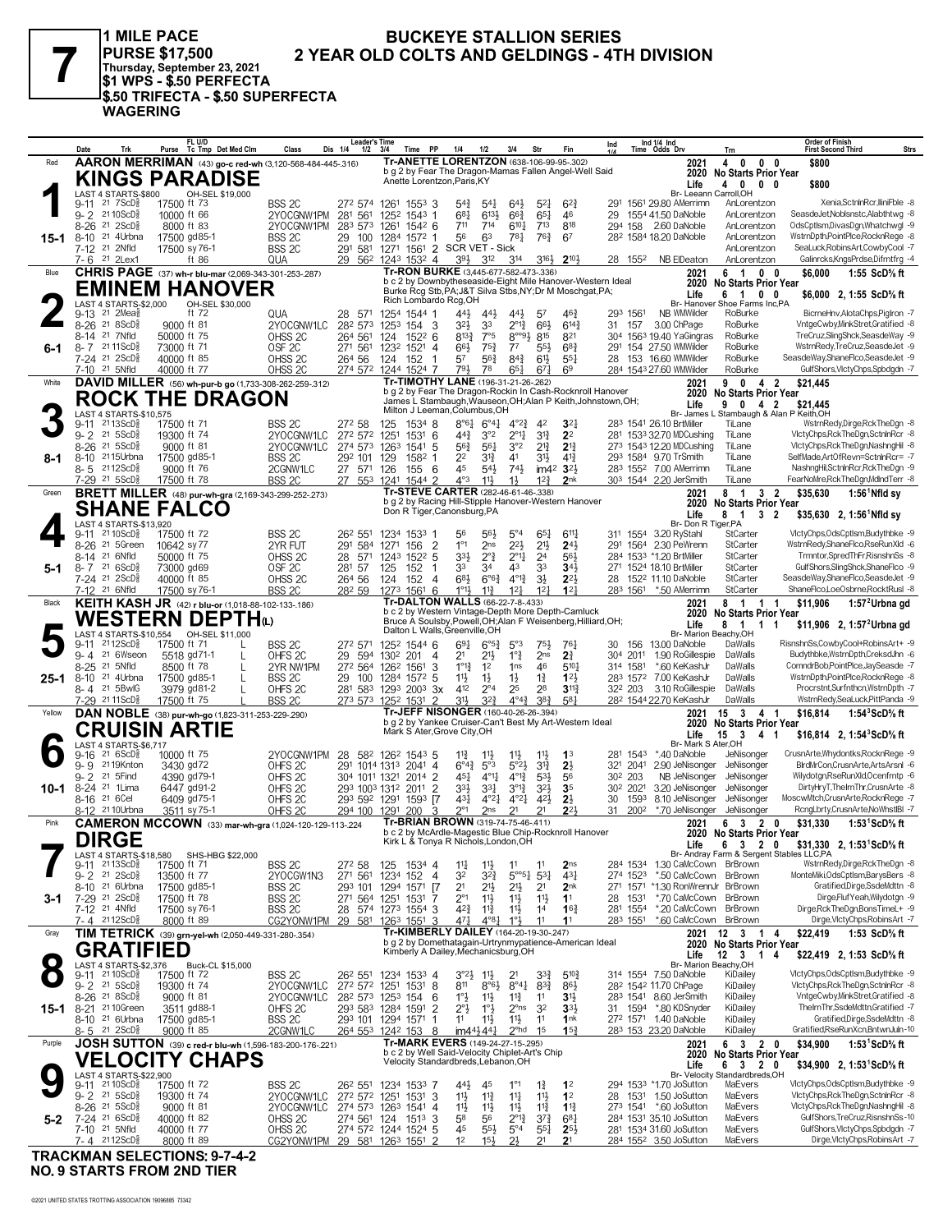

1 MILE PACE PURSE \$17,500<br>Thursday, September 23, 2021<br>\$1 WPS - \$.50 PERFECTA \$.50 TRIFECTA - \$.50 SUPERFECTA **WAGERING** 

#### **BUCKEYE STALLION SERIES** 2 YEAR OLD COLTS AND GELDINGS - 4TH DIVISION

|        | Date             | Trk                                                               | FL U/D<br>Purse Tc Tmp Det Med Clm                                          | Class                                    | <b>Leader's Time</b><br>Dis 1/4<br>$1/2$ $3/4$                            |                 | Time PP                                             | 1/4                                   | 1/2                                | 3/4                                | Str                                   | Fin                                                                                                                     | Ind                 |                      | Ind 1/4 Ind<br>Time Odds Drv                               | Trn                                                              | Order of Finish<br><b>Strs</b><br><b>First Second Third</b>            |
|--------|------------------|-------------------------------------------------------------------|-----------------------------------------------------------------------------|------------------------------------------|---------------------------------------------------------------------------|-----------------|-----------------------------------------------------|---------------------------------------|------------------------------------|------------------------------------|---------------------------------------|-------------------------------------------------------------------------------------------------------------------------|---------------------|----------------------|------------------------------------------------------------|------------------------------------------------------------------|------------------------------------------------------------------------|
| Red    |                  |                                                                   | AARON MERRIMAN (43) go-c red-wh (3,120-568-484-445-.316)                    |                                          |                                                                           |                 | Tr-ANETTE LORENTZON (638-106-99-95-.302)            |                                       |                                    |                                    |                                       |                                                                                                                         |                     |                      | 2021                                                       | 40<br>$0\quad 0$                                                 | \$800                                                                  |
|        |                  |                                                                   | <b>KINGS PARADISE</b>                                                       |                                          |                                                                           |                 | Anette Lorentzon, Paris, KY                         |                                       |                                    |                                    |                                       | b g 2 by Fear The Dragon-Mamas Fallen Angel-Well Said                                                                   |                     |                      | 2020<br>Life                                               | <b>No Starts Prior Year</b><br>4 0 0 0                           | \$800                                                                  |
|        |                  | LAST 4 STARTS-\$800                                               | OH-SEL \$19,000                                                             |                                          |                                                                           |                 |                                                     |                                       |                                    |                                    |                                       |                                                                                                                         |                     |                      | Br- Leeann Carroll,OH                                      |                                                                  |                                                                        |
|        | 9-11             | 217SCDg<br>9-2 2110ScD <sup>3</sup>                               | 17500 ft 73<br>10000 ft 66                                                  | BSS <sub>2C</sub><br>2YOCGNW1PM          | 272 574<br>281 561                                                        | 1261<br>$125^2$ | $155^3$ 3<br>$1543$ 1                               | $5^{4}$<br>$68\frac{1}{4}$            | 541<br>6131                        | $64\frac{1}{2}$<br>$66\frac{3}{4}$ | $5^{21}$<br>$65\frac{1}{4}$           | $6^{2}3$<br>46                                                                                                          | 29                  |                      | 291 1561 29.80 AMerrimn<br>1554 41.50 DaNoble              | AnLorentzon<br>AnLorentzon                                       | Xenia,SctnlnRcr,lliniFble -8<br>SeasdeJet, Noblsnstc, Alabthtwg -8     |
|        | $8 - 26$         | 21 2ScD <sup>3</sup>                                              | 8000 ft 83                                                                  | 2YOCGNW1PM                               | 283 573 1261 1542 6                                                       |                 |                                                     | 711                                   | 714                                | $6^{10}$ <sup>1</sup>              | $7^{13}$                              | 818                                                                                                                     |                     |                      | 294 158 2.60 DaNoble                                       | AnLorentzon                                                      | OdsCptlsm.DivasDgn.Whatchwgl -9                                        |
| 15-1   | 8-10             | 21 4Urbna                                                         | 17500 gd85-1                                                                | BSS 2C                                   | 29 100 1284 1572 1                                                        |                 |                                                     | 56                                    | 63                                 | $78\frac{1}{4}$                    | 763                                   | 67                                                                                                                      |                     |                      | 28 <sup>2</sup> 1584 18.20 DaNoble                         | AnLorentzon                                                      | WstrnDpth,PointPlce,RocknRege -8                                       |
|        |                  | 7-12 21 2Nfld<br>7-6 <sup>21</sup> 2Lex1                          | 17500 sy 76-1<br>ft 86                                                      | BSS <sub>2C</sub><br>QUA                 | 291 581 1271 1561 2 SCR VET - Sick<br>29 562                              |                 | 1243 1532 4                                         | 393                                   | $3^{12}$                           | 314                                | 3164                                  | $2^{10\frac{1}{2}}$                                                                                                     |                     | 28 1552              | NB ElDeaton                                                | AnLorentzon<br>AnLorentzon                                       | SeaLuck, RobinsArt, CowbyCool -7<br>Galinrcks, KngsPrdse, Difrntfrg -4 |
| Blue   |                  |                                                                   | CHRIS PAGE (37) wh-r blu-mar (2,069-343-301-253-.287)                       |                                          |                                                                           |                 | Tr-RON BURKE (3,445-677-582-473-.336)               |                                       |                                    |                                    |                                       |                                                                                                                         |                     |                      | 2021                                                       | 61<br>$0\quad 0$                                                 | \$6,000<br>1:55 ScD% ft                                                |
|        |                  |                                                                   | <b>EMINEM HANOVER</b>                                                       |                                          |                                                                           |                 |                                                     |                                       |                                    |                                    |                                       | b c 2 by Downbytheseaside-Eight Mile Hanover-Western Ideal<br>Burke Rcg Stb, PA; J&T Silva Stbs, NY; Dr M Moschgat, PA; |                     |                      | 2020                                                       | <b>No Starts Prior Year</b>                                      |                                                                        |
|        |                  | LAST 4 STARTS-\$2,000                                             | OH-SEL \$30,000                                                             |                                          |                                                                           |                 | Rich Lombardo Rcg, OH                               |                                       |                                    |                                    |                                       |                                                                                                                         |                     |                      | Life                                                       | 6 1 0 0<br>Br- Hanover Shoe Farms Inc, PA                        | \$6,000 2, 1:55 ScD% ft                                                |
|        |                  | 9-13 <sup>21</sup> 2Mea}                                          | ft 72                                                                       | QUA                                      | 28 571 1254 1544 1                                                        |                 |                                                     | 443                                   | 443                                | $44\frac{1}{2}$                    | 57                                    | 46 <sub>7</sub>                                                                                                         |                     | 293 1561             | NB WMWilder                                                | RoBurke                                                          | BicrneHnv, AlotaChps, PigIron -7                                       |
|        | $8 - 26$<br>8-14 | 21 8ScD<br>21 7Nfld                                               | 9000 ft 81<br>50000 ft 75                                                   | 2YOCGNW1LC<br>OHSS <sub>2C</sub>         | 282 573<br>264 561                                                        | 124             | 1253 154 3<br>$152^2$ 6                             | $3^{21}$<br>$8^{13}\frac{3}{4}$       | 33<br>7°5                          | $2^{012}$<br>$8^{\circ\circ 9}$    | 66}<br>815                            | $6^{14}$<br>821                                                                                                         | 31                  | 157                  | 3.00 ChPage<br>304 1563 19.40 YaGingras                    | RoBurke<br>RoBurke                                               | VntgeCwby,MinkStret,Gratified -8<br>TreCruz, SlingShck, SeasdeWay -9   |
| 6-1    |                  | 8-7 2111ScD <sup>5</sup>                                          | 73000 ft 71                                                                 | OSF <sub>2C</sub>                        | 271 561                                                                   | 1232            | $152^1$ 4                                           | 66}                                   | $75\frac{3}{4}$                    | $7^7$                              | $55\frac{1}{2}$                       | $68\frac{3}{4}$                                                                                                         |                     |                      | 291 154 27.50 WMWilder                                     | RoBurke                                                          | WstrnRedy,TreCruz,SeasdeJet -9                                         |
|        |                  | 7-24 21 2ScD <sup>5</sup>                                         | 40000 ft 85                                                                 | OHSS <sub>2C</sub>                       | 264 56<br>274 572 1244 1524 7                                             | 124             | 152<br>$\overline{1}$                               | 57<br>791                             | 56}<br>78                          | $84\frac{3}{4}$<br>65 <sub>1</sub> | 6 <sup>1</sup> }                      | $55\frac{1}{4}$<br>6 <sup>9</sup>                                                                                       | 28                  |                      | 153 16.60 WMWilder<br>284 1543 27.60 WMWilder              | RoBurke<br>RoBurke                                               | SeasdeWay,ShaneFlco,SeasdeJet -9<br>GulfShors, VictyChps, Spbdgdn -7   |
| White  |                  | 7-10 <sup>21</sup> 5Nfld                                          | 40000 ft 77<br>DAVID MILLER (56) wh-pur-b go (1,733-308-262-259-.312)       | OHSS 2C                                  |                                                                           |                 | Tr-TIMOTHY LANE (196-31-21-26-.262)                 |                                       |                                    |                                    | $67\frac{1}{4}$                       |                                                                                                                         |                     |                      | 2021                                                       | 42<br>90                                                         | \$21,445                                                               |
|        |                  |                                                                   | <b>ROCK THE DRAGON</b>                                                      |                                          |                                                                           |                 |                                                     |                                       |                                    |                                    |                                       | b g 2 by Fear The Dragon-Rockin In Cash-Rocknroll Hanover                                                               |                     |                      | 2020                                                       | <b>No Starts Prior Year</b>                                      |                                                                        |
|        |                  | LAST 4 STARTS-\$10,575                                            |                                                                             |                                          |                                                                           |                 | Milton J Leeman, Columbus, OH                       |                                       |                                    |                                    |                                       | James L Stambaugh, Wauseon, OH; Alan P Keith, Johnstown, OH;                                                            |                     |                      | Life                                                       | 9 0 4 2<br>Br- James L Stambaugh & Alan P Keith, OH              | \$21,445                                                               |
|        | $9 - 11$         | $2113$ ScD $\frac{5}{8}$                                          | 17500 ft 71                                                                 | BSS 2C                                   | 272 58                                                                    | 125             | $1534$ 8                                            | $8°6\frac{1}{4}$                      | $6^{\circ}4^{\frac{1}{4}}$         | $4^{\circ}2^{\frac{3}{4}}$         | 42                                    | 3 <sup>2</sup>                                                                                                          |                     |                      | 283 1541 26.10 BrtMiller                                   | TiLane                                                           | WstrnRedy,Dirge,RckTheDgn -8                                           |
|        | $9 - 2$<br>8-26  | 21 5 ScD <sup>5</sup><br>$21 \, 5$ ScD $\frac{5}{8}$              | 19300 ft 74<br>9000 ft 81                                                   | 2YOCGNW1LC<br>2YOCGNW1LC                 | 272 572<br>274 573 1263                                                   | 1251            | $153^{1}$ 6<br>$154^1$ 5                            | $44\frac{3}{4}$<br>$56\frac{3}{4}$    | 3°2<br>$56\frac{1}{4}$             | $2^{\circ}1\frac{1}{4}$<br>3°2     | $3^{13}$<br>$2^{13}$                  | 2 <sup>2</sup><br>$2^{13}$                                                                                              |                     |                      | 281 1533 32.70 MDCushing<br>273 1543 12.20 MDCushing       | TiLane<br>TiLane                                                 | VictyChps,RckTheDgn,SctninRcr -8<br>VlctyChps,RckTheDgn,NashngHil -8   |
| 8-1    | 8-10             | 2115Urbna                                                         | 17500 gd85-1                                                                | BSS <sub>2C</sub>                        | 292 101                                                                   | 129             | 1582 1                                              | 2 <sup>2</sup>                        | 31}                                | 41                                 | 3 <sup>1</sup>                        | $4^{13}$                                                                                                                |                     |                      | 293 1584 9.70 TrSmith                                      | TiLane                                                           | SelfMade, ArtOfRevn=SctnlnRcr= -7                                      |
|        |                  | $8 - 5$ 2112ScD <sup>5</sup>                                      | 9000 ft 76                                                                  | 2CGNW1LC                                 | 27 571                                                                    | 126             | 155<br>- 6                                          | 45                                    | $54\frac{1}{2}$                    | 74}                                |                                       | im42 32}                                                                                                                |                     |                      | 283 1552 7.00 AMerrimn                                     | TiLane                                                           | NashngHil,SctnlnRcr,RckTheDgn -9                                       |
| Green  |                  | 7-29 <sup>21</sup> 5ScD <sup>3</sup>                              | 17500 ft 78<br><b>BRETT MILLER</b> (48) pur-wh-gra (2,169-343-299-252-.273) | BSS <sub>2C</sub>                        | 27 553 1241 1544 2                                                        |                 | Tr-STEVE CARTER (282-46-61-46-.338)                 | $4^{\circ}3$                          | $11\frac{1}{2}$                    | $1\frac{1}{2}$                     | $12\frac{3}{4}$                       | 2nk                                                                                                                     |                     |                      | 303 1544 2.20 JerSmith<br>2021                             | TiLane<br>8 1<br>3 <sub>2</sub>                                  | FearNoMre, Rck The Dgn, Mdlnd Terr -8<br>\$35,630                      |
|        |                  |                                                                   | <b>SHANE FALCO</b>                                                          |                                          |                                                                           |                 |                                                     |                                       |                                    |                                    |                                       | b g 2 by Racing Hill-Stipple Hanover-Western Hanover                                                                    |                     |                      | 2020                                                       | No Starts Prior Year                                             | $1:56$ Nfld sy                                                         |
|        |                  | LAST 4 STARTS-\$13,920                                            |                                                                             |                                          |                                                                           |                 | Don R Tiger, Canonsburg, PA                         |                                       |                                    |                                    |                                       |                                                                                                                         |                     |                      | Life<br>Br- Don R Tiger, PA                                | 8<br>$\overline{1}$<br>32                                        | $$35,630$ 2, 1:56 <sup>1</sup> Nfld sv                                 |
|        | $9 - 11$         | 21 10 ScD <sup>3</sup>                                            | 17500 ft 72                                                                 | BSS 2C                                   | 26 <sup>2</sup> 551                                                       |                 | 1234 1533 1                                         | 56                                    | 56}                                | $5^{\circ}4$                       | $65\frac{1}{4}$                       | $6^{11}$                                                                                                                |                     |                      | 311 1554 3.20 RyStahl                                      | StCarter                                                         | VlctyChps,OdsCptlsm,Budythbke -9                                       |
|        |                  | 8-26 <sup>21</sup> 5Green                                         | 10642 sy 77                                                                 | 2YR FUT                                  | 291 584                                                                   | 1271            | 156<br>$\overline{\mathbf{2}}$                      | $1^{\circ}1$                          | 2ns                                | $2^{21}$                           | 21}                                   | $2^{4}$                                                                                                                 |                     |                      | 291 1564 2.30 PeWrenn                                      | StCarter                                                         | WstrnRedy,ShaneFlco,RseRunXld -6                                       |
| 5-1    |                  | 8-14 <sup>21</sup> 6Nfld<br>$8 - 7$ 21 6ScD <sup>5</sup>          | 50000 ft 75<br>73000 gd69                                                   | OHSS <sub>2C</sub><br>OSF <sub>2C</sub>  | 28 571<br>281 57                                                          | 125             | 1243 1522 5<br>152<br>-1                            | 33}<br>33                             | $2^{\circ}$ $\frac{3}{4}$<br>34    | $2^{\circ}1\frac{1}{4}$<br>43      | 2 <sup>4</sup><br>33                  | 561<br>34 <sub>3</sub>                                                                                                  |                     |                      | 284 1533 *1.20 BrtMiller<br>271 1524 18.10 BrtMiller       | StCarter<br>StCarter                                             | Trmntor,SpredThFr,RisnshnSs -8<br>GulfShors, SlingShck, ShaneFlco -9   |
|        |                  | 7-24 21 2ScD <sup>5</sup>                                         | 40000 ft 85                                                                 | OHSS <sub>2C</sub>                       | 264 56                                                                    | 124             | 152<br>4                                            | 683                                   | $6^{\circ}6^{\frac{3}{4}}$         | $4^{012}$                          | $3\frac{1}{2}$                        | $2^{2}$                                                                                                                 | 28                  |                      | 152 <sup>2</sup> 11.10 DaNoble                             | StCarter                                                         | SeasdeWay,ShaneFlco,SeasdeJet -9                                       |
|        |                  | 7-12 21 6Nfld                                                     | 17500 sy 76-1<br>KEITH KASH JR (42) r blu-or (1,018-88-102-133-.186)        | BSS <sub>2C</sub>                        | 282 59                                                                    | 1273            | 1561<br>-6<br>Tr-DALTON WALLS (66-22-7-8-.433)      | $1^{\circ}1\frac{1}{2}$               | $11\frac{3}{4}$                    | $12\frac{1}{4}$                    | 12 <sup>1</sup>                       | 12 <sup>1</sup>                                                                                                         |                     | 283 1561             | *.50 AMerrimn                                              | StCarter<br>8 1 1 1                                              | ShaneFlco,LoeOsbrne,RocktRusl -8<br>\$11.906                           |
| Black  |                  |                                                                   | <b>WESTERN DEPTH</b> ω                                                      |                                          |                                                                           |                 |                                                     |                                       |                                    |                                    |                                       | b c 2 by Western Vintage-Depth More Depth-Camluck                                                                       |                     |                      | 2021<br>2020                                               | <b>No Starts Prior Year</b>                                      | 1:57 <sup>2</sup> Urbna gd                                             |
|        |                  |                                                                   | LAST 4 STARTS-\$10,554 OH-SEL \$11,000                                      |                                          |                                                                           |                 | Dalton L Walls, Greenville, OH                      |                                       |                                    |                                    |                                       | Bruce A Soulsby, Powell, OH; Alan F Weisenberg, Hilliard, OH;                                                           |                     |                      | Life<br>Br- Marion Beachy, OH                              | 8<br>1 1 1                                                       | \$11,906 2, 1:57 <sup>2</sup> Urbna gd                                 |
|        | $9 - 11$         | 2112ScD <sup>3</sup>                                              | 17500 ft 71<br>L                                                            | BSS 2C                                   | 272 571                                                                   | 1252            | 15446                                               | $69\frac{1}{4}$                       | $6^{\circ 5\frac{3}{4}}$           | 5°3                                | 751,                                  | 761                                                                                                                     | 30                  | 156                  | 13.00 DaNoble                                              | DaWalls                                                          | RisnshnSs,CowbyCool+RobinsArt+ -9                                      |
|        | $9 - 4$          | 21 6Wseon                                                         | 5518 gd71-1                                                                 | OHFS <sub>2C</sub>                       | 29 594                                                                    | 1302            | 201<br>4                                            | 2 <sup>1</sup>                        | 21}                                | $1^{\circ}$ $\frac{3}{4}$          | 2 <sub>ns</sub>                       | 2 <sup>3</sup>                                                                                                          |                     | 304 2011             | 1.90 RoGillespie                                           | DaWalls                                                          | Budythbke, WstrnDpth, CreksdJhn -6<br>ComndrBob,PointPlce,JaySeasde -7 |
| 25-1   | $8 - 25$         | 21 5Nfld<br>8-10 <sup>21</sup> 4Urbna                             | 8500 ft 78<br>17500 gd85-1<br>L                                             | 2YR NW1PM<br>BSS <sub>2C</sub>           | 272 564 1262 1561<br>29 100                                               |                 | 3<br>1284 1572 5                                    | $1^{\circ}1^{\circ}$<br>11}           | 1 <sup>2</sup><br>$1\frac{1}{2}$   | 1 <sub>ns</sub><br>$1\frac{1}{2}$  | 46<br>$1\frac{3}{4}$                  | $5^{10}$<br>123                                                                                                         |                     | 314 1581<br>283 1572 | *.60 KeKashJr<br>7.00 KeKashJr                             | DaWalls<br>DaWalls                                               | WstrnDpth,PointPlce,RocknRege -8                                       |
|        |                  | 8-4 21 5BwlG                                                      | 3979 gd81-2                                                                 | OHFS <sub>2C</sub>                       | 281 583                                                                   |                 | 1293 2003 3x                                        | 412                                   | $2^{\circ 4}$                      | 25                                 | 28                                    | $3^{11}$                                                                                                                |                     | 32 <sup>2</sup> 203  | 3.10 RoGillespie                                           | DaWalls                                                          | Procrstnt,Surfnthcn,WstrnDpth -7                                       |
|        |                  | 7-29 2111ScD}                                                     | 17500 ft 75                                                                 | BSS <sub>2C</sub>                        | 273 573                                                                   |                 | 1252 1531 2<br>Tr-JEFF NISONGER (160-40-26-26-.394) | 31}                                   | $3^{2}\frac{3}{4}$                 | $4^{\circ}4^{\frac{3}{2}}$         | $3^{8}3$                              | 581                                                                                                                     |                     |                      | 282 1544 22.70 KeKashJr                                    | DaWalls                                                          | WstrnRedy,SeaLuck,PittPanda -9                                         |
| Yellow |                  |                                                                   | DAN NOBLE (38) pur-wh-go (1,823-311-253-229-.290)                           |                                          |                                                                           |                 |                                                     |                                       |                                    |                                    |                                       | b g 2 by Yankee Cruiser-Can't Best My Art-Western Ideal                                                                 |                     |                      | 2021<br>2020                                               | 15 3 4 1<br><b>No Starts Prior Year</b>                          | 1:54 $3$ ScD $\%$ ft<br>\$16,814                                       |
|        |                  |                                                                   | <b>CRUISIN ARTIE</b>                                                        |                                          |                                                                           |                 | Mark S Ater, Grove City, OH                         |                                       |                                    |                                    |                                       |                                                                                                                         |                     |                      | Life<br>Br- Mark S Ater, OH                                | $15 \quad 3$<br>41                                               | \$16,814 2, 1:54 $^{\circ}$ ScD $^{\circ}$ s ft                        |
|        | 9-16             | LAST 4 STARTS-\$6,717<br>216SCD <sub>8</sub>                      | 10000 ft 75                                                                 | 2YOCGNW1PM                               | 28                                                                        |                 | 582 1262 1543 5                                     | $11\frac{3}{4}$                       | $1^{11}$                           | $11\frac{1}{2}$                    | 11                                    | 1 <sup>3</sup>                                                                                                          |                     | 281 1543             | *.40 DaNoble                                               | JeNisonger                                                       | CrusnArte, Whydontks, RocknRege -9                                     |
|        | $9 - 9$          | 2119Knton<br>21 5Find                                             | 3430 gd72                                                                   | OHFS <sub>2C</sub>                       | 291 1014 1313                                                             |                 | $2041$ 4                                            | $6^{o_4}\frac{3}{4}$                  | $5^{\circ}3$                       | 5°2 <sup>3</sup>                   | $3^{13}$                              | 2 <sup>1</sup>                                                                                                          |                     | 321 2041             | 2.90 JeNisonger<br>NB JeNisonger                           | JeNisonger                                                       | BlrdMrCon,CrusnArte,ArtsArsnl -6<br>Wilydotgn,RseRunXld,Ocenfrntp -6   |
| 10-1   | $9 - 2$          | 8-24 <sup>21</sup> 1 Lima                                         | 4390 gd79-1<br>6447 gd91-2                                                  | OHFS <sub>2C</sub><br>OHFS <sub>2C</sub> | 304 1011 1321 2014 2<br>293 1003 1312                                     |                 | 2011<br>$\overline{2}$                              | 451<br>$3^{3}\frac{1}{2}$             | $4^{011}$<br>331                   | $4^{012}$<br>$3^{012}$             | $5^{31}$<br>$3^{21}$                  | 56<br>3 <sub>5</sub>                                                                                                    | 30 <sup>2</sup> 203 | 30 <sup>2</sup> 2021 | 3.20 JeNisonger                                            | JeNisonger<br>JeNisonger                                         | DirtyHryT,TheIrnThr,CrusnArte -8                                       |
|        |                  | 8-16 <sup>21</sup> 6 Cel                                          | 6409 gd75-1                                                                 | OHFS <sub>2C</sub>                       | 293 592 1291 1593 [7                                                      |                 |                                                     | 431                                   | $4^{\circ}2^{\frac{1}{4}}$         | $4^{\circ}2^{\frac{1}{4}}$         | 42 <sub>3</sub>                       | $2\frac{1}{2}$                                                                                                          | 30                  | 1593                 | 8.10 JeNisonger                                            | JeNisonger                                                       | MoscwMtch,CrusnArte,RocknRege -7                                       |
| Pink   |                  | 8-12 <sup>21</sup> 10Urbna                                        | 3511 sy 75-1                                                                | OHFS <sub>2C</sub>                       | 294 100 1291 200                                                          |                 | 3<br>Tr-BRIAN BROWN (319-74-75-46-.411)             | $2^{\circ}1$                          | 2ns                                | 2 <sup>1</sup>                     | 2 <sup>1</sup>                        | $2^{2}$                                                                                                                 | 31                  | 2002                 | *.70 JeNisonger                                            | JeNisonger<br>6 3 2                                              | RcngLbrty,CrusnArte,NoWhstIBI -7                                       |
|        |                  |                                                                   | CAMERON MCCOWN (33) mar-wh-gra (1,024-120-129-113-224                       |                                          |                                                                           |                 |                                                     |                                       |                                    |                                    |                                       | D C Z Dy McArdle-Magestic Blue Chip-Rocknroll Hanover                                                                   |                     |                      | 2021                                                       | 0<br>2020 No Starts Prior Year                                   | \$31,330<br>1:53 <sup>1</sup> ScD% ft                                  |
|        |                  | <b>DIRGE</b>                                                      |                                                                             |                                          |                                                                           |                 | Kirk L & Tonya R Nichols, London, OH                |                                       |                                    |                                    |                                       |                                                                                                                         |                     |                      | Life                                                       | 6 3 2 0<br>Br- Andray Farm & Sergent Stables LLC,PA              | \$31,330 2, 1:53 <sup>1</sup> ScD% ft                                  |
|        |                  | LAST 4 STARTS-\$18,580<br>9-11 2113ScD <sup>3</sup>               | SHS-HBG \$22,000<br>17500 ft 71                                             | BSS 2C                                   | 272 58                                                                    |                 | 125 1534 4                                          | $11\frac{1}{4}$                       | $11\frac{1}{2}$                    | 11                                 | 11                                    | 2 <sub>ns</sub>                                                                                                         |                     |                      | 284 1534 1.30 CaMcCown BrBrown                             |                                                                  | WstrnRedy,Dirge,RckTheDgn -8                                           |
|        |                  | $9 - 2$ 21 $2$ ScD $\frac{5}{8}$<br>8-10 <sup>21</sup> 6Urbna     | 13500 ft 77                                                                 | 2YOCGW1N3                                | 271 561 1234 152 4                                                        |                 |                                                     | 32<br>2 <sup>1</sup>                  | 32}                                | $5^{\circ 6}{}_{4}$                | $5^{3}1$                              | $43\frac{1}{4}$                                                                                                         |                     | 274 1523             | *.50 CaMcCown BrBrown<br>271 1571 *1.30 RonWrennJr BrBrown |                                                                  | MonteMiki, OdsCptlsm, BarysBers -8<br>Gratified,Dirge,SsdeMdttn -8     |
| 3-1    |                  | 7-29 21 2ScD <sup>5</sup>                                         | 17500 gd85-1<br>17500 ft 78                                                 | BSS 2C<br>BSS 2C                         | 293 101 1294 1571<br>271 564 1251 1531 7                                  |                 | $\sqrt{7}$                                          | $2^{\circ}1$                          | $21\frac{1}{2}$<br>$11\frac{1}{2}$ | 2 <sup>11</sup><br>$11\frac{1}{2}$ | 2 <sup>1</sup><br>11                  | 2 <sub>nk</sub><br>1 <sup>1</sup>                                                                                       |                     | 28 1531              | *.70 CaMcCown BrBrown                                      |                                                                  | DirgeFlufYeah.Wilvdotgn -9                                             |
|        |                  | 7-12 <sup>21</sup> 4Nfld                                          | 17500 sy 76-1                                                               | BSS 2C                                   | 28 574 1273 1554 3                                                        |                 |                                                     | 42}                                   | $11\frac{3}{4}$                    | 11号                                | 1 <sup>4</sup>                        | 16 <sub>1</sub>                                                                                                         |                     | 281 1554             | *.20 CaMcCown BrBrown                                      |                                                                  | Dirge, RckTheDgn, BonsTimeL+ -9                                        |
|        |                  | 7-4 2112ScD                                                       | 8000 ft 89                                                                  | CG2YONW1PM                               | 29 581 1263 1551 3                                                        |                 | Tr-KIMBERLY DAILEY (164-20-19-30-.247)              | $47\frac{1}{4}$                       | $4^{08}$ <sub>1</sub>              | 1°3                                | 11                                    | 1 <sup>1</sup>                                                                                                          |                     | 283 1551             | *.60 CaMcCown BrBrown                                      |                                                                  | Dirge, VlctyChps, RobinsArt -7                                         |
| Gray   |                  |                                                                   | TIM TETRICK (39) grn-yel-wh (2,050-449-331-280-.354)                        |                                          |                                                                           |                 |                                                     |                                       |                                    |                                    |                                       | b g 2 by Domethatagain-Urtrynmypatience-American Ideal                                                                  |                     |                      | 2021                                                       | $12 \quad 3$<br>$\overline{1}$<br>4<br>2020 No Starts Prior Year | 1:53 ScD% ft<br>\$22,419                                               |
|        |                  | <b>GRATIFIED</b><br>LAST 4 STARTS-\$2,376                         |                                                                             |                                          |                                                                           |                 | Kimberly A Dailey, Mechanicsburg, OH                |                                       |                                    |                                    |                                       |                                                                                                                         |                     |                      | Life                                                       | Br- Marion Beachy, OH                                            | \$22,419 2, 1:53 ScD% ft                                               |
|        |                  | 9-11 21 10 ScD <sup>3</sup>                                       | Buck-CL \$15,000<br>17500 ft 72                                             | BSS 2C                                   | 262 551                                                                   |                 | 1234 1533 4                                         | $3^{\circ}2\frac{1}{2}$               | $11\frac{1}{2}$                    | 2 <sup>1</sup>                     | $3^{34}$                              | $5^{10}\frac{3}{4}$                                                                                                     |                     |                      | 314 1554 7.50 DaNoble                                      | KiDailey                                                         | VlctyChps,OdsCptlsm,Budythbke -9                                       |
|        |                  | $9 - 2$ 21 5 ScD <sup>3</sup>                                     | 19300 ft 74                                                                 | 2YOCGNW1LC                               | 272 572 1251 1531 8                                                       |                 |                                                     | 811                                   | $8^{\circ}6\frac{1}{2}$            | $8^{\circ 4}$                      | $8^{3}\frac{3}{4}$                    | 86}                                                                                                                     |                     |                      | 28 <sup>2</sup> 154 <sup>2</sup> 11.70 ChPage              | KiDailey                                                         | VictyChps,RckTheDgn,SctninRcr -8                                       |
| 15-1   | $8 - 21$         | 8-26 <sup>21</sup> 8ScD <sup>5</sup><br>21 10Green                | 9000 ft 81<br>3511 gd88-1                                                   | 2YOCGNW1LC<br>OHFS <sub>2C</sub>         | 28 <sup>2</sup> 57 <sup>3</sup> 125 <sup>3</sup> 154<br>293 583 1284 1591 |                 | - 6<br>-2                                           | $1^\circ \frac{1}{2}$<br>$2^{\circ}3$ | $11\frac{1}{2}$<br>1°3             | $11\frac{3}{4}$<br>$2^{\circ}$ ns  | 11<br>3 <sup>2</sup>                  | 3 <sup>1</sup><br>3 <sup>3</sup>                                                                                        |                     |                      | 283 1541 8.60 JerSmith<br>31 1594 *.80 KDSnyder            | KiDailey<br>KiDailey                                             | VntgeCwby,MinkStret,Gratified -8<br>ThelrnThr,SsdeMdttn,Gratified -7   |
|        |                  | 8-10 21 6Urbna                                                    | 17500 gd85-1                                                                | BSS <sub>2C</sub>                        | 293 101 1294 1571 1                                                       |                 |                                                     | 11                                    | $11\frac{1}{2}$                    | $11\frac{1}{2}$                    | 11                                    | 1nk                                                                                                                     |                     |                      | 272 1571 1.40 DaNoble                                      | KiDailey                                                         | Gratified,Dirge,SsdeMdttn -8                                           |
|        |                  | $8 - 5$ 21 $2$ ScD <sup>5</sup>                                   | 9000 ft 85                                                                  | 2CGNW1LC                                 | 264 553 1242 153 8                                                        |                 | Tr-MARK EVERS (149-24-27-15-.295)                   |                                       | $im44\frac{1}{2}44\frac{1}{4}$     | $2^{\circ}$ hd                     | 1 <sup>5</sup>                        | 15 <sup>3</sup>                                                                                                         |                     |                      | 283 153 23.20 DaNoble                                      | KiDailey                                                         | Gratified,RseRunXcn,BntwnJuln-10                                       |
| Purple |                  |                                                                   | JOSH SUTTON (39) c red-r blu-wh (1,596-183-200-176-.221)                    |                                          |                                                                           |                 | b c 2 by Well Said-Velocity Chiplet-Art's Chip      |                                       |                                    |                                    |                                       |                                                                                                                         |                     |                      | 2021<br>2020                                               | 6 3 2 0<br>No Starts Prior Year                                  | 1:53 $^1$ ScD% ft<br>\$34,900                                          |
|        |                  |                                                                   | <b>VELOCITY CHAPS</b>                                                       |                                          |                                                                           |                 | Velocity Standardbreds, Lebanon, OH                 |                                       |                                    |                                    |                                       |                                                                                                                         |                     |                      | Life                                                       | 6 3 2 0<br>Br- Velocity Standardbreds, OH                        | \$34,900 2, 1:53 ScD <sup>5</sup> / <sub>8</sub> ft                    |
|        |                  | LAST 4 STARTS-\$22,900<br>$9-11$ 21 10ScD <sup>5</sup>            | 17500 ft 72                                                                 | BSS 2C                                   | 26 <sup>2</sup> 55 <sup>1</sup> 123 <sup>4</sup> 153 <sup>3</sup> 7       |                 |                                                     | 441                                   | 45                                 | $1^{\circ}1$                       | $1\frac{3}{4}$                        | 1 <sup>2</sup>                                                                                                          |                     |                      | 294 1533 *1.70 JoSutton                                    | MaEvers                                                          | VlctyChps,OdsCptlsm,Budythbke -9                                       |
|        |                  | $9 - 2$ 21 5 ScD <sup>5</sup>                                     | 19300 ft 74                                                                 | 2YOCGNW1LC                               | 272 572 1251 1531 3                                                       |                 |                                                     | 11                                    | $11\frac{3}{4}$                    | $11\frac{1}{4}$                    | 11                                    | 1 <sup>2</sup>                                                                                                          |                     |                      | 28 1531 1.50 JoSutton                                      | MaEvers                                                          | VlctyChps,RckTheDgn,SctnlnRcr -8                                       |
| 5-2    |                  | 8-26 <sup>21</sup> 5ScD <sup>5</sup><br>7-24 21 6ScD <sup>5</sup> | 9000 ft 81<br>40000 ft 82                                                   | 2YOCGNW1LC<br>OHSS 2C                    | 274 573 1263 1541 4<br>274 561 124 1513 3                                 |                 |                                                     | $11\frac{1}{2}$<br>58                 | $11\frac{1}{2}$<br>56              | 11<br>$2^{6}1^{3}$                 | $11\frac{3}{4}$<br>$3^{7}\frac{3}{4}$ | $1\frac{13}{4}$<br>$6^{8}$ <sub>1</sub>                                                                                 |                     |                      | 273 1541 *.60 JoSutton<br>284 1531 35.10 JoSutton          | MaEvers<br>MaEvers                                               | VlctyChps,RckTheDgn,NashngHil -8<br>GulfShors, TreCruz, Risnshn Ss-10  |
|        |                  | 7-10 21 5Nfld                                                     | 40000 ft 77                                                                 | OHSS <sub>2C</sub>                       | 274 572 1244 1524 5                                                       |                 |                                                     | 45                                    | $55\frac{1}{2}$                    | $5^{\circ}4$                       | $55\frac{1}{4}$                       | $2^{51}$                                                                                                                |                     |                      | 281 1534 31.60 JoSutton                                    | MaEvers                                                          | GulfShors, VlctyChps, Spbdgdn -7                                       |
|        |                  | $7 - 4$ 2112ScD <sup>5</sup>                                      | 8000 ft 89                                                                  | CG2YONW1PM 29 581 1263 1551 2            |                                                                           |                 |                                                     | 1 <sup>2</sup>                        | $15\frac{1}{2}$                    | 23                                 | 2 <sup>1</sup>                        | 2 <sup>1</sup>                                                                                                          |                     |                      | 284 1552 3.50 JoSutton                                     | MaEvers                                                          | Dirge, VlctyChps, RobinsArt -7                                         |

**TRACKMAN SELECTIONS: 9-7-4-2 NO. 9 STARTS FROM 2ND TIER**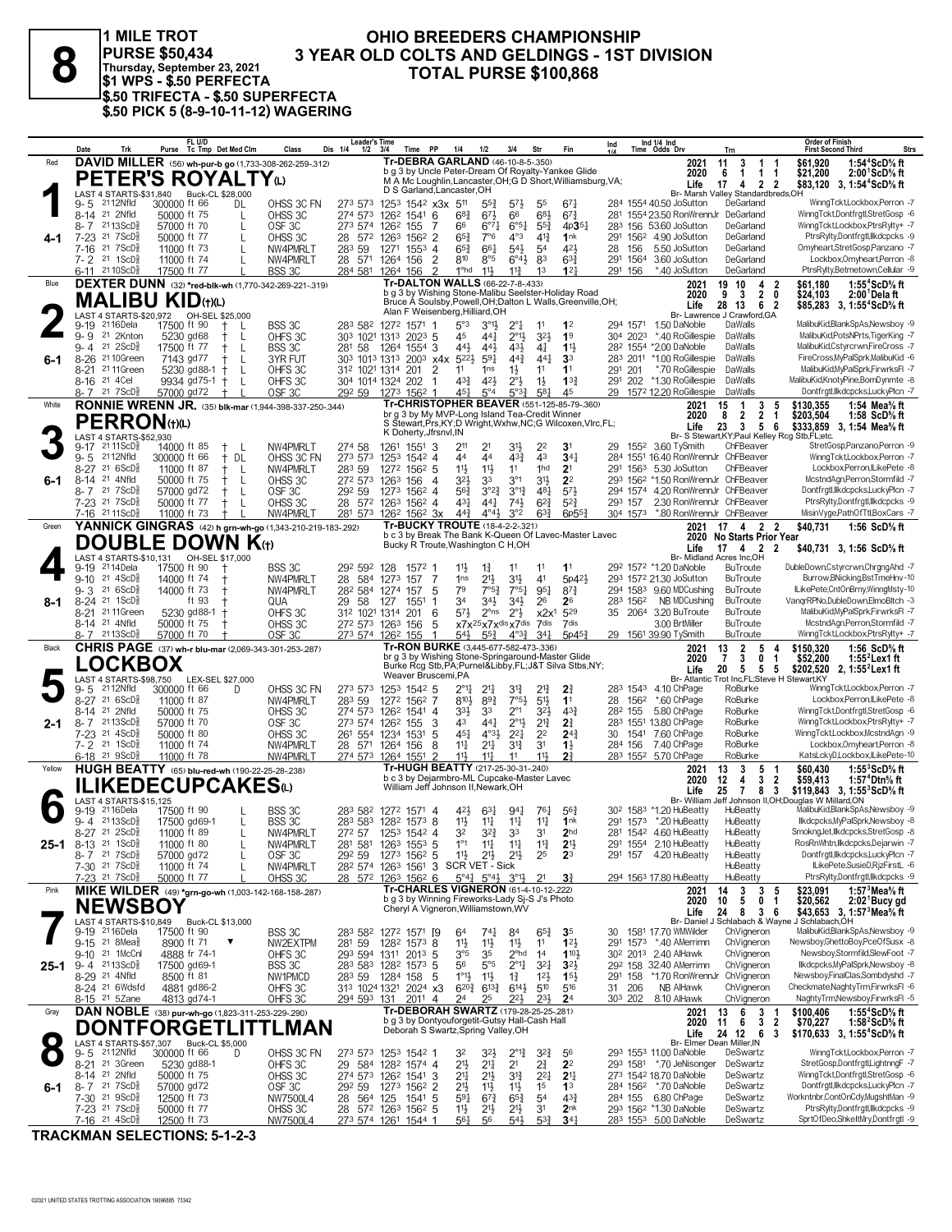**1 MILE TROT \$1 WPS - \$.50 PERFECTA \$.50 TRIFECTA - \$.50 SUPERFECTA \$.50 PICK 5 (8-9-10-11-12) WAGERING**

## **OHIO BREEDERS CHAMPIONSHIP<br>3 YEAR OLD COLTS AND GELDINGS - 1ST DIVISION 3 YEAR OLD COLTS AND GELDINGS - 1ST DIVISION**<br> **8 EXERCITE 23, 2021**<br> **81 WPS - \$.50 PERFECTA**<br> **PURSE \$100,868**<br> **PURSE \$100,868**

|        | Date<br>Trk                                                                  | FL U/D<br>Purse Tc Tmp Det Med Clm                                       | Class                           | <b>Leader's Time</b><br>Dis 1/4<br>$1/2$ $3/4$ | Time PP                                                                                    | 1/4                                              | 1/2                                         | 3/4                                                       | Str                              | Fin                                                           | Ind                 |          | Ind 1/4 Ind<br>Time Odds Drv                                              | Trn                                                           | <b>Order of Finish</b><br><b>Strs</b><br><b>First Second Third</b>                                 |
|--------|------------------------------------------------------------------------------|--------------------------------------------------------------------------|---------------------------------|------------------------------------------------|--------------------------------------------------------------------------------------------|--------------------------------------------------|---------------------------------------------|-----------------------------------------------------------|----------------------------------|---------------------------------------------------------------|---------------------|----------|---------------------------------------------------------------------------|---------------------------------------------------------------|----------------------------------------------------------------------------------------------------|
| Red    |                                                                              | DAVID MILLER (56) wh-pur-b go (1,733-308-262-259-.312)                   |                                 |                                                | Tr-DEBRA GARLAND (46-10-8-5-.350)<br>b g 3 by Uncle Peter-Dream Of Royalty-Yankee Glide    |                                                  |                                             |                                                           |                                  |                                                               |                     |          | 2021                                                                      | 11<br>3<br>1<br>-1<br>6<br>$\overline{1}$<br>1 1              | 1:54 <sup>4</sup> ScD% ft<br>\$61.920                                                              |
|        |                                                                              | PETER'S ROYALTY <sub>(L)</sub>                                           |                                 |                                                |                                                                                            |                                                  |                                             |                                                           |                                  | M A Mc Loughlin, Lancaster, OH; G D Short, Williamsburg, VA;  |                     |          | 2020<br>Life                                                              | 17<br>4 2 2                                                   | \$21,200<br>$2:00^{1}$ ScD% ft<br>\$83,120 3, 1:54 <sup>4</sup> ScD <sup>5</sup> / <sub>8</sub> ft |
|        | LAST 4 STARTS-\$31,840<br>2112Nfld<br>9-5                                    | Buck-CL \$28,000<br>300000 ft 66<br>DL                                   | OHSS 3C FN                      | 273 573                                        | D S Garland, Lancaster, OH<br>1253 1542 x3x 511                                            |                                                  | $55\frac{3}{4}$                             | $5^{7}$                                                   | 55                               | 671                                                           |                     |          | 284 1554 40.50 JoSutton                                                   | Br- Marsh Valley Standardbreds, OH<br>DeGarland               | WinngTckt,Lockbox,Perron -7                                                                        |
|        | 8-14 21 2Nfld                                                                | 50000 ft 75<br>L                                                         | OHSS 3C                         | 274 573                                        | 126 <sup>2</sup> 1541 6                                                                    | $6^{8}$ <sub>4</sub>                             | $67\frac{1}{2}$                             | 66                                                        | $6^{8}$                          | $67\frac{3}{4}$                                               |                     |          | 281 1554 23.50 RonWrennJr DeGarland                                       |                                                               | WinngTckt,Dontfrgtl,StretGosp -6                                                                   |
|        | 8-7 2113ScD<br>$7 - 23$<br>217SCD <sub>8</sub>                               | 57000 ft 70<br>L<br>50000 ft 77<br>L                                     | OSF3C<br>OHSS 3C                | 28 572 1263                                    | 273 574 1262 155<br>1562 2                                                                 | 7<br>66<br>$65\frac{3}{4}$                       | $6^{07}\frac{1}{4}$<br>7°6                  | $6^{o51}$<br>$4^{\circ}3$                                 | $55\frac{3}{4}$<br>$4^{13}$      | $4p35\frac{1}{4}$<br>1nk                                      |                     |          | 283 156 53.60 JoSutton<br>291 1562 4.90 JoSutton                          | DeGarland<br>DeGarland                                        | WinngTckt,Lockbox,PtrsRylty+ -7<br>PtrsRylty,Dontfrgtl,Ilkdcpcks -9                                |
| 4-1    | 21 7 ScD <sup>3</sup><br>7-16                                                | 11000 ft 73<br>L                                                         | NW4PMRLT                        | 283 59                                         | 1271 1553 4                                                                                | $65\frac{3}{4}$                                  | 661                                         | $5^{4}$                                                   | 5 <sup>4</sup>                   | 42}                                                           | 28                  | 156      | 5.50 JoSutton                                                             | DeGarland                                                     | Omyheart,StretGosp,Panzano -7                                                                      |
|        | 7-2 21 1ScD <sup>5</sup>                                                     | 11000 ft 74<br>L                                                         | NW4PMRLT                        |                                                | 28 571 1264 156                                                                            | $\overline{2}$<br>810                            | 8°5                                         | $6^{\circ}4\frac{1}{2}$                                   | 83                               | $63\frac{3}{4}$                                               |                     | 291 1564 | 3.60 JoSutton                                                             | DeGarland                                                     | Lockbox, Omyheart, Perron -8                                                                       |
| Blue   | 6-11 2110ScD                                                                 | 17500 ft 77<br>DEXTER DUNN (32) *red-blk-wh (1,770-342-269-221-.319)     | BSS 3C                          |                                                | 284 581 1264 156<br><b>Tr-DALTON WALLS (66-22-7-8-.433)</b>                                | 1 <sup>o</sup> hd                                | $11\frac{1}{2}$                             | $11\frac{3}{4}$                                           | 1 <sup>3</sup>                   | 12 <sub>1</sub>                                               | 291 156             |          | *.40 JoSutton<br>2021                                                     | DeGarland<br>19 10<br>4<br>2                                  | PtrsRylty,Betmetown,Cellular -9<br>\$61.180<br>1:55 $4$ ScD $\%$ ft                                |
|        |                                                                              | <b>MALIBU KID</b> (t)(L)                                                 |                                 |                                                | b g 3 by Wishing Stone-Malibu Seelster-Holiday Road                                        |                                                  |                                             |                                                           |                                  | Bruce A Soulsby, Powell, OH; Dalton L Walls, Greenville, OH;  |                     |          | 2020                                                                      | $9 \quad 3$<br>$\overline{2}$<br>0                            | \$24,103<br>2:00 Dela ft                                                                           |
|        |                                                                              |                                                                          |                                 |                                                | Alan F Weisenberg, Hilliard, OH                                                            |                                                  |                                             |                                                           |                                  |                                                               |                     |          | Life                                                                      | 28 13<br>6 2<br>Br- Lawrence J Crawford, GA                   | \$85,283 3, 1:55 <sup>4</sup> ScD <sup>5</sup> / <sub>8</sub> ft                                   |
|        | 2116Dela<br>9-19                                                             | 17500 ft 90                                                              | BSS 3C                          |                                                | 283 582 1272 1571 1                                                                        | $5^{\circ}3$                                     | $3^{01}$                                    | $2^{\circ}1$                                              | 11                               | 1 <sup>2</sup>                                                |                     | 294 1571 | 1.50 DaNoble                                                              | DaWalls                                                       | MalibuKid.BlankSpAs.Newsboy -9                                                                     |
|        | 21 2Knton<br>$9 - 9$<br>$21 \ 2$ ScD $\frac{5}{8}$<br>9- 4                   | 5230 gd68<br>L<br>17500 ft 77<br>-L                                      | OHFS 3C<br>BSS 3C               | 281 58                                         | 303 1021 1313 2023 5<br>1264 1554 3                                                        | 45<br>441                                        | 441<br>443                                  | $2^{\circ}1\frac{1}{2}$<br>431                            | $3^{2}\frac{1}{2}$<br>41         | 1 <sup>9</sup><br>$11\frac{1}{2}$                             |                     | 304 2023 | *.40 RoGillespie<br>282 1554 *2.00 DaNoble                                | DaWalls<br>DaWalls                                            | MalibuKid.PotsNPrts.TigerKing -7<br>MalibuKid, Cstyrcrwn, FireCross -7                             |
| 6-1    | $8 - 26$<br>21 10Green                                                       | 7143 gd77<br>L                                                           | 3YR FUT                         |                                                | 303 1013 1313 2003 x4x 522}                                                                |                                                  | $59\frac{1}{4}$                             | $44\frac{3}{4}$                                           | $44\frac{1}{4}$                  | 3 <sup>3</sup>                                                | 283 2011            |          | *1.00 RoGillespie                                                         | DaWalls                                                       | FireCross, MyPalSprk, MalibuKid -6                                                                 |
|        | 21 11 Green<br>8-21<br>8-16 <sup>21</sup> 4 Cel                              | 5230 gd88-1<br>L<br>9934 $gd75-1$ +<br>L                                 | OHFS3C<br>OHFS3C                |                                                | 312 1021 1314 201<br>304 1014 1324 202                                                     | $\overline{2}$<br>11<br>$4^{3}\frac{3}{4}$<br>-1 | 1 <sub>ns</sub><br>42}                      | $1\frac{1}{2}$<br>$2^{\circ}$                             | 11<br>$1\frac{1}{2}$             | 1 <sup>1</sup><br>$13\frac{3}{4}$                             | 291 201             |          | *.70 RoGillespie<br>291 202 *1.30 RoGillespie                             | DaWalls<br>DaWalls                                            | MalibuKid,MyPalSprk,FirwrksFl -7<br>MalibuKid,KnotyPine,BomDynmte -8                               |
|        | 8-7 21 7 ScD <sup>3</sup>                                                    | 57000 gd72                                                               | OSF <sub>3C</sub>               |                                                | 292 59 1273 1562                                                                           | 45 <sup>1</sup>                                  | $5^{\circ}4$                                | $5^{\circ}3^{\frac{3}{4}}$                                | $5^{8}$                          | 45                                                            |                     |          | 29 1572 12.20 RoGillespie DaWalls                                         |                                                               | Dontfrgtl,llkdcpcks,LuckyPlcn -7                                                                   |
| White  |                                                                              | <b>RONNIE WRENN JR.</b> (35) blk-mar (1,944-398-337-250-344)             |                                 |                                                | br g 3 by My MVP-Long Island Tea-Credit Winner                                             |                                                  |                                             |                                                           |                                  | Tr-CHRISTOPHER BEAVER (551-125-85-79-.360)                    |                     |          | 2021                                                                      | 15<br>1<br>3<br>5                                             | \$130.355<br>1:54 Mea% ft                                                                          |
|        | <b>PERRON</b> (t)(L)                                                         |                                                                          |                                 |                                                |                                                                                            |                                                  |                                             |                                                           |                                  | S Stewart, Prs, KY; D Wright, Wxhw, NC; G Wilcoxen, Vlrc, FL; |                     |          | 2020<br>Life                                                              | 2 <sub>1</sub><br>8<br>2<br>23<br>$_{3}$<br>56                | \$203,504<br>1:58 $ScD%$ ft<br>\$333,859 3, 1:54 Mea% ft                                           |
|        | LAST 4 STARTS-\$52,930<br>$2111$ ScD $\frac{3}{8}$<br>9-17                   | 14000 ft 85<br>- L                                                       | NW4PMRLT                        | 274 58                                         | K Doherty, Jfrsnvl, IN<br>1261<br>$155^1$ 3                                                | 211                                              | 2 <sup>1</sup>                              | 31}                                                       | 22                               | 3 <sup>1</sup>                                                | 29                  |          | 155 <sup>2</sup> 3.60 TySmith                                             | Br- S Stewart, KY; Paul Kelley Rcg Stb, FL; etc.<br>ChFBeaver | StretGosp.Panzano.Perron -9                                                                        |
|        | 2112Nfld<br>$9 - 5$                                                          | 300000 ft 66<br>† DL                                                     | OHSS 3C FN                      | 273 573                                        | 1253 1542 4                                                                                | 44                                               | 44                                          | $4^{3}\frac{3}{4}$                                        | 43                               | $34\frac{1}{4}$                                               |                     |          | 284 1551 16.40 RonWrennJr ChFBeaver                                       |                                                               | WinngTcktLockbox.Perron -7                                                                         |
|        | 216SCD <sub>8</sub><br>8-27                                                  | 11000 ft 87<br>ŧ.<br>- L                                                 | NW4PMRLT                        | 283 59                                         | 1272 1562 5                                                                                | 11}                                              | $11\frac{1}{2}$                             | 11                                                        | 1hd                              | 2 <sup>1</sup>                                                |                     |          | 291 1563 5.30 JoSutton                                                    | ChFBeaver                                                     | Lockbox,Perron,ILikePete -8<br>McstndAgn,Perron,Stormfild -7                                       |
| 6-1    | 21 4Nfld<br>8-14<br>8-7 21 7 ScD <sup>3</sup>                                | 50000 ft 75<br>L<br>57000 gd72<br>-L                                     | OHSS 3C<br>OSF3C                | 272 573<br>292 59                              | 156<br>1263<br>1273 1562 4                                                                 | 3 <sup>2</sup><br>4<br>$56\frac{3}{4}$           | 33<br>$3^{°2}\frac{3}{4}$                   | 3 <sup>°1</sup><br>$3^{012}$                              | 3 <sup>1</sup><br>481            | 2 <sup>2</sup><br>$5^{7}$                                     |                     |          | 293 1562 *1.50 RonWrennJr ChFBeaver<br>294 1574 4.20 RonWrennJr ChFBeaver |                                                               | Dontfrgtl,llkdcpcks,LuckyPlcn -7                                                                   |
|        | 7-23 <sup>21</sup> 7ScD <sup>5</sup>                                         | 50000 ft 77<br>$^+$<br>- L                                               | OHSS 3C                         |                                                | 28 572 1263 1562 4                                                                         | $4^{3}\frac{1}{4}$                               | 441                                         | $74\frac{1}{2}$                                           | $6^{2}\frac{3}{4}$               | $5^{2}$                                                       | 293 157             |          | 2.30 RonWrennJr ChFBeaver                                                 |                                                               | PtrsRylty,Dontfrgtl,IIkdcpcks -9                                                                   |
| Green  | 7-16 2111ScD <sup>3</sup>                                                    | 11000 ft 73<br>YANNICK GINGRAS (42) h grn-wh-go (1,343-210-219-183-.292) | NW4PMRLT                        |                                                | 281 573 1262 1562 3x<br><b>Tr-BUCKY TROUTE (18-4-2-2-.321)</b>                             | $44\frac{3}{4}$                                  | $4^{\circ}4^{\circ}$                        | 3°2                                                       | $63\frac{3}{4}$                  | $6p55\frac{3}{4}$                                             |                     |          | 304 1573 *.80 RonWrennJr ChFBeaver<br>2021                                | 17 4 2 2                                                      | MisinVyge,PathOfTtl,BoxCars -7<br>\$40,731<br>1:56 ScD% ft                                         |
|        |                                                                              | <b>DOUBLE DOWN K(t)</b>                                                  |                                 |                                                |                                                                                            |                                                  |                                             |                                                           |                                  | b c 3 by Break The Bank K-Queen Of Lavec-Master Lavec         |                     |          |                                                                           | 2020 No Starts Prior Year                                     |                                                                                                    |
|        |                                                                              |                                                                          |                                 |                                                | Bucky R Troute, Washington C H, OH                                                         |                                                  |                                             |                                                           |                                  |                                                               |                     |          | Life                                                                      | $17 \quad 4 \quad 2 \quad 2$<br>Br- Midland Acres Inc.OH      | \$40,731 3, 1:56 ScD% ft                                                                           |
|        | 2114Dela<br>9-19                                                             | 17500 ft 90                                                              | BSS 3C                          | 292 592                                        | 128<br>1572 1                                                                              | $11\frac{1}{2}$                                  | $1\frac{3}{4}$                              | 11                                                        | 11                               | 1 <sup>1</sup>                                                |                     |          | 292 1572 *1.20 DaNoble                                                    | <b>BuTroute</b>                                               | DubleDown,Cstyrcrwn,ChrgngAhd -7                                                                   |
|        | $21 \text{ } 4$ ScD $\frac{5}{8}$<br>$9 - 10$<br>21 6ScD <sup>5</sup><br>9-3 | 14000 ft 74<br>14000 ft 73                                               | NW4PMRLT<br>NW4PMRLT            | 28 584 1273                                    | 157<br>28 <sup>2</sup> 584 1274 157                                                        | 7<br>1 <sub>ns</sub><br>79<br>5                  | $21\frac{1}{2}$<br>7°5?                     | 3 <sup>1</sup><br>7°51                                    | 41<br>$95\frac{1}{4}$            | 5p42}<br>$8^{7}\frac{3}{4}$                                   |                     |          | 293 1572 21.30 JoSutton<br>294 1583 9.60 MDCushing                        | BuTroute<br><b>BuTroute</b>                                   | Burrow, BNicking, Bst TmeHnv-10<br>ILikePete,CntOnBrny,WinngMsty-10                                |
| 8-1    | 8-24 <sup>21</sup> 1ScD <sup>3</sup>                                         | ft 93                                                                    | QUA                             | 29 58                                          | 127<br>1551                                                                                | 3 <sup>4</sup><br>1                              | $34\frac{1}{2}$                             | $34\frac{1}{2}$                                           | 26                               | 26                                                            |                     | 283 1562 | NB MDCushing                                                              | <b>BuTroute</b>                                               | VangrRPNo,DubleDown,ElmoBltch -3                                                                   |
|        | 21 11 Green<br>$8 - 21$<br>8-14 <sup>21</sup> 4Nfld                          | 5230 gd88-1<br>50000 ft 75                                               | OHFS 3C<br>OHSS 3C              |                                                | 312 1021 1314 201<br>272 573 1263 156                                                      | $5^{71}$<br>6<br>5                               | $2^{\circ}$ ns                              | $2^{\circ}$<br>x7x <sup>25</sup> x7x <sup>dis</sup> x7dis | x2x <sup>1</sup><br>7dis         | 529<br>7dis                                                   |                     |          | 35 2064 3.20 BuTroute<br>3.00 BrtMiller                                   | <b>BuTroute</b><br><b>BuTroute</b>                            | MalibuKid, MyPalSprk, FirwrksFI -7<br>McstndAgn,Perron,Stormfild -7                                |
|        | 8-7 2113ScD <sup>3</sup>                                                     | 57000 ft 70                                                              | OSF <sub>3C</sub>               |                                                | 273 574 1262 155                                                                           | $5^{41}$<br>1                                    | $55\frac{3}{4}$                             | $4^{\circ}3^{\frac{3}{4}}$                                | 34 <sup>1</sup>                  | $5p45\frac{3}{4}$                                             |                     |          | 29 1561 39.90 TySmith                                                     | <b>BuTroute</b>                                               | WinngTckt,Lockbox,PtrsRylty+ -7                                                                    |
| Black  |                                                                              | <b>CHRIS PAGE</b> (37) wh-r blu-mar (2,069-343-301-253-.287)             |                                 |                                                | Tr-RON BURKE (3,445-677-582-473-.336)<br>br g 3 by Wishing Stone-Springaround-Master Glide |                                                  |                                             |                                                           |                                  |                                                               |                     |          | 2021                                                                      | 13<br>$\overline{2}$<br>5<br>4<br>$\overline{7}$<br>3         | \$150,320<br>1:56 ScD% ft                                                                          |
|        | <b>LOCKBOX</b>                                                               |                                                                          |                                 |                                                |                                                                                            |                                                  |                                             |                                                           |                                  | Burke Rcg Stb, PA; Purnel&Libby, FL; J&T Silva Stbs, NY;      |                     |          | 2020<br>Life                                                              | 0<br>-1<br>20 5<br>$5\quad 5$                                 | \$52,200<br>1:55 $^2$ Lex1 ft<br>\$202,520 2, 1:55 Lex1 ft                                         |
|        | 9-5<br>2112Nfld                                                              | LAST 4 STARTS-\$98,750 LEX-SEL \$27,000<br>300000 ft 66<br>D             | OHSS 3C FN                      | 273 573                                        | Weaver Bruscemi, PA<br>1253 1542 5                                                         | 2°1}                                             | $21\frac{1}{4}$                             | 3 <sup>12</sup>                                           | 21                               | $2\frac{3}{4}$                                                |                     |          | <b>Br-Atlantic</b><br>283 1543 4.10 ChPage                                | Trot Inc,FL;Steve H Stewart,KY<br>RoBurke                     | WinngTckt,Lockbox,Perron -7                                                                        |
|        | $216$ ScD <sup>3</sup><br>$8 - 27$                                           | 11000 ft 87                                                              | NW4PMRLT                        | 283 59                                         | 1272 1562 7                                                                                | $8^{10}\frac{1}{2}$                              | $89\frac{3}{4}$                             | $7°5\frac{1}{2}$                                          | 5 <sup>1</sup>                   | 1 <sup>1</sup>                                                |                     | 28 1562  | *.60 ChPage                                                               | RoBurke                                                       | Lockbox,Perron,ILikePete -8                                                                        |
| 2-1    | 21 2Nfld<br>8-14<br>$2113$ ScD $\frac{5}{8}$<br>8-7                          | 50000 ft 75<br>57000 ft 70                                               | OHSS 3C<br>OSF <sub>3C</sub>    | 273 574 1262                                   | 274 573 1262 1541 4<br>155                                                                 | $3^{3}\frac{1}{2}$<br>43<br>3                    | 33<br>$44\frac{1}{4}$                       | $2^{\circ}1$<br>$2^{01}\frac{1}{2}$                       | $3^{2}\frac{1}{2}$<br>$2^{13}$   | 43 <sup>3</sup><br>2 <sup>3</sup>                             | 28 <sup>2</sup> 155 |          | 5.80 ChPage<br>283 1551 13.80 ChPage                                      | RoBurke<br>RoBurke                                            | WinngTckt,Dontfrgtl,StretGosp -6<br>WinngTckt,Lockbox,PtrsRylty+ -7                                |
|        | $21 \text{ } 4\text{ScD}^5_8$<br>7-23                                        | 50000 ft 80                                                              | OHSS 3C                         |                                                | 261 554 1234 1531                                                                          | 5<br>$45\frac{1}{4}$                             | $4^{\circ}3\frac{1}{2}$                     | $2^{2}$                                                   | 2 <sup>2</sup>                   | $2^{4}$                                                       | 30                  |          | 1541 7.60 ChPage                                                          | RoBurke                                                       | WinngTckt,Lockbox,McstndAgn -9                                                                     |
|        | 7-2 <sup>21</sup> 1ScD <sup>5</sup><br>6-18 <sup>21</sup> 9ScD <sup>3</sup>  | 11000 ft 74<br>11000 ft 78                                               | NW4PMRLT<br>NW4PMRLT            |                                                | 28 571 1264 156<br>274 573 1264 1551                                                       | 14<br>8<br>$\mathcal{D}$<br>11                   | 211<br>$11\frac{1}{4}$                      | $3^{13}$<br>11                                            | 3 <sup>1</sup><br>11}            | $1\frac{1}{2}$<br>2 <sup>3</sup>                              | 284 156             |          | 7.40 ChPage<br>283 1552 5.70 ChPage                                       | RoBurke<br>RoBurke                                            | Lockbox.Omvheart.Perron -8<br>KatsLckyD,Lockbox,ILikePete-10                                       |
| Yellow |                                                                              | HUGH BEATTY (65) blu-red-wh (190-22-25-28-.238)                          |                                 |                                                | Tr-HUGH BEATTY (217-25-30-31-240)                                                          |                                                  |                                             |                                                           |                                  |                                                               |                     |          | 2021                                                                      | 13<br>3<br>5<br>-1                                            | \$60,430<br>1:55 $3$ ScD $\%$ ft                                                                   |
|        |                                                                              | ILIKEDECUPCAKESധ                                                         |                                 |                                                | b c 3 by Dejarmbro-ML Cupcake-Master Lavec<br>William Jeff Johnson II, Newark, OH          |                                                  |                                             |                                                           |                                  |                                                               |                     |          | 2020<br>Life                                                              | $\overline{2}$<br>12<br>4<br>3<br>25<br>8 3<br>$\overline{7}$ | \$59,413<br>1:57 <sup>4</sup> Dtn% ft<br>\$119,843 3, 1:55 ${}^3$ ScD ${}^5$ ft                    |
|        | LAST 4 STARTS-\$15,125                                                       |                                                                          |                                 |                                                |                                                                                            |                                                  |                                             |                                                           |                                  |                                                               |                     |          | <b>Br-William</b>                                                         |                                                               | Jeff Johnson II.OH:Douglas W Millard.ON                                                            |
|        | 9-19 <sup>21</sup> 16Dela<br>$9 - 4$ 2113ScD <sup>3</sup>                    | 17500 ft 90<br>17500 gd69-1<br>L                                         | BSS 3C<br>BSS 3C                |                                                | 283 582 1272 1571 4<br>283 583 1282 1573 8                                                 | 421<br>$11\frac{1}{2}$                           | $63\frac{1}{4}$<br>$11\frac{1}{4}$          | $94\frac{1}{4}$<br>11                                     | $76\frac{1}{4}$<br>11            | $56\frac{3}{4}$<br>1nk                                        |                     |          | 30 <sup>2</sup> 158 <sup>3</sup> *1.20 HuBeatty<br>291 1573 *.20 HuBeatty | HuBeatty<br>HuBeatty                                          | MalibuKid,BlankSpAs,Newsboy -9<br>llkdcpcks.MvPalSprk.Newsbov -8                                   |
|        | 8-27 21 2ScD <sup>5</sup>                                                    | 11000 ft 89                                                              | NW4PMRLT                        |                                                | 272 57 1253 1542 4                                                                         | 3 <sup>2</sup>                                   | $3^{2}\frac{3}{4}$                          | 33                                                        | 3 <sup>1</sup>                   | 2 <sub>hd</sub>                                               |                     |          | 281 1542 4.60 HuBeatty                                                    | HuBeatty                                                      | SmoknaJet.llkdcpcks.StretGosp -8                                                                   |
| 25-1   | 8-13 21 1ScD <sup>5</sup><br>$8 - 7$ 21 7 ScD <sup>5</sup> <sub>8</sub>      | 11000 ft 80<br>L<br>57000 gd72<br>L                                      | NW4PMRLT<br>OSF <sub>3C</sub>   | 292 59                                         | 281 581 1263 1553 5<br>1273 1562 5                                                         | $1^{\circ}1$<br>$11\frac{1}{2}$                  | 11<br>$21\frac{1}{2}$                       | $11\frac{1}{4}$<br>$2^{11}$                               | $11\frac{3}{4}$<br>25            | 2 <sup>11</sup><br>2 <sup>3</sup>                             | 291 157             |          | 291 1554 2.10 HuBeatty<br>4.20 HuBeatty                                   | HuBeatty<br>HuBeatty                                          | RosRnWhtn, Ilkdcpcks, Dejarwin -7<br>Dontfrgtl, Ilkdcpcks, LuckyPlcn -7                            |
|        | 7-30 <sup>21</sup> 7ScD <sup>5</sup>                                         | 11000 ft 74<br>L                                                         | NW4PMRLT                        |                                                | 282 574 1263 1561 3 SCR VET - Sick                                                         |                                                  |                                             |                                                           |                                  |                                                               |                     |          |                                                                           | HuBeatty                                                      | ILikePete.SusieD.RizFirstL -6                                                                      |
|        | 7-23 21 7 ScD <sup>3</sup>                                                   | 50000 ft 77                                                              | OHSS 3C                         |                                                | 28 572 1263 1562 6<br><b>Tr-CHARLES VIGNERON (61-4-10-12-222)</b>                          |                                                  |                                             | $5^{\circ}44$ $5^{\circ}44$ $3^{\circ}14$ 21              |                                  | $3\frac{3}{4}$                                                |                     |          | 294 1563 17.80 HuBeatty                                                   | HuBeatty                                                      | PtrsRylty,Dontfrgtl,Ilkdcpcks -9                                                                   |
| Pink   |                                                                              | MIKE WILDER (49) *grn-go-wh (1,003-142-168-158-287)                      |                                 |                                                | b g 3 by Winning Fireworks-Lady Sj-S J's Photo                                             |                                                  |                                             |                                                           |                                  |                                                               |                     |          | 2021<br>2020                                                              | 3<br>14<br>$\mathbf{3}$<br>5<br>10<br>5<br>$\mathbf{0}$<br>1  | \$23,091<br>1:57 $3$ Mea $\%$ ft<br>\$20,562<br>$2:021$ Bucy gd                                    |
|        | <b>NEWSBOY</b><br>LAST 4 STARTS-\$10,849                                     | Buck-CL \$13,000                                                         |                                 |                                                | Cheryl A Vigneron, Williamstown, WV                                                        |                                                  |                                             |                                                           |                                  |                                                               |                     |          | Life<br>Br-Daniel                                                         | 248<br>36                                                     | \$43,653 3, 1:57 Mea % ft<br>Schlabach & Wayne J Schlabach, OH                                     |
|        | 9-19 2116 Dela                                                               | 17500 ft 90                                                              | BSS 3C                          | 283 582                                        | 1272 1571 [9                                                                               | 64                                               | 741                                         | 84                                                        | $65\frac{3}{4}$                  | 35                                                            | 30                  |          | 1581 17.70 WMWilder                                                       | ChVigneron                                                    | MalibuKid,BlankSpAs,Newsboy -9                                                                     |
|        | 9-15 21 8Mea<br>9-10 21 1McCnl                                               | 8900 ft 71<br>4888 fr 74-1                                               | NW2EXTPM<br>OHFS 3C             | 281 59                                         | 128 <sup>2</sup> 1573 8<br>293 594 1311 2013 5                                             | 11}<br>$3^{\circ 5}$                             | $11\frac{1}{2}$<br>35                       | $11\frac{1}{2}$<br>2 <sup>ohd</sup>                       | 11<br>14                         | $12\frac{1}{2}$<br>1103                                       |                     |          | 291 1573 *.40 AMerrimn<br>30 <sup>2</sup> 201 <sup>3</sup> 2.40 AlHawk    | ChVigneron<br>ChVigneron                                      | Newsboy, GhettoBoy, PceOfSusx -8<br>Newsboy,Stormfild,SlewFoot -7                                  |
| 25-1   | $9 - 4$ 2113ScD <sup>5</sup> <sub>8</sub>                                    | 17500 gd69-1                                                             | BSS 3C                          |                                                | 283 583 1282 1573 5                                                                        | 56                                               | $5^{\circ}5$                                | $2^{\circ}1\frac{1}{4}$                                   | $3^{2}$                          | 3 <sup>2</sup>                                                |                     |          | 292 158 32.40 AMerrimn                                                    | ChVigneron                                                    | llkdcpcks, MyPalSprk, Newsboy -8                                                                   |
|        | 8-29 <sup>21</sup> 4Nfld                                                     | 8500 ft 81                                                               | NW1PMCD                         |                                                | 283 59 1284 158                                                                            | $1^{\circ}1\frac{1}{2}$<br>-5                    | 11                                          | $1\frac{3}{4}$                                            | $12\frac{1}{2}$                  | 15 <sup>1</sup>                                               | 291 158             |          | *1.70 RonWrennJr<br>NB AlHawk                                             | ChVianeron                                                    | Newsboy,FinalClas,Sombdyshd -7<br>Checkmate, Naghty Trm, Firwrks FI -6                             |
|        | 8-24 <sup>21</sup> 6Wdsfd<br>8-15 21 5Zane                                   | 4881 gd86-2<br>4813 gd74-1                                               | OHFS 3C<br>OHFS 3C              | 294 593 131                                    | 313 1024 1321 2024 x3<br>$201^1$ 4                                                         | $6^{20}\frac{3}{4}$<br>24                        | $6^{13}\frac{3}{4}$<br>25                   | $6^{14}$<br>$2^{2}$                                       | 510<br>231                       | 516<br>2 <sup>4</sup>                                         | 31 206<br>303 202   |          | 8.10 AlHawk                                                               | ChVigneron<br>ChVigneron                                      | NaghtyTrm,Newsboy,FirwrksFl -5                                                                     |
|        |                                                                              |                                                                          |                                 |                                                | Tr-DEBORAH SWARTZ (179-28-25-25-281)                                                       |                                                  |                                             |                                                           |                                  |                                                               |                     |          | 2021                                                                      | 13<br>3<br>6                                                  | \$100,406<br>1:55 $4$ ScD $\%$ ft                                                                  |
| Gray   |                                                                              | DAN NOBLE (38) pur-wh-go (1,823-311-253-229-.290)                        |                                 |                                                |                                                                                            |                                                  |                                             |                                                           |                                  |                                                               |                     |          |                                                                           |                                                               |                                                                                                    |
|        |                                                                              | <b>DONTFORGETLIT</b>                                                     | TLMAN                           |                                                | b g 3 by Dontyouforgetit-Gutsy Hall-Cash Hall<br>Deborah S Swartz, Spring Valley, OH       |                                                  |                                             |                                                           |                                  |                                                               |                     |          | 2020                                                                      | 3 <sub>2</sub><br>11<br>- 6                                   | \$70,227<br>1:58 $2$ ScD $\%$ ft                                                                   |
|        | LAST 4 STARTS-\$57,307                                                       | Buck-CL \$5,000                                                          |                                 |                                                |                                                                                            |                                                  |                                             |                                                           |                                  |                                                               |                     |          | Life                                                                      | 24 12<br>6<br>-3<br>Br- Elmer Dean Miller, IN                 | \$170,633 3, 1:55 <sup>4</sup> ScD <sup>5</sup> / <sub>8</sub> ft                                  |
|        | 2112Nfld<br>$9 - 5$<br>8-21 <sup>21</sup> 3Green                             | 300000 ft 66<br>D<br>5230 gd88-1                                         | OHSS 3C FN<br>OHFS 3C           |                                                | 273 573 1253 1542 1<br>29 584 1282 1574 4                                                  | 32<br>2 <sup>11</sup>                            | $3^{2}\frac{1}{2}$<br>21‡                   | $2^{012}$<br>2 <sup>1</sup>                               | $3^{24}$<br>$2\frac{3}{4}$       | 56<br>2 <sup>2</sup>                                          |                     |          | 293 1553 11.00 DaNoble<br>293 1581 *.70 JeNisonger                        | DeSwartz<br>DeSwartz                                          | WinngTckt,Lockbox,Perron -7<br>StretGosp,Dontfrgtl,LightnngF -7                                    |
|        | 8-14 21 2Nfld                                                                | 50000 ft 75                                                              | OHSS 3C                         |                                                | 274 573 1262 1541 3                                                                        | 2 <sup>11</sup>                                  | $21\frac{1}{2}$                             | $3^{12}$                                                  | $2^{21}$                         | 2 <sup>11</sup>                                               |                     |          | 273 1542 18.70 DaNoble                                                    | DeSwartz                                                      | WinngTckt,Dontfrgtl,StretGosp -6                                                                   |
| 6-1    | $8 - 7$ 21 7 ScD <sup>5</sup><br>7-30 21 9ScD <sup>5</sup>                   | 57000 gd72<br>12500 ft 73                                                | OSF3C                           | 292 59                                         | 1273 1562 2                                                                                | 2 <sup>11</sup>                                  | $11\frac{1}{2}$                             | 11<br>$65\frac{3}{4}$                                     | 1 <sup>5</sup><br>5 <sup>4</sup> | 1 <sup>3</sup><br>$4^{3}3$                                    |                     |          | 284 1562 *.70 DaNoble<br>284 155 6.80 ChPage                              | DeSwartz<br>DeSwartz                                          | Dontfrgtl,llkdcpcks,LuckyPlcn -7<br>Workntnbr,ContOnCdy,MugshtMan -9                               |
|        | 7-23 <sup>21</sup> 7ScD <sup>3</sup><br>7-16 21 4ScD <sup>3</sup>            | 50000 ft 77<br>12500 ft 73                                               | NW7500L4<br>OHSS 3C<br>NW7500L4 | 28 564 125                                     | 1541 5<br>28 572 1263 1562 5<br>273 574 1261 1544 1                                        | $59\frac{1}{4}$<br>11<br>56 <sub>1</sub>         | $6^{7}\frac{3}{4}$<br>$21\frac{1}{2}$<br>56 | 2 <sup>1</sup><br>$5^{41}$                                | 3 <sup>1</sup><br>$5^{3}$        | 2nk<br>34 <sub>1</sub>                                        |                     |          | 293 1562 *1.30 DaNoble<br>283 1553 5.00 DaNoble                           | DeSwartz<br>DeSwartz                                          | PtrsRylty,Dontfrgtl,IIkdcpcks -9<br>SprtOfDeo,ShkeltMry,Dontfrgtl -9                               |

**TRACKMAN SELECTIONS: 5-1-2-3**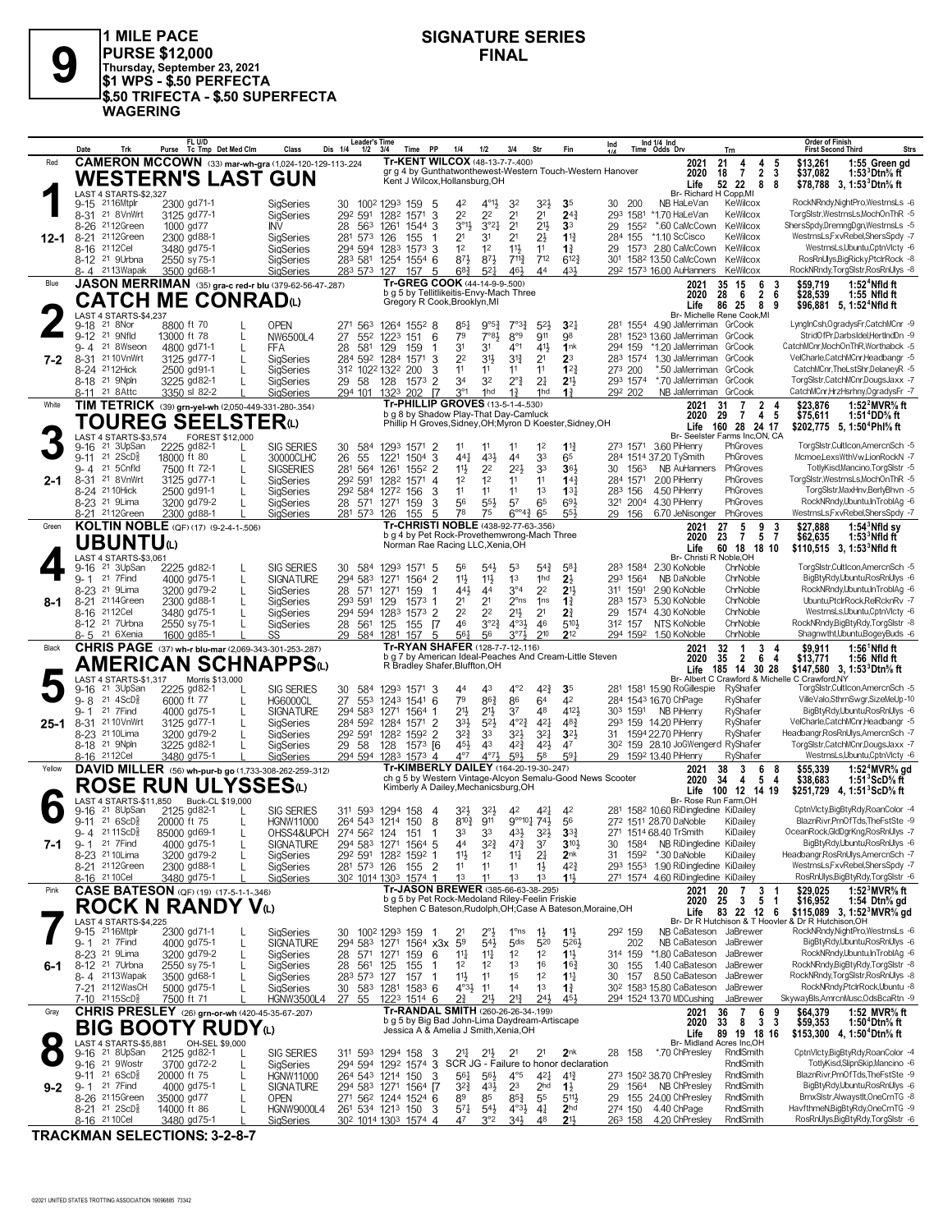

**PURSE \$12,000**<br>
Thursday, September 23, 2021<br> **\$1 WPS - \$.50 PERFECTA 1 MILE PACE \$1 WPS - \$.50 PERFECTA \$.50 TRIFECTA - \$.50 SUPERFECTA WAGERING**

# **SIGNATURE SERIES**

|         | Date             | Trk                                                    | FL U/D<br>Purse Tc Tmp Det Med Clm                                                 |                   | Class                                | Leader's Time<br>Dis 1/4<br>$1/2$ $3/4$                           | Time                                   | <b>PP</b>      | 1/4<br>1/2                                                                           | 3/4                                                       | Str                                                              | Fin                                                         | Ind                    | Ind 1/4 Ind<br>Time Odds Drv                                        | Trn                                                 |                         | Order of Finish<br><b>Strs</b><br><b>First Second Third</b>                                               |
|---------|------------------|--------------------------------------------------------|------------------------------------------------------------------------------------|-------------------|--------------------------------------|-------------------------------------------------------------------|----------------------------------------|----------------|--------------------------------------------------------------------------------------|-----------------------------------------------------------|------------------------------------------------------------------|-------------------------------------------------------------|------------------------|---------------------------------------------------------------------|-----------------------------------------------------|-------------------------|-----------------------------------------------------------------------------------------------------------|
| Red     |                  |                                                        | <b>CAMERON MCCOWN</b> (33) mar-wh-gra (1,024-120-129-113-.224                      |                   |                                      |                                                                   |                                        |                | Tr-KENT WILCOX (48-13-7-7-400)                                                       |                                                           |                                                                  |                                                             |                        | 2021                                                                | 21<br>4<br>4                                        | 5                       | \$13.261<br>1:55 Green gd                                                                                 |
|         |                  |                                                        | <b>WESTERN'S LAST GUN</b>                                                          |                   |                                      |                                                                   |                                        |                | Kent J Wilcox, Hollansburg, OH                                                       |                                                           |                                                                  | gr g 4 by Gunthatwonthewest-Western Touch-Western Hanover   |                        | 2020<br>Life                                                        | $\overline{7}$<br>$\overline{2}$<br>18<br>52 22     | 3<br>8<br>- 8           | 1:53 ${}^{3}$ Dtn ${}^{5}_{8}$ ft<br>\$37,082<br>\$78,788 3, 1:53 ${}^{3}$ Dtn ${}^{5}$ s ft              |
|         |                  | LAST 4 STARTS-\$2,327<br>9-15 2116Mtplr                | 2300 gd71-1                                                                        |                   |                                      |                                                                   |                                        |                |                                                                                      |                                                           |                                                                  |                                                             | - 200<br>30            | Br- Richard H Copp, MI<br>NB HaLeVan                                | KeWilcox                                            |                         | RockNRndy,NightPro,WestrnsLs -6                                                                           |
|         |                  | 8-31 21 8 Vn Wrt                                       | 3125 gd77-1                                                                        |                   | SigSeries<br>SigSeries               | 30<br>292 591                                                     | 100 <sup>2</sup> 1293 159<br>1282 1571 | 5<br>3         | 42<br>$4^{011}$<br>22<br>2 <sup>2</sup>                                              | 32<br>2 <sup>1</sup>                                      | 3 <sup>2</sup><br>2 <sup>1</sup>                                 | 35<br>$24\frac{3}{4}$                                       | 293 1581               | *1.70 HaLeVan                                                       | KeWilcox                                            |                         | TorgSlstr,WestrnsLs,MochOnThR -5                                                                          |
|         |                  | 8-26 2112Green                                         | 1000 gd77                                                                          |                   | INV                                  | 28<br>563 1261                                                    | 1544                                   | -3             | $3^{01}$<br>3°2 <sub>4</sub>                                                         | 2 <sup>1</sup>                                            | $21\frac{1}{2}$                                                  | 3 <sup>3</sup>                                              | 29<br>1552             | *.60 CaMcCown                                                       | KeWilcox                                            |                         | ShersSpdy,DremngDgn,WestrnsLs -5                                                                          |
| 12-1    |                  | 8-21 2112Green<br>8-16 2112Cel                         | 2300 gd88-1<br>3480 gd75-1                                                         |                   | SigSeries<br>SigSeries               | 281 573<br>294 594 1283 1573 3                                    | 126<br>155                             |                | 21<br>31<br>1 <sup>2</sup><br>1 <sup>2</sup>                                         | 2 <sup>1</sup><br>$11\frac{1}{2}$                         | $2\frac{1}{2}$<br>11                                             | $1\frac{13}{4}$<br>$1\frac{3}{4}$                           | 284 155<br>29          | *1.10 ScCisco<br>1573 2.80 CaMcCown                                 | KeWilcox<br>KeWilcox                                |                         | WestrnsLs,FxvRebel,ShersSpdy -7<br>WestrnsLs,Ubuntu,CptnVlcty -6                                          |
|         |                  | 8-12 <sup>21</sup> 9Urbna                              | 2550 sy 75-1                                                                       |                   | SigSeries                            | 283 581 1254 1554 6                                               |                                        |                | 873<br>$8^{7}\frac{1}{2}$                                                            | $7^{11}\frac{3}{4}$                                       | 712                                                              | $6^{12}\frac{3}{4}$                                         | 30 <sup>1</sup>        | 158 <sup>2</sup> 13.50 CaMcCown                                     | KeWilcox                                            |                         | RosRnUlys, BigRicky, PtclrRock -8                                                                         |
| Blue    | 8-4              | 2113Wapak                                              | 3500 gd68-1                                                                        |                   | SigSeries                            | 283 573                                                           | 127<br>157                             | 5              | $68\frac{3}{4}$<br>$5^{2}$<br>Tr-GREG COOK (44-14-9-9-.500)                          | 461                                                       | 44                                                               | 431                                                         |                        | 292 1573 16.00 AuHanners                                            | KeWilcox                                            |                         | RockNRndy,TorgSlstr,RosRnUlys -8<br>\$59.719<br>$1:524$ Nfld ft                                           |
|         |                  |                                                        | JASON MERRIMAN (35) gra-c red-r blu (379-62-56-47-287)<br><b>CATCH ME CONRAD</b> W |                   |                                      |                                                                   |                                        |                | b g 5 by Tellitlikeitis-Envy-Mach Three                                              |                                                           |                                                                  |                                                             |                        | 2021<br>2020                                                        | 35 15<br>6<br>- 6<br>$\overline{2}$<br>28           | 3<br>6                  | \$28,539<br>1:55 Nfld ft                                                                                  |
|         |                  | LAST 4 STARTS-\$4,237                                  |                                                                                    |                   |                                      |                                                                   |                                        |                | Gregory R Cook, Brooklyn, MI                                                         |                                                           |                                                                  |                                                             |                        | Life                                                                | 86 25<br>Br- Michelle Rene Cook, MI                 | 89                      | \$96,881 5, 1:52 <sup>4</sup> Nfld ft                                                                     |
|         |                  | 9-18 <sup>21</sup> 8Nor                                | 8800 ft 70                                                                         |                   | <b>OPEN</b>                          | 271<br>563                                                        | 1264 1552 8                            |                | 9°5 <sup>3</sup><br>$85\frac{1}{4}$                                                  | $7^{\circ}3_{4}^{3}$                                      | $5^{2}$                                                          | 3 <sup>2</sup>                                              |                        | 281 1554 4.90 JaMerriman GrCook                                     |                                                     |                         | LyngInCsh,OgradysFr,CatchMCnr -9                                                                          |
|         |                  | 9-12 <sup>21</sup> 9Nfld<br>9-4 21 8Wseon              | 13000 ft 78<br>4800 gd71-1                                                         | L<br>$\mathbf{I}$ | NW6500L4                             | 27<br>28<br>581                                                   | 552 1223 151<br>129<br>159             | 6<br>1         | 7°81<br>79<br>31<br>31                                                               | 8°9<br>$4^{\circ}1$                                       | 911<br>41}                                                       | 98<br>1nk                                                   | 294 159                | 281 1523 13.60 JaMerriman<br>*1.20 JaMerriman                       | GrCook<br>GrCook                                    |                         | StridOfPr,DarbsIdel,HertIndDn -9<br>CatchMCnr,MochOnThR,Worthabck -5                                      |
| 7-2     |                  | 8-31 21 10 Vn Wrt                                      | 3125 gd77-1                                                                        |                   | FFA<br>SigSeries                     | 284 592 1284 1571                                                 |                                        | 3              | 22<br>31}                                                                            | $3^{12}$                                                  | 2 <sup>1</sup>                                                   | $2^3$                                                       |                        | 283 1574 1.30 JaMerriman                                            | GrCook                                              |                         | VelCharle,CatchMCnr,Headbangr -5                                                                          |
|         |                  | 8-24 2112Hick                                          | 2500 gd91-1                                                                        |                   | SigSeries                            | 312 1022 1322 200                                                 |                                        | 3              | 11<br>11                                                                             | 11                                                        | 11                                                               | $1^{2}$                                                     | 273 200<br>293 1574    | *.50 JaMerriman                                                     | GrCook<br>GrCook                                    |                         | CatchMCnr, TheLstShr, DelaneyR -5                                                                         |
|         | 8-11             | 8-18 <sup>21</sup> 9Npln<br>21 8 Attc                  | 3225 gd82-1<br>3350 sl 82-2                                                        |                   | SigSeries<br>SigSeries               | 29 58<br>294 101                                                  | 128<br>202<br>1323                     | 1573 2<br>- 17 | 32<br>34<br>3 <sup>°1</sup><br>1hd                                                   | $2^{\circ}$ $\frac{3}{4}$<br>$1\frac{3}{4}$               | 2 <sup>1</sup><br>1hd                                            | 2 <sup>1</sup><br>1 <sup>3</sup>                            | 292 202                | *.70 JaMerriman<br>NB JaMerriman                                    | GrCook                                              |                         | TorgSlstr,CatchMCnr,DougsJaxx -7<br>CatchMCnr,HrzHsrhny,OgradysFr -7                                      |
| White   |                  |                                                        | TIM TETRICK (39) grn-yel-wh (2,050-449-331-280-.354)                               |                   |                                      |                                                                   |                                        |                | Tr-PHILLIP GROVES (13-5-1-4-.530)                                                    |                                                           |                                                                  |                                                             |                        | 2021                                                                | $\overline{7}$<br>31                                | 2 4                     | 1:52 $^2$ MVR $\%$ ft<br>\$23,876                                                                         |
|         |                  |                                                        | <b>TOUREG SEELSTER</b> ω                                                           |                   |                                      |                                                                   |                                        |                | b g 8 by Shadow Play-That Day-Camluck                                                |                                                           |                                                                  | Phillip H Groves, Sidney, OH; Myron D Koester, Sidney, OH   |                        | 2020<br>Life                                                        | 29<br>$\overline{7}$<br>160 28 24 17                | 45                      | 1:51 <sup>4</sup> DD% ft<br>\$75,611<br>\$202,775 5, 1:50 <sup>4</sup> Phl <sup>5</sup> / <sub>8</sub> ft |
|         |                  | LAST 4 STARTS-\$3.574                                  |                                                                                    | FOREST \$12,000   |                                      |                                                                   |                                        |                |                                                                                      |                                                           |                                                                  |                                                             |                        |                                                                     | Br- Seelster Farms Inc.ON. CA                       |                         |                                                                                                           |
|         | 9-16<br>$9 - 11$ | 21 3UpSan<br>$21 \, 2$ ScD $\frac{5}{8}$               | 2225 gd82-1<br>18000 ft 80                                                         |                   | <b>SIG SERIES</b><br>30000CLHC       | 584<br>30<br>26<br>55                                             | 1293 1571 2<br>1221 1504               | 3              | 11<br>11<br>431<br>$44\frac{1}{4}$                                                   | 11<br>44                                                  | 1 <sup>2</sup><br>33                                             | $1^{13}$<br>65                                              |                        | 273 1571 3.60 PiHenry<br>284 1514 37.20 TySmith                     | PhGroves<br>PhGroves                                |                         | TorgSlstr,CultIcon,AmercnSch -5<br>Mcmoe,LexsWthVw,LionRockN -7                                           |
|         |                  | 9-4 21 5Cnfld                                          | 7500 ft 72-1                                                                       | L                 | <b>SIGSERIES</b>                     | 281<br>564 1261                                                   |                                        | $155^2$ 2      | 11}<br>2 <sup>2</sup>                                                                | $2^{21}$                                                  | 3 <sup>3</sup>                                                   | 36}                                                         | 30<br>1563             | NB AuHanners                                                        | PhGroves                                            |                         | TotlvKisd.Mancino.TorgSlstr -5                                                                            |
| 2-1     |                  | 8-31 <sup>21</sup> 8 Vn Wrt<br>8-24 21 10 Hick         | 3125 gd77-1<br>2500 gd91-1                                                         |                   | SigSeries<br>SigSeries               | 292 591 1282 1571<br>292 584 1272 156                             |                                        | 4<br>3         | 1 <sup>2</sup><br>1 <sup>2</sup><br>11<br>11                                         | 11<br>11                                                  | 11<br>1 <sup>3</sup>                                             | 14 <sup>3</sup><br>$13\frac{1}{4}$                          | 284 1571<br>283 156    | 2.00 PiHenry<br>4.50 PiHenry                                        | PhGroves<br>PhGroves                                |                         | TorgSlstr,WestrnsLs,MochOnThR -5<br>TorgSlstr, MaxHnv, BerlyBhvn -5                                       |
|         |                  | 8-23 <sup>21</sup> 9Lima                               | 3200 gd79-2                                                                        |                   | SigSeries                            | 28 571 1271 159                                                   |                                        | 3              | 56<br>$55\frac{1}{2}$                                                                | 57                                                        | 65                                                               | 693                                                         | 321 2004               | 4.30 PiHenry                                                        | PhGroves                                            |                         | RockNRndy,Ubuntu,InTroblAg -6                                                                             |
|         |                  | 8-21 2112Green                                         | 2300 gd88-1                                                                        |                   | SigSeries                            | 281 573                                                           | 126<br>155                             | 5              | 78<br>75                                                                             | $6^{\circ 4}$                                             | 65                                                               | 554                                                         | 29 156                 | 6.70 JeNisonger                                                     | PhGroves                                            |                         | WestrnsLs,FxvRebel,ShersSpdy -7                                                                           |
| Green   |                  |                                                        | KOLTIN NOBLE (QF) (17) (9-2-4-1-.506)                                              |                   |                                      |                                                                   |                                        |                | Tr-CHRISTI NOBLE (438-92-77-63-.356)<br>b g 4 by Pet Rock-Provethemwrong-Mach Three  |                                                           |                                                                  |                                                             |                        | 2021<br>2020                                                        | 27<br>5<br>9<br>23<br>$\overline{7}$<br>5           | $\overline{7}$          | $1:543$ Nfld sy<br>\$27,888<br>\$62,635<br>$1:533$ Nfld ft                                                |
|         |                  | UBUNTUധ                                                |                                                                                    |                   |                                      |                                                                   |                                        |                | Norman Rae Racing LLC, Xenia, OH                                                     |                                                           |                                                                  |                                                             |                        | Life                                                                | 60 18 18 10                                         |                         | \$110,515 3, 1:53 <sup>3</sup> Nfld ft                                                                    |
|         |                  | LAST 4 STARTS-\$3,061<br>9-16 <sup>21</sup> 3UpSan     | 2225 gd82-1                                                                        |                   | <b>SIG SERIES</b>                    | 30<br>584                                                         | 1293 1571 5                            |                | 56<br>54}                                                                            | 53                                                        | $5^{4}$                                                          | 581                                                         | 283 1584               | Br- Christi R Noble, OH<br>2.30 KoNoble                             | ChrNoble                                            |                         | TorgSlstr,CultIcon,AmercnSch -5                                                                           |
|         | $9 - 1$          | 21 7Find                                               | 4000 gd75-1                                                                        | L                 | <b>SIGNATURE</b>                     | 294 583                                                           | 1271 1564 2                            |                | 11}<br>$11\frac{1}{2}$                                                               | 1 <sup>3</sup>                                            | 1hd                                                              | 2 <sup>1</sup>                                              | 293 1564               | NB DaNoble                                                          | ChrNoble<br>ChrNoble                                |                         | BigBtyRdy,Ubuntu,RosRnUlys -6<br>RockNRndy,Ubuntu,InTroblAg -6                                            |
| 8-1     | 8-21             | 8-23 <sup>21</sup> 9 Lima<br>2114Green                 | 3200 gd79-2<br>2300 gd88-1                                                         | L                 | SigSeries<br>SigSeries               | 28 571 1271<br>293 591 129                                        | 159                                    | $1573$ 1       | 443<br>44<br>21<br>2 <sup>1</sup>                                                    | $3^{\circ 4}$<br>$2^{\circ}$ ns                           | 2 <sup>2</sup><br>1 <sub>ns</sub>                                | 2 <sup>11</sup><br>$1\frac{3}{4}$                           | 311 1591               | 2.90 KoNoble<br>283 1573 5.30 KoNoble                               | ChrNoble                                            |                         | Ubuntu,PtclrRock,RelRcknRv -7                                                                             |
|         |                  | 8-16 2112Cel                                           | 3480 gd75-1                                                                        |                   | SigSeries                            | 294 594 1283 1573 2                                               |                                        |                | 2 <sup>2</sup><br>2 <sup>2</sup>                                                     | $2^{11}$                                                  | 2 <sup>1</sup>                                                   | 21                                                          | 29                     | 1574 4.30 KoNoble                                                   | ChrNoble                                            |                         | WestrnsLs,Ubuntu,CptnVlcty -6                                                                             |
|         |                  | 8-12 <sup>21</sup> 7Urbna<br>8-5 21 6Xenia             | 2550 sy 75-1                                                                       |                   | SigSeries                            | 28 561 125                                                        | 155                                    | - 17           | 46<br>$3^{°2}\frac{3}{4}$                                                            | $4^{\circ}3\frac{1}{2}$                                   | 46                                                               | 510}                                                        | 312 157                | NTS KoNoble                                                         | ChrNoble                                            |                         | RockNRndy,BigBtyRdy,TorgSlstr -8                                                                          |
|         |                  |                                                        |                                                                                    |                   |                                      |                                                                   |                                        |                |                                                                                      |                                                           | 210                                                              |                                                             |                        |                                                                     |                                                     |                         |                                                                                                           |
| Black   |                  |                                                        | 1600 gd85-1                                                                        |                   | SS                                   | 29 584 1281                                                       | 157                                    | 5              | 561<br>56<br>Tr-RYAN SHAFER (128-7-7-12-116)                                         | $3^{07}$                                                  |                                                                  | 212                                                         |                        | 294 1592 1.50 KoNoble<br>2021                                       | ChrNoble<br>32<br>$\overline{1}$                    | 3                       | Shagnwtht,Ubuntu,BogeyBuds -6<br>\$9,911<br>$1:56^{\circ}$ Nfld ft                                        |
|         |                  |                                                        | <b>CHRIS PAGE</b> (37) wh-r blu-mar (2,069-343-301-253-.287)                       |                   |                                      |                                                                   |                                        |                | R Bradley Shafer, Bluffton, OH                                                       |                                                           |                                                                  | b g 7 by American Ideal-Peaches And Cream-Little Steven     |                        | 2020                                                                | 35<br>$\overline{2}$<br>6                           | -4                      | 1:56 Nfld ft<br>\$13,771                                                                                  |
|         |                  | LAST 4 STARTS-\$1,317                                  | AMERICAN SCHNAPPSധ                                                                 | Morris \$13,000   |                                      |                                                                   |                                        |                |                                                                                      |                                                           |                                                                  |                                                             |                        | Life                                                                | 185 14 30 28                                        |                         | \$147,580 3, 1:53 Dtn % ft<br>Br- Albert C Crawford & Michelle C Crawford, NY                             |
|         | 9-16<br>$9 - 8$  | 21 3UpSan<br>$21 \text{ } 4\text{ScD}^5_8$             | 2225 gd82-1<br>6000 ft 77                                                          | L                 | <b>SIG SERIES</b><br><b>HG6000CL</b> | 30<br>584<br>553                                                  | 1293 1571 3<br>1243 1541               | 6              | 43<br>44<br>79<br>863                                                                | $4^{\circ}2$<br>86                                        | $4^{2}\frac{3}{4}$<br>64                                         | 35<br>42                                                    |                        | 281 1581 15.90 RoGillespie<br>284 1543 16.70 ChPage                 | RyShafer<br>RyShafer                                |                         | TorgSlstr,CultIcon,AmercnSch -5<br>VilleValo,SthrnSwgr,SizeMeUp-10                                        |
|         | $9 - 1$          | 21 7Find                                               | 4000 gd75-1                                                                        |                   | <b>SIGNATURE</b>                     | 27<br>294 583 1271 1564 1                                         |                                        |                | 21}<br>$21\frac{1}{2}$                                                               | 37                                                        | 48                                                               | 4121                                                        | 303 1591               | NB PiHenry                                                          | RyShafer                                            |                         | BigBtyRdy,Ubuntu,RosRnUlys -6                                                                             |
| 25-1    |                  | 8-31 21 10 Vn Wrt                                      | 3125 gd77-1                                                                        |                   | SigSeries                            | 284 592 1284 1571                                                 |                                        | $\overline{2}$ | 33}<br>$5^{2}$                                                                       | $4^{\circ}2^{\frac{3}{4}}$                                | $4^{2}$                                                          | $48\frac{3}{4}$                                             |                        | 293 159 14.20 PiHenry                                               | RyShafer                                            |                         | VelCharle,CatchMCnr,Headbangr -5<br>Headbangr.RosRnUlys.AmercnSch -7                                      |
|         |                  | 8-23 <sup>21</sup> 10 Lima<br>8-18 <sup>21</sup> 9Npln | 3200 gd79-2<br>3225 gd82-1                                                         |                   | SigSeries<br>SigSeries               | 292 591<br>29 58                                                  | 1282 1592 2<br>128 1573 [6             |                | $3^{2}\frac{3}{4}$<br>33<br>43<br>451                                                | 32}<br>42}                                                | $3^{2}$<br>$4^{21}$                                              | 3 <sup>2</sup><br>47                                        | 31                     | 1594 22.70 PiHenry<br>30 <sup>2</sup> 159 28.10 JoGWengerd RyShafer | RyShafer                                            |                         | TorgSlstr,CatchMCnr,DougsJaxx -7                                                                          |
|         |                  | 8-16 2112Cel                                           | 3480 gd75-1                                                                        |                   | SigSeries                            | 294 594 1283 1573 4                                               |                                        |                | $4^{\circ}7$<br>$4^{\circ}7\frac{1}{2}$                                              | 593                                                       | 58                                                               | 591                                                         |                        | 29 1592 13.40 PiHenry                                               | RyShafer                                            |                         | WestrnsLs,Ubuntu,CptnVlcty -6                                                                             |
| Yellow  |                  |                                                        | DAVID MILLER (56) wh-pur-b go (1,733-308-262-259-.312)                             |                   |                                      |                                                                   |                                        |                | Tr-KIMBERLY DAILEY (164-20-19-30-247)                                                |                                                           |                                                                  | ch g 5 by Western Vintage-Alcyon Semalu-Good News Scooter   |                        | 2021<br>2020                                                        | 3<br>38<br>6<br>5<br>34<br>4                        | -8<br>4                 | \$55,339<br>1:52 <sup>4</sup> MVR <sup>5</sup> / <sub>8</sub> gd<br>\$38,683<br>1:51 $3$ ScD $\%$ ft      |
|         |                  |                                                        | ROSE RUN ULYSSESധ                                                                  |                   |                                      |                                                                   |                                        |                | Kimberly A Dailey, Mechanicsburg, OH                                                 |                                                           |                                                                  |                                                             |                        | Life                                                                | 100 12 14 19                                        |                         | \$251,729 4, 1:51 ScD % ft                                                                                |
|         | 9-16             | 21 8UpSan                                              | LAST 4 STARTS-\$11,850 Buck-CL \$19,000<br>2125 gd82-1                             |                   | <b>SIG SERIES</b>                    | 311 593 1294 158                                                  |                                        | -4             | 32)<br>$32\frac{1}{2}$                                                               | 42                                                        | 421                                                              | 42                                                          |                        | 281 1582 10.60 RiDingledine KiDailey                                | Br- Rose Run Farm, OH                               |                         | CptnVlcty,BigBtyRdy,RoanColor -4                                                                          |
|         |                  | $9-11$ 21 6ScD <sup>5</sup>                            | 20000 ft 75                                                                        |                   | <b>HGNW11000</b>                     | 264 543 1214 150                                                  |                                        | 8              | $8^{10\frac{3}{2}}$<br>911                                                           |                                                           | 9°°10 <sup>1</sup> / <sub>4</sub> 74 <sup>1</sup> / <sub>2</sub> | 56                                                          |                        | 272 1511 28.70 DaNoble                                              | KiDailey                                            |                         | BlaznRivr,PrnOfTds,TheFstSte -9                                                                           |
| 7-1     |                  | 9-4 2111ScD∛<br>9-1 21 7Find                           | 85000 gd69-1<br>4000 gd75-1                                                        | L<br>L            | OHSS4&UPCH<br><b>SIGNATURE</b>       | $2/4$ 56 <sup>2</sup> 124<br>294 583 1271 1564 5                  | -151                                   |                | 44<br>$3^{2}\frac{3}{4}$                                                             | $4^{7}\frac{3}{4}$                                        | 3 <sub>2</sub><br>3 <sup>7</sup>                                 | 331<br>$3^{10}\frac{1}{2}$                                  | 30<br>1584             | 271 1514 68.40 IrSmith<br>NB RiDingledine KiDailey                  | KiDailey                                            |                         | OceanRock, GldDgrKng, RosRnUlys -7<br>BigBtyRdy,Ubuntu,RosRnUlys -6                                       |
|         |                  | 8-23 <sup>21</sup> 10 Lima                             | 3200 gd79-2                                                                        | L                 | SigSeries                            | 292 591 1282 1592 1                                               |                                        |                | 11<br>1 <sup>2</sup>                                                                 | $11\frac{1}{4}$                                           | $2\frac{1}{4}$                                                   | 2 <sub>nk</sub>                                             | 31<br>1592             | *.30 DaNoble                                                        | KiDailey                                            |                         | Headbangr, Ros RnUlys, Amercn Sch -7                                                                      |
|         |                  | 8-21 2112Green<br>8-16 2110 Cel                        | 2300 gd88-1<br>3480 gd75-1                                                         |                   | SigSeries<br>SigSeries               | 281 573 126 155 2<br>30 <sup>2</sup> 1014 130 <sup>3</sup> 1574 1 |                                        |                | 11<br>11<br>1 <sup>3</sup><br>11                                                     | 11<br>1 <sup>3</sup>                                      | $1\frac{1}{2}$<br>1 <sup>3</sup>                                 | 42}<br>11                                                   | 293 1553               | 1.90 RiDingledine KiDailey<br>271 1574 4.60 RiDingledine KiDailey   |                                                     |                         | WestrnsLs,FxvRebel,ShersSpdy -7<br>RosRnUlys, Big BtyRdy, TorgSIstr -6                                    |
| Pink    |                  |                                                        | <b>CASE BATESON</b> (QF) (19) (17-5-1-1-346)                                       |                   |                                      |                                                                   |                                        |                | Tr-JASON BREWER (385-66-63-38-.295)                                                  |                                                           |                                                                  |                                                             |                        | 2021                                                                | $\overline{7}$<br>20                                | 3                       | 1:52 $3$ MVR $\%$ ft<br>\$29,025                                                                          |
|         |                  |                                                        | ROCK N RANDY Vധ                                                                    |                   |                                      |                                                                   |                                        |                | b g 5 by Pet Rock-Medoland Riley-Feelin Friskie                                      |                                                           |                                                                  | Stephen C Bateson, Rudolph, OH; Case A Bateson, Moraine, OH |                        | 2020<br>Life                                                        | $\mathbf{3}$<br>$5\phantom{.0}$<br>25<br>83 22 12 6 | $\overline{\mathbf{1}}$ | \$16,952<br>1:54 Dtn <sup>5</sup> / <sub>8</sub> gd                                                       |
|         |                  | LAST 4 STARTS-\$4,225                                  |                                                                                    |                   |                                      |                                                                   |                                        |                |                                                                                      |                                                           |                                                                  |                                                             |                        |                                                                     |                                                     |                         | \$115,089 3, 1:52 $^{\circ}$ MVR $\%$ gd<br>Br- Dr R Hutchison & T Hoovler & Dr R Hutchison, OH           |
|         | $9 - 1$          | 9-15 2116Mtplr<br>21 7 Find                            | 2300 gd71-1<br>4000 gd75-1                                                         | L                 | SigSeries<br><b>SIGNATURE</b>        | 30 100 <sup>2</sup> 129 <sup>3</sup> 159<br>294 583 1271 1564 x3x |                                        | - 1            | 2°1<br>21<br>5 <sup>9</sup><br>54}                                                   | 1°ns<br>5 <sub>dis</sub>                                  | $1\frac{1}{2}$<br>520                                            | $1\frac{11}{2}$<br>5263                                     | 292 159<br>202         | NB CaBateson JaBrewer<br>NB CaBateson                               | JaBrewer                                            |                         | RockNRndyNightPro,WestrnsLs -6<br>BigBtyRdy,Ubuntu,RosRnUlys -6                                           |
|         |                  | 8-23 <sup>21</sup> 9 Lima                              | 3200 gd79-2                                                                        | L                 | SigSeries                            | 28 571 1271                                                       | 159                                    | 6              | $11\frac{1}{4}$<br>$11\frac{1}{4}$                                                   | 1 <sup>2</sup>                                            | 1 <sup>2</sup>                                                   | $1\frac{11}{2}$                                             | 314 159                | *1.80 CaBateson                                                     | JaBrewer                                            |                         | RockNRndy,Ubuntu,InTroblAg -6                                                                             |
| 6-1     |                  | 8-12 <sup>21</sup> 7Urbna<br>8-4 2113Wapak             | 2550 sy 75-1<br>3500 gd68-1                                                        |                   | SigSeries<br>SigSeries               | 28 561 125<br>283 573 127                                         | 155<br>157                             | -1<br>-1       | 1 <sup>2</sup><br>1 <sup>2</sup><br>11号<br>11                                        | 1 <sup>3</sup><br>1 <sup>5</sup>                          | 16<br>1 <sup>2</sup>                                             | $16\frac{3}{4}$<br>$1^{11}$                                 | 30<br>155<br>30<br>157 | 1.40 CaBateson<br>8.50 CaBateson                                    | JaBrewer<br>JaBrewer                                |                         | RockNRndy,BigBtyRdy,TorgSlstr -8<br>RockNRndy,TorgSlstr,RosRnUlys -8                                      |
|         |                  | 7-21 2112WasCH                                         | 5000 gd75-1                                                                        |                   | SigSeries                            | 30 583 1281 1583 6                                                |                                        |                | $4^{\circ}3\frac{1}{2}$<br>11                                                        | 14                                                        | 1 <sup>3</sup>                                                   | $1\frac{3}{4}$                                              |                        | 30 <sup>2</sup> 158 <sup>3</sup> 15.80 CaBateson                    | JaBrewer                                            |                         | RockNRndy,PtclrRock,Ubuntu -8                                                                             |
|         |                  | 7-10 2115ScD <sup>5</sup>                              | 7500 ft 71                                                                         |                   | <b>HGNW3500L4</b>                    | 27<br>55                                                          | 1223 1514 6                            |                | $2^{3}_{4}$<br>$21\frac{1}{2}$                                                       | $2^{13}$                                                  | 24}                                                              | 451                                                         |                        | 294 1524 13.70 MDCushing                                            | JaBrewer                                            |                         | SkywayBls,AmrcnMusc,OdsBcaRtn -9                                                                          |
| Gray    |                  |                                                        | CHRIS PRESLEY (26) grn-or-wh (420-45-35-67-207)                                    |                   |                                      |                                                                   |                                        |                | Tr-RANDAL SMITH (260-26-26-34-.199)<br>b q 5 by Big Bad John-Lima Daydream-Artiscape |                                                           |                                                                  |                                                             |                        | 2021<br>2020                                                        | 7<br>6<br>36<br>8<br>3<br>33                        | -3                      | 1:52 MVR% ft<br>\$64,379<br>\$59,353<br>1:50 <sup>4</sup> Dtn <sup>5</sup> / <sub>8</sub> ft              |
|         |                  |                                                        | <b>BIG BOOTY RUDY</b>                                                              |                   |                                      |                                                                   |                                        |                | Jessica A & Amelia J Smith, Xenia, OH                                                |                                                           |                                                                  |                                                             |                        | Life                                                                | 89 19 18 16                                         |                         | \$153,300 4, 1:50 <sup>4</sup> Dtn <sup>5</sup> / <sub>8</sub> ft                                         |
|         |                  | LAST 4 STARTS-\$5,881<br>9-16 <sup>21</sup> 8UpSan     | 2125 gd82-1                                                                        | OH-SEL \$9,000    | <b>SIG SERIES</b>                    | 311 593 1294 158                                                  |                                        | -3             | 211<br>$21\frac{1}{2}$                                                               | 2 <sup>1</sup>                                            | 2 <sup>1</sup>                                                   | 2 <sub>nk</sub>                                             | 28 158                 | *.70 ChPresley                                                      | Br- Midland Acres Inc,OH<br>RndlSmith               |                         | CptnVlcty,BigBtyRdy,RoanColor -4                                                                          |
|         |                  | 9-16 <sup>21</sup> 9Wostn                              | 3700 gd72-2                                                                        |                   | SigSeries                            | 294 594 1292 1574 3                                               |                                        |                | SCR JG - Failure to honor                                                            |                                                           |                                                                  | declaration                                                 |                        |                                                                     | RndlSmith                                           |                         | TotlyKisd,SlipnSkip,Mancino -6<br>BlaznRivr,PrnOfTds,TheFstSte -9                                         |
| $9 - 2$ |                  | $9-11$ 21 6ScD <sup>5</sup><br>9-1 21 7Find            | 20000 ft 75<br>4000 gd75-1                                                         |                   | <b>HGNW11000</b><br><b>SIGNATURE</b> | 264 543 1214 150<br>294 583 1271 1564 [7                          |                                        | 3              | $56\frac{1}{4}$<br>$56\frac{1}{2}$<br>$3^{2}\frac{3}{4}$<br>$43\frac{1}{2}$          | $4^{\circ}5$<br>23                                        | 421<br>2 <sub>hd</sub>                                           | 41}<br>$1\frac{1}{2}$                                       | 29                     | 273 1502 38.70 ChPresley<br>1564 NB ChPresley                       | RndlSmith<br>RndlSmith                              |                         | BigBtyRdy,Ubuntu,RosRnUlys -6                                                                             |
|         |                  | 8-26 2115Green<br>8-21 <sup>21</sup> 2ScD <sup>3</sup> | 35000 gd77<br>14000 ft 86                                                          |                   | <b>OPEN</b><br>HGNW9000L4            | 271 562 1244 1524 6<br>261 534 1213 150 3                         |                                        |                | 89<br>85<br>$5^{71}$<br>$5^{4}\frac{1}{2}$                                           | $85\frac{3}{4}$<br>$4^{\circ}3\frac{1}{2}$ $4\frac{1}{4}$ | 55                                                               | $5^{11}$<br>2 <sub>hd</sub>                                 | 29<br>274 150          | 155 24.00 ChPresley<br>4.40 ChPage                                  | RndlSmith<br>RndlSmith                              |                         | BrnxSlstr,Alwaystlt,OneCrnTG -8<br>HavfthmeN,BigBtyRdy,OneCrnTG -9                                        |

#### **TRACKMAN SELECTIONS: 3-2-8-7**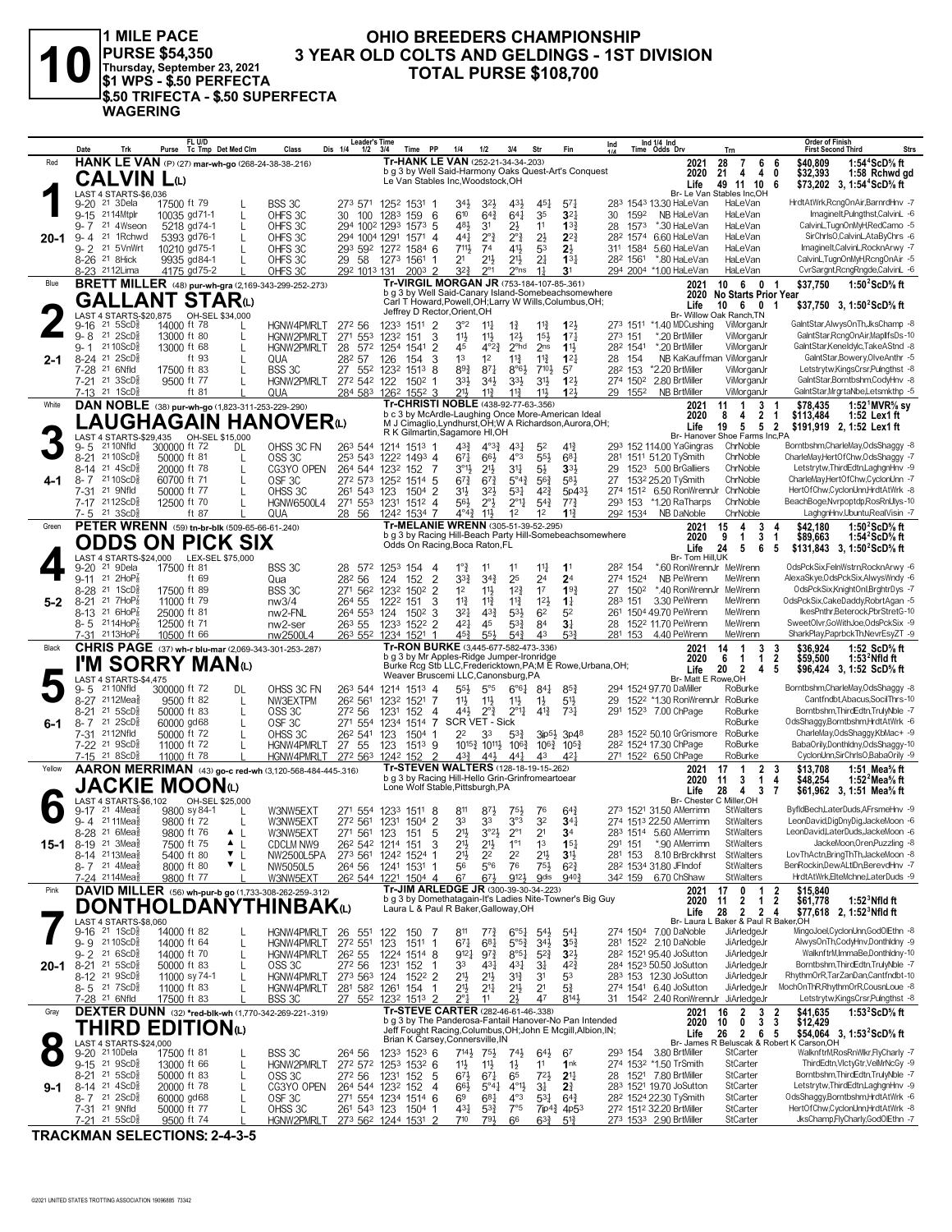

1 MILE PACE<br>PURSE \$54,350<br>Thursday, September 23, 2021<br>\$1 WPS - \$.50 PERFECTA \$.50 TRIFECTA - \$.50 SUPERFECTA **WAGERING** 

#### OHIO BREEDERS CHAMPIONSHIP 3 YEAR OLD COLTS AND GELDINGS - 1ST DIVISION **TOTAL PURSE \$108,700**

|         | Date                                                        | Trk                                                   | FL U/D<br>Purse Tc Tmp Det Med Clm                                | Class<br>Dis 1/4                                                | <b>Leader's Time</b><br>$1/2$ $3/4$ | Time PP                                                         | 1/4                                                                                                      | 1/2                                                                                                | 3/4                                        | Str                                        | Fin                                                               | Ind                           |                      | Ind 1/4 Ind<br>Time Odds Drv                                   | Trn                                          |                                                | <b>Order of Finish</b><br><b>First Second Third</b>                                   | <b>Strs</b>                                |
|---------|-------------------------------------------------------------|-------------------------------------------------------|-------------------------------------------------------------------|-----------------------------------------------------------------|-------------------------------------|-----------------------------------------------------------------|----------------------------------------------------------------------------------------------------------|----------------------------------------------------------------------------------------------------|--------------------------------------------|--------------------------------------------|-------------------------------------------------------------------|-------------------------------|----------------------|----------------------------------------------------------------|----------------------------------------------|------------------------------------------------|---------------------------------------------------------------------------------------|--------------------------------------------|
| Red     |                                                             |                                                       | HANK LE VAN (P) (27) mar-wh-go (268-24-38-38-216)                 |                                                                 |                                     |                                                                 | Tr-HANK LE VAN (252-21-34-34-.203)<br>b g 3 by Well Said-Harmony Oaks Quest-Art's Conquest               |                                                                                                    |                                            |                                            |                                                                   |                               |                      | 2021<br>2020                                                   | 28<br>$\overline{7}$<br>-4<br>21             | 6<br>6<br>4<br>0                               | \$40,809<br>\$32,393                                                                  | 1:54 <sup>4</sup> ScD% ft<br>1:58 Rchwd gd |
|         |                                                             | CALVIN Lω                                             |                                                                   |                                                                 |                                     |                                                                 | Le Van Stables Inc, Woodstock, OH                                                                        |                                                                                                    |                                            |                                            |                                                                   |                               |                      | Life                                                           | 49 11 10                                     | -6                                             | \$73,202 3, 1:54 <sup>4</sup> ScD% ft                                                 |                                            |
|         | 9-20 <sup>21</sup> 3Dela                                    | LAST 4 STARTS-\$6,036                                 | 17500 ft 79                                                       | BSS 3C                                                          |                                     | 273 571 1252 1531 1                                             | 34}                                                                                                      | 32}                                                                                                | 431                                        | 451                                        | $57\frac{1}{4}$                                                   |                               |                      | 283 1543 13.30 HaLeVan                                         | Br- Le Van Stables Inc.OH<br>HaLeVan         |                                                | HrdtAtWrk,RcngOnAir,BarnrdHnv -7                                                      |                                            |
|         | 9-15 2114Mtplr                                              |                                                       | 10035 gd71-1                                                      | OHFS 3C<br>30                                                   | 100 1283                            | 159                                                             | 610<br>- 6                                                                                               | $64\frac{3}{4}$                                                                                    | $64\frac{1}{4}$                            | 35                                         | 3 <sup>2</sup>                                                    | 30                            | 1592                 | NB HaLeVan                                                     | HaLeVan                                      |                                                | ImagineIt,Pulngthst,CalvinL -6                                                        |                                            |
|         | 9- 7                                                        | 21 4Wseon                                             | 5218 gd74-1<br>L                                                  | OHFS 3C                                                         | 294 1002 1293                       | $157^3$ 5                                                       | 481                                                                                                      | 31                                                                                                 | 2}                                         | 11                                         | 13 <sub>1</sub>                                                   | 28                            | 1573                 | *.30 HaLeVan                                                   | HaLeVan                                      |                                                | CalvinL,TugnOnMyH,RedCamo -5                                                          |                                            |
| 20-1    | $9 - 4$<br>$9 - 2$                                          | 21 1Rchwd<br>21 5VnWrt                                | 5393 gd76-1<br>10210 gd75-1                                       | OHFS 3C<br>OHFS 3C                                              |                                     | 294 1004 1291 1571 4<br>293 592 1272 1584 6                     | 441<br>711,                                                                                              | $2^{\circ}$<br>74                                                                                  | $2^{\circ}$<br>41}                         | $2\frac{1}{2}$<br>53                       | $2^{2}$<br>$2\frac{1}{2}$                                         |                               | 282 1574<br>311 1584 | 6.60 HaLeVan<br>5.60 HaLeVan                                   | HaLeVan<br>HaLeVan                           |                                                | SirChrlsO,CalvinL,AtaByChrs -6<br>ImagineIt,CalvinL,RocknArwy -7                      |                                            |
|         | 8-26 <sup>21</sup> 8Hick                                    |                                                       | 9935 gd84-1                                                       | OHFS 3C<br>29 58                                                |                                     | 1273 1561                                                       | 2 <sup>1</sup>                                                                                           | $21\frac{1}{2}$                                                                                    | $21\frac{1}{2}$                            | 2 <sup>1</sup>                             | $13\frac{1}{4}$                                                   |                               | 282 1561             | *.80 HaLeVan                                                   | HaLeVan                                      |                                                | CalvinL,TugnOnMyH,RcngOnAir -5                                                        |                                            |
|         | 8-23 2112Lima                                               |                                                       | 4175 gd75-2                                                       | OHFS3C                                                          | 292 1013 131                        | $200^3$ 2                                                       | 3 <sup>2</sup>                                                                                           | $2^{\circ}1$                                                                                       | $2^{\circ}$ ns                             | 1 <sup>1</sup>                             | 3 <sup>1</sup>                                                    |                               |                      | 294 2004 *1.00 HaLeVan                                         | HaLeVan                                      |                                                | CvrSargnt, RcngRngde, CalvinL -6                                                      |                                            |
| Blue    |                                                             |                                                       | <b>BRETT MILLER</b> (48) pur-wh-gra (2,169-343-299-252-.273)      |                                                                 |                                     |                                                                 | Tr-VIRGIL MORGAN JR (753-184-107-85-.361)<br>b g 3 by Well Said-Canary Island-Somebeachsomewhere         |                                                                                                    |                                            |                                            |                                                                   |                               |                      | 2021<br>2020                                                   | 10 6<br><b>No Starts Prior Year</b>          | 0<br>$\blacksquare$                            | \$37.750                                                                              | 1:50 $2$ ScD $\%$ ft                       |
|         |                                                             |                                                       | <b>GALLANT STAR</b> W                                             |                                                                 |                                     |                                                                 | Carl T Howard, Powell, OH; Larry W Wills, Columbus, OH;<br>Jeffrey D Rector, Orient, OH                  |                                                                                                    |                                            |                                            |                                                                   |                               |                      | Life                                                           | $10 \t6 \t0$                                 | $\overline{\mathbf{1}}$                        | \$37,750 3, 1:50 <sup>2</sup> ScD% ft                                                 |                                            |
|         | $9 - 16$                                                    | LAST 4 STARTS-\$20,875<br>$21 \, 5$ ScD $\frac{3}{2}$ | OH-SEL \$34,000<br>14000 ft 78                                    | HGNW4PMRLT<br>272 56                                            |                                     | 1233 1511 2                                                     | 3°2                                                                                                      | $11\frac{1}{4}$                                                                                    | $1\frac{3}{4}$                             | $11\frac{3}{4}$                            | $1^{2}$                                                           |                               |                      | 273 1511 *1.40 MDCushing                                       | Br- Willow Oak Ranch, TN<br>ViMorganJr       |                                                | GaintStar,AlwysOnTh,JksChamp -8                                                       |                                            |
|         | $9 - 8$ 21 $2$ ScD $\frac{5}{8}$                            |                                                       | 13000 ft 80                                                       | HGNW2PMRLT                                                      | 271 553                             | 1232<br>151                                                     | 11<br>3                                                                                                  | $11\frac{1}{2}$                                                                                    | $12\frac{1}{2}$                            | $15\frac{1}{2}$                            | $17\frac{1}{4}$                                                   | 273 151                       |                      | *.20 BrtMiller                                                 | ViMorganJr                                   |                                                | GaintStar,RcngOnAir,MaplifsDs-10                                                      |                                            |
|         | 9-1                                                         | 21 10 ScD <sup>3</sup>                                | 13000 ft 68<br>L                                                  | HGNW2PMRLT<br>28                                                | 572 1254                            | 1541                                                            | $\overline{2}$<br>45<br>1 <sup>3</sup>                                                                   | $4^{\circ}2^{\frac{3}{2}}$                                                                         | $2o$ hd                                    | 2 <sub>ns</sub>                            | 11,                                                               |                               | 282 1541             | *.20 BrtMiller                                                 | ViMorganJr                                   |                                                | GaintStar,Keneldylc,TakeAStnd -8<br>GaintStar,Bowery,OlveAnthr -5                     |                                            |
| 2-1     | 8-24 <sup>21</sup> 2ScD<br>7-28                             | 21 6Nfld                                              | ft 93<br>17500 ft 83                                              | QUA<br>282 57<br>BSS 3C                                         |                                     | 126<br>154<br>27 552 1232 1513 8                                | 3<br>$89\frac{3}{4}$                                                                                     | 1 <sup>2</sup><br>$8^{71}$                                                                         | $11\frac{3}{4}$<br>$8^{\circ}6\frac{1}{2}$ | $11\frac{3}{4}$<br>$7^{10}$                | 12 <sub>1</sub><br>57                                             | 28 154<br>28 <sup>2</sup> 153 |                      | NB KaKauffman ViMorganJr<br>*2.20 BrtMiller                    | ViMorganJr                                   |                                                | Letstrytw,KingsCrsr,Pulngthst -8                                                      |                                            |
|         | 7-21 21 3ScD <sup>5</sup>                                   |                                                       | 9500 ft 77                                                        | HGNW2PMRLT                                                      | 272 542 122                         | $150^2$ 1                                                       | 33}                                                                                                      | 34}                                                                                                | 3 <sup>3</sup>                             | $3^{11}$                                   | 123                                                               |                               | 274 1502             | 2.80 BrtMiller                                                 | ViMorganJr                                   |                                                | GaintStar,Borntbshm,CodyHnv -8                                                        |                                            |
|         | 7-13 21 1ScD <sup>3</sup>                                   |                                                       | ft 81                                                             | QUA                                                             |                                     | 284 583 1262 1552 3                                             | 211,<br>Tr-CHRISTI NOBLE (438-92-77-63-.356)                                                             | $11\frac{3}{4}$                                                                                    | $11\frac{3}{4}$                            | 11}                                        | 12 <sup>1</sup>                                                   |                               | 29 1552              | <b>NB BrtMiller</b>                                            | ViMorganJr                                   |                                                | GaintStar,MrgrtaNbe,Letsmkthp -5                                                      |                                            |
| White   |                                                             |                                                       | DAN NOBLE (38) pur-wh-go (1,823-311-253-229-.290)                 |                                                                 |                                     |                                                                 | b c 3 by McArdle-Laughing Once More-American Ideal                                                       |                                                                                                    |                                            |                                            |                                                                   |                               |                      | 2021<br>2020                                                   | 11<br>-1<br>8<br>4                           | 3<br>2<br>-1                                   | \$78.435<br>\$113,484                                                                 | 1:52 $^{\circ}$ MVR% sv<br>1:52 Lex1 ft    |
|         |                                                             |                                                       |                                                                   | <b>LAUGHAGAIN HANOVER</b> t                                     |                                     |                                                                 | M J Cimaglio, Lyndhurst, OH; W A Richardson, Aurora, OH;<br>R K Gilmartin, Sagamore HI, OH               |                                                                                                    |                                            |                                            |                                                                   |                               |                      | Life                                                           | 19<br>5                                      | 5 <sub>2</sub>                                 | \$191,919 2, 1:52 Lex1 ft                                                             |                                            |
|         | 9-5                                                         | 21 10Nfld                                             | 300000 ft 72<br>DL                                                | OHSS 3C FN                                                      |                                     | 263 544 1214 1513 1                                             | $4^{3}\frac{3}{4}$                                                                                       | $4^{\circ}3^{\frac{3}{4}}$                                                                         | $4^{3}\frac{1}{4}$                         | 52                                         | $4^{13}$                                                          |                               |                      | 293 152 114.00 YaGingras                                       | Br- Hanover Shoe Farms Inc,PA<br>ChrNoble    |                                                | Borntbshm,CharleMay,OdsShaggy -8                                                      |                                            |
|         | 8-21 2110ScD <sup>5</sup>                                   |                                                       | 50000 ft 81<br>L                                                  | OSS <sub>3C</sub>                                               |                                     | 253 543 1222 1493 4                                             | 671                                                                                                      | $66\frac{1}{2}$                                                                                    | $4^{\circ}3$                               | $55\frac{1}{2}$                            | $6^{8}$ <sub>1</sub>                                              |                               |                      | 281 1511 51.20 TySmith                                         | ChrNoble                                     |                                                | CharleMay.HertOfChw.OdsShaggy -7                                                      |                                            |
| 4-1     | 8-14<br>8-7 2110ScD                                         | $21 \text{ } 4$ ScD $\frac{5}{8}$                     | 20000 ft 78<br>L<br>60700 ft 71                                   | CG3YO OPEN<br>OSF <sub>3C</sub>                                 |                                     | 264 544 1232 152<br>272 573 1252 1514 5                         | $3^{01}$<br>- 7<br>$6^{7}_{4}$                                                                           | $21\frac{1}{2}$<br>$67\frac{3}{4}$                                                                 | 34<br>$5^{\circ}4_{4}^{3}$                 | $5\frac{1}{2}$<br>$56\frac{3}{4}$          | 331<br>583                                                        | 29<br>27                      |                      | 152 <sup>3</sup> 5.00 BrGalliers<br>1532 25.20 TySmith         | ChrNoble<br>ChrNoble                         |                                                | Letstrytw, ThirdEdtn, LaghgnHnv -9<br>CharleMay,HertOfChw,CyclonUnn -7                |                                            |
|         | 7-31 <sup>21</sup> 9Nfld                                    |                                                       | 50000 ft 77                                                       | OHSS 3C                                                         | 261 543 123                         | 1504 2                                                          | 3 <sup>1</sup>                                                                                           | 3 <sup>2</sup>                                                                                     | $5^{3}$                                    | $4^{2}\frac{3}{4}$                         | 5p43}                                                             |                               |                      | 274 1512 6.50 RonWrennJr                                       | ChrNoble                                     |                                                | HertOfChw,CyclonUnn,HrdtAtWrk -8                                                      |                                            |
|         | 7-17 2112ScD <sup>3</sup>                                   |                                                       | 12500 ft 70                                                       | <b>HGNW6500L4</b>                                               | 271 553 1231                        | $151^2$ 4                                                       | 56}                                                                                                      | $2^{\circ}$                                                                                        | $2^{\circ}1\frac{1}{4}$                    | $5^{4}$                                    | $77\frac{3}{4}$                                                   |                               |                      | 293 153 *1.20 RaTharps                                         | ChrNoble                                     |                                                | BeachBoge,Nvrpoptdp,RosRnUlys-10                                                      |                                            |
| Green   | 7-5 21 3ScD <sup>3</sup>                                    |                                                       | ft 87<br>PETER WRENN (59) tn-br-blk (509-65-66-61-.240)           | QUA                                                             |                                     | 28 56 1242 1534 7                                               | $4^{\circ}4^{\frac{3}{4}}$<br>Tr-MELANIE WRENN (305-51-39-52-.295)                                       | 11}                                                                                                | 1 <sup>2</sup>                             | 1 <sup>2</sup>                             | 11 <sup>3</sup>                                                   |                               |                      | 292 1534 NB DaNoble<br>2021                                    | ChrNoble<br>4<br>15                          | 3                                              | LaghgnHnv,Ubuntu,RealVisin -7<br>\$42.180                                             | 1:50 $2$ ScD $\%$ ft                       |
|         |                                                             |                                                       | <b>ODDS ON PICK SIX</b>                                           |                                                                 |                                     |                                                                 | b g 3 by Racing Hill-Beach Party Hill-Somebeachsomewhere<br>Odds On Racing, Boca Raton, FL               |                                                                                                    |                                            |                                            |                                                                   |                               |                      | 2020                                                           | 9<br>$\mathbf{1}$                            | 3<br>-1                                        | \$89,663                                                                              | 1:54 $2$ ScD $\%$ ft                       |
|         |                                                             | LAST 4 STARTS-\$24,000                                | LEX-SEL \$75,000                                                  |                                                                 |                                     |                                                                 |                                                                                                          |                                                                                                    |                                            |                                            |                                                                   |                               |                      | Life<br>Br- Tom Hill.UK                                        | 24<br>5                                      | 6<br>5                                         | \$131,843 3, 1:50 <sup>2</sup> ScD <sup>5</sup> / <sub>8</sub> ft                     |                                            |
|         | 9-20                                                        | 21 9Dela                                              | 17500 ft 81                                                       | BSS 3C                                                          |                                     | 28 572 1253 154                                                 | $1°\frac{3}{4}$<br>-4                                                                                    | 11                                                                                                 | 11                                         | $11\frac{1}{4}$                            | 1 <sup>1</sup>                                                    | 282 154                       |                      | *.60 RonWrennJr MeWrenn                                        |                                              |                                                | OdsPckSix,FelnWstrn,RocknArwy -6                                                      |                                            |
|         | 9-11 21 2HoP<br>8-28 21 1ScD <sup>5</sup>                   |                                                       | ft 69<br>17500 ft 89                                              | Qua<br>28 <sup>2</sup> 56                                       | 271 562 1232                        | 124<br>152<br>1502                                              | $\overline{2}$<br>$3^{3}\frac{3}{4}$<br>$\overline{2}$<br>1 <sup>2</sup>                                 | $3^{4}$<br>$11\frac{1}{2}$                                                                         | 25<br>$12\frac{3}{4}$                      | 2 <sup>4</sup><br>17                       | 2 <sup>4</sup><br>193                                             |                               | 274 1524<br>27 1502  | NB PeWrenn<br>*.40 RonWrennJr MeWrenn                          | MeWrenn                                      |                                                | AlexaSkye, OdsPckSix, AlwysWndy -6<br>OdsPckSix,KnightOnl,BrghtrDys -7                |                                            |
| $5 - 2$ | $8 - 21$                                                    | 21 7HoP                                               | 11000 ft 79                                                       | BSS 3C<br>nw3/4<br>264 55                                       |                                     | 1222<br>151                                                     | $11\frac{3}{4}$<br>3                                                                                     | $11\frac{3}{4}$                                                                                    | $11\frac{3}{4}$                            | $12\frac{1}{2}$                            | $1\frac{1}{4}$                                                    | 283 151                       |                      | 3.30 PeWrenn                                                   | MeWrenn                                      |                                                | OdsPckSix,CakeDaddy,RobrtAgan -5                                                      |                                            |
|         | 8-13 <sup>21</sup> 6HoP                                     |                                                       | 25000 ft 81                                                       | nw2-FNL                                                         | 264 553 124                         | $150^2$ 3                                                       | $3^{2}$                                                                                                  | $43\frac{3}{4}$                                                                                    | $5^{31}$                                   | 6 <sup>2</sup>                             | 5 <sup>2</sup>                                                    |                               |                      | 261 1504 49.70 PeWrenn                                         | MeWrenn                                      |                                                | IkesPnthr,Beterock,PbrStretG-10                                                       |                                            |
|         | 8-5 2114HoP<br>7-31 2113HoP <sub>8</sub>                    |                                                       | 12500 ft 71<br>10500 ft 66                                        | 26 <sup>3</sup> 55<br>nw <sub>2-ser</sub><br>nw2500L4           |                                     | 1233 1522 2<br>263 552 1234 1521 1                              | $4^{2}$<br>$45\frac{3}{4}$                                                                               | 45<br>$55\frac{1}{2}$                                                                              | $5^{3}\frac{3}{4}$<br>$5^{4}$              | 84<br>43                                   | 3 <sup>1</sup><br>533                                             | 28                            |                      | 1522 11.70 PeWrenn<br>281 153 4.40 PeWrenn                     | MeWrenn<br>MeWrenn                           |                                                | SweetOlvr,GoWithJoe,OdsPckSix -9<br>SharkPlay,PaprbckTh,NevrEsyZT -9                  |                                            |
| Black   |                                                             |                                                       | CHRIS PAGE (37) wh-r blu-mar (2,069-343-301-253-.287)             |                                                                 |                                     |                                                                 | Tr-RON BURKE (3,445-677-582-473-.336)                                                                    |                                                                                                    |                                            |                                            |                                                                   |                               |                      | 2021                                                           | 14<br>-1                                     | 3<br>3                                         | \$36,924                                                                              | 1:52 $ScD%$ ft                             |
|         |                                                             |                                                       | I'M SORRY MANധ                                                    |                                                                 |                                     |                                                                 | b g 3 by Mr Apples-Ridge Jumper-Ironridge<br>Burke Rcg Stb LLC, Fredericktown, PA; M E Rowe, Urbana, OH; |                                                                                                    |                                            |                                            |                                                                   |                               |                      | 2020                                                           | 6<br>$\overline{1}$                          | $\overline{2}$<br>$\mathbf{1}$                 | \$59,500<br>1:53 $^2$ Nfld ft                                                         |                                            |
|         |                                                             | LAST 4 STARTS-\$4,475                                 |                                                                   |                                                                 |                                     |                                                                 | Weaver Bruscemi LLC, Canonsburg, PA                                                                      |                                                                                                    |                                            |                                            |                                                                   |                               |                      | Life<br>Br- Matt E                                             | $\overline{2}$<br>20<br>Rowe.OH              | 5<br>4                                         | \$96,424 3, 1:52 ScD <sup>5</sup> / <sub>8</sub> ft                                   |                                            |
|         | 9-5<br>8-27 2112Meas                                        | 21 10 Nfld                                            | 300000 ft 72<br>DL<br>9500 ft 82                                  | OHSS 3C FN                                                      |                                     | 263 544 1214 1513 4                                             | $55\frac{1}{2}$                                                                                          | $5^{\circ}5$                                                                                       |                                            | $6^{\circ}6^{\frac{1}{4}}$ 84 <sup>1</sup> | $85\frac{3}{4}$                                                   |                               |                      | 294 1524 97.70 DaMiller<br>1522 *1.30 RonWrennJr RoBurke       | RoBurke                                      |                                                | Borntbshm,CharleMay,OdsShaggy -8<br>Cantfndbt, Abacus, SocilThrs-10                   |                                            |
|         | 8-21                                                        | 21 5ScD <sup>3</sup>                                  | L<br>50000 ft 83<br>L                                             | NW3EXTPM<br>272 56<br>OSS <sub>3C</sub>                         | 26 <sup>2</sup> 561                 | 1232 1521 7<br>1231<br>152                                      | 11支<br>441,<br>-4                                                                                        | $11\frac{1}{2}$<br>$2^{\circ}$ $\frac{3}{4}$                                                       | $11\frac{1}{2}$<br>$2^{\circ}1\frac{1}{d}$ | $1\frac{1}{2}$<br>$4^{13}$                 | 5 <sup>11</sup><br>$73\frac{1}{7}$                                | 29                            |                      | 291 1523 7.00 ChPage                                           | RoBurke                                      |                                                | Borntbshm, ThirdEdtn, TrulyNble -7                                                    |                                            |
| 6-1     | 8-7 <sup>21</sup> 2ScD                                      |                                                       | 60000 gd68<br>L                                                   | OSF <sub>3C</sub>                                               | 271 554                             | 1514 7<br>1234                                                  | SCR VET - Sick                                                                                           |                                                                                                    |                                            |                                            |                                                                   |                               |                      |                                                                | RoBurke                                      |                                                | OdsShaggy,Borntbshm,HrdtAtWrk -6                                                      |                                            |
|         | 7-31 2112Nfld<br>7-22 <sup>21</sup> 9ScD                    |                                                       | 50000 ft 72<br>11000 ft 72                                        | OHSS 3C<br>HGNW4PMRLT<br>27 55                                  | 26 <sup>2</sup> 54 <sup>1</sup> 123 | 1504 1<br>1513 9<br>123                                         | 2 <sup>2</sup>                                                                                           | 33<br>10 <sup>15</sup> / <sub>2</sub> 10 <sup>11</sup> / <sub>2</sub> 10 <sup>6</sup> <sup>2</sup> | $5^{3}$                                    |                                            | $3ip5\frac{1}{2}$ 3p48<br>$10^{6}\frac{3}{4}$ $10^{5}\frac{3}{4}$ |                               |                      | 283 1522 50.10 GrGrismore<br>28 <sup>2</sup> 1524 17.30 ChPage | RoBurke<br>RoBurke                           |                                                | CharleMay,OdsShaggy,KbMac+ -9<br>BabaOrily,Donthldny,OdsShaggy-10                     |                                            |
|         | 7-15 21 8ScD <sup>3</sup>                                   |                                                       | 11000 ft 78                                                       | HGNW4PMRLT                                                      |                                     | 272 563 1242 152                                                | 43}<br>- 2                                                                                               | 443                                                                                                | $44\frac{1}{4}$                            | 43                                         | $4^{2}$                                                           |                               |                      | 271 1522 6.50 ChPage                                           | RoBurke                                      |                                                | CyclonUnn,SirChrIsO,BabaOrily -9                                                      |                                            |
| Yellow  |                                                             |                                                       |                                                                   | AARON MERRIMAN (43) go-c red-wh (3,120-568-484-445-.316)        |                                     |                                                                 | Tr-STEVEN WALTERS (128-18-19-15-262)<br>b g 3 by Racing Hill-Hello Grin-Grinfromeartoear                 |                                                                                                    |                                            |                                            |                                                                   |                               |                      | 2021                                                           | 17<br>$\overline{1}$                         | $\overline{2}$<br>-3                           | \$13,708                                                                              | 1:51 Mea $\%$ ft                           |
|         |                                                             |                                                       | JACKIE MOONധ                                                      |                                                                 |                                     |                                                                 | Lone Wolf Stable, Pittsburgh, PA                                                                         |                                                                                                    |                                            |                                            |                                                                   |                               |                      | 2020<br>Life                                                   | 3<br>11<br>28<br>$\overline{4}$              | 4<br>$\overline{1}$<br>$\mathbf{3}$<br>- 7     | \$48,254<br>\$61,962 3, 1:51 Mea <sup>5</sup> / <sub>8</sub> ft                       | 1:52 Mea% ft                               |
|         | 9-17 <sup>21</sup> 4Mea                                     | LAST 4 STARTS-\$6,102                                 | OH-SEL \$25,000<br>9800 sy 84-1                                   |                                                                 |                                     | 271 554 1233 1511 8                                             |                                                                                                          |                                                                                                    |                                            |                                            |                                                                   |                               |                      | 273 1521 31.50 AMerrimn                                        | Br- Chester C Miller, OH<br><b>StWalters</b> |                                                | ByfldBech,LaterDuds,AFrsmeHnv -9                                                      |                                            |
|         | 9-4 2111Mea                                                 |                                                       | 9800 ft 72                                                        | W3NW5EXT<br>W3NW5EXT                                            |                                     | 272 561 1231 1504 2                                             | 811<br>33                                                                                                | 87}<br>33                                                                                          | 75}<br>3°3                                 | 76<br>3 <sup>2</sup>                       | $64\frac{3}{4}$<br>$34\frac{1}{4}$                                |                               |                      | 274 1513 22.50 AMerrimn                                        | <b>StWalters</b>                             |                                                | LeonDavid,DigDnyDig,JackeMoon -6                                                      |                                            |
|         |                                                             | 8-28 <sup>21</sup> 6Mea <sup>5</sup>                  | 9800 ft 76<br>$\blacktriangle$                                    | W3NW5EXT                                                        |                                     | 271 561 123 151                                                 | 21}<br>5                                                                                                 | $3°2\frac{1}{2}$                                                                                   | $2^{\circ}1$                               | 2 <sup>1</sup>                             | 3 <sup>4</sup>                                                    |                               |                      | 283 1514 5.60 AMerrimn                                         | <b>StWalters</b>                             |                                                | LeonDavid,LaterDuds,JackeMoon -6                                                      |                                            |
| 15-1    | 8-19 <sup>21</sup> 3 Mea<br>8-14 2113Meas                   |                                                       | 7500 ft 75<br>$\triangle$ $\perp$<br>$\mathbf{v}$ L<br>5400 ft 80 | <b>CDCLM NW9</b><br>NW2500L5PA                                  |                                     | 26 <sup>2</sup> 54 <sup>2</sup> 1214 151<br>273 561 1242 1524 1 | 3<br>$21\frac{1}{2}$<br>$21\frac{1}{2}$                                                                  | $21\frac{1}{2}$<br>2 <sup>2</sup>                                                                  | $1^{\circ}1$<br>2 <sup>2</sup>             | 1 <sup>3</sup><br>2 <sup>1</sup>           | 15 <sub>1</sub><br>3 <sup>1</sup>                                 | 291 151<br>281 153            |                      | *.90 AMerrimn<br>8.10 BrBrcklhrst                              | <b>StWalters</b><br><b>StWalters</b>         |                                                | JackeMoon, Oren, Puzzling -8<br>LovThActn,BringThTh,JackeMoon -8                      |                                            |
|         | $8 - 7$ 21 4Mea <sup>5</sup>                                |                                                       | 8000 ft 80<br>$\mathbf{v}$                                        | NW5050L5<br>264 56                                              |                                     | 1241 1531 1                                                     | 56                                                                                                       | $5^{\circ}$                                                                                        | 76                                         | $75\frac{1}{2}$                            | $6^{2}3$                                                          |                               |                      | 282 1534 31.80 JFIndof                                         | <b>StWalters</b>                             |                                                | BenRockin.DewALtIDn.BerevdHnv -7                                                      |                                            |
|         | 7-24 2114Mea                                                |                                                       | 9800 ft 77                                                        | W3NW5EXT                                                        |                                     | 26 <sup>2</sup> 544 1221 1504 4                                 | 67                                                                                                       | $67\frac{1}{2}$                                                                                    | 912}                                       | <b>O</b> dis                               | 940 <sub>7</sub>                                                  |                               | 342 159              | 6.70 ChShaw                                                    | <b>StWalters</b>                             |                                                | HrdtAtWrk,ElteMchne,LaterDuds -9                                                      |                                            |
| Pink    |                                                             |                                                       | DAVID MILLER (56) wh-pur-b go (1,733-308-262-259-.312)            |                                                                 |                                     |                                                                 | Tr-JIM ARLEDGE JR (300-39-30-34-.223)<br>b g 3 by Domethatagain-It's Ladies Nite-Towner's Big Guy        |                                                                                                    |                                            |                                            |                                                                   |                               |                      | 2021<br>2020                                                   | 0<br>17<br>2<br>11                           | $\overline{1}$<br>$\overline{2}$<br>12         | \$15,840<br>$1:523$ Nfld ft<br>\$61,778                                               |                                            |
|         |                                                             |                                                       |                                                                   | <b>DONTHOLDANYTHINBAK(L)</b>                                    |                                     |                                                                 | Laura L & Paul R Baker, Galloway, OH                                                                     |                                                                                                    |                                            |                                            |                                                                   |                               |                      | Life                                                           | 28<br>2 2 4                                  |                                                | \$77,618 2, 1:52 Nfld ft                                                              |                                            |
|         | $9-16$ <sup>21</sup> 1ScD <sup>5</sup>                      | LAST 4 STARTS-\$8,060                                 | 14000 ft 82                                                       | HGNW4PMRLT                                                      | 26 551                              | 122<br>150 7                                                    | 811                                                                                                      | $7^{7}\frac{3}{4}$                                                                                 | $6^{95}\frac{1}{4}$                        | $5^{4}$                                    | $5^{4}$                                                           |                               |                      | Br-Laural<br>274 1504 7.00 DaNoble                             | Baker & Paul R Baker, OH<br>JiArledgeJr      |                                                | MingoJoel,CyclonUnn,GodOlEthn -8                                                      |                                            |
|         | 9-9 2110ScD <sup>3</sup>                                    |                                                       | 14000 ft 64<br>L                                                  | HGNW4PMRLT                                                      | 272 551 123                         | $151^1$ 1                                                       | 671                                                                                                      | $6^{81}$                                                                                           | $5^{\circ 5^3}$                            | $34\frac{1}{2}$                            | $35\frac{3}{4}$                                                   |                               |                      | 281 1522 2.10 DaNoble                                          | JiArledgeJr                                  |                                                | AlwysOnTh,CodyHnv,Donthldny -9                                                        |                                            |
|         | $9 - 2$<br>8-21 21 5ScD <sup>5</sup>                        | 21 6ScD}                                              | 14000 ft 70<br>L<br>50000 ft 83<br>L                              | HGNW4PMRLT<br>26 <sup>2</sup> 55<br>OSS <sub>3C</sub><br>272 56 |                                     | 1224<br>1514 8<br>1231                                          | $9^{12}$<br>33<br>-1                                                                                     | $9^{7}\frac{3}{4}$<br>431                                                                          | $8°5\frac{1}{4}$<br>$4^{3}\frac{1}{4}$     | $5^{2}$<br>34                              | $3^{2\frac{1}{2}}$<br>$4^{2}\frac{3}{4}$                          |                               |                      | 28 <sup>2</sup> 1521 95.40 JoSutton<br>284 1523 50.50 JoSutton | JiArledgeJr<br>JiArledgeJr                   |                                                | WalknftrM,ImmaBe,Donthldny-10<br>Borntbshm, ThirdEdtn, TrulyNble -7                   |                                            |
| 20-1    | 8-12 <sup>21</sup> 9ScD <sup>3</sup>                        |                                                       | 11000 sy 74-1                                                     | HGNW4PMRLT                                                      | 273 563 124                         | 152<br>1522 2                                                   | $21\frac{1}{2}$                                                                                          | 2 <sup>11</sup>                                                                                    | $3^{13}$                                   | 3 <sup>1</sup>                             | 53                                                                |                               |                      | 283 153 12.30 JoSutton                                         | JiArledgeJr                                  |                                                | RhythmOrR,TarZanDan,Cantfndbt-10                                                      |                                            |
|         | $8 - 5$ 21 7 ScD                                            |                                                       | 11000 ft 83                                                       | HGNW4PMRLT                                                      |                                     | 281 582 1261 154 1                                              | $21\frac{1}{2}$                                                                                          | $21\frac{1}{4}$                                                                                    | 2 <sup>11</sup>                            | 2 <sup>1</sup>                             | $5\frac{3}{4}$                                                    |                               |                      | 274 1541 6.40 JoSutton                                         | JiArledgeJr                                  |                                                | MochOnThR,RhythmOrR,CousnLoue -8                                                      |                                            |
|         | 7-28 <sup>21</sup> 6Nfld                                    |                                                       | 17500 ft 83                                                       | BSS 3C                                                          |                                     | 27 552 1232 1513 2                                              | $2^{\circ}1$<br>Tr-STEVE CARTER (282-46-61-46-.338)                                                      | 11                                                                                                 | 21                                         | 47                                         | 8141                                                              |                               |                      | 31 1542 2.40 RonWrennJr JiArledgeJr                            |                                              |                                                | Letstrytw,KingsCrsr,Pulngthst -8                                                      |                                            |
| Gray    |                                                             |                                                       | <b>DEXTER DUNN</b> (32) *red-blk-wh (1,770-342-269-221-.319)      |                                                                 |                                     |                                                                 | b g 3 by The Panderosa-Fantail Hanover-No Pan Intended                                                   |                                                                                                    |                                            |                                            |                                                                   |                               |                      | 2021<br>2020                                                   | $\overline{2}$<br>16<br>10<br>0              | 3<br>$\overline{\mathbf{2}}$<br>3 <sub>3</sub> | \$41,635<br>\$12,429                                                                  | 1:53 $2$ ScD $\%$ ft                       |
|         |                                                             | LAST 4 STARTS-\$24,000                                | THIRD EDITION©                                                    |                                                                 |                                     |                                                                 | Jeff Fought Racing, Columbus, OH; John E Mcgill, Albion, IN;<br>Brian K Carsey, Connersville, IN         |                                                                                                    |                                            |                                            |                                                                   |                               |                      | Life                                                           | 26 2 6 5                                     |                                                | \$54,064 3, 1:53 $^{\circ}$ ScD $\%$ ft<br>Br- James R Beluscak & Robert K Carson, OH |                                            |
|         | 9-20 <sup>21</sup> 10 Dela                                  |                                                       | 17500 ft 81                                                       | 264 56<br>BSS 3C                                                |                                     | 1233 1523 6                                                     | $7^{14}\frac{1}{2}$                                                                                      | $75\frac{1}{2}$                                                                                    | $74\frac{1}{2}$                            | $64\frac{1}{2}$                            | 67                                                                |                               | 293 154              | 3.80 BrtMiller                                                 | StCarter                                     |                                                | WalknftrM,RosRnWlkr,FlyCharly -7                                                      |                                            |
|         | $9-15$ 21 $9$ ScD <sup>5</sup> <sub>8</sub>                 |                                                       | 13000 ft 66<br>L                                                  | HGNW2PMRLT                                                      |                                     | 272 572 1253 1532 6                                             | 11至                                                                                                      | 11}                                                                                                | $1\frac{1}{2}$                             | 11                                         | 1nk                                                               |                               |                      | 274 1532 *1.50 TrSmith                                         | StCarter                                     |                                                | ThirdEdtn,VlctyGtr,VelMrNcGy -9                                                       |                                            |
| $9-1$   | 8-21 21 5ScD <sup>5</sup><br>$8-14$ 21 $4$ ScD <sup>5</sup> |                                                       | 50000 ft 83<br>L<br>20000 ft 78<br>L                              | OSS <sub>3C</sub><br>272 56<br>CG3YO OPEN                       |                                     | 1231 152<br>264 544 1232 152                                    | $6^{71}$<br>- 5<br>66}<br>-4                                                                             | 671<br>$5^{\circ}4^{\circ}$                                                                        | 65<br>$4^{\circ}1\frac{1}{2}$              | $72\frac{1}{2}$<br>$3\frac{1}{4}$          | 2 <sup>11</sup><br>$2\frac{3}{4}$                                 |                               |                      | 28 1521 7.80 BrtMiller<br>283 1521 19.70 JoSutton              | StCarter<br>StCarter                         |                                                | Borntbshm, ThirdEdtn, TrulyNble -7<br>Letstrytw, ThirdEdtn, LaghgnHnv -9              |                                            |
|         | $8 - 7$ 21 $2$ ScD <sup>5</sup> <sub>8</sub>                |                                                       | 60000 gd68<br>L                                                   | OSF3C                                                           |                                     | 271 554 1234 1514 6                                             | 6 <sup>9</sup>                                                                                           | $6^{81}$                                                                                           | $4^{\circ}3$                               | $5^{31}$                                   | $64\frac{3}{4}$                                                   |                               |                      | 282 1524 22.30 TySmith                                         | StCarter                                     |                                                | OdsShaggy,Borntbshm,HrdtAtWrk -6                                                      |                                            |
|         | 7-31 <sup>21</sup> 9Nfld                                    |                                                       | 50000 ft 77<br>$\mathbf{L}$<br>9500 ft 74                         | OHSS 3C                                                         |                                     | 261 543 123 1504 1                                              | 431<br>710                                                                                               | $5^{3}\frac{3}{4}$<br>791,                                                                         | 7°5                                        | $63\frac{3}{4}$                            | $7$ ip <sup>4<math>3</math></sup> 4p5 <sup>3</sup>                |                               |                      | 272 1512 32.20 BrtMiller                                       | StCarter<br>StCarter                         |                                                | HertOfChw,CyclonUnn,HrdtAtWrk -8<br>JksChamp,FlyCharly,GodOlEthn -7                   |                                            |
|         | 7-21 21 5ScD <sup>3</sup>                                   |                                                       |                                                                   | HGNW2PMRLT                                                      |                                     | 273 562 1244 1531 2                                             |                                                                                                          |                                                                                                    | 66                                         |                                            | $5^{13}$                                                          |                               |                      | 273 1533 2.90 BrtMiller                                        |                                              |                                                |                                                                                       |                                            |

**TRACKMAN SELECTIONS: 2-4-3-5**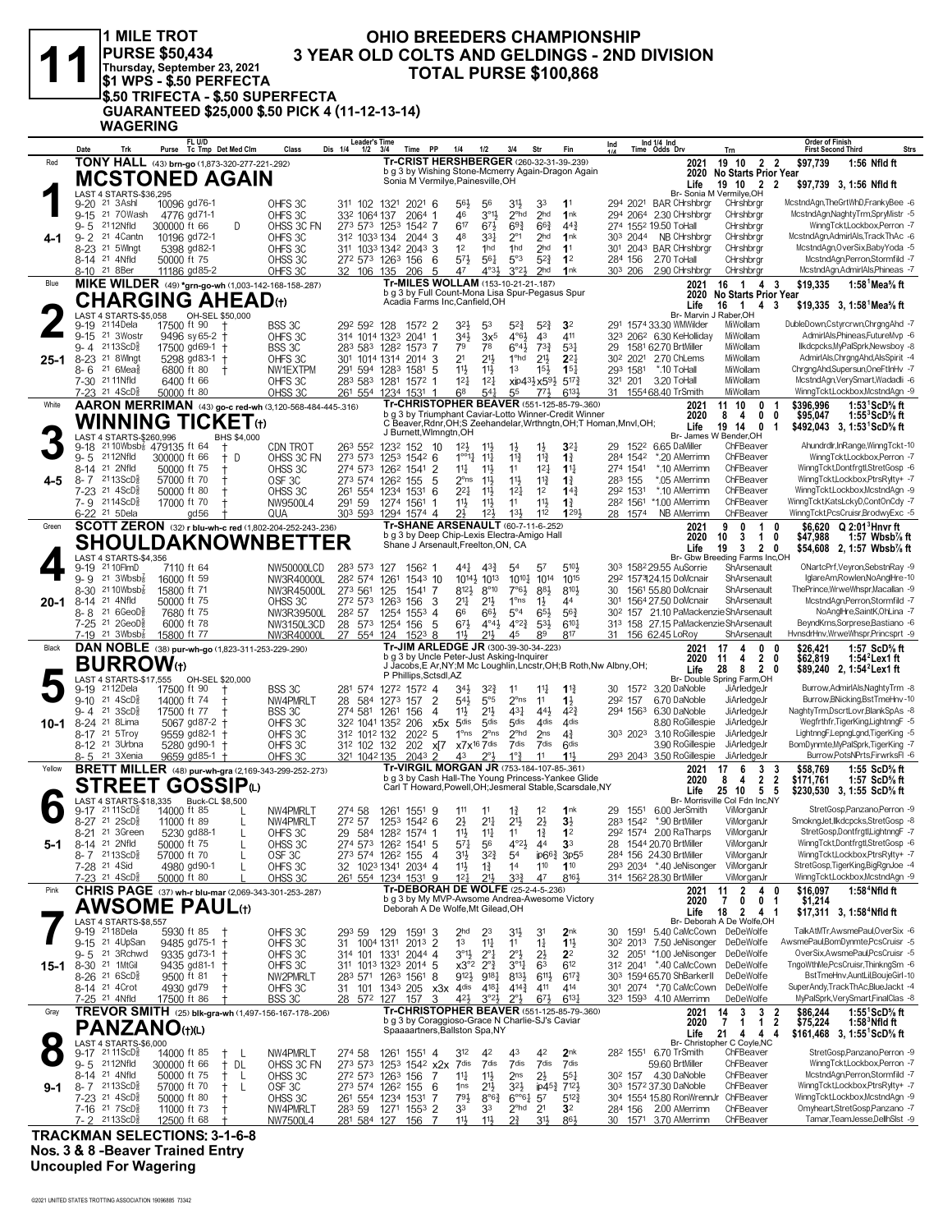|         |                                                                              | 1 MILE TROT<br><b>PURSE \$50,434</b><br>Thursday, September 23, 2021<br><b> \$1 WPS - \$.50 PERFECTA</b> |                                                                                                  |                                                                                     | <b>OHIO BREEDERS CHAMPIONSHIP</b><br>3 YEAR OLD COLTS AND GELDINGS - 2ND DIVISION<br><b>TOTAL PURSE \$100,868</b>                                                                             |                                                                                                               |                                                                                                   |
|---------|------------------------------------------------------------------------------|----------------------------------------------------------------------------------------------------------|--------------------------------------------------------------------------------------------------|-------------------------------------------------------------------------------------|-----------------------------------------------------------------------------------------------------------------------------------------------------------------------------------------------|---------------------------------------------------------------------------------------------------------------|---------------------------------------------------------------------------------------------------|
|         | <b>WAGERING</b>                                                              |                                                                                                          | <sup>I</sup> \$.50 TRIFECTA - \$.50 SUPERFECTA<br>GUARANTEED \$25,000 \$.50 PICK 4 (11-12-13-14) |                                                                                     |                                                                                                                                                                                               |                                                                                                               |                                                                                                   |
|         | Trk<br>Date                                                                  | FL U/D<br>Purse Tc Tmp Det Med Clm                                                                       | Class                                                                                            | <b>Leader's Time</b><br>Dis 1/4<br>$1/2$ $3/4$<br>Time PP                           | 1/4<br>1/2<br>3/4<br>Str<br>Fin                                                                                                                                                               | Ind 1/4 Ind<br>Time Odds Drv<br>Ind<br>Trn                                                                    | <b>Order of Finish</b><br><b>First Second Third</b><br>Strs                                       |
| Red     |                                                                              | TONY HALL (43) brn-go (1,873-320-277-221-292)                                                            |                                                                                                  |                                                                                     | Tr-CRIST HERSHBERGER (260-32-31-39-239)<br>b g 3 by Wishing Stone-Mcmerry Again-Dragon Again                                                                                                  | 19 10 2 2<br>2021<br>2020 No Starts Prior Year                                                                | \$97.739<br>1:56 Nfld ft                                                                          |
|         | LAST 4 STARTS-\$36,295                                                       | <b>MCSTONED AGAIN</b>                                                                                    |                                                                                                  |                                                                                     | Sonia M Vermilye, Painesville, OH                                                                                                                                                             | 19 10 2 2<br>Life<br>Br- Sonia M Vermilve.OH                                                                  | \$97,739 3, 1:56 Nfld ft                                                                          |
|         | 9-20 <sup>21</sup> 3Ashl<br>9-15 21 70Wash                                   | 10096 gd76-1<br>4776 gd71-1                                                                              | OHFS3C<br>OHFS3C                                                                                 | 311 102 1321 2021 6<br>332 1064 137<br>2064 1                                       | 56}<br>31}<br>33<br>1 <sup>1</sup><br>56<br>$3^{011}$<br>46<br>2 <sup>ohd</sup><br>2 <sub>hd</sub><br>1nk                                                                                     | 294 2021 BAR CHrshbrgr<br>CHrshbrgr<br>294 2064 2.30 CHrshbrgr<br>CHrshbrgr                                   | McstndAgn, TheGrtWhD, FrankyBee -6<br>McstndAgn,NaghtyTrm,SpryMistr -5                            |
| 4-1     | 2112Nfld<br>9-5<br>$9 - 2$<br>21 4 Cantn                                     | 300000 ft 66<br>10196 gd72-1                                                                             | D<br>OHSS 3C FN<br>OHFS 3C                                                                       | 273 573 1253 1542 7<br>312 1033 134<br>2044 3                                       | 617<br>673<br>$69\frac{3}{4}$<br>$66\frac{3}{4}$<br>$44\frac{3}{4}$<br>48<br>2 <sub>hd</sub><br>$33\frac{1}{4}$<br>$2^{\circ}1$<br>1nk                                                        | 274 1552 19.50 ToHall<br>CHrshbrgr<br>303 2044 NB CHrshbrgr<br>CHrshbrgr                                      | WinngTckt,Lockbox,Perron -7<br>McstndAgn,AdmirIAls,TrackThAc -6                                   |
|         | 8-23<br>21 5Wlngt<br>8-14 <sup>21</sup> 4Nfld                                | 5398 gd82-1                                                                                              | OHFS3C                                                                                           | 311 1033 1342 2043 3                                                                | 1 <sup>2</sup><br>2 <sub>hd</sub><br>1hd<br>1hd<br>1 <sup>1</sup>                                                                                                                             | 301 2043 BAR CHrshbrgr<br>CHrshbrgr<br>CHrshbrgr                                                              | McstndAgn,OverSix,BabyYoda -5<br>McstndAgn,Perron,Stormfild -7                                    |
|         | 8-10 21 8Ber                                                                 | 50000 ft 75<br>11186 gd85-2                                                                              | OHSS 3C<br>OHFS 3C                                                                               | 272 573 1263 156<br>-6<br>5<br>32 106 135<br>206                                    | 573<br>5°3<br>561<br>$5^{2}$<br>1 <sup>2</sup><br>3°2 <sup>1</sup><br>$4^{\circ}3\frac{1}{2}$<br>2hd<br>1nk<br>47                                                                             | 284 156<br>2.70 ToHall<br>303 206 2.90 CHrshbrgr<br>CHrshbrgr                                                 | McstndAgn,AdmirIAls,Phineas -7                                                                    |
| Blue    |                                                                              | <b>CHARGING AHEAD</b> ⑾                                                                                  | MIKE WILDER (49) *grn-go-wh (1,003-142-168-158-287)                                              |                                                                                     | Tr-MILES WOLLAM (153-10-21-21-187)<br>b g 3 by Full Count-Mona Lisa Spur-Pegasus Spur                                                                                                         | 16 1 4 3<br>2021<br><b>No Starts Prior Year</b><br>2020                                                       | \$19,335<br>1:58 $1$ Mea $\%$ ft                                                                  |
|         | LAST 4 STARTS-\$5,058                                                        | OH-SEL \$50,000                                                                                          |                                                                                                  |                                                                                     | Acadia Farms Inc, Canfield, OH                                                                                                                                                                | Life<br>16 1 4 3<br>Br- Marvin J Raber, OH                                                                    | \$19,335 3, 1:58 Mea % ft                                                                         |
|         | 9-19 2114Dela<br>9-15 <sup>21</sup> 3Wostr                                   | 17500 ft 90<br>9496 sy 65-2 +                                                                            | BSS 3C<br>OHFS 3C                                                                                | 292 592 128<br>1572 2<br>314 1014 1323 2041 1                                       | 32}<br>$5^{2}$<br>$5^{2}$<br>3 <sup>2</sup><br>53<br>$34\frac{1}{2}$<br>$4^{\circ}6\frac{1}{2}$<br>43<br>411<br>3x <sup>5</sup>                                                               | 291 1574 33.30 WMWilder<br>MiWollam<br>323 2062 6.30 KeHolliday<br>MiWollam                                   | DubleDown,Cstyrcrwn,ChrgngAhd -7<br>AdmirIAls,Phineas,FutureMvp -6                                |
|         | $2113$ ScD $\frac{5}{8}$<br>9- 4<br>25-1 8-23 <sup>21</sup> 8 Wingt          | 17500 gd69-1 +<br>5298 gd83-1 +                                                                          | BSS 3C<br>OHFS 3C                                                                                | 283 583 1282 1573 7<br>301 1014 1314 2014 3                                         | $6^\circ 4\frac{1}{2}$<br>$73\frac{3}{4}$<br>79<br>78<br>$5^{3}$<br>2 <sup>1</sup><br>$21\frac{1}{2}$<br>1 <sup>o</sup> hd<br>$21\frac{1}{2}$<br>$2^{2}$                                      | 1581 62.70 BrtMiller<br>MiWollam<br>29<br>30 <sup>2</sup> 2021 2.70 ChLems<br>MiWollam                        | llkdcpcks, MyPalSprk, Newsboy -8<br>AdmirIAls, Chrgng Ahd, AlsSpirit -4                           |
|         | $21.6$ Mea $\frac{5}{8}$<br>8- 6<br>7-30 21 11 Nfld                          | 6800 ft 80<br>$\pm$<br>6400 ft 66                                                                        | NW1EXTPM<br>OHFS 3C                                                                              | 291 594 1283 1581 5<br>283 583 1281 1572 1                                          | 11}<br>$11\frac{1}{2}$<br>1 <sup>3</sup><br>$15\frac{1}{2}$<br>$15\frac{1}{4}$<br>$12\frac{1}{4}$<br>12 <sub>1</sub><br>$xip43\frac{1}{2}x59\frac{1}{2}$<br>$5^{17}\frac{3}{4}$               | 293 1581<br>*.10 ToHall<br>MiWollam<br>321 201 3.20 ToHall<br>MiWollam                                        | ChrgngAhd,Supersun,OneFtInHv -7<br>McstndAgn,VerySmart,Wadadli -6                                 |
|         | 7-23 <sup>21</sup> 4ScD <sup>3</sup>                                         | 50000 ft 80                                                                                              | OHSS 3C                                                                                          | 261 554 1234 1531 1                                                                 | 68<br>$5^{4}$<br>$6^{13}$<br>55<br>$77\frac{1}{2}$                                                                                                                                            | MiWollam<br>31 1554 68.40 TrSmith                                                                             | WinngTckt,Lockbox,McstndAgn -9                                                                    |
| White   |                                                                              | WINNING TICKET $_{\textrm{\tiny{(t)}}}$                                                                  | AARON MERRIMAN (43) go-c red-wh (3,120-568-484-445-.316)                                         |                                                                                     | Tr-CHRISTOPHER BEAVER (551-125-85-79-.360)<br>b g 3 by Triumphant Caviar-Lotto Winner-Credit Winner<br>C Beaver, Rdnr, OH; S Zeehandelar, Wrthngtn, OH; T Homan, Mnvl, OH;                    | 10<br>2021<br>11<br>0<br>0<br>2020<br>8<br>4                                                                  | \$396,996<br>1:53 $1$ ScD $\%$ ft<br>0<br>\$95,047<br>1:55 $3$ ScD $\%$ ft                        |
|         | LAST 4 STARTS-\$260,996                                                      |                                                                                                          | BHS \$4,000                                                                                      | J Burnett, Wimngtn, OH                                                              |                                                                                                                                                                                               | 19 14<br>$\mathbf{0}$<br>Life<br>Br- James W Bender, OH<br>ChFBeaver                                          | \$492,043 3, 1:53 ScD% ft<br>$\overline{1}$<br>Ahundrdlr, InRange, Winng Tckt-10                  |
|         | 9-18 <sup>21</sup> 10Wbsb <sup>7</sup> 479135 ft 64<br>$9 - 5$<br>2112Nfld   | $\mathsf{t}$<br>300000 ft 66<br>$^+$                                                                     | CDN TROT<br>OHSS 3C FN<br>D                                                                      | 263 552 1232 152 10<br>273 573 1253 1542 6                                          | $12\frac{1}{2}$<br>$1\frac{1}{2}$<br>$1\frac{1}{2}$<br>$3^{2}$<br>11}<br>$1^{\circ}$ <sup>2</sup> $\frac{1}{4}$<br>$11\frac{1}{4}$<br>$11\frac{3}{4}$<br>$1\frac{3}{4}$<br>$11\frac{3}{4}$    | 29 152 <sup>2</sup> 6.65 DaMiller<br>ChFBeaver<br>284 1542<br>*.20 AMerrimn                                   | WinngTcktLockbox.Perron -7                                                                        |
| $4 - 5$ | 8-14 21 2Nfld<br>8-7 2113ScD                                                 | 50000 ft 75<br>Ť<br>57000 ft 70<br>t                                                                     | OHSS 3C<br>OSF3C                                                                                 | 274 573 1262 1541<br>2<br>273 574 1262 155<br>5                                     | 14<br>$12\frac{1}{4}$<br>11}<br>11<br>$1^{11}$<br>$2o$ ns<br>11}<br>$11\frac{1}{2}$<br>$11\frac{3}{4}$<br>$1\frac{3}{4}$                                                                      | *.10 AMerrimn<br>ChFBeaver<br>274 1541<br>283 155<br>ChFBeaver<br>*.05 AMerrimn                               | WinngTckt,Dontfrgtl,StretGosp -6<br>WinngTckt,Lockbox,PtrsRylty+ -7                               |
|         | 7-23 <sup>21</sup> 4ScD <sup>5</sup><br>7-9 2114ScD <sup>3</sup>             | 50000 ft 80<br>17000 ft 70<br>$\mathbf t$                                                                | OHSS 3C<br>NW9500L4                                                                              | 261 554 1234 1531<br>6<br>291 59<br>1274 1561<br>-1                                 | $2^{2}$<br>$11\frac{1}{2}$<br>$12\frac{1}{4}$<br>1 <sup>2</sup><br>$14\frac{3}{4}$<br>$11\frac{1}{2}$<br>11}<br>$11\frac{1}{2}$<br>11<br>$1\frac{3}{4}$                                       | 292 1531<br>*.10 AMerrimn<br>ChFBeaver<br>282 1561<br>*1.00 AMerrimn<br>ChFBeaver                             | WinngTckt,Lockbox,McstndAgn -9<br>WinngTckt,KatsLckyD,ContOnCdy -7                                |
|         | 6-22 <sup>21</sup> 5 Dela                                                    | gd 56                                                                                                    | QUA                                                                                              | 303 593 1294 1574 4                                                                 | 112<br>21<br>12 <sup>1</sup><br>$13\frac{1}{2}$<br>1293<br>Tr-SHANE ARSENAULT (60-7-11-6-252)                                                                                                 | ChFBeaver<br>28 1574<br>NB AMerrimn                                                                           | WinngTckt,PcsCruisr,BrodwyExc -5                                                                  |
| Green   |                                                                              |                                                                                                          | <b>SCOTT ZERON</b> (32) r blu-wh-c red (1,802-204-252-243-.236)<br><b>SHOULDAKNOWNBET</b>        | ΈR                                                                                  | b g 3 by Deep Chip-Lexis Electra-Amigo Hall<br>Shane J Arsenault, Freelton, ON, CA                                                                                                            | 2021<br>9<br>0<br>$\overline{1}$<br>2020<br>10<br>3<br>$\overline{1}$                                         | \$6.620 $Q$ 2:01 <sup>3</sup> Hnyr ft<br>0<br>0<br>\$47,988<br>1:57 Wbsb% ft                      |
|         | LAST 4 STARTS-\$4,356<br>9-19 21 10 FlmD                                     | 7110 ft 64                                                                                               |                                                                                                  |                                                                                     | 510}                                                                                                                                                                                          | 3<br>$\overline{2}$<br>Life<br>19<br>Br- Gbw Breeding Farms Inc, OH<br>303 1582 29.55 AuSorrie<br>ShArsenault | 0<br>\$54,608 2, 1:57 Wbsb1/s ft<br>ONartcPrf, Veyron, SebstnRay -9                               |
|         | 21 $3Wbsb8$<br>9- 9                                                          | 16000 ft 59                                                                                              | NW50000LCD<br>NW3R40000L                                                                         | 283 573 127<br>1562 1<br>282 574 1261<br>1543 10                                    | 441<br>$4^{3}\frac{3}{4}$<br>54<br>57<br>10143 1013<br>10 <sup>10</sup> 10 <sup>14</sup><br>1015                                                                                              | 292 157324.15 DoMcnair<br>ShArsenault                                                                         | IglareAm,Rowlen,NoAnglHre-10                                                                      |
| 20-1    | 8-30 21 10 Wbsb <sup>7</sup> <sub>8</sub><br>21 4Nfld<br>8-14                | 15800 ft 71<br>50000 ft 75                                                                               | NW3R45000L<br>OHSS 3C                                                                            | 273 561<br>125<br>1541<br>7<br>272 573 1263<br>156<br>3                             | $8^{12}$<br>$8^{\circ}10$<br>$7°6\frac{1}{2}$<br>$8^{8}\frac{1}{2}$<br>8104<br>$2^{11}$<br>$1^{\circ}$ ns<br>$21\frac{1}{2}$<br>$1\frac{1}{2}$<br>44                                          | 30 1561 55.80 DoMcnair<br>ShArsenault<br>301 1564 27.50 DoMcnair<br>ShArsenault                               | ThePrince,WrweWhspr,Macallan -9<br>McstndAgn,Perron,Stormfild -7                                  |
|         | 8-8 <sup>21</sup> 6GeoD <sup>5</sup><br>7-25 21 2GeoD <sup>5</sup>           | 7680 ft 75<br>6000 ft 78                                                                                 | NW3R39500L<br>NW3150L3CD                                                                         | 282 57<br>1254 1553 4<br>28 573 1254 156<br>-5                                      | $5^{\circ 4}$<br>66<br>$56\frac{3}{4}$<br>66}<br>65}<br>$4^{\circ}2^{\frac{3}{4}}$<br>$67\frac{1}{2}$<br>$4^{\circ}4^{\frac{1}{2}}$<br>$5^{3}$<br>$6^{10}$                                    | 30 <sup>2</sup> 157 21.10 PaMackenzie ShArsenault<br>313 158 27.15 PaMackenzie ShArsenault                    | NoAnglHre,SaintK,OhLina -7<br>BeyndKrns,Sorprese,Bastiano -6                                      |
| Black   | $7-19$ 21 3Wbsb $\frac{1}{8}$                                                | 15800 ft 77                                                                                              | NW3R40000L<br>DAN NOBLE (38) pur-wh-go (1,823-311-253-229-.290)                                  | 27 554 124<br>$152^3$ 8                                                             | 11}<br>211<br>45<br>89<br>817<br>Tr-JIM ARLEDGE JR (300-39-30-34-.223)                                                                                                                        | 31 156 62.45 LoRoy<br>ShArsenault<br>2021<br>17<br>0<br>4                                                     | HvnsdrHnv, Wrwe Whspr, Princsprt -9<br>\$26,421<br>1:57 ScD% ft<br>0                              |
|         | <b>BURROW</b> (t)                                                            |                                                                                                          |                                                                                                  |                                                                                     | b g 3 by Uncle Peter-Just Asking-Inquirer<br>J Jacobs, E Ar, NY; M Mc Loughlin, Lncstr, OH; B Roth, Nw Albny, OH;                                                                             | 2<br>2020<br>4<br>11<br>28<br>8<br>$\overline{2}$<br>Life                                                     | \$62,819<br>1:54 $2$ Lex1 ft<br>0<br>\$89,240 2, 1:54 <sup>2</sup> Lex1 ft<br>0                   |
|         | LAST 4 STARTS-\$17,555<br>9-19 2112Dela                                      | OH-SEL \$20,000<br>17500 ft 90                                                                           | BSS 3C                                                                                           | P Phillips, Sctsdl, AZ<br>281 574 1272 1572 4                                       | 34}<br>$3^{2}\frac{3}{4}$<br>$11\frac{1}{4}$<br>$1\frac{13}{4}$<br>11                                                                                                                         | Br- Double Spring Farm, OH<br>30 1572 3.20 DaNoble<br>JiArledgeJr                                             | Burrow, AdmirIAls, NaghtyTrm -8                                                                   |
|         | $9-10$ 21 $4$ ScD <sup>5</sup> <sub>8</sub>                                  | 14000 ft 74<br>Ť                                                                                         | NW4PMRLT                                                                                         | 28 584 1273 157<br>2                                                                | $5^{4}$<br>$5^{\circ}5$<br>$2^{\circ}$ ns<br>11<br>$1\frac{1}{2}$                                                                                                                             | 292 157 6.70 DaNoble<br>JiArledgeJr                                                                           | Burrow, BNicking, Bst TmeHnv-10<br>NaghtvTrm.DscrtLovr.BlankSpAs -8                               |
| 10-1    | $9 - 4$ 21 3 ScD <sup>3</sup><br>8-24<br>21 8 Lima                           | 17500 ft 77<br>5067 gd87-2 †                                                                             | BSS 3C<br>OHFS 3C                                                                                | 274 581 1261 156<br>$\overline{4}$<br>32 <sup>2</sup> 1041 135 <sup>2</sup> 206 x5x | $21\frac{1}{2}$<br>431<br>443<br>$11\frac{1}{2}$<br>$4^{2}3$<br>5 <sup>dis</sup><br>5 <sup>dis</sup><br>5 <sup>dis</sup><br>4 <sup>dis</sup><br>4 <sub>dis</sub>                              | 294 1563 6.30 DaNoble<br>JiArledgeJr<br>8.80 RoGillespie JiArledgeJr                                          | Wegfrthfr, TigerKing, Lightnng F-5                                                                |
|         | 8-17 <sup>21</sup> 5Troy<br>8-12 <sup>21</sup> 3Urbna                        | $9559$ gd82-1 +<br>5280 gd90-1 +                                                                         | OHFS3C<br>OHFS3C                                                                                 | 312 1012 132 2022 5<br>312 102 132                                                  | $1^\circ$ ns $2^\circ$ ns<br>$2^{\circ}$ hd<br>2 <sub>ns</sub><br>$4\frac{3}{4}$<br>202 x 7 x 7x <sup>16</sup> 7dis 7dis<br>7dis 6dis                                                         | 303 2023 3.10 RoGillespie JiArledgeJr<br>3.90 RoGillespie JiArledgeJr                                         | LightnngF,LepngLgnd,TigerKing -5<br>BomDynmte, MyPalSprk, TigerKing -7                            |
| Yellow  | 8-5 21 3Xenia                                                                | 9659 gd85-1 +                                                                                            | OHFS 3C<br>BRETT MILLER (48) pur-wh-gra (2,169-343-299-252-.273)                                 | 321 1042 135<br>$204^3$ 2                                                           | $2^{\circ}3$<br>$1^{\circ}$<br>$11\frac{1}{2}$<br>43<br>11<br>Tr-VIRGIL MORGAN JR (753-184-107-85-.361)                                                                                       | 293 2043 3.50 RoGillespie JiArledgeJr<br>17<br>6<br>2021                                                      | Burrow, PotsNPrts, FirwrksFI -6<br>\$58.769<br>1:55 $ScD%$ ft                                     |
|         |                                                                              | ${\sf SIREET}$ GOSSIP $\omega$                                                                           |                                                                                                  |                                                                                     | b g 3 by Cash Hall-The Young Princess-Yankee Glide<br>Carl T Howard, Powell, OH; Jesmeral Stable, Scarsdale, NY                                                                               | $\frac{3}{2}$<br>2020<br>- 8<br>4<br>Life<br>25 10                                                            | $\frac{3}{2}$<br>\$171,761<br>1:57 ScD% ft<br>5 <sub>5</sub><br>\$230,530 3, 1:55 ScD% ft         |
|         | LAST 4 STARTS-\$18,335<br>$9-17$ 21 11 ScD <sup>5</sup>                      | <b>Buck-CL \$8,500</b><br>14000 ft 85                                                                    | NW4PMRLT                                                                                         | 274 58<br>1261 1551 9                                                               | 111<br>11<br>$1\frac{3}{4}$<br>1 <sup>2</sup><br>1 <sup>nk</sup>                                                                                                                              | Br- Morrisville Col Fdn Inc,NY<br>29 1551 6.00 JerSmith<br>ViMorganJr                                         | StretGosp,Panzano,Perron -9                                                                       |
|         | 8-27 <sup>21</sup> 2ScD}                                                     | 11000 ft 89                                                                                              | NW4PMRLT<br>L                                                                                    | 272 57<br>1253 1542 6                                                               | $2\frac{1}{2}$<br>$21\frac{1}{4}$<br>2 <sup>11</sup><br>$2\frac{1}{2}$<br>$3\frac{1}{2}$                                                                                                      | 283 1542 *.90 BrtMiller<br>ViMorganJr                                                                         | SmokngJet,Ilkdcpcks,StretGosp -8<br>StretGosp,Dontfrgtl,LightnngF -7                              |
| 5-1     | 8-21 <sup>21</sup> 3Green<br>8-14 <sup>21</sup> 2Nfld                        | 5230 gd88-1<br>50000 ft 75                                                                               | OHFS 3C<br>L<br>OHSS 3C<br>$\mathbf{I}$                                                          | 29 584 1282 1574 1<br>274 573 1262 1541 5                                           | 11}<br>$11\frac{1}{4}$<br>11<br>$1\frac{3}{4}$<br>1 <sup>2</sup><br>$4^{\circ}2\frac{1}{2}$<br>3 <sup>3</sup><br>$5^{71}$<br>56<br>44                                                         | ViMorganJr<br>292 1574 2.00 RaTharps<br>ViMorganJr<br>28 1544 20.70 BrtMiller                                 | WinngTckt,Dontfrgtl,StretGosp -6                                                                  |
|         | 8-7 2113ScD§<br>7-28 <sup>21</sup> 4Sid                                      | 57000 ft 70<br>4980 gd90-1                                                                               | OSF3C<br>L<br>OHFS 3C                                                                            | 273 574 1262 155<br>4<br>32 1023 1341 2034 4                                        | $3^{11}$<br>$3^{2}\frac{3}{4}$<br>ip6 <sup>63</sup> <sub>3p55</sub><br>5 <sup>4</sup><br>11}<br>$1\frac{3}{4}$<br>1 <sup>4</sup><br>110<br>110                                                | 284 156 24.30 BrtMiller<br>ViMorganJr<br>293 2034 *.40 JeNisonger<br>ViMorganJr                               | WinngTckt,Lockbox,PtrsRylty+ -7<br>StretGosp,TigerKing,BigRgnJoe -4                               |
| Pink    | 7-23 21 4ScD <sup>3</sup>                                                    | 50000 ft 80                                                                                              | OHSS 3C<br><b>CHRIS PAGE</b> (37) wh-r blu-mar (2,069-343-301-253-287)                           | 261 554 1234 1531 9                                                                 | $12\frac{1}{4}$<br>211<br>$3^{32}$<br>47<br>8161<br>Tr-DEBORAH DE WOLFE (25-2-4-5-236)                                                                                                        | 314 1562 28.30 BrtMiller<br>ViMorganJr<br>11<br>$\overline{2}$<br>2021                                        | WinngTckt,Lockbox,McstndAgn -9<br>4 0<br>\$16,097<br>$1:584$ Nfld ft                              |
|         |                                                                              | <b>AWSOME PAUL</b> ⑾                                                                                     |                                                                                                  |                                                                                     | b g 3 by My MVP-Awsome Andrea-Awesome Victory<br>Deborah A De Wolfe, Mt Gilead, OH                                                                                                            | 0<br>2020<br>-7<br>0<br>18<br>$\overline{2}$<br>Life<br>41                                                    | \$1,214<br>-1<br>\$17,311 3, 1:58 <sup>4</sup> Nfld ft                                            |
|         | LAST 4 STARTS-\$8,557<br>9-19 <sup>21</sup> 18 Dela                          | 5930 ft 85                                                                                               | OHFS 3C                                                                                          | 293 59<br>129<br>1591 3                                                             | 3 <sup>1</sup> }<br>2 <sub>nk</sub><br>2 <sub>hd</sub><br>23<br>31                                                                                                                            | Br- Deborah A De Wolfe, OH<br>30 1591 5.40 CaMcCown DeDeWolfe                                                 | TalkAtMTr, AwsmePaul, OverSix -6                                                                  |
|         | 9-15 <sup>21</sup> 4UpSan<br>21 3Rchwd                                       | 9485 gd75-1 +                                                                                            | OHFS 3C                                                                                          | 1004 1311<br>2013 2<br>31                                                           | 1 <sup>3</sup><br>$1\frac{11}{2}$<br>11<br>11<br>$1\frac{1}{4}$                                                                                                                               | 30 <sup>2</sup> 201 <sup>3</sup> 7.50 JeNisonger DeDeWolfe<br>32 2051 *1.00 JeNisonger DeDeWolfe              | AwsmePaul,BomDynmte,PcsCruisr -5<br>OverSix, AwsmePaul, PcsCruisr -5                              |
|         | 9-5<br>15-1 8-30 <sup>21</sup> 1MtGil                                        | 9335 gd73-1<br>$\pm$<br>9435 gd81-1<br>-†                                                                | OHFS 3C<br>OHFS 3C                                                                               | 314 101 1331<br>2044 4<br>311 1013 1323 2014 5                                      | $3^{01}\frac{1}{2}$<br>$2^{\circ}$ $\frac{1}{4}$<br>$2^{\circ}$<br>$2\frac{1}{2}$<br>2 <sup>2</sup><br>$x3^{\circ}2$<br>$2^{\circ}$<br>$3^{\circ}1$<br>612<br>63                              | 312 2041 *.40 CaMcCown DeDeWolfe                                                                              | TngoWthMe,PcsCruisr,ThinkngSm -6                                                                  |
|         | 8-26 <sup>21</sup> 6ScD <sup>5</sup><br>8-14 <sup>21</sup> 4Crot             | 9500 ft 81<br>4930 gd79<br>$\mathbf t$                                                                   | NW2PMRLT<br>OHFS 3C                                                                              | 283 571 1263 1561<br>8<br>101 1343 205 x3x 4dis<br>31                               | $9^{12}\frac{1}{2}$<br>$9^{18}\frac{1}{4}$<br>8133<br>$6^{11}$<br>$6^{17}\frac{3}{4}$<br>4181<br>411<br>414<br>$4^{14}\frac{3}{4}$                                                            | 303 1594 65.70 ShBarkerII<br>DeDeWolfe<br>301 2074 *.70 CaMcCown DeDeWolfe                                    | BstTmeHnv,AuntLil,BoujeGirl-10<br>SuperAndy, Track ThAc, BlueJackt -4                             |
| Gray    | 7-25 <sup>21</sup> 4Nfld                                                     | 17500 ft 86                                                                                              | BSS 3C<br>TREVOR SMITH (25) blk-gra-wh (1,497-156-167-178-206)                                   | 28<br>572 127<br>157<br>3                                                           | $4^{21}$<br>$67\frac{1}{2}$<br>6137<br>$3^{°2}\frac{1}{2}$<br>$2^{\circ}3$<br>Tr-CHRISTOPHER BEAVER (551-125-85-79-.360)                                                                      | 323 1593 4.10 AMerrimn<br>DeDeWolfe<br>3<br>3<br>2021<br>14                                                   | MyPalSprk, VerySmart, FinalClas -8<br>1:55 $\mathrm{1}$ ScD $\%$ ft<br>$\overline{2}$<br>\$86.244 |
|         | <b>PANZANO(t)(L)</b>                                                         |                                                                                                          |                                                                                                  |                                                                                     | b g 3 by Coraggioso-Grace N Charlie-SJ's Caviar<br>Spaaaartners, Ballston Spa, NY                                                                                                             | 2020<br>7<br>$\mathbf{1}$<br>-1<br>$\overline{4}$<br>Life<br>21<br>4                                          | $\overline{\mathbf{2}}$<br>\$75,224<br>$1:583$ Nfld ft<br>\$161,468 3, 1:55 ScD % ft<br>-4        |
|         | LAST 4 STARTS-\$6,000<br>$9-17$ 21 11 ScD <sup>5</sup>                       | 14000 ft 85<br>$^+$                                                                                      | NW4PMRLT<br>- L                                                                                  | 274 58<br>1261 1551 4                                                               | 312<br>42<br>2 <sub>nk</sub><br>42<br>43                                                                                                                                                      | Br- Christopher C Coyle, NC<br>28 <sup>2</sup> 1551 6.70 TrSmith<br>ChFBeaver                                 | StretGosp,Panzano,Perron -9                                                                       |
|         | 9-5 2112Nfld<br>8-14 21 4Nfld                                                | 300000 ft 66<br>$\ddagger$                                                                               | DL<br>OHSS 3C FN                                                                                 | 273 573 1253 1542 x2x                                                               | 7dis<br>7dis<br>7dis<br>7dis<br>7dis                                                                                                                                                          | 59.60 BrtMiller<br>ChFBeaver<br>ChFBeaver                                                                     | WinngTckt,Lockbox,Perron -7<br>McstndAgn,Perron,Stormfild -7                                      |
| 9-1     | 8-7 2113ScD <sup>5</sup>                                                     | 50000 ft 75<br>$^+$<br>57000 ft 70<br>$^+$                                                               | OHSS 3C<br>L<br>OSF 3C<br>L                                                                      | 272 573 1263 156<br>7<br>273 574 1262 155<br>6                                      | $11\frac{1}{2}$<br>$2\frac{1}{2}$<br>$55\frac{1}{4}$<br>$11\frac{1}{4}$<br>2 <sub>ns</sub><br>2 <sup>11</sup><br>$3^{2}\frac{1}{2}$<br>ip45 <sup>3</sup> / <sub>2121</sub><br>1 <sub>ns</sub> | 30 <sup>2</sup> 157 4.30 DaNoble<br>ChFBeaver<br>303 1572 37.30 DaNoble                                       | WinngTckt,Lockbox,PtrsRylty+ -7                                                                   |
|         | 7-23 <sup>21</sup> 4ScD <sup>5</sup><br>7-16 <sup>21</sup> 7ScD <sup>5</sup> | 50000 ft 80<br>11000 ft 73<br>$\pm$                                                                      | OHSS 3C<br>NW4PMRLT                                                                              | 261 554 1234 1531<br>7<br>283 59<br>1271 1553 2                                     | $79\frac{1}{2}$<br>$8^{\circ}6^{\frac{3}{4}}$<br>$6^{\circ}6^{\circ}6^{\circ}4$ 57<br>$5^{12}$<br>33<br>33<br>$2^{\circ}$ hd<br>2 <sup>1</sup><br>3 <sup>2</sup>                              | 304 1554 15.80 RonWrennJr ChFBeaver<br>2.00 AMerrimn<br>ChFBeaver<br>284 156                                  | WinngTckt,Lockbox,McstndAgn -9<br>Omyheart,StretGosp,Panzano -7                                   |
|         | 7-2 2113ScD                                                                  | 12500 ft 68<br>$\pm$                                                                                     | NW7500L4                                                                                         | 281 584 127<br>156 7                                                                | 11}<br>$11\frac{1}{2}$<br>3 <sup>1</sup><br>86}<br>$2\frac{3}{4}$                                                                                                                             | ChFBeaver<br>30 1571 3.70 AMerrimn                                                                            | Tamar, TeamJesse, Dellh SIst -9                                                                   |

**TRACKMAN SELECTIONS: 3-1-6-8 Nos. 3 & 8 -Beaver Trained Entry**

**Uncoupled For Wagering**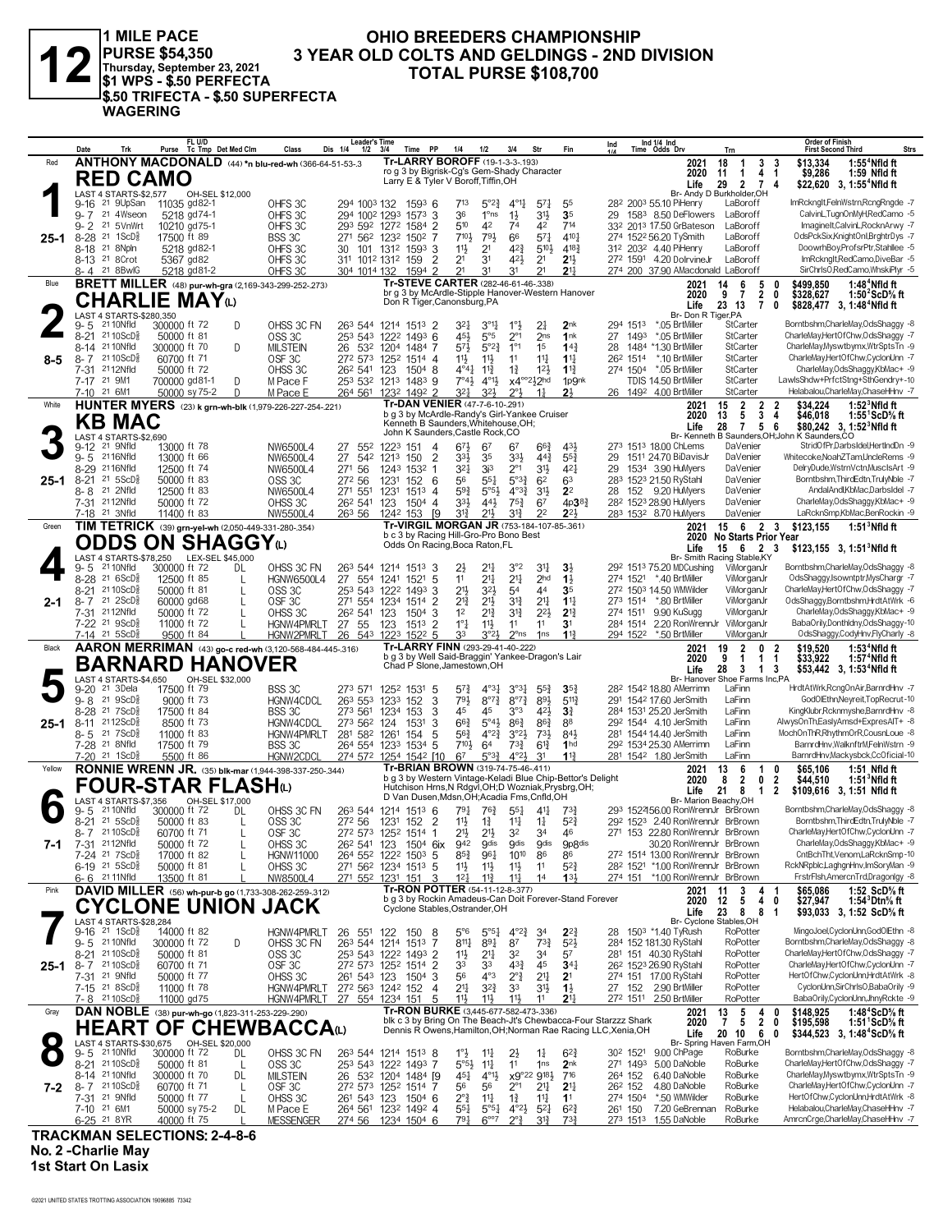

1 MILE PACE<br>
PURSE \$54,350 3 YEA<br>
Thursday, September 23, 2021<br>
\$1 WPS - \$.50 PERFECTA<br>
J\$.50 TRIFECTA - \$.50 SUPERFECTA **WAGERING** 

#### OHIO BREEDERS CHAMPIONSHIP 3 YEAR OLD COLTS AND GELDINGS - 2ND DIVISION **TOTAL PURSE \$108,700**

|          | Date     |                                                                                         |                              | FL U/D<br>Purse Tc Tmp Det Med Clm |         | Class                                                               | <b>Leader's Time</b><br>Dis 1/4<br>1/2                  | 3/4             | <b>PP</b><br>Time                                                               | 1/4                                         | 1/2                                           | 3/4                                     | Str                               | Fin                                                                                                                               | Ind      |                      | Ind 1/4 Ind<br>Time Odds Drv |                                                                            | Trn                                        |                          |                                  | Order of Finish<br><b>First Second Third</b>    |                                                                        | <b>Strs</b> |
|----------|----------|-----------------------------------------------------------------------------------------|------------------------------|------------------------------------|---------|---------------------------------------------------------------------|---------------------------------------------------------|-----------------|---------------------------------------------------------------------------------|---------------------------------------------|-----------------------------------------------|-----------------------------------------|-----------------------------------|-----------------------------------------------------------------------------------------------------------------------------------|----------|----------------------|------------------------------|----------------------------------------------------------------------------|--------------------------------------------|--------------------------|----------------------------------|-------------------------------------------------|------------------------------------------------------------------------|-------------|
| Red      |          |                                                                                         |                              |                                    |         | ANTHONY MACDONALD (44) *n blu-red-wh (366-64-51-53-.3               |                                                         |                 | Tr-LARRY BOROFF (19-1-3-3-193)<br>ro g 3 by Bigrisk-Cg's Gem-Shady Character    |                                             |                                               |                                         |                                   |                                                                                                                                   |          |                      |                              | 2021<br>2020                                                               | 18<br>$\mathbf{1}$<br>11<br>$\overline{1}$ | 3<br>4 <sub>1</sub>      | 3                                | \$13,334<br>\$9,286                             | $1:554$ Nfld ft<br>1:59 Nfld ft                                        |             |
|          |          | <b>RED CAMO</b>                                                                         |                              |                                    |         |                                                                     |                                                         |                 | Larry E & Tyler V Boroff, Tiffin, OH                                            |                                             |                                               |                                         |                                   |                                                                                                                                   |          |                      |                              | Life                                                                       | 29                                         | 2 7 4                    |                                  |                                                 | \$22,620 3, 1:55 <sup>4</sup> Nfld ft                                  |             |
|          |          | LAST 4 STARTS-\$2,577<br>9-16 <sup>21</sup> 9UpSan                                      | 11035 gd82-1                 | OH-SEL \$12,000                    |         | OHFS 3C                                                             | 294 1003 132                                            |                 | $1593$ 6                                                                        | 713                                         | $5^{\circ}2^{\frac{3}{2}}$                    | $4^{\circ}1\frac{1}{4}$                 | $57\frac{1}{4}$                   | 55                                                                                                                                |          |                      |                              | Br- Andy D Burkholder.OH<br>28 <sup>2</sup> 200 <sup>3</sup> 55.10 PiHenry | LaBoroff                                   |                          |                                  |                                                 | ImRckngIt,FelnWstrn,RcngRngde -7                                       |             |
|          |          | 9-7 21 4Wseon                                                                           | 5218 gd74-1                  |                                    |         | OHFS 3C                                                             | 294 1002 1293 1573                                      |                 | 3                                                                               | 36                                          | $1^{\circ}$ ns                                | $1\frac{1}{2}$                          | $3^{11}$                          | 35                                                                                                                                |          |                      |                              | 29 1583 8.50 DeFlowers                                                     | LaBoroff                                   |                          |                                  |                                                 | CalvinL,TugnOnMyH,RedCamo -5                                           |             |
|          |          | 9-2 <sup>21</sup> 5VnWrt                                                                | 10210 gd75-1                 |                                    |         | OHFS 3C                                                             | 293 592 1272 1584                                       |                 | 2                                                                               | 510                                         | 42                                            | 74                                      | 42                                | 714                                                                                                                               |          |                      |                              | 33 <sup>2</sup> 201 <sup>3</sup> 17.50 GrBateson                           | LaBoroff                                   |                          |                                  |                                                 | ImagineIt.CalvinL.RocknArwy -7<br>OdsPckSix,KnightOnl,BrghtrDys -7     |             |
| 25-1     | $8 - 28$ | 21 1ScD <sup>3</sup><br>8-18 <sup>21</sup> 8Npln                                        | 17500 ft 89<br>5218 gd82-1   |                                    |         | BSS 3C<br>OHFS 3C                                                   | 271 562 1232 1502<br>30                                 |                 | 101 1312 1593 3                                                                 | 7103<br>11}                                 | 791<br>2 <sup>1</sup>                         | 66<br>423                               | $5^{7}$<br>$5^{10}\frac{1}{2}$    | 4101<br>$4^{18}\frac{3}{4}$                                                                                                       |          |                      |                              | 274 1522 56.20 TySmith<br>312 2032 4.40 PiHenry                            | LaBoroff<br>LaBoroff                       |                          |                                  |                                                 | DoowrhBov,ProfsrPtr,Stahllee -5                                        |             |
|          |          | 8-13 <sup>21</sup> 8 Crot                                                               | 5367 gd82                    |                                    |         | OHFS 3C                                                             | 311 1012 1312 159                                       |                 | $\overline{2}$                                                                  | 2 <sup>1</sup>                              | 3 <sup>1</sup>                                | 421                                     | 2 <sup>1</sup>                    | 2 <sup>11</sup>                                                                                                                   |          |                      |                              | 272 1591 4.20 DolrvineJr                                                   | LaBoroff                                   |                          |                                  |                                                 | ImRckngIt,RedCamo,DiveBar -5                                           |             |
|          |          | 8-4 21 8BwlG                                                                            | 5218 gd81-2                  |                                    |         | OHFS 3C                                                             | 304 1014 132                                            |                 | 2<br>1594                                                                       | 21                                          | 31                                            | 31                                      | 21                                | $21\frac{1}{2}$                                                                                                                   |          |                      |                              | 274 200 37.90 AMacdonald LaBoroff                                          |                                            |                          |                                  |                                                 | SirChrlsO,RedCamo,WhskiPlyr -5                                         |             |
| Blue     |          |                                                                                         |                              |                                    |         | <b>BRETT MILLER</b> (48) pur-wh-gra (2,169-343-299-252-.273)        |                                                         |                 | Tr-STEVE CARTER (282-46-61-46-.338)                                             |                                             |                                               |                                         |                                   | br g 3 by McArdle-Stipple Hanover-Western Hanover                                                                                 |          |                      |                              | 2021<br>2020                                                               | 14<br>6<br>9 <sub>7</sub>                  | 5<br>$\overline{2}$      | n<br>0                           | \$499,850<br>\$328,627                          | 1:48 $4$ Nfld ft<br>1:50 $2$ ScD $\%$ ft                               |             |
|          |          | <b>CHARLIE MAY</b> W                                                                    |                              |                                    |         |                                                                     |                                                         |                 | Don R Tiger, Canonsburg, PA                                                     |                                             |                                               |                                         |                                   |                                                                                                                                   |          |                      |                              | Life                                                                       | 23 13                                      | $\mathbf{7}$             | 0                                |                                                 | \$828,477 3, 1:48 <sup>4</sup> Nfld ft                                 |             |
|          | 9-5      | LAST 4 STARTS-\$280,350<br>21 10 Nfld                                                   | 300000 ft 72                 |                                    | D       | OHSS 3C FN                                                          | 263 544 1214 1513 2                                     |                 |                                                                                 | 321                                         | $3^{01}$                                      | $1^{\circ}$                             | 21                                | 2 <sub>nk</sub>                                                                                                                   |          | 294 1513             |                              | Br- Don R Tiger, PA<br>*.05 BrtMiller                                      | StCarter                                   |                          |                                  |                                                 | Borntbshm,CharleMay,OdsShaggy -8                                       |             |
|          |          | 8-21 2110ScD <sup>3</sup>                                                               | 50000 ft 81                  |                                    |         | OSS <sub>3</sub> C                                                  | 253 543 1222 1493 6                                     |                 |                                                                                 | 45}                                         | $5^{\circ}5$                                  | $2^{\circ}1$                            | 2 <sub>ns</sub>                   | 1nk                                                                                                                               | 27       | 1493                 |                              | *.05 BrtMiller                                                             | StCarter                                   |                          |                                  |                                                 | CharleMay,HertOfChw,OdsShaggy -7                                       |             |
| $8 - 5$  |          | 8-14 21 10 Nfld<br>8-7 2110ScD <sup>5</sup>                                             | 300000 ft 70<br>60700 ft 71  |                                    | D       | <b>MILSTEIN</b><br>OSF <sub>3C</sub>                                | 26<br>272 573 1252 1514 4                               | 532 1204        | 1484 7                                                                          | 57}<br>11}                                  | $5^{\circ}2^{\frac{3}{4}}$<br>$11\frac{1}{2}$ | $1^{\circ}1$<br>11                      | 1 <sup>5</sup><br>$11\frac{1}{4}$ | $14\frac{3}{4}$<br>$1\frac{11}{4}$                                                                                                | 28       | 26 <sup>2</sup> 1514 |                              | 1484 *1.30 BrtMiller<br>*.10 BrtMiller                                     | StCarter<br>StCarter                       |                          |                                  |                                                 | CharleMay, Myswtbymx, WtrSptsTn -9<br>CharleMay,HertOfChw,CyclonUnn -7 |             |
|          |          | 7-31 2112Nfld                                                                           | 50000 ft 72                  |                                    |         | OHSS 3C                                                             | 26 <sup>2</sup> 541 123                                 |                 | 1504 8                                                                          | $4^{\circ}4^{\circ}$                        | $11\frac{3}{4}$                               | $1\frac{3}{4}$                          | $12\frac{1}{2}$                   | $1\frac{13}{4}$                                                                                                                   |          | 274 1504             |                              | *.05 BrtMiller                                                             | StCarter                                   |                          |                                  |                                                 | CharleMay, OdsShaggy, KbMac+ -9                                        |             |
|          |          | 7-17 21 9M1                                                                             | 700000 gd81-1                |                                    | D       | M Pace F                                                            | 253 532 1213 1483 9                                     |                 |                                                                                 | $7^\circ 4\frac{1}{2}$                      | $4^{01}\frac{1}{2}$                           | x4°°212hd                               |                                   | 1p9nk                                                                                                                             |          |                      |                              | TDIS 14.50 BrtMiller                                                       | StCarter                                   |                          |                                  |                                                 | LawlsShdw+PrfctStng+SthGendry+-10                                      |             |
| White    |          | 7-10 21 6M1                                                                             | 50000 sy 75-2                |                                    | D       | M Pace E<br>HUNTER MYERS (23) k grn-wh-blk (1,979-226-227-254-.221) | 264 561 1232 1492 2                                     |                 | Tr-DAN VENIER (47-7-6-10-.291)                                                  | 321                                         | 3 <sup>2</sup>                                | $2^{\circ}3$                            | $1\frac{1}{2}$                    | 2 <sup>1</sup>                                                                                                                    |          |                      |                              | 26 1492 4.00 BrtMiller<br>2021                                             | StCarter<br>15<br>$\overline{2}$           | $\overline{2}$           | 2                                | \$34,224                                        | Helabalou,CharleMay,ChaseHHnv -7<br>$1:523$ Nfld ft                    |             |
|          |          | <b>KB MAC</b>                                                                           |                              |                                    |         |                                                                     |                                                         |                 | b g 3 by McArdle-Randy's Girl-Yankee Cruiser                                    |                                             |                                               |                                         |                                   |                                                                                                                                   |          |                      |                              | 2020                                                                       | 13<br>5                                    | $\mathbf{3}$             | 4                                | \$46,018                                        | 1:55 $\degree$ ScD $\%$ ft                                             |             |
|          |          | LAST 4 STARTS-\$2,690                                                                   |                              |                                    |         |                                                                     |                                                         |                 | Kenneth B Saunders, Whitehouse, OH;<br>John K Saunders, Castle Rock, CO         |                                             |                                               |                                         |                                   |                                                                                                                                   |          |                      |                              | Life                                                                       | 28                                         | 7 5 6                    |                                  | Br- Kenneth B Saunders, OH; John K Saunders, CO | \$80,242 3, 1:52 <sup>3</sup> Nfld ft                                  |             |
|          |          | 9-12 <sup>21</sup> 9Nfld                                                                | 13000 ft 78                  |                                    |         | NW6500L4                                                            | 27<br>552                                               | 1223 151        | $\overline{4}$                                                                  | $6^{7}\frac{1}{2}$                          | 67                                            | 67                                      | $66\frac{3}{4}$                   | 431                                                                                                                               |          |                      |                              | 273 1513 18.00 ChLems                                                      | DaVenier                                   |                          |                                  |                                                 | StridOfPr,DarbsIdel,HertIndDn -9                                       |             |
|          |          | 9-5 2116Nfld<br>8-29 2116Nfld                                                           | 13000 ft 66<br>12500 ft 74   |                                    |         | NW6500L4                                                            | 27<br>542<br>271                                        | 1213            | 2<br>150<br>1243 1532 1                                                         | 33}<br>321                                  | 35<br>3i <sup>3</sup>                         | 3 <sup>3</sup><br>$2^{\circ}1$          | $44\frac{3}{4}$<br>31}            | $55\frac{3}{4}$<br>421                                                                                                            | 29<br>29 |                      |                              | 1511 24.70 BiDavisJr<br>1534 3.90 HuMyers                                  | DaVenier<br>DaVenier                       |                          |                                  |                                                 | Whitecoke.NoahZTam.UncleRems -9<br>DelryDude,WstrnVctn,MusclsArt -9    |             |
| $25 - 1$ |          | 8-21 21 5ScD <sup>5</sup>                                                               | 50000 ft 83                  |                                    |         | NW6500L4<br>OSS <sub>3C</sub>                                       | 56<br>272 56                                            | 1231            | 152 6                                                                           | 56                                          | $5^{51}$                                      | $5^{\circ}3_{4}^{3}$                    | 6 <sup>2</sup>                    | 63                                                                                                                                |          |                      |                              | 283 1523 21.50 RyStahl                                                     | DaVenier                                   |                          |                                  |                                                 | Borntbshm, ThirdEdtn, TrulyNble -7                                     |             |
|          |          | 8-8 <sup>21</sup> 2Nfld                                                                 | 12500 ft 83                  |                                    |         | NW6500L4                                                            | 271 551                                                 | 1231            | 1513 4                                                                          | $59\frac{3}{4}$                             | $5^{\circ 5\frac{1}{2}}$                      | $4^{\circ}3^{\frac{3}{4}}$              | $3^{11}$                          | 2 <sup>2</sup>                                                                                                                    | 28       |                      |                              | 152 9.20 HuMyers                                                           | DaVenier                                   |                          |                                  |                                                 | AndalAndl.KbMac.DarbsIdel -7                                           |             |
|          |          | 7-31 2112Nfld<br>7-18 <sup>21</sup> 3Nfld                                               | 50000 ft 72<br>11400 ft 83   |                                    |         | OHSS 3C<br>NW5500L4                                                 | 26 <sup>2</sup> 541<br>263 56                           | 123<br>1242 153 | $1504$ 4<br>- 19                                                                | 333<br>31}                                  | $44\frac{1}{2}$<br>211                        | $75\frac{3}{4}$<br>31}                  | 67<br>2 <sup>2</sup>              | 4p3 <sup>83</sup><br>$2^{2}$                                                                                                      |          |                      |                              | 28 <sup>2</sup> 1523 28.90 HuMyers<br>283 1532 8.70 HuMyers                | DaVenier<br>DaVenier                       |                          |                                  |                                                 | CharleMay,OdsShaggy,KbMac+ -9<br>LaRcknSmp,KbMac,BenRockin -9          |             |
| Green    |          |                                                                                         |                              |                                    |         | TIM TETRICK (39) grn-yel-wh (2,050-449-331-280-.354)                |                                                         |                 | Tr-VIRGIL MORGAN JR (753-184-107-85-.361)                                       |                                             |                                               |                                         |                                   |                                                                                                                                   |          |                      |                              | 2021                                                                       | 15 6 2 3                                   |                          |                                  | \$123,155                                       | $1:513$ Nfld ft                                                        |             |
|          |          | <b>ODDS ON SHAGGY</b> W                                                                 |                              |                                    |         |                                                                     |                                                         |                 | b c 3 by Racing Hill-Gro-Pro Bono Best<br>Odds On Racing, Boca Raton, FL        |                                             |                                               |                                         |                                   |                                                                                                                                   |          |                      |                              | 2020                                                                       | <b>No Starts Prior Year</b>                |                          |                                  |                                                 |                                                                        |             |
|          |          | LAST 4 STARTS-\$78,250                                                                  |                              | LEX-SEL \$45,000                   |         |                                                                     |                                                         |                 |                                                                                 |                                             |                                               |                                         |                                   |                                                                                                                                   |          |                      |                              | Life<br>Br- Smith Racing Stable, KY                                        | $15 \quad 6$                               | 2 3                      |                                  |                                                 | \$123,155 3, 1:51 <sup>3</sup> Nfld ft                                 |             |
|          | 9-5      | 21 10Nfld                                                                               | 300000 ft 72                 |                                    | DL      | OHSS 3C FN                                                          | 263 544 1214 1513 3                                     |                 |                                                                                 | $2\frac{1}{2}$                              | $21\frac{1}{4}$                               | 3°2                                     | 31                                | $3\frac{1}{2}$                                                                                                                    |          |                      |                              | 292 1513 75.20 MDCushing                                                   |                                            | ViMorganJr               |                                  |                                                 | Borntbshm,CharleMay,OdsShaggy -8<br>OdsShaggy,Isowntptr,MysChargr -7   |             |
|          |          | 8-28 21 6ScD <sup>5</sup><br>8-21 2110ScD}                                              | 12500 ft 85<br>50000 ft 81   |                                    | L<br>L  | HGNW6500L4<br>OSS <sub>3C</sub>                                     | 27<br>554<br>253 543 1222 1493                          | 1241 1521       | 5<br>3                                                                          | 11<br>$21\frac{1}{2}$                       | $21\frac{1}{4}$<br>32}                        | 2 <sup>11</sup><br>54                   | 2 <sub>hd</sub><br>44             | 1 <sup>3</sup><br>35                                                                                                              |          |                      |                              | 274 1521 *.40 BrtMiller<br>272 1503 14.50 WMWilder                         |                                            | ViMorganJr<br>ViMorganJr |                                  |                                                 | CharleMay,HertOfChw,OdsShaggy -7                                       |             |
| $2 - 1$  |          | $8 - 7$ 21 $2$ ScD <sup>5</sup> <sub>8</sub>                                            | 60000 gd68                   |                                    | L       | OSF <sub>3C</sub>                                                   | 271 554 1234 1514                                       |                 | -2                                                                              | $2^{13}$                                    | $21\frac{1}{2}$                               | $3^{13}$                                | 21                                | $1^{11}$                                                                                                                          |          |                      |                              | 273 1514 *.80 BrtMiller                                                    |                                            | ViMorganJr               |                                  |                                                 | OdsShaggy,Borntbshm,HrdtAtWrk -6                                       |             |
|          |          | 7-31 2112Nfld<br>7-22 <sup>21</sup> 9ScD <sup>3</sup>                                   | 50000 ft 72<br>11000 ft 72   |                                    | L       | OHSS 3C<br>HGNW4PMRLT                                               | 26 <sup>2</sup> 541 123                                 |                 | 1504 3<br>$151^3$ 2                                                             | 1 <sup>2</sup><br>$1^{\circ}$ $\frac{1}{4}$ | $2^{13}$<br>$11\frac{1}{2}$                   | 3 <sup>12</sup><br>11                   | $2^{21}$<br>11                    | $2^{13}$<br>3 <sup>1</sup>                                                                                                        |          | 274 1511<br>284 1514 |                              | 9.90 KuSugg<br>2.20 RonWrennJr                                             | ViMorganJr                                 | ViMorganJr               |                                  |                                                 | CharleMay,OdsShaggy,KbMac+ -9<br>BabaOrily,Donthldny,OdsShaggy-10      |             |
|          |          | $7-14$ 21 5ScD <sup>5</sup>                                                             | 9500 ft 84                   |                                    |         | HGNW2PMRLT                                                          | 27 55<br>26 543 1223 1522 5                             | 123             |                                                                                 | 33                                          | 3°2 <sup>3</sup>                              | $2^{\circ}$ ns                          | 1 <sub>ns</sub>                   | $11\frac{3}{7}$                                                                                                                   |          |                      |                              | 294 1522 *.50 BrtMiller                                                    | ViMorganJr                                 |                          |                                  |                                                 | OdsShaggy,CodyHnv,FlyCharly -8                                         |             |
|          |          |                                                                                         |                              |                                    |         |                                                                     |                                                         |                 |                                                                                 |                                             |                                               |                                         |                                   |                                                                                                                                   |          |                      |                              |                                                                            |                                            |                          |                                  |                                                 |                                                                        |             |
| Black    |          |                                                                                         |                              |                                    |         | AARON MERRIMAN (43) go-c red-wh (3,120-568-484-445-316)             |                                                         |                 | Tr-LARRY FINN (293-29-41-40-.222)                                               |                                             |                                               |                                         |                                   |                                                                                                                                   |          |                      |                              | 2021                                                                       | $\overline{2}$<br>19                       | $\mathbf{0}$             | $\overline{2}$                   | \$19,520                                        | $1:534$ Nfld ft                                                        |             |
|          |          | <b>BARNARD HANOVER</b>                                                                  |                              |                                    |         |                                                                     |                                                         |                 | b g 3 by Well Said-Braggin' Yankee-Dragon's Lair<br>Chad P Slone, Jamestown, OH |                                             |                                               |                                         |                                   |                                                                                                                                   |          |                      |                              | 2020                                                                       | 9<br>$\mathbf{1}$                          | 1 1                      |                                  | \$33,922                                        | 1:57 <sup>4</sup> Nfld ft                                              |             |
|          |          | LAST 4 STARTS-\$4,650                                                                   |                              | OH-SEL \$32,000                    |         |                                                                     |                                                         |                 |                                                                                 |                                             |                                               |                                         |                                   |                                                                                                                                   |          |                      |                              | Life<br>Br- Hanover Shoe Farms Inc,PA                                      | 28<br>$\mathbf{3}$                         | 1 3                      |                                  |                                                 | \$53,442 3, 1:53 <sup>4</sup> Nfld ft                                  |             |
|          | $9 - 20$ | 21 3Dela                                                                                | 17500 ft 79                  |                                    |         | BSS 3C                                                              | 273 571                                                 | 1252 1531       | -5                                                                              | $5^{7}\frac{3}{4}$                          | $4^{\circ}3\frac{1}{2}$                       | 3°3 <sub>7</sub>                        | $55\frac{3}{4}$                   | $35\frac{3}{4}$                                                                                                                   |          |                      |                              | 28 <sup>2</sup> 154 <sup>2</sup> 18.80 AMerrimn                            | LaFinn<br>LaFinn                           |                          |                                  |                                                 | HrdtAtWrk,RcngOnAir,BarnrdHnv -7<br>GodOlEthn, Neyreit, TopRecrut-10   |             |
|          |          | $9 - 8$ 21 $9$ ScD <sup>5</sup> <sub>8</sub><br>8-28 <sup>21</sup> 7ScD <sup>3</sup>    | 9000 ft 73<br>17500 ft 84    |                                    |         | HGNW4CDCL<br>BSS 3C                                                 | 263 553<br>273 561                                      | 1233<br>1234    | 3<br>152<br>153<br>3                                                            | 793<br>45                                   | $8^{\circ}7\frac{3}{4}$<br>45                 | $8^{\circ}7\frac{3}{4}$<br>3°3          | 891<br>421                        | $5^{11}$<br>$3\frac{3}{4}$                                                                                                        |          |                      |                              | 291 1542 17.60 JerSmith<br>284 1531 25.20 JerSmith                         | LaFinn                                     |                          |                                  |                                                 | KingKlubr, Rcknmyshe, BarnrdHnv -8                                     |             |
| $25 - 1$ | $8 - 11$ | 2112ScD $\frac{5}{8}$                                                                   | 8500 ft 73                   |                                    |         | HGNW4CDCL                                                           | 273 562                                                 | 124             | 1531<br>3                                                                       | $66\frac{3}{4}$                             | $5^{\circ}4\frac{1}{2}$                       | $86\frac{3}{4}$                         | $86\frac{3}{4}$                   | 88                                                                                                                                |          |                      |                              | 292 1544 4.10 JerSmith                                                     | LaFinn                                     |                          |                                  |                                                 | AlwysOnTh,EaslyAmsd+ExpresAlT+ -8                                      |             |
|          |          | 8-5 21 7 ScD <sup>3</sup><br>7-28 <sup>21</sup> 8Nfld                                   | 11000 ft 83<br>17500 ft 79   |                                    |         | HGNW4PMRLT<br>BSS 3C                                                | 281 582 1261<br>264 554 1233 1534 5                     |                 | 154<br>5                                                                        | $56\frac{3}{4}$<br>$7^{10}$                 | $4^{\circ}2^3$<br>64                          | $3^{o_2}\frac{1}{2}$<br>$73\frac{3}{4}$ | $73\frac{1}{2}$<br>$6^{13}$       | 84}<br>1 <sub>hd</sub>                                                                                                            |          |                      |                              | 281 1544 14.40 JerSmith<br>292 1534 25.30 AMerrimn                         | LaFinn<br>LaFinn                           |                          |                                  |                                                 | MochOnThR,RhythmOrR,CousnLoue -8<br>BarnrdHnv, WalknftrM, FelnWstrn -9 |             |
|          |          | 7-20 21 1ScD <sup>§</sup>                                                               | 5500 ft 86                   |                                    |         | HGNW2CDCI                                                           | 274 572 1254 1542 [10                                   |                 |                                                                                 | 67                                          | 5°3 <sup>3</sup>                              | $4^{\circ}2\frac{1}{2}$                 | 31                                | 113                                                                                                                               |          |                      |                              | 281 1542 1.80 JerSmith                                                     | LaFinn                                     |                          |                                  |                                                 | BarnrdHnv,Mackysbck,CcOficial-10                                       |             |
| Yellow   |          |                                                                                         |                              |                                    |         | <b>RONNIE WRENN JR.</b> (35) blk-mar (1,944-398-337-250-.344)       |                                                         |                 | Tr-BRIAN BROWN (319-74-75-46-.411)                                              |                                             |                                               |                                         |                                   | b g 3 by Western Vintage-Keladi Blue Chip-Bettor's Delight                                                                        |          |                      |                              | 2021<br>2020                                                               | 13<br>6<br>8                               | -1                       | 0                                | \$65.106                                        | 1:51 Nfld ft                                                           |             |
|          |          | FOUR-STAR FLASHധ                                                                        |                              |                                    |         |                                                                     |                                                         |                 |                                                                                 |                                             |                                               |                                         |                                   | Hutchison Hrns, N Rdgvl, OH; D Wozniak, Prysbrg, OH;                                                                              |          |                      |                              | Life                                                                       | $\overline{2}$<br>21<br>8                  | 0<br>$\mathbf 1$         | $\overline{2}$<br>$\overline{2}$ | \$44,510                                        | $1:513$ Nfld ft<br>\$109,616 3, 1:51 Nfld ft                           |             |
|          | 9-5      | 4 STARTS-\$7,356<br>21 10 Nfld                                                          |                              | OH-SEL \$17,000                    | DL      |                                                                     |                                                         |                 | D Van Dusen, Mdsn, OH; Acadia Fms, Cnfld, OH                                    |                                             |                                               |                                         |                                   |                                                                                                                                   |          |                      |                              | Br- Marion Beachv.OH<br>293 152456.00 RonWrennJr BrBrown                   |                                            |                          |                                  |                                                 | Borntbshm,CharleMay,OdsShaggy -8                                       |             |
|          |          | 8-21 21 5ScD <sup>5</sup>                                                               | 300000 ft 72<br>50000 ft 83  |                                    | L       | OHSS 3C FN<br>OSS <sub>3C</sub>                                     | 263 544 1214 1513 6<br>272 56                           |                 | 1231 152 2                                                                      | $79\frac{1}{4}$<br>$11\frac{1}{2}$          | 763<br>$1\frac{3}{4}$                         | $55\frac{1}{4}$<br>$11\frac{1}{4}$      | 41<br>$1\frac{1}{4}$              | 734<br>52}                                                                                                                        |          |                      |                              | 292 1523 2.40 RonWrennJr BrBrown                                           |                                            |                          |                                  |                                                 | Borntbshm, ThirdEdtn, TrulyNble -7                                     |             |
|          |          | 8-7 2110ScD <sup>5</sup>                                                                | 60700 ft 71                  |                                    |         | OSF <sub>3C</sub>                                                   | 272 573 1252 1514 1                                     |                 |                                                                                 | 21}                                         | $21\frac{1}{2}$                               | 32                                      | 34                                | 46                                                                                                                                |          |                      |                              | 271 153 22.80 RonWrennJr BrBrown                                           |                                            |                          |                                  |                                                 | CharleMav.HertOfChw.CvclonUnn -7                                       |             |
| 7-1      |          | 7-31 <sup>21</sup> 12Nfld<br>7-24 <sup>21</sup> 7ScD <sup>3</sup>                       | 50000 ft 72<br>17000 ft 82   |                                    | L       | OHSS 3C<br><b>HGNW11000</b>                                         | 26 <sup>2</sup> 541 123 1504 6ix<br>264 552 1222 1503 5 |                 |                                                                                 | 942<br>$85\frac{3}{4}$                      | <b>gdis</b><br>961                            | <b>gdis</b><br>1010                     | <b>g</b> dis<br>86                | <b>9p8dis</b><br>86                                                                                                               |          |                      |                              | 30.20 RonWrennJr BrBrown<br>272 1514 13.00 RonWrennJr BrBrown              |                                            |                          |                                  |                                                 | CharleMay,OdsShaggy,KbMac+ -9<br>CntBchTht, Venom, LaRcknSmp-10        |             |
|          |          | $6-19$ 21 5 ScD <sup>5</sup>                                                            | 50000 ft 81                  |                                    |         | OHSS 3C                                                             | 271 562 1234 1513 5                                     |                 |                                                                                 | 11号                                         | 11号                                           | 11                                      | 11                                | $5^{2}\frac{3}{4}$                                                                                                                |          |                      |                              | 28 <sup>2</sup> 152 <sup>1</sup> *1.00 RonWrennJr BrBrown                  |                                            |                          |                                  |                                                 | RckNRpblc,LaghgnHnv,ImSoryMan -9                                       |             |
|          |          | 6-6 2111Nfld                                                                            | 13500 ft 81                  |                                    |         | NW8500L4                                                            | 271 552 1231 151                                        |                 | 3                                                                               | $12\frac{1}{4}$                             | $11\frac{3}{4}$                               | $11\frac{1}{4}$                         | 14                                | 13 <sup>1</sup>                                                                                                                   |          |                      |                              | 274 151 *1.00 RonWrennJr BrBrown                                           |                                            |                          |                                  |                                                 | FrstrFlsh, AmercnTrd, Dragonlgy -8                                     |             |
| Pink     |          |                                                                                         |                              |                                    |         | DAVID MILLER (56) wh-pur-b go (1,733-308-262-259-.312)              |                                                         |                 | Tr-RON POTTER (54-11-12-8-.377)                                                 |                                             |                                               |                                         |                                   | b g 3 by Rockin Amadeus-Can Doit Forever-Stand Forever                                                                            |          |                      |                              | 2021<br>2020                                                               | 3<br>11<br>12<br>5                         | 4<br>$\overline{4}$      | 0                                | \$65,086<br>\$27,947                            | 1:52 ScD% ft<br>1:54 $^3$ Dtn $\%$ ft                                  |             |
|          |          |                                                                                         |                              |                                    |         | <b>CYCLONE UNION JACK</b>                                           |                                                         |                 | Cyclone Stables, Ostrander, OH                                                  |                                             |                                               |                                         |                                   |                                                                                                                                   |          |                      |                              | Life                                                                       | 23<br>8                                    | 8                        | -1                               |                                                 | \$93,033 3, 1:52 ScD% ft                                               |             |
|          |          | LAST 4 STARTS-\$28,284<br>9-16 21 1ScD <sup>5</sup>                                     | 14000 ft 82                  |                                    |         | HGNW4PMRLT                                                          | 26 551 122                                              |                 | 150<br>-8                                                                       | $5^{\circ}6$                                | $5^{\circ 5}$                                 | $4^{o_2}\frac{3}{4}$                    | 34                                | $2^{2}$                                                                                                                           | 28       |                      |                              | Br- Cyclone Stables, OH<br>1503 *1.40 TyRush                               | RoPotter                                   |                          |                                  |                                                 | MingoJoel,CyclonUnn,GodOlEthn -8                                       |             |
|          |          | 9-5 2110Nfld                                                                            | 300000 ft 72                 |                                    | D       | OHSS 3C FN                                                          | 263 544 1214 1513                                       |                 | -7                                                                              | $8^{11}\frac{1}{4}$                         | $89\frac{1}{4}$                               | 87                                      | $73\frac{3}{4}$                   | $5^{2}$                                                                                                                           |          |                      | 284 152 181.30 RyStahl       |                                                                            | RoPotter                                   |                          |                                  |                                                 | Borntbshm,CharleMay,OdsShaggy -8                                       |             |
| $25 - 1$ |          | 8-21 2110ScD}<br>8-7 2110ScD <sup>3</sup>                                               | 50000 ft 81<br>60700 ft 71   |                                    |         | OSS <sub>3C</sub><br>OSF <sub>3C</sub>                              | 253 543 1222 1493 2<br>272 573 1252 1514 2              |                 |                                                                                 | 11}<br>33                                   | $21\frac{1}{4}$<br>33                         | 32<br>$43\frac{3}{4}$                   | 34<br>45                          | 57<br>$34\frac{1}{4}$                                                                                                             |          |                      |                              | 281 151 40.30 RyStahl<br>26 <sup>2</sup> 152 <sup>3</sup> 26.90 RyStahl    | RoPotter<br>RoPotter                       |                          |                                  |                                                 | CharleMay,HertOfChw,OdsShaggy -7<br>CharleMay,HertOfChw,CyclonUnn -7   |             |
|          |          | 7-31 <sup>21</sup> 9Nfld                                                                | 50000 ft 77                  |                                    |         | OHSS 3C                                                             | 261 543 123 1504 3                                      |                 |                                                                                 | 56                                          | $4^{\circ}3$                                  | $2^{\circ}$                             | $2^{11}$                          | 2 <sup>1</sup>                                                                                                                    |          |                      |                              | 274 151 17.00 RyStahl                                                      | RoPotter                                   |                          |                                  |                                                 | HertOfChw.CyclonUnn.HrdtAtWrk -8                                       |             |
|          |          | 7-15 21 8ScD <sup>5</sup><br>$7 - 8$ 2110ScD <sup>3</sup>                               | 11000 ft 78                  |                                    |         | HGNW4PMRLT<br>HGNW4PMRLT                                            | 272 563 1242 152                                        |                 | $\overline{4}$<br>5                                                             | $21\frac{1}{4}$<br>11}                      | $3^{2}\frac{3}{4}$<br>$11\frac{1}{2}$         | 33<br>$11\frac{1}{2}$                   | 31}<br>11                         | $1\frac{1}{2}$<br>21                                                                                                              | 27 152   |                      |                              | 2.90 BrtMiller                                                             | RoPotter<br>RoPotter                       |                          |                                  |                                                 | CyclonUnn,SirChrIsO,BabaOrily -9<br>BabaOrily,CyclonUnn,JhnyRckte -9   |             |
| Gray     |          | DAN NOBLE (38) pur-wh-go (1,823-311-253-229-.290)                                       | 11000 gd75                   |                                    |         |                                                                     | 27 554 1234 151                                         |                 | Tr-RON BURKE (3,445-677-582-473-.336)                                           |                                             |                                               |                                         |                                   |                                                                                                                                   |          |                      |                              | 272 1511 2.50 BrtMiller<br>2021                                            | 5<br>13                                    | 4                        | 0                                | \$148,925                                       | 1:48 <sup>4</sup> ScD% ft                                              |             |
|          |          |                                                                                         |                              |                                    |         |                                                                     |                                                         |                 |                                                                                 |                                             |                                               |                                         |                                   | blk c 3 by Bring On The Beach-Jt's Chewbacca-Four Starzzz Shark<br>Dennis R Owens, Hamilton, OH; Norman Rae Racing LLC, Xenia, OH |          |                      |                              | 2020                                                                       | 5<br>$\overline{7}$                        | $\overline{2}$           | 0                                | \$195,598                                       | 1:51 $1$ ScD $\%$ ft                                                   |             |
|          |          | <b>HEART</b><br>LAST 4 STARTS-\$30,675                                                  | <b>OF</b>                    | OH-SEL \$20,000                    |         | <b>CHEWBACCA</b> (L)                                                |                                                         |                 |                                                                                 |                                             |                                               |                                         |                                   |                                                                                                                                   |          |                      |                              | Life<br>Br-Spring                                                          | 20<br>10<br>Haven Farm,OH                  | 6                        | 0                                |                                                 | $$344,523$ 3, 1:48 <sup>4</sup> ScD <sup>5</sup> / <sub>8</sub> ft     |             |
|          |          | 9-5 21 10 Nfld                                                                          | 300000 ft 72                 |                                    | DL      | OHSS 3C FN                                                          | 263 544 1214 1513 8                                     |                 |                                                                                 | $1^{\circ}$ <sub>2</sub>                    | $11\frac{1}{4}$                               | $2\frac{1}{2}$                          | $1\frac{1}{4}$                    | $6^{2}3$                                                                                                                          |          |                      |                              | 30 <sup>2</sup> 1521 9.00 ChPage                                           | RoBurke                                    |                          |                                  |                                                 | Borntbshm,CharleMay,OdsShaggy -8                                       |             |
|          |          | 8-21 2110ScD <sup>3</sup><br>8-14 21 10 Nfld                                            | 50000 ft 81<br>300000 ft 70  |                                    | L<br>DL | OSS <sub>3</sub> C<br><b>MILSTEIN</b>                               | 253 543 1222 1493 7<br>26                               |                 | 532 1204 1484 [9                                                                | $5^{\circ}5^{\circ}$<br>$45\frac{1}{4}$     | 11<br>$4^{01}\frac{1}{2}$                     | 11<br>x9°22 9183                        | 1 <sub>ns</sub>                   | 2 <sub>nk</sub><br>716                                                                                                            | 264 152  |                      |                              | 271 1493 5.00 DaNoble<br>6.40 DaNoble                                      | RoBurke<br>RoBurke                         |                          |                                  |                                                 | CharleMay,HertOfChw,OdsShaggy -7<br>CharleMay, Myswtbymx, WtrSptsTn -9 |             |
| 7-2      |          | 8-7 2110ScD <sup>3</sup>                                                                | 60700 ft 71                  |                                    | L       | OSF <sub>3C</sub>                                                   | 272 573 1252 1514 7                                     |                 |                                                                                 | 56                                          | 56                                            | $2^{\circ}1$                            | 21                                | 2 <sup>11</sup>                                                                                                                   | 262 152  |                      |                              | 4.80 DaNoble                                                               | RoBurke                                    |                          |                                  |                                                 | CharleMay,HertOfChw,CyclonUnn -7                                       |             |
|          |          | 7-31 <sup>21</sup> 9Nfld                                                                | 50000 ft 77                  |                                    | L       | OHSS 3C                                                             | 261 543 123 1504 6                                      |                 |                                                                                 | $2^{\circ}$                                 | $11\frac{1}{4}$                               | $1\frac{3}{4}$                          | 11                                | 1 <sup>1</sup>                                                                                                                    |          | 274 1504             |                              | *.50 WMWilder                                                              | RoBurke                                    |                          |                                  |                                                 | HertOfChw,CyclonUnn,HrdtAtWrk -8                                       |             |
|          |          | 7-10 <sup>21</sup> 6M1<br>6-25 <sup>21</sup> 8YR<br><b>TRACKMAN SELECTIONS: 2-4-8-6</b> | 50000 sy 75-2<br>40000 ft 75 |                                    | DL      | M Pace E<br><b>MESSENGER</b>                                        | 264 561 1232 1492 4<br>274 56                           |                 | 1234 1504 6                                                                     | $55\frac{1}{4}$<br>791                      | $5^{\circ 5}$ <sup>1</sup><br>$6^{\circ}7$    | $4^{o_2}\frac{1}{2}$<br>$2^{\circ}3$    | $5^{21}$<br>$31\frac{3}{7}$       | $6^{2}\frac{3}{4}$<br>73 <sub>7</sub>                                                                                             | 261 150  | 273 1513             |                              | 7.20 GeBrennan<br>1.55 DaNoble                                             | RoBurke<br>RoBurke                         |                          |                                  |                                                 | Helabalou,CharleMay,ChaseHHnv -7<br>AmrcnCrge,CharleMay,ChaseHHnv -7   |             |

@2021 UNITED STATES TROTTING ASSOCIATION 19096885 73342

No. 2 - Charlie May **1st Start On Lasix**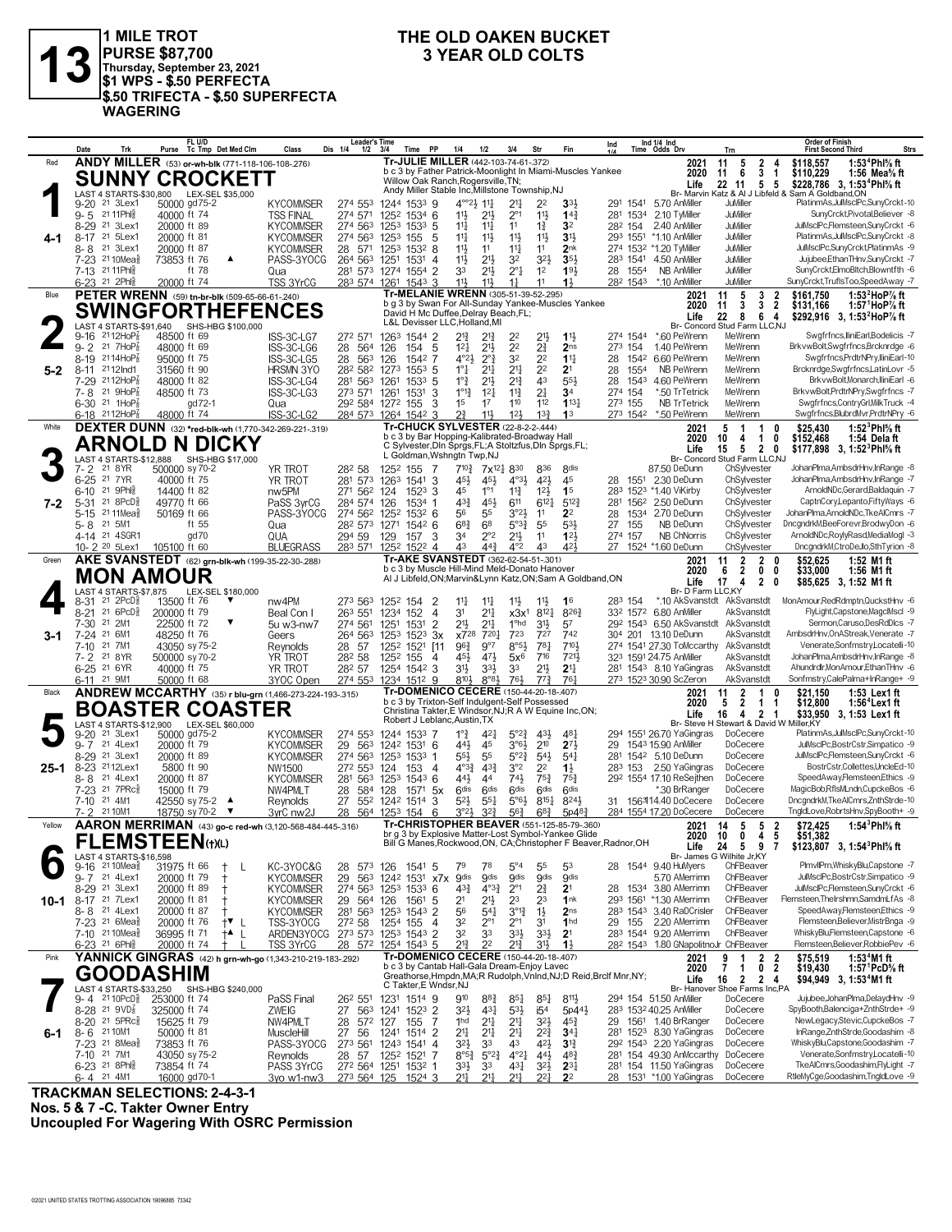

## **THE OLD OAKEN BUCKET**

|        | Trk<br>Date                                                              | FL U/D<br>Purse Tc Tmp Det Med Clm                                                 | Class<br>Dis 1/4                     | <b>Leader's Time</b><br>Time PP<br>$1/2$ $3/4$                         | 1/4<br>1/2<br>3/4                                                                                                  | Str<br>Fin                                                                | Ind 1/4 Ind<br>Ind<br>Time Odds Drv                     | <b>Order of Finish</b><br><b>Strs</b><br><b>First Second Third</b><br>Trn                                                                       |
|--------|--------------------------------------------------------------------------|------------------------------------------------------------------------------------|--------------------------------------|------------------------------------------------------------------------|--------------------------------------------------------------------------------------------------------------------|---------------------------------------------------------------------------|---------------------------------------------------------|-------------------------------------------------------------------------------------------------------------------------------------------------|
| Red    |                                                                          | ANDY MILLER (53) or-wh-blk (771-118-106-108-276)                                   |                                      |                                                                        | Tr-JULIE MILLER (442-103-74-61-.372)<br>b c 3 by Father Patrick-Moonlight In Miami-Muscles Yankee                  |                                                                           | 2021<br>2020                                            | 1:53 <sup>4</sup> Phl% ft<br>2<br>\$118,557<br>11<br>5<br>4<br>3<br>11<br>6<br>$\overline{1}$<br>\$110,229<br>1:56 Mea $\%$ ft                  |
|        |                                                                          | <b>SUNNY CROCKETT</b>                                                              |                                      |                                                                        | Willow Oak Ranch, Rogersville, TN;<br>Andy Miller Stable Inc, Millstone Township, NJ                               |                                                                           | Life                                                    | 22 11 5 5<br>\$228.786 3.1:53 <sup>4</sup> Phl <sup>5</sup> / <sub>8</sub> ft                                                                   |
|        | LAST 4 STARTS-\$30,800<br>21 3Lex1<br>9-20                               | LEX-SEL \$35,000<br>50000 gd75-2                                                   | <b>KYCOMMSER</b>                     | 274 553<br>1244 1533 9                                                 | $4^{\circ}2\frac{1}{2}11\frac{1}{4}$<br>2 <sup>11</sup>                                                            | 2 <sup>2</sup><br>3 <sup>3</sup>                                          | 291 1541 5.70 AnMiller                                  | Br- Marvin Katz & Al J Libfeld &<br>Sam A Goldband, ON<br>PlatinmAs,JulMsclPc,SunyCrckt-10<br>JuMiller                                          |
|        | 21 11 Phis<br>$9 - 5$<br>8-29 21 3Lex1                                   | 40000 ft 74<br>20000 ft 89                                                         | <b>TSS FINAL</b><br><b>KYCOMMSER</b> | 274 571<br>1252 1534 6<br>274 563 1253 1533 5                          | 11号<br>$21\frac{1}{2}$<br>$2^{\circ}1$<br>11<br>14<br>$11\frac{1}{4}$                                              | 11}<br>14 <sub>3</sub><br>$1\frac{3}{4}$<br>3 <sup>2</sup>                | 281 1534 2.10 Twiller<br>2.40 AnMiller<br>282 154       | SunyCrcktPivotal.Believer -8<br>JuMiller<br>JuMiller<br>JulMsclPc,Flemsteen,SunyCrckt -6                                                        |
|        | 8-17 <sup>21</sup> 5Lex1                                                 | 20000 ft 81                                                                        | <b>KYCOMMSER</b>                     | 274 563 1253<br>5<br>155                                               | $11\frac{1}{4}$<br>$11\frac{1}{2}$<br>$11\frac{1}{2}$                                                              | 11}<br>3 <sup>1</sup>                                                     | 293 1551<br>*1.10 AnMiller                              | PlatinmAs,JulMsclPc,SunyCrckt -8<br>JuMiller                                                                                                    |
|        | $8 - 8$<br>21 3Lex1<br>7-23 <sup>21</sup> 10Mea <sup>§</sup>             | 20000 ft 87<br>73853 ft 76<br>▲                                                    | <b>KYCOMMSER</b><br>PASS-3YOCG       | 28 571 1253 1532 8<br>264 563<br>1251<br>1531<br>-4                    | 11}<br>11<br>$11\frac{1}{4}$<br>11}<br>$21\frac{1}{2}$<br>3 <sup>2</sup>                                           | 11<br>2 <sub>nk</sub><br>32}<br>351                                       | 274 1532 *1.20 TyMiller<br>283 1541 4.50 AnMiller       | JuMiller<br>JulMsclPc,SunyCrckt,PlatinmAs -9<br>JuMiller<br>Jujubee,EthanTHnv,SunyCrckt -7                                                      |
|        | 7-13 21 11 Ph<br>6-23 21 2Phil                                           | ft 78<br>20000 ft 74                                                               | Qua<br>TSS 3YrCG                     | 281 573 1274 1554 2<br>283 574 1261 1543 3                             | $2^{11}$<br>33<br>$2^{\circ}1$<br>11}<br>$11\frac{1}{2}$<br>$1\frac{1}{4}$                                         | 193<br>1 <sup>2</sup><br>11<br>$1\frac{1}{2}$                             | 28 1554<br>NB AnMiller<br>282 1543 *.10 AnMiller        | JuMiller<br>SunyCrckt,ElmoBltch,Blowntfth -6<br>JuMiller<br>SunyCrckt,TruflsToo,SpeedAway -7                                                    |
| Blue   |                                                                          | PETER WRENN (59) tn-br-blk (509-65-66-61-240)                                      |                                      |                                                                        | Tr-MELANIE WRENN (305-51-39-52-.295)                                                                               |                                                                           | 2021                                                    | 11<br>5<br>3<br>$\overline{2}$<br>\$161.750<br>1:53 $^2$ HoP $\%$ ft                                                                            |
|        |                                                                          | <b>SWINGFORTHEFENCES</b>                                                           |                                      |                                                                        | b q 3 by Swan For All-Sunday Yankee-Muscles Yankee<br>David H Mc Duffee, Delray Beach, FL;                         |                                                                           | 2020<br>Life                                            | 3<br>$\overline{2}$<br>11<br>3<br>\$131,166<br>1:57 $^1$ HoP $\%$ ft<br>22<br>8<br>6<br>4<br>\$292,916 3, 1:53 HoP% ft                          |
|        | LAST 4 STARTS-\$91,640<br>$2112HoP_8$<br>9-16                            | SHS-HBG \$100,000<br>48500 ft 69                                                   | ISS-3C-LG7                           | 272 571<br>1263 1544 2                                                 | L&L Devisser LLC, Holland, MI<br>$2^{13}$<br>$2^{13}$<br>2 <sup>2</sup>                                            | 21}<br>$11\frac{1}{2}$                                                    | 274 1544 *.60 PeWrenn                                   | Br- Concord Stud Farm LLC.NJ<br>Swgfrfncs,lliniEarl,Bodelicis -7<br>MeWrenn                                                                     |
|        | 21 $7HOP_8^7$<br>$9 - 2$                                                 | 48000 ft 69                                                                        | 28<br>ISS-3C-LG6                     | - 5<br>564<br>126<br>154                                               | $12\frac{1}{4}$<br>$21\frac{1}{2}$<br>2 <sup>2</sup>                                                               | $2\frac{3}{4}$<br>2 <sub>ns</sub>                                         | 273 154<br>1.40 PeWrenn                                 | BrkvwBolt,Swgfrfncs,Brcknrdge -6<br>MeWrenn                                                                                                     |
| 5-2    | $8 - 19$<br>$2114HOP_8^7$<br>8-11 2112 Ind1                              | 95000 ft 75<br>31560 ft 90                                                         | ISS-3C-LG5<br>28<br><b>HRSMN 3YO</b> | 563<br>126<br>1542 7<br>282 582 1273<br>$155^3$ 5                      | $2^{0}\frac{3}{4}$<br>32<br>$4^{\circ}2\frac{1}{2}$<br>$1^\circ \frac{1}{4}$<br>2 <sup>11</sup><br>2 <sup>11</sup> | 2 <sup>2</sup><br>$1^{11}$<br>2 <sup>2</sup><br>2 <sup>1</sup>            | 28 1542 6.60 PeWrenn<br>28<br>1554<br>NB PeWrenn        | Swgfrfncs, PrdtrNPry, IliniEarl-10<br>MeWrenn<br>MeWrenn<br>Brcknrdge,Swgfrfncs,LatinLovr -5                                                    |
|        | $2112HoP_8$<br>7-29<br>21 9HoP<br>$7 - 8$                                | 48000 ft 82<br>48500 ft 73                                                         | ISS-3C-LG4<br>ISS-3C-LG3             | 281 563 1261<br>1533 5<br>273 571 1261<br>3<br>1531                    | $1^{\circ}$ $\frac{3}{4}$<br>$2^{13}$<br>$2^{11}$<br>$1^{\circ}1_{2}^{3}$<br>$1^{2}$<br>$11\frac{3}{4}$            | 43<br>553<br>2 <sup>1</sup><br>3 <sup>4</sup>                             | 1543<br>4.60 PeWrenn<br>28<br>274 154<br>*.50 TrTetrick | MeWrenn<br>BrkvwBolt, Monarch, IliniEarl -6<br>BrkvwBolt,PrdtrNPry,Swgfrfncs -7<br>MeWrenn                                                      |
|        | $6-30$ 21 1HoP $\frac{7}{8}$                                             | gd 72-1                                                                            | Qua                                  | 3<br>292 584 1272 155                                                  | 1 <sup>5</sup><br>17<br>110                                                                                        | $1^{13}$<br>112                                                           | 273 155<br><b>NB TrTetrick</b>                          | Swgfrfncs,ContryGrl,MilkTruck -4<br>MeWrenn                                                                                                     |
| White  | $6 - 18$ 2112HoP <sub>8</sub>                                            | 48000 ft 74<br>DEXTER DUNN (32) *red-blk-wh (1,770-342-269-221-.319)               | ISS-3C-LG2                           | 284 573 1264 1542 3                                                    | $2^{3}_{4}$<br>$11\frac{1}{2}$<br>12 <sup>1</sup><br>Tr-CHUCK SYLVESTER (22-8-2-2-444)                             | $13\frac{3}{4}$<br>1 <sup>3</sup>                                         | 273 1542<br>*.50 PeWrenn<br>2021                        | Swgfrfncs, BlubrdMvr, PrdtrNPry -6<br>MeWrenn<br>1:52 $^3$ Phl $\%$ ft<br>5<br>$\overline{1}$<br>1<br>\$25,430<br>0                             |
|        |                                                                          | ARNOLD N DICKY                                                                     |                                      |                                                                        | b c 3 by Bar Hopping-Kalibrated-Broadway Hall<br>C Sylvester, Din Sprgs, FL; A Stoltzfus, Din Sprgs, FL;           |                                                                           | 2020<br>Life                                            | 10<br>4<br>$\mathbf{1}$<br>0<br>\$152,468<br>1:54 Delaft<br>5<br>15<br>2 0<br>\$177.898 3. 1:52 <sup>3</sup> Phl <sup>5</sup> / <sub>8</sub> ft |
|        | LAST 4 STARTS-\$12.888<br>21 8 YR                                        | SHS-HBG \$17,000                                                                   |                                      | 1252 155<br>-7                                                         | L Goldman, Wshngtn Twp, NJ<br>$7^{10\frac{3}{4}}$                                                                  |                                                                           | 87.50 DeDunn                                            | Br- Concord Stud Farm LLC.NJ<br>JohanPlma,AmbsdrHnv,InRange -8<br>ChSylvester                                                                   |
|        | 7- 2<br>21 7 YR<br>$6 - 25$                                              | 500000 sy 70-2<br>40000 ft 75                                                      | YR TROT<br>YR TROT                   | 282 58<br>281 573<br>-3<br>1263 1541                                   | 7x <sup>121</sup> 8 <sup>30</sup><br>454<br>$4^{\circ}3\frac{1}{2}$<br>45}                                         | 836<br>8 <sub>dis</sub><br>421<br>45                                      | 28 1551 2.30 DeDunn                                     | JohanPlma,AmbsdrHnv,InRange -7<br>ChSylvester                                                                                                   |
| 7-2    | 21 9Ph<br>$6 - 10$<br>$21$ $8PCD\frac{5}{8}$<br>$5 - 31$                 | 14400 ft 82<br>49770 ft 66                                                         | nw <sub>5</sub> PM<br>PaSS 3vrCG     | 271 562 124<br>$152^3$ 3<br>284 574<br>126<br>1534 1                   | $11\frac{3}{4}$<br>45<br>$1^{\circ}1$<br>$4^{3}\frac{3}{4}$<br>45}<br>611                                          | $12\frac{1}{2}$<br>1 <sup>5</sup><br>$6^{12}$<br>$5^{12}$                 | 283 1523 *1.40 ViKirby<br>2.50 DeDunn<br>281 1562       | ArnoldNDc,Gerard,Baldaquin -7<br>ChSylvester<br>ChSylvester<br>CaptnCory,Lepanto,FiftyWays -6                                                   |
|        | 2111Mea $\frac{5}{8}$<br>$5 - 15$                                        | 50169 ft 66                                                                        | PASS-3YOCG                           | 274 562 1252<br>$153^2$ 6                                              | 3°2 <sup>1</sup><br>56<br>55                                                                                       | 11<br>2 <sup>2</sup>                                                      | 28 1534 2.70 DeDunn                                     | ChSylvester<br>JohanPlma.ArnoldNDc.TkeAlCmrs -7<br>ChSylvester<br>DncgndrkM,BeeForevr,BrodwyDon -6                                              |
|        | 5-8<br>21 5M1<br>4-14 <sup>21</sup> 4SGR1                                | ft 55<br>gd70                                                                      | Qua<br>QUA                           | 28 <sup>2</sup> 573 1271 1542 6<br>3<br>294 59<br>129<br>157           | $68\frac{3}{4}$<br>6 <sup>8</sup><br>$5^{\circ}3^{\frac{3}{4}}$<br>$2^{\circ}2$<br>$21\frac{1}{2}$<br>34           | 55<br>$5^{3}\frac{1}{2}$<br>123<br>11                                     | 27 155<br>NB DeDunn<br>274 157<br><b>NB ChNorris</b>    | ArnoldNDc,RoylyRasd,MediaMogl -3<br>ChSylvester                                                                                                 |
| Green  | 10-2 20 5Lex1                                                            | 105100 ft 60<br>AKE SVANSTEDT (62) grn-blk-wh (199-35-22-30-288)                   | <b>BI UFGRASS</b>                    | 1252 1522 4<br>283 571                                                 | 44}<br>$4^{\circ}2$<br>43<br>Tr-AKE SVANSTEDT (362-62-54-51-301)                                                   | 43<br>421                                                                 | 27 1524 *1.60 DeDunn<br>2021                            | ChSylvester<br>DncgndrkM,CtroDeJlo,SthTyrion -8<br>$\overline{2}$<br>$\overline{2}$<br>\$52,625<br>1:52 M1 ft<br>11<br>0                        |
|        |                                                                          | <b>MON AMOUR</b>                                                                   |                                      |                                                                        | b c 3 by Muscle Hill-Mind Meld-Donato Hanover<br>Al J Libfeld, ON; Marvin&Lynn Katz, ON; Sam A Goldband, ON        |                                                                           | 2020                                                    | $\overline{2}$<br>6<br>0<br>0<br>\$33,000<br>1:56 M1 ft                                                                                         |
|        | LAST 4 STARTS-\$7,875                                                    | LEX-SEL \$180,000                                                                  |                                      |                                                                        |                                                                                                                    |                                                                           | Life<br>Br- D Farm LLC,KY                               | $\overline{2}$<br>17<br>4<br>0<br>\$85.625 3.1:52 M1 ft                                                                                         |
|        | $21 \text{ } 2PCD\frac{5}{8}$<br>8-31<br>216PCD <sub>8</sub><br>$8 - 21$ | 13500 ft 76<br>▼<br>200000 ft 79                                                   | nw4PM<br>Beal Con I                  | 273 563<br>1252 154<br>2<br>$\overline{4}$<br>263 551<br>1234 152      | $11\frac{1}{4}$<br>$11\frac{1}{4}$<br>$11\frac{1}{2}$<br>3 <sup>1</sup><br>$2^{11}$                                | $11\frac{1}{2}$<br>1 <sup>6</sup><br>$x3x^1$ $8^{12}$<br>8263             | 283 154<br>332 1572 6.80 AnMiller                       | MonAmour, Red Rdmptn, QuckstHnv -6<br>*.10 AkSvanstdt AkSvanstdt<br>FlyLight,Capstone,MagclMscl -9<br>AkSvanstdt                                |
|        | $7 - 30$<br>21 2M1<br>21 6M1<br>$7 - 24$                                 | 22500 ft 72<br>▼<br>48250 ft 76                                                    | 5u w3-nw7                            | $\overline{2}$<br>274 561<br>1251<br>1531<br>$152^3$ $3x$              | 2 <sup>11</sup><br>1 <sup>o</sup> hd<br>21}<br>723<br>x728<br>7201                                                 | $3^{11}$<br>57<br>727<br>742                                              | 292 1543 6.50 AkSvanstdt<br>304 201 13.10 DeDunn        | AkSvanstdt<br>Sermon, Caruso, DesRdDlcs -7<br>AmbsdrHnv, On AStreak, Venerate -7<br>AkSvanstdt                                                  |
| $3-1$  | 21 7M1<br>$7 - 10$                                                       | 43050 sy 75-2                                                                      | Geers<br>Reynolds<br>28              | 264 563<br>1253<br>-57<br>1252 1521                                    | $8°5\frac{1}{2}$<br>$96\frac{3}{4}$<br>$9^{\circ}7$<br>[11                                                         | 781<br>7104                                                               | 274 1541 27.30 ToMccarthy AkSvanstdt                    | Venerate,Sonfmstry,Locatelli-10                                                                                                                 |
|        | 21 8 YR<br>7- 2<br>6-25 <sup>21</sup> 6YR                                | 500000 sy 70-2<br>40000 ft 75                                                      | YR TROT<br>YR TROT                   | 282 58<br>1252 155<br>4<br>282 57<br>1254 1542 3                       | 451<br>471<br>$5x^6$<br>3 <sup>1</sup><br>$3^{3}\frac{1}{2}$<br>33                                                 | 716<br>7211<br>$21\frac{1}{2}$<br>2 <sup>11</sup>                         | 323 1591 24.75 AnMiller<br>281 1543 8.10 YaGingras      | JohanPlma,AmbsdrHnv,InRange -8<br>AkSvanstdt<br>AkSvanstdt<br>Ahundrdlr, Mon Amour, Ethan THnv -6                                               |
|        | 6-11 <sup>21</sup> 9M1                                                   | 50000 ft 68                                                                        | 3YOC Open                            | 274 553<br>1234 1512 9                                                 | 8104<br>$8°8\frac{1}{2}$<br>76}<br>Tr-DOMENICO CECERE (150-44-20-18-.407)                                          | $77\frac{3}{4}$<br>761                                                    | 273 1523 30.90 ScZeron                                  | AkSvanstdt<br>Sonfmstry,CalePalma+InRange+ -9                                                                                                   |
| Black  |                                                                          | ANDREW MCCARTHY (35) r blu-grn (1,466-273-224-193-.315)<br><b>BOASTER COASTER</b>  |                                      |                                                                        | b c 3 by Trixton-Self Indulgent-Self Possessed                                                                     |                                                                           | 2021<br>2020                                            | $\mathbf{2}$<br>11<br>1<br>\$21,150<br>1:53 Lex1 ft<br>0<br>5<br>$\overline{2}$<br>\$12,800<br>$\mathbf 1$<br>1:56 <sup>4</sup> Lex 1 ft<br>1   |
|        |                                                                          | LAST 4 STARTS-\$12,900 LEX-SEL \$60,000                                            |                                      |                                                                        | Christina Takter, E Windsor, NJ; R A W Equine Inc, ON;<br>Robert J Leblanc, Austin, TX                             |                                                                           | Life                                                    | 4<br>$\overline{2}$<br>\$33,950 3, 1:53 Lex1 ft<br>16<br>-1<br>Br- Steve H Stewart & David W Miller, KY                                         |
|        | 21 3Lex1<br>9-20<br>9-7 21 4Lex1                                         | 50000 gd75-2<br>20000 ft 79                                                        | <b>KYCOMMSER</b><br><b>KYCOMMSER</b> | 274 553<br>1244 1533 7<br>29 563<br>1242 1531 6                        | $1^{\circ}$ $\frac{3}{4}$<br>$4^{2}$<br>$5^{\circ}2^{\frac{3}{4}}$<br>$3°6\frac{1}{2}$<br>441<br>45                | 43}<br>$4^{8}$<br>210<br>$2^{7}$                                          | 294 1551 26.70 YaGingras<br>29 1543 15.90 AnMiller      | PlatinmAs,JulMsclPc,SunyCrckt-10<br>DoCecere<br>DoCecere<br>JulMsclPc.BostrCstr.Simpatico -9                                                    |
|        | 8-29 21 3Lex1                                                            | 20000 ft 89                                                                        | <b>KYCOMMSER</b>                     | 274 563 1253 1533 1                                                    | 5°2 <sup>3</sup><br>$55\frac{1}{2}$<br>55                                                                          | $54\frac{1}{2}$<br>$5^{4}$                                                | 281 1542 5.10 DeDunn<br>2.50 YaGingras                  | DoCecere<br>JulMsclPc,Flemsteen,SunyCrckt -6<br>BostrCstr,Collettes,UncleEd-10                                                                  |
| 25-1   | 8-23 2112Lex1<br>8-8<br>21 4Lex1                                         | 5800 ft 90<br>20000 ft 87                                                          | NW1500<br><b>KYCOMMSER</b><br>281    | 272 553 124<br>153<br>-4<br>563 1253 1543 6                            | 3°2<br>$4^{\circ}3^{\frac{3}{4}}$<br>$4^{3}\frac{3}{4}$<br>741<br>441<br>44                                        | 2 <sup>2</sup><br>$1\frac{1}{2}$<br>$75\frac{3}{4}$<br>$75\frac{3}{4}$    | 283 153<br>292 1554 17.10 ReSeithen                     | DoCecere<br>SpeedAway,Flemsteen,Ethics -9<br>DoCecere                                                                                           |
|        | 7-23 <sup>21</sup> 7PRc <sup>3</sup><br>7-10 21 4M1                      | 15000 ft 79<br>42550 sy 75-2<br>▲                                                  | NW4PMLT<br>28<br>Reynolds<br>27      | 584 128<br>$157^1$ 5x<br>552 1242<br>1514<br>-3                        | 6 <sup>dis</sup><br>6 <sup>dis</sup><br>6 <sup>dis</sup><br>$5^{2}$<br>$5°6\frac{1}{2}$<br>$55\frac{1}{4}$         | 6 <sup>dis</sup><br>6 <sup>dis</sup><br>$8^{15}\frac{1}{4}$<br>8243       | *.30 BrRanger<br>31 156314.40 DoCecere                  | MagicBob,RfIsMLndn,CupckeBos -6<br>DoCecere<br>DoCecere<br>DncgndrkM,TkeAlCmrs,ZnthStrde-10                                                     |
|        | 7-2 2110M1                                                               | 18750 sy 70-2 ▼                                                                    | 3vrC nw2J                            | 28 564 1253 154<br>- 6                                                 | $3^{\circ}2\frac{1}{2}$<br>$3^{2}3$<br>$56\frac{3}{4}$                                                             | $6^{8}$ <sub>4</sub><br>5p48 <sub>4</sub>                                 | 284 1554 17.20 DoCecere                                 | DoCecere<br>TngldLove,RobrtsHnv,SpyBooth+ -9                                                                                                    |
| Yellow |                                                                          | AARON MERRIMAN (43) go-c red-wh (3,120-568-484-445-.316)<br><b>FLEMSTEEN(t)(L)</b> |                                      |                                                                        | Tr-CHRISTOPHER BEAVER (551-125-85-79-360)<br>br g 3 by Explosive Matter-Lost Symbol-Yankee Glide                   |                                                                           |                                                         | 1:54 $3$ Phl $%$ ft<br>2021 14 5<br>5 <sub>2</sub><br>\$72,425<br>0<br>4 5<br>2020 10<br>\$51,382                                               |
|        | LAST 4 STARTS-\$16,598                                                   |                                                                                    |                                      |                                                                        | Bill G Manes, Rockwood, ON, CA; Christopher F Beaver, Radnor, OH                                                   |                                                                           | Life                                                    | 24<br>59<br>$\overline{7}$<br>\$123,807 3, 1:54 <sup>3</sup> Phl <sup>5</sup> / <sub>8</sub> ft<br>Br- James G Wilhite Jr,KY                    |
|        | $9-16$ 21 10 Mea <sub>8</sub><br>9-7 21 4Lex1                            | 31975 ft 66<br>Ť<br>20000 ft 79<br>t                                               | KC-3YOC&G<br>29<br><b>KYCOMMSER</b>  | 28 573 126 1541 5<br>563 1242 1531 x7x 9dis                            | $5^{\circ}4$<br>79<br>78<br><b>gdis</b><br><b>gdis</b>                                                             | 53<br>55<br><b>gdis</b><br><b>gdis</b>                                    | 28 1544 9.40 HuMyers<br>5.70 AMerrimn                   | ChFBeaver<br>PlmvllPrn, WhiskyBlu, Capstone -7<br>JulMsclPc,BostrCstr,Simpatico -9<br>ChFBeaver                                                 |
|        | 8-29 21 3Lex1                                                            | 20000 ft 89<br>$^{\dagger}$                                                        | <b>KYCOMMSER</b>                     | 274 563 1253 1533 6                                                    | $4^{3}\frac{3}{4}$<br>$4^{03}\frac{3}{4}$<br>$2^{\circ}1$                                                          | 2∛<br>2 <sup>1</sup>                                                      | 28 1534 3.80 AMerrimn                                   | JulMsclPc,Flemsteen,SunyCrckt -6<br>ChFBeaver                                                                                                   |
| 10-1   | 8-17 <sup>21</sup> 7Lex1<br>8-8 <sup>21</sup> 4Lex1                      | 20000 ft 81<br>Ť<br>20000 ft 87<br>Ť                                               | <b>KYCOMMSER</b><br><b>KYCOMMSER</b> | -5<br>29 564 126<br>1561<br>281 563 1253 1543 2                        | 2 <sup>1</sup><br>2 <sup>3</sup><br>2 <sup>1</sup><br>56<br>$3^{012}$<br>$5^{41}$                                  | 23<br>1nk<br>$1\frac{1}{2}$<br>2 <sub>ns</sub>                            | 293 1561 *1.30 AMerrimn<br>283 1543 3.40 RaDCrisler     | Flemsteen, The Irshmn, SamdmLfAs -8<br>ChFBeaver<br>SpeedAway,Flemsteen,Ethics -9<br>ChFBeaver                                                  |
|        | 7-23 <sup>21</sup> 6Mea <sup>§</sup><br>7-10 21 10 Mea <sub>8</sub>      | 20000 ft 76<br>$\dagger$ L<br>36995 ft 71<br>$+$ L                                 | TSS-3YOCG                            | 272 58<br>1254 155<br>$\overline{4}$<br>ARDEN3YOCG 273 573 1253 1543 2 | 32<br>$2^{\circ}1$<br>$2^{\circ}1$<br>32<br>33<br>$3^{3}\frac{1}{2}$                                               | 3 <sup>1</sup><br>1 <sub>hd</sub><br>$3^{3}\frac{1}{2}$<br>2 <sup>1</sup> | 2.20 AMerrimn<br>29 155<br>283 1544 9.20 AMerrimn       | Flemsteen, Believer, MistrBnga - 9<br>ChFBeaver<br>ChFBeaver<br>WhiskvBluFlemsteen.Capstone -6                                                  |
|        | 6-23 21 6Ph <sub>1</sub>                                                 | 20000 ft 74<br>$\pm$                                                               | <b>TSS 3YrCG</b>                     | 28 572 1254 1543 5                                                     | $21\frac{3}{4}$<br>2 <sup>2</sup><br>213                                                                           | 31}<br>$1\frac{1}{2}$                                                     | 282 1543 1.80 GNapolitnoJr ChFBeaver                    | Flemsteen,Believer,RobbiePev -6                                                                                                                 |
| Pink   |                                                                          | YANNICK GINGRAS (42) h grn-wh-go (1,343-210-219-183-292)                           |                                      |                                                                        | Tr-DOMENICO CECERE (150-44-20-18-.407)<br>b c 3 by Cantab Hall-Gala Dream-Enjoy Lavec                              |                                                                           | 2021<br>2020                                            | 9<br>$\overline{1}$<br>2 <sub>2</sub><br>\$75,519<br>1:53 <sup>4</sup> M1 ft<br>7<br>$\mathbf{1}$<br>0<br>2<br>\$19,430<br>1:57 $PCD\%$ ft      |
|        | LAST 4 STARTS-\$33,250                                                   | <b>GOODASHIM</b><br>SHS-HBG \$240,000                                              |                                      | C Takter, E Wndsr, NJ                                                  | Greathorse, Hmpdn, MA; R Rudolph, Vnlnd, NJ; D Reid, Brclf Mnr, NY;                                                |                                                                           | Life                                                    | 16<br>$\overline{2}$<br>2 <sub>4</sub><br>\$94,949 3, 1:53 <sup>4</sup> M1 ft<br>Br- Hanover Shoe Farms Inc,PA                                  |
|        | 9-4 2110PcD ₹                                                            | 253000 ft 74                                                                       | PaSS Final                           | 26 <sup>2</sup> 55 <sup>1</sup> 123 <sup>1</sup> 1514 9                | 910<br>$8^{8}$ <sub>4</sub><br>$85\frac{1}{4}$                                                                     | $8^{11}\frac{1}{2}$<br>$85\frac{1}{4}$<br>5p44}                           | 294 154 51.50 AnMiller<br>283 1532 40.25 AnMiller       | Jujubee, JohanPlma, DelaydHnv -9<br>DoCecere<br>SpyBooth,Balenciga+ZnthStrde+ -9<br>DoCecere                                                    |
|        | 8-28 <sup>21</sup> 9VD <sup>6</sup><br>8-20 21 5PRc <sup>5</sup>         | 325000 ft 74<br>15625 ft 79                                                        | ZWEIG<br>27<br>NW4PMLT<br>28         | 563 1241 1523 2<br>572 127 155<br>-7                                   | 3 <sup>2</sup><br>431<br>$5^{31}$<br>$2^{11}$<br>$21\frac{1}{4}$<br>1hd                                            | i5 <sup>4</sup><br>$3^{21}$<br>$45\frac{3}{4}$                            | 29 1561 1.40 BrRanger                                   | NewLegacy,Stevic,CupckeBos -7<br>DoCecere                                                                                                       |
| 6-1    | 8-6 2110M1<br>7-23 <sup>21</sup> 8Mea <sup>§</sup>                       | 50000 ft 81<br>73853 ft 76                                                         | MuscleHill<br>PASS-3YOCG             | 27 56<br>1241 1514 2<br>273 561 1243 1541<br>$\overline{4}$            | $2^{11}$<br>21<br>$21\frac{1}{4}$<br>$3^{21}$<br>33<br>43                                                          | $2^{2^{3}}$<br>$34\frac{1}{4}$<br>42}<br>3 <sup>12</sup>                  | 281 1523 8.30 YaGingras<br>292 1543 2.20 YaGingras      | InRange,ZnthStrde,Goodashim -8<br>DoCecere<br>WhiskyBlu,Capstone,Goodashim -7<br>DoCecere                                                       |
|        | 7-10 21 7M1                                                              | 43050 sy 75-2                                                                      | 28<br>Reynolds                       | 57<br>1252 1521 7                                                      | $5^{\circ}2^{\frac{3}{4}}$<br>$4^{\circ}2^{\frac{1}{4}}$<br>$8^{\circ 5\frac{3}{4}}$                               | $44\frac{1}{2}$<br>$4^{8}$                                                | 281 154 49.30 AnMccarthy DoCecere                       | Venerate,Sonfmstry,Locatelli-10                                                                                                                 |
|        | 6-23 21 8Phls<br>6-4 21 4M1                                              | 73854 ft 74<br>16000 gd70-1                                                        | PASS 3YrCG<br>3yo w1-nw3             | 272 564 1251 1532 1<br>273 564 125 1524 3                              | $3^{3}\frac{1}{2}$<br>33<br>$43\frac{1}{4}$<br>$21\frac{1}{4}$<br>$21\frac{1}{4}$<br>2 <sup>11</sup>               | $3^{2}\frac{1}{2}$<br>$2^{3}$<br>$2^{21}$<br>2 <sup>2</sup>               | 281 154 11.50 YaGingras<br>28 1531 *1.00 YaGingras      | DoCecere<br>TkeAlCmrs,Goodashim,FlyLight -7<br>RtleMyCge,Goodashim,TngldLove -9<br>DoCecere                                                     |

**TRACKMAN SELECTIONS: 2-4-3-1 Nos. 5 & 7 -C. Takter Owner Entry Uncoupled For Wagering With OSRC Permission**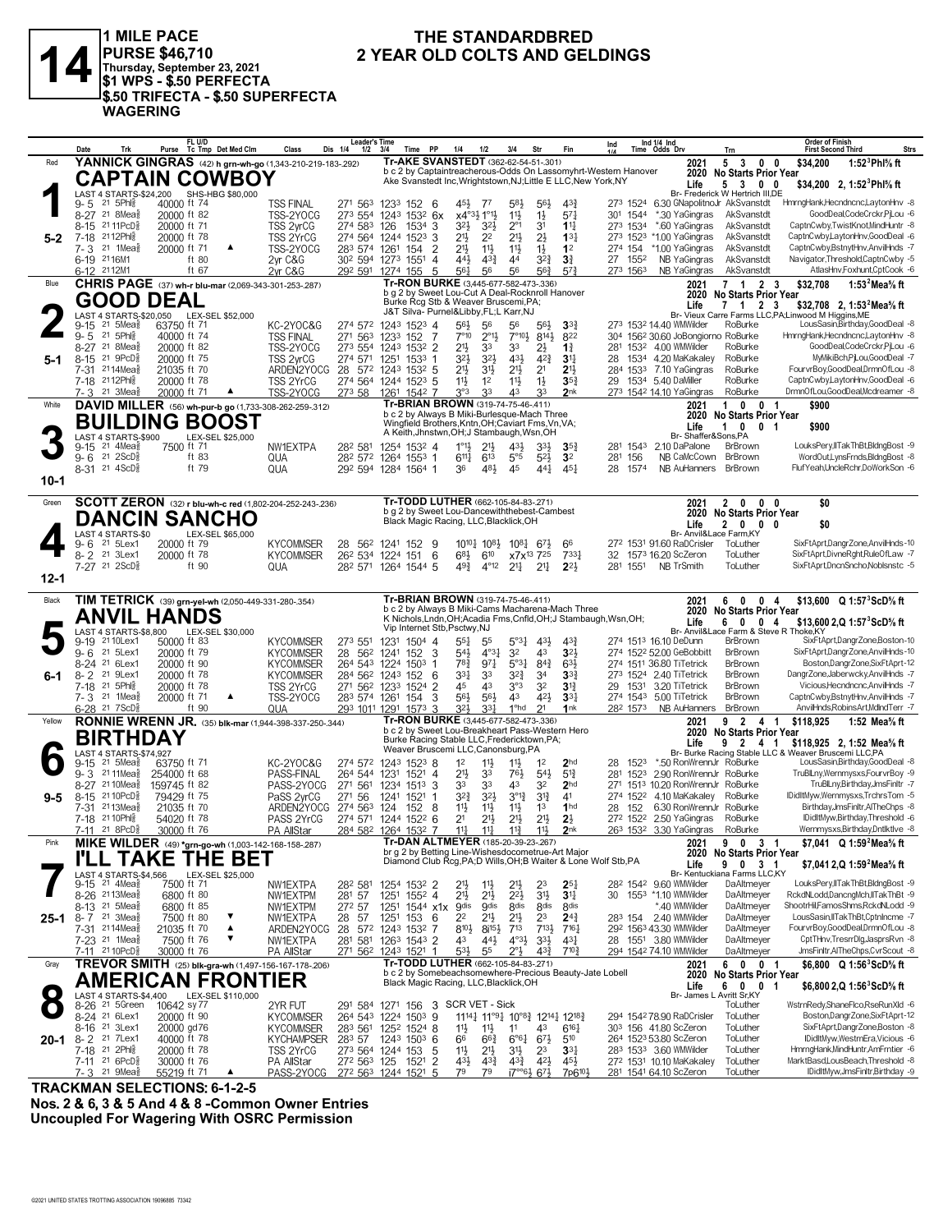

**1** MILE PACE<br>
PURSE \$46,710 2 YEAR OLD COLTS AND GELDINGS<br> **14** Thursday, September 23, 2021<br>
\$1 WPS - \$.50 PERFECTA **PURSE \$46,710 Thursday, September 23, 2021 \$1 WPS - \$.50 PERFECTA \$.50 TRIFECTA - \$.50 SUPERFECTA WAGERING**

# **THE STANDARDBRED<br>2 YEAR OLD COLTS AND GELDINGS**

|          | Date<br>Trk                                                     | FL U/D<br>Purse Tc Tmp Det Med Clm                                  | Class<br>Dis 1/4                           | <b>Leader's Time</b><br>$1/2$ $3/4$<br>Time PP                                                                                   | 1/4<br>1/2                                                                        | 3/4<br>Str                                                                          | Fin                                 | Ind 1/4 Ind<br>Ind<br>Time Odds Drv                             | Trn                                                     | <b>Order of Finish</b><br><b>Strs</b><br><b>First Second Third</b>                     |
|----------|-----------------------------------------------------------------|---------------------------------------------------------------------|--------------------------------------------|----------------------------------------------------------------------------------------------------------------------------------|-----------------------------------------------------------------------------------|-------------------------------------------------------------------------------------|-------------------------------------|-----------------------------------------------------------------|---------------------------------------------------------|----------------------------------------------------------------------------------------|
| Red      |                                                                 | YANNICK GINGRAS (42) h grn-wh-go (1,343-210-219-183-.292)           |                                            | Tr-AKE SVANSTEDT (362-62-54-51-301)                                                                                              |                                                                                   |                                                                                     |                                     | 2021                                                            | 5<br>$\overline{\mathbf{3}}$<br>$0\quad 0$              | 1:52 $^3$ Phl $\%$ ft<br>\$34,200                                                      |
|          |                                                                 | <b>CAPTAIN COWBOY</b>                                               |                                            | b c 2 by Captaintreacherous-Odds On Lassomyhrt-Western Hanover<br>Ake Svanstedt Inc, Wrightstown, NJ; Little E LLC, New York, NY |                                                                                   |                                                                                     |                                     | Life                                                            | 2020 No Starts Prior Year<br>5 3 0 0                    | \$34,200 2, 1:52 <sup>3</sup> Phl <sup>5</sup> / <sub>8</sub> ft                       |
|          |                                                                 | LAST 4 STARTS-\$24,200 SHS-HBG \$80,000                             |                                            |                                                                                                                                  |                                                                                   |                                                                                     |                                     |                                                                 | Br- Frederick W Hertrich III,DE                         |                                                                                        |
|          | 21 5Phl <sub>8</sub><br>9-5                                     | 40000 ft 74                                                         | <b>TSS FINAL</b><br>271 563                | 1233<br>152<br>-6                                                                                                                | 45}<br>- 77                                                                       | $5^{8}$<br>$56\frac{1}{2}$                                                          | $4^{3}$                             | 273 1524 6.30 GNapolitnoJr AkSvanstdt                           |                                                         | HmrngHank,Hecndncnc,LaytonHnv -8                                                       |
|          | 8-27 21 8Mea <sup>5</sup><br>8-15 21 11 PcD <sup>5</sup>        | 20000 ft 82<br>20000 ft 71                                          | TSS-2YOCG<br>TSS 2yrCG<br>274 583 126      | 273 554 1243 1532 6x<br>1534<br>3                                                                                                | x4°3} 1°1}<br>3 <sup>2</sup><br>3 <sup>2</sup>                                    | $11\frac{1}{2}$<br>$1\frac{1}{2}$<br>$2^{\circ}1$<br>31                             | $5^{7}$<br>$1^{11}$                 | 301 1544<br>*.30 YaGingras<br>*.60 YaGingras<br>273 1534        | AkSvanstdt<br>AkSvanstdt                                | GoodDeal,CodeCrckr,PjLou -6<br>CaptnCwby,TwistKnot,MindHuntr -8                        |
| $5 - 2$  | 7-18 2112Phls                                                   | 20000 ft 78                                                         | TSS 2YrCG<br>274 564 1244                  | 1523<br>3                                                                                                                        | 21}<br>2 <sup>2</sup>                                                             | $21\frac{1}{2}$<br>$2\frac{1}{2}$                                                   | $13\frac{1}{4}$                     | 273 1523 *1.00 YaGingras                                        | AkSvanstdt                                              | CaptnCwby,LaytonHnv,GoodDeal -6                                                        |
|          | 7-3 21 1Mea <sup>5</sup>                                        | 20000 ft 71<br>▲                                                    | TSS-2YOCG                                  | 283 574 1261 154<br>2                                                                                                            | $21\frac{1}{2}$<br>$11\frac{1}{2}$                                                | $11\frac{1}{2}$<br>$1\frac{1}{2}$                                                   | 1 <sup>2</sup>                      | 274 154<br>*1.00 YaGingras                                      | AkSvanstdt                                              | CaptnCwby,BstnytHnv,AnvilHnds -7                                                       |
|          | 6-19 2116M1                                                     | ft 80                                                               | 2yr C&G                                    | 30 <sup>2</sup> 594 1273 1551 4                                                                                                  | 44}<br>$4^{3}\frac{3}{4}$                                                         | 44<br>$3^{2^{3}}$                                                                   | 3 <sup>3</sup>                      | 27 1552<br>NB YaGingras                                         | AkSvanstdt                                              | Navigator, Threshold, CaptnCwby -5                                                     |
| Blue     | 6-12 2112M1                                                     | ft 67                                                               | 2yr C&G                                    | 292 591 1274 155<br>5<br>Tr-RON BURKE (3,445-677-582-473-.336)                                                                   | 561<br>56                                                                         | 563<br>56                                                                           | $5^{7}$                             | NB YaGingras<br>273 1563                                        | AkSvanstdt<br>7 <sub>1</sub>                            | AtlasHnv,Foxhunt,CptCook -6<br>1:53 $^2$ Mea $\%$ ft                                   |
|          |                                                                 | <b>CHRIS PAGE</b> (37) wh-r blu-mar (2,069-343-301-253-.287)        |                                            | b g 2 by Sweet Lou-Cut A Deal-Rocknroll Hanover                                                                                  |                                                                                   |                                                                                     |                                     | 2021                                                            | 2 3<br>2020 No Starts Prior Year                        | \$32,708                                                                               |
|          | GOOD DEAL                                                       |                                                                     |                                            | Burke Rcg Stb & Weaver Bruscemi, PA;<br>J&T Silva- Purnel&Libby, FL;L Karr, NJ                                                   |                                                                                   |                                                                                     |                                     | Life                                                            | $1\quad 2$<br>- 3                                       | \$32,708 2, 1:53 <sup>2</sup> Mea <sup>5</sup> / <sub>8</sub> ft                       |
|          | $21.5$ Mea $\frac{5}{8}$<br>9-15                                | LAST 4 STARTS-\$20,050 LEX-SEL \$52,000<br>63750 ft 71              | KC-2YOC&G                                  | 274 572 1243 1523 4                                                                                                              | 56}<br>56                                                                         | 56<br>56}                                                                           | 3 <sup>3</sup>                      | 273 1532 14.40 WMWilder                                         | RoBurke                                                 | Br- Vieux Carre Farms LLC, PA; Linwood M Higgins, ME<br>LousSasin,Birthday,GoodDeal -8 |
|          | $9 - 5$<br>21 5Phlg                                             | 40000 ft 74                                                         | 271 563<br><b>TSS FINAL</b>                | 1233 152<br>-7                                                                                                                   | $7^{\circ}10$<br>$2^{01}\frac{1}{2}$                                              | $7^{\circ}10\frac{1}{2}$<br>8141,                                                   | 822                                 | 304 1562 30.60 JoBongiorno RoBurke                              |                                                         | HmrndHank.Hecndncnc.LavtonHnv -8                                                       |
|          | 8-27 21 8Mea <sup>5</sup>                                       | 20000 ft 82                                                         | TSS-2YOCG                                  | 273 554 1243 1532 2                                                                                                              | $21\frac{1}{2}$<br>33                                                             | 33<br>2}                                                                            | $1\frac{3}{4}$                      | 281 1532 4.00 WMWilder                                          | RoBurke                                                 | GoodDeal,CodeCrckr,PjLou -6                                                            |
| 5-1      | $21 \text{ } 9PCD_8^5$<br>$8 - 15$<br>7-31 2114Meas             | 20000 ft 75<br>21035 ft 70                                          | TSS 2yrCG<br>274 571<br>ARDEN2YOCG         | 1251<br>1533<br>-1<br>28 572 1243 1532 5                                                                                         | 32}<br>3 <sup>2</sup><br>21}<br>3 <sup>1</sup>                                    | 431<br>$4^{2}\frac{3}{4}$<br>2 <sup>1</sup><br>2 <sup>1</sup>                       | $3^{11}$<br>2 <sup>11</sup>         | 1534 4.20 MaKakalev<br>28<br>284 1533 7.10 YaGingras            | RoBurke<br>RoBurke                                      | MyMikiBch,PjLou,GoodDeal -7<br>FourvrBoy,GoodDeal,DrmnOfLou -8                         |
|          | 7-18 2112Phls                                                   | 20000 ft 78                                                         | TSS 2YrCG                                  | 274 564 1244 1523 5                                                                                                              | 11号<br>1 <sup>2</sup>                                                             | $11\frac{1}{2}$<br>$1\frac{1}{2}$                                                   | $35\frac{3}{4}$                     | 29 1534 5.40 DaMiller                                           | RoBurke                                                 | CaptnCwby,LaytonHnv,GoodDeal -6                                                        |
|          | 7-3 21 3Mea                                                     | 20000 ft 71<br>$\blacktriangle$                                     | TSS-2YOCG                                  | 273 58 1261 1542 7                                                                                                               | 3°3<br>33                                                                         | 43<br>33                                                                            | 2nk                                 | 273 1542 14.10 YaGingras                                        | RoBurke                                                 | DrmnOfLou,GoodDeal,Mcdreamer -8                                                        |
| White    |                                                                 | DAVID MILLER (56) wh-pur-b go (1,733-308-262-259-.312)              |                                            | Tr-BRIAN BROWN (319-74-75-46-.411)                                                                                               |                                                                                   |                                                                                     |                                     | 2021                                                            | $\mathbf{1}$<br>0 <sub>1</sub><br>$\mathbf{0}$          | \$900                                                                                  |
|          |                                                                 | <b>BUILDING BOOST</b>                                               |                                            | b c 2 by Always B Miki-Burlesque-Mach Three<br>Wingfield Brothers, Kntn, OH; Caviart Fms, Vn, VA;                                |                                                                                   |                                                                                     |                                     | Life                                                            | 2020 No Starts Prior Year<br>10<br>0 <sub>1</sub>       | \$900                                                                                  |
|          | LAST 4 STARTS-\$900                                             | LEX-SEL \$25,000                                                    |                                            | A Keith, Jhnstwn, OH; J Stambaugh, Wsn, OH                                                                                       |                                                                                   |                                                                                     |                                     |                                                                 | Br- Shaffer&Sons,PA                                     |                                                                                        |
|          | $21$ 4Mea $\frac{5}{8}$<br>$9 - 15$<br>9-6 21 2ScD <sup>5</sup> | 7500 ft 71<br>ft $83$                                               | NW1EXTPA<br>282 581                        | 1254 1532 4                                                                                                                      | $1^{\circ}1\frac{1}{2}$<br>$21\frac{1}{2}$                                        | $43\frac{1}{2}$<br>$3^{3}\frac{1}{2}$                                               | 35 <sub>1</sub>                     | 281 1543<br>2.10 DaPalone                                       | BrBrown<br>NB CaMcCown BrBrown                          | LouksPery,IITakThBt,BldngBost -9<br>WordOut,LynsFrnds,BldngBost -8                     |
|          | 8-31 21 4ScD <sup>5</sup>                                       | ft 79                                                               | QUA<br>QUA                                 | 28 <sup>2</sup> 57 <sup>2</sup> 126 <sup>4</sup> 155 <sup>3</sup> 1<br>292 594 1284 1564 1                                       | $6^{11}\frac{1}{4}$<br>$6^{13}$<br>483<br>36                                      | $5^{\circ}5$<br>$5^{2}$<br>45<br>441                                                | 3 <sup>2</sup><br>$45\frac{1}{4}$   | 281 156<br>NR AuHanners<br>28<br>1574                           | BrBrown                                                 | FlufYeah.UncleRchr.DoWorkSon -6                                                        |
| $10-1$   |                                                                 |                                                                     |                                            |                                                                                                                                  |                                                                                   |                                                                                     |                                     |                                                                 |                                                         |                                                                                        |
|          |                                                                 |                                                                     |                                            |                                                                                                                                  |                                                                                   |                                                                                     |                                     |                                                                 |                                                         |                                                                                        |
| Green    |                                                                 | SCOTT ZERON (32) r blu-wh-c red (1,802-204-252-243-.236)            |                                            | Tr-TODD LUTHER (662-105-84-83-.271)<br>b g 2 by Sweet Lou-Dancewiththebest-Cambest                                               |                                                                                   |                                                                                     |                                     | 2021                                                            | 2 0<br>$0\quad 0$<br>2020 No Starts Prior Year          | \$0                                                                                    |
|          |                                                                 | <b>DANCIN SANCHO</b>                                                |                                            | Black Magic Racing, LLC, Blacklick, OH                                                                                           |                                                                                   |                                                                                     |                                     | Life                                                            | 2 0 0 0                                                 | \$0                                                                                    |
|          | LAST 4 STARTS-\$0<br>21 5Lex1                                   | LEX-SEL \$65,000                                                    |                                            |                                                                                                                                  |                                                                                   |                                                                                     |                                     |                                                                 | Br- Anvil&Lace Farm, KY                                 | SixFtAprt,DangrZone,AnvilHnds-10                                                       |
|          | 9-6<br>21 3Lex1<br>$8 - 2$                                      | 20000 ft 79<br>20000 ft 78                                          | <b>KYCOMMSER</b><br>28<br><b>KYCOMMSER</b> | 56 <sup>2</sup> 1241 152 9<br>6<br>26 <sup>2</sup> 534 1224 151                                                                  | $10^{10}\frac{1}{4}$ 10 <sup>81</sup> / <sub>2</sub><br>$6^{8}\frac{1}{2}$<br>610 | $10^{8}$ 6 <sup>7</sup> <sup>3</sup><br>x7x <sup>13</sup> 7 <sup>25</sup>           | 66<br>$7^{33}\frac{1}{4}$           | 272 1531 91.60 RaDCrisler<br>1573 16,20 ScZeron<br>32           | ToLuther<br>ToLuther                                    | SixFtAprt,DivneRght,RuleOfLaw -7                                                       |
|          | 7-27 21 2ScD <sup>5</sup>                                       | ft 90                                                               | QUA                                        | 28 <sup>2</sup> 571 1264 1544 5                                                                                                  | 493<br>$4^{\circ}12$                                                              | $2^{11}$<br>$2^{11}$                                                                | $2^{2}$                             | <b>NB TrSmith</b><br>281 1551                                   | ToLuther                                                | SixFtAprt.DncnSncho.Noblsnstc -5                                                       |
| $12 - 1$ |                                                                 |                                                                     |                                            |                                                                                                                                  |                                                                                   |                                                                                     |                                     |                                                                 |                                                         |                                                                                        |
| Black    |                                                                 | TIM TETRICK (39) grn-yel-wh (2,050-449-331-280-.354)                |                                            | Tr-BRIAN BROWN (319-74-75-46-411)                                                                                                |                                                                                   |                                                                                     |                                     | 2021                                                            | 60<br>0 <sub>4</sub>                                    | \$13,600 $Q 1:57^{3}$ ScD% ft                                                          |
|          | <b>ANVIL HANDS</b>                                              |                                                                     |                                            | b c 2 by Always B Miki-Cams Macharena-Mach Three                                                                                 |                                                                                   |                                                                                     |                                     | 2020                                                            | <b>No Starts Prior Year</b>                             |                                                                                        |
|          | LAST 4 STARTS-\$8,800                                           |                                                                     |                                            | K Nichols, Lndn, OH; Acadia Fms, Cnfld, OH; J Stambaugh, Wsn, OH;<br>Vip Internet Stb, Psctwy, NJ                                |                                                                                   |                                                                                     |                                     | Life                                                            | $\overline{\mathbf{0}}$<br>0 <sub>4</sub><br>6          | \$13,600 2,Q 1:57 <sup>3</sup> ScD <sup>5</sup> % ft                                   |
|          | 9-19 2110 Lex1                                                  | LEX-SEL \$30,000<br>50000 ft 83                                     | <b>KYCOMMSER</b><br>273 551                | 1231<br>$1504$ 4                                                                                                                 | $55\frac{1}{4}$<br>55                                                             | $5^{\circ}3^{\circ}$<br>431,                                                        | 43                                  | 274 1513 16.10 DeDunn                                           | Br- Anvil&Lace Farm & Steve R Thoke, KY<br>BrBrown      | SixFtAprt,DangrZone,Boston-10                                                          |
|          | 21 5Lex1<br>$9 - 6$                                             | 20000 ft 79                                                         | <b>KYCOMMSER</b><br>28<br>562              | 3<br>152<br>1241                                                                                                                 | 543<br>$4^{\circ}3\frac{1}{4}$                                                    | 3 <sup>2</sup><br>43                                                                | 323                                 | 274 1522 52.00 GeBobbitt                                        | BrBrown                                                 | SixFtAprt,DangrZone,AnvilHnds-10                                                       |
|          | 8-24 <sup>21</sup> 6Lex1<br>21 9Lex1                            | 20000 ft 90                                                         | <b>KYCOMMSER</b>                           | 264 543 1224 1503<br>-1                                                                                                          | $78\frac{3}{4}$<br>$97\frac{1}{4}$                                                | $5^{\circ}3^{\frac{1}{4}}$ $8^{4^{\frac{3}{4}}}$                                    | $63\frac{1}{2}$                     | 274 1511 36.80 TiTetrick<br>273 1524 2.40 TiTetrick             | BrBrown<br>BrBrown                                      | Boston,DangrZone,SixFtAprt-12<br>DangrZone,Jaberwcky,AnvilHnds -7                      |
| 6-1      | $8 - 2$<br>7-18 21 5Phls                                        | 20000 ft 78<br>20000 ft 78                                          | <b>KYCOMMSER</b><br>TSS 2YrCG              | 284 562 1243 152 6<br>271 562 1233 1524<br>2                                                                                     | 331<br>33<br>4 <sup>3</sup><br>45                                                 | $3^{2^{3}}$<br>34<br>$3^{\circ 3}$<br>32                                            | 3 <sup>3</sup><br>3 <sup>12</sup>   | 3.20 TiTetrick<br>29 1531                                       | <b>BrBrown</b>                                          | Vicious, Hecndncnc, Anvil Hnds - 7                                                     |
|          | 7-3 <sup>21</sup> 1Mea <sup>5</sup>                             | 20000 ft 71<br>▲                                                    | TSS-2YOCG                                  | 3<br>283 574 1261 154                                                                                                            | 563<br>$56\frac{1}{2}$                                                            | 43<br>421                                                                           | 3 <sup>3</sup>                      | 274 1543 5.00 TiTetrick                                         | BrBrown                                                 | CaptnCwby,BstnytHnv,AnvilHnds -7                                                       |
|          | $6-28$ 21 7ScD <sup>5</sup>                                     | ft 90                                                               | QUA                                        | 293 1011 1291 1573 3                                                                                                             | $3^{2}$<br>33 <sup>1</sup>                                                        | 1 <sup>o</sup> hd<br>21                                                             | 1nk                                 | 282 1573<br>NB AuHanners                                        | BrBrown                                                 | AnvilHnds, Robins Art, MdInd Terr -7                                                   |
| Yellow   |                                                                 | <b>RONNIE WRENN JR.</b> (35) blk-mar (1,944-398-337-250-.344)       |                                            | Tr-RON BURKE (3,445-677-582-473-.336)<br>b c 2 by Sweet Lou-Breakheart Pass-Western Hero                                         |                                                                                   |                                                                                     |                                     | 2021                                                            | 9<br>$\overline{2}$<br>4 1<br>2020 No Starts Prior Year | \$118,925<br>1:52 Mea% ft                                                              |
|          | <b>BIRTHDAY</b>                                                 |                                                                     |                                            | Burke Racing Stable LLC, Fredericktown, PA;                                                                                      |                                                                                   |                                                                                     |                                     | Life                                                            | 9 2 4 1                                                 | \$118.925 2.1:52 Mea% ft                                                               |
|          | LAST 4 STARTS-\$74,927<br>$9-15$ 21 5Mea $\frac{5}{8}$          | 63750 ft 71                                                         | KC-2YOC&G                                  | Weaver Bruscemi LLC, Canonsburg, PA                                                                                              | 1 <sup>2</sup>                                                                    | $11\frac{1}{2}$<br>1 <sup>2</sup>                                                   | 2 <sub>hd</sub>                     | *.50 RonWrennJr RoBurke<br>1523<br>28                           |                                                         | Br- Burke Racing Stable LLC & Weaver Bruscemi LLC,PA<br>LousSasin,Birthday,GoodDeal -8 |
|          | 9-3 2111Mea                                                     | 254000 ft 68                                                        | PASS-FINAL<br>264 544 1231                 | 274 572 1243 1523 8<br>$152^1$ 4                                                                                                 | $11\frac{1}{2}$<br>2 <sup>11</sup><br>33                                          | 76}<br>$54\frac{1}{2}$                                                              | $5^{13}$                            | 281 1523<br>2.90 RonWrennJr RoBurke                             |                                                         | TruBlLny, Wernmysxs, FourvrBoy -9                                                      |
|          | 8-27 21 10 Mea <sub>8</sub>                                     | 159745 ft 82                                                        | PASS-2YOCG<br>271 561                      | 1234 1513 3                                                                                                                      | 33<br>33                                                                          | 43<br>32                                                                            | 2 <sub>hd</sub>                     | 271 1513 10.20 RonWrennJr RoBurke                               |                                                         | TruBlLny,Birthday,JmsFinltr -7                                                         |
| 9-5      | 21 10 PcD <sup>3</sup><br>8-15                                  | 79429 ft 75                                                         | PaSS 2yrCG<br>271 56                       | 1521<br>1241<br>-1                                                                                                               | $3^{2}\frac{3}{4}$<br>$3^{2}$                                                     | $3^{012}$<br>$3^{13}$                                                               | 4 <sup>1</sup>                      | 274 1522 4.10 MaKakaley                                         | RoBurke                                                 | IDidItMyw,Wernmysxs,TrchrsTom -5                                                       |
|          | $2113$ Mea $\frac{3}{8}$<br>7-31<br>7-18 21 10 Phis             | 21035 ft 70<br>54020 ft 78                                          | 274 563<br>ARDEN2YOCG<br>PASS 2YrCG        | 124<br>152<br>8<br>274 571 1244 1522 6                                                                                           | 11}<br>11}<br>$2^{11}$<br>2 <sup>1</sup>                                          | $11\frac{1}{2}$<br>1 <sup>3</sup><br>$21\frac{1}{2}$<br>$21\frac{1}{2}$             | 1 <sub>hd</sub><br>$2\frac{1}{2}$   | 152<br>6.30 RonWrennJr RoBurke<br>28<br>272 1522 2.50 YaGingras | RoBurke                                                 | Birthday, JmsFinltr, AlTheChps -8<br>IDidItMyw,Birthday,Threshold -6                   |
|          | 7-11 21 8PcD <sup>5</sup>                                       | 30000 ft 76                                                         | <b>PA AllStar</b>                          | 284 582 1264 1532 7                                                                                                              | $11\frac{1}{4}$<br>$11\frac{1}{4}$                                                | $11\frac{3}{4}$<br>11}                                                              | 2 <sub>nk</sub>                     | 263 1532 3.30 YaGingras                                         | RoBurke                                                 | Wernmysxs, Birthday, Dntlktlve -8                                                      |
| Pink     |                                                                 | MIKE WILDER (49) *grn-go-wh (1,003-142-168-158-287)                 |                                            | Tr-DAN ALTMEYER (185-20-39-23-.267)                                                                                              |                                                                                   |                                                                                     |                                     | 2021                                                            | 9 0 3 1                                                 | \$7,041 Q 1:59 <sup>2</sup> Mea <sup>5</sup> / <sub>8</sub> ft                         |
|          | I'LL TAKE                                                       | <b>THE BET</b>                                                      |                                            | br g 2 by Betting Line-Wishesdocometrue-Art Major<br>Diamond Club Rcg, PA; D Wills, OH; B Waiter & Lone Wolf Stb, PA             |                                                                                   |                                                                                     |                                     | Life                                                            | 2020 No Starts Prior Year<br>9 0 3 1                    | \$7,041 2,Q 1:59 <sup>2</sup> Mea <sup>5</sup> / <sub>8</sub> ft                       |
|          | LAST 4 STARTS-\$4,566                                           | LEX-SEL \$25,000                                                    |                                            |                                                                                                                                  |                                                                                   |                                                                                     |                                     |                                                                 | Br- Kentuckiana Farms LLC,KY                            |                                                                                        |
|          | $9-15$ 21 4Mea $\frac{5}{8}$                                    | 7500 ft 71                                                          | NW1EXTPA<br>282 581                        | 1254 1532 2                                                                                                                      | 2 <sup>1</sup><br>$11\frac{1}{2}$                                                 | 21}<br>23                                                                           | $2^{5}$                             | 28 <sup>2</sup> 154 <sup>2</sup> 9.60 WMWilder                  | DaAltmeyer                                              | LouksPery,IITakThBt,BldngBost -9                                                       |
|          | 8-26 <sup>21</sup> 13 Mea<br>8-13 <sup>21</sup> 5Mea            | 6800 ft 80<br>6800 ft 85                                            | 281 57<br>NW1EXTPM<br>NW1EXTPM<br>272 57   | 1251 1552 4<br>1251 1544 x1x                                                                                                     | 2 <sup>11</sup><br>$21\frac{1}{2}$<br><b>g</b> dis<br><b>g</b> dis                | $2^{21}$<br>3 <sup>1</sup><br>8 <sub>dis</sub><br>8 <sub>dis</sub>                  | 3 <sup>11</sup><br>8 <sub>dis</sub> | 30 1553 *1.10 WMWilder<br>*.40 WMWilder                         | DaAltmeyer<br>DaAltmeyer                                | RckdNLodd,DancngMch,IITakThBt -9<br>ShootrHil,FamosShms,RckdNLodd -9                   |
|          | 25-1 8-7 <sup>21</sup> 3Mea                                     | 7500 ft 80<br>▼                                                     | NW1EXTPA<br>28 57                          | 1251<br>153<br>- 6                                                                                                               | 22<br>$21\frac{1}{2}$                                                             | 23<br>2 <sup>11</sup>                                                               | $2^{4^3}$                           | 283 154 2.40 WMWilder                                           | DaAltmeyer                                              | LousSasin, IITakThBt, CptnIncme -7                                                     |
|          | 7-31 2114Meas                                                   | $\blacktriangle$<br>21035 ft 70                                     | ARDEN2YOCG<br>28                           | 572 1243 1532 7                                                                                                                  | 810}<br>$8i^{15}\frac{1}{2}$                                                      | 713<br>$7^{13}\frac{1}{2}$                                                          | $7^{16}$                            | 292 1563 43.30 WMWilder                                         | DaAltmeyer                                              | FourvrBov.GoodDeal.DrmnOfLou -8                                                        |
|          | 7-23 <sup>21</sup> 1Mea <sup>5</sup>                            | ▼<br>7500 ft 76                                                     | NW1EXTPA                                   | 281 581 1263 1543 2<br>271 562 1243 1521 1                                                                                       | 43<br>$44\frac{1}{2}$<br>$5^{31}$<br>55                                           | $4^{\circ}3\frac{1}{2}$<br>$3^{3}\frac{1}{2}$<br>$2^{\circ}3$<br>$4^{3}\frac{3}{4}$ | $43\frac{1}{4}$<br>$7^{10}$         | 28 1551 3.80 WMWilder<br>294 1542 74.10 WMWilder                | DaAltmeyer<br>DaAltmeyer                                | CptTHnv,TresrrDlg,JasprsRvn -8<br>JmsFinltr,AlTheChps,CvrScout -8                      |
| Gray     | 7-11 21 10 PcD <sup>3</sup>                                     | 30000 ft 76<br>TREVOR SMITH (25) blk-gra-wh (1,497-156-167-178-206) | PA AllStar                                 | Tr-TODD LUTHER (662-105-84-83-.271)                                                                                              |                                                                                   |                                                                                     |                                     | 2021                                                            | 6001                                                    | \$6.800 $Q$ 1:56 <sup>3</sup> ScD <sup>5</sup> / <sub>8</sub> ft                       |
|          |                                                                 | <b>AMERICAN FRONTIER</b>                                            |                                            | b c 2 by Somebeachsomewhere-Precious Beauty-Jate Lobell                                                                          |                                                                                   |                                                                                     |                                     |                                                                 | 2020 No Starts Prior Year                               |                                                                                        |
|          | LAST 4 STARTS-\$4,400                                           | LEX-SEL \$110,000                                                   |                                            | Black Magic Racing, LLC, Blacklick, OH                                                                                           |                                                                                   |                                                                                     |                                     | Life                                                            | 6 0 0 1<br>Br- James L Avritt Sr, KY                    | \$6,800 2,Q 1:56 <sup>3</sup> ScD% ft                                                  |
|          | 8-26 <sup>21</sup> 5Green                                       | 10642 sy 77                                                         | 2YR FUT                                    | 291 584 1271 156 3 SCR VET - Sick                                                                                                |                                                                                   |                                                                                     |                                     |                                                                 | ToLuther                                                | WstrnRedy,ShaneFlco,RseRunXld -6                                                       |
|          | 8-24 <sup>21</sup> 6Lex1                                        | 20000 ft 90                                                         | <b>KYCOMMSER</b>                           | 264 543 1224 1503 9                                                                                                              |                                                                                   | 11141 11°91 10°81 12141 12181                                                       |                                     | 294 1542 78.90 RaDCrisler                                       | ToLuther                                                | Boston,DangrZone,SixFtAprt-12                                                          |
|          | 8-16 <sup>21</sup> 3Lex1                                        | 20000 gd76                                                          | <b>KYCOMMSER</b>                           | 283 561 1252 1524 8                                                                                                              | 11号<br>11                                                                         | 11<br>43                                                                            | $6^{16}$                            | 303 156 41.80 ScZeron                                           | ToLuther                                                | SixFtAprt,DangrZone,Boston -8                                                          |
| 20-1     | 8-2 <sup>21</sup> 7Lex1<br>7-18 21 2Phls                        | 40000 ft 78<br>20000 ft 78                                          | 283 57<br><b>KYCHAMPSER</b><br>TSS 2YrCG   | 1243 1503 6<br>273 564 1244 153<br>-5                                                                                            | 66<br>$66\frac{3}{4}$<br>11号<br>2 <sup>11</sup>                                   | $6^{\circ}6^{\frac{1}{4}}$ $6^{7\frac{1}{2}}$<br>31}<br>23                          | 510<br>3 <sup>31</sup>              | 264 1523 53.80 ScZeron<br>283 1533 3.60 WMWilder                | ToLuther<br>ToLuther                                    | IDidItMyw,WestrnEra,Vicious -6<br>HmrngHank, MindHuntr, AmFrntier -6                   |
|          | 7-11 21 6PcD <sup>5</sup>                                       | 30000 ft 76                                                         | PA AllStar<br>272 563 125                  | $\overline{2}$<br>1521                                                                                                           | $43\frac{1}{2}$<br>$4^{3}\frac{3}{4}$                                             | $4^{3}\frac{3}{4}$<br>$4^{2}\frac{1}{2}$                                            | $45\frac{1}{2}$                     | 272 1531 10.10 MaKakaley                                        | ToLuther                                                | MarktBasd,LousBeach,Threshold -8                                                       |
|          | 7-3 <sup>21</sup> 9Mea <sup>5</sup>                             | 55219 ft 71                                                         | PASS-2YOCG 272 563 1244 1521 5             |                                                                                                                                  | 79<br>79                                                                          | $17^{\circ}$ <sup>61</sup> / <sub>2</sub> 6 <sup>71</sup> / <sub>2</sub>            | 7p6 <sup>10}</sup>                  | 281 1541 64.10 ScZeron                                          | ToLuther                                                | IDidItMyw,JmsFinltr,Birthday -9                                                        |

**TRACKMAN SELECTIONS: 6-1-2-5**

**Nos. 2 & 6, 3 & 5 And 4 & 8 -Common Owner Entries Uncoupled For Wagering With OSRC Permission**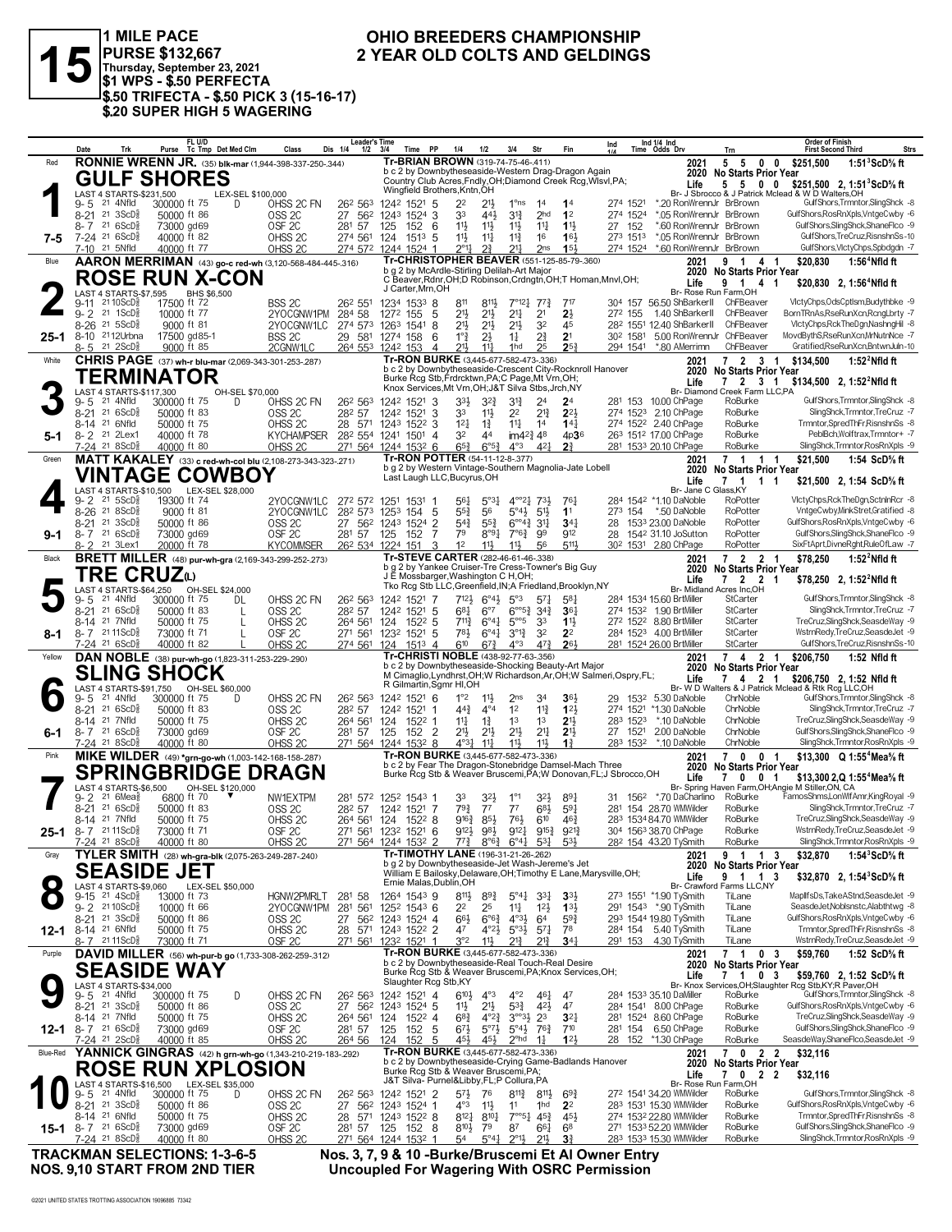

1 MILE PACE<br>PURSE \$132,667<br>Thursday, September 23, 2021<br>\$1 WPS - \$.50 PERFECTA \$.50 TRIFECTA - \$.50 PICK 3 (15-16-17)<br>\$.50 TRIFECTA - \$.50 PICK 3 (15-16-17)

#### OHIO BREEDERS CHAMPIONSHIP 2 YEAR OLD COLTS AND GELDINGS

|          | Date                                 | Trk                                                                   | Purse                       | FL U/D<br>Tc Tmp Det Med Clm            |                   | Class                                                             | <b>Leader's Time</b><br>Dis 1/4<br>$1/2$ $3/4$                                            |                                | Time PP           | 1/4                                                                                                      | 1/2                                                                           | 3/4                                                      | Str                                                   | Fin                                                                                                         | Ind      |                      | Ind 1/4 Ind<br>Time Odds Drv                          | Trn                                                | <b>Order of Finish</b><br><b>First Second Third</b><br>Strs                                                         |
|----------|--------------------------------------|-----------------------------------------------------------------------|-----------------------------|-----------------------------------------|-------------------|-------------------------------------------------------------------|-------------------------------------------------------------------------------------------|--------------------------------|-------------------|----------------------------------------------------------------------------------------------------------|-------------------------------------------------------------------------------|----------------------------------------------------------|-------------------------------------------------------|-------------------------------------------------------------------------------------------------------------|----------|----------------------|-------------------------------------------------------|----------------------------------------------------|---------------------------------------------------------------------------------------------------------------------|
| Red      |                                      |                                                                       |                             |                                         |                   | <b>RONNIE WRENN JR.</b> (35) blk-mar (1,944-398-337-250-.344)     |                                                                                           |                                |                   | Tr-BRIAN BROWN (319-74-75-46-.411)                                                                       |                                                                               |                                                          |                                                       | b c 2 by Downbytheseaside-Western Drag-Dragon Again                                                         |          |                      | 2021                                                  | 5<br>5                                             | $\mathbf 0$<br>\$251.500<br>$\mathbf 0$<br>1:51 $3$ ScD $\%$ ft                                                     |
|          |                                      |                                                                       |                             | <b>GULF SHORES</b>                      |                   |                                                                   |                                                                                           |                                |                   |                                                                                                          |                                                                               |                                                          |                                                       | Country Club Acres, Fndly, OH; Diamond Creek Rcg, WIsvI, PA;                                                |          |                      | Life                                                  |                                                    | 2020 No Starts Prior Year<br>5 5 0 0<br>\$251,500 2, 1:51 ScD % ft                                                  |
|          |                                      | LAST 4 STARTS-\$231.500                                               |                             |                                         | LEX-SEL \$100,000 |                                                                   |                                                                                           |                                |                   | Wingfield Brothers, Kntn, OH                                                                             |                                                                               |                                                          |                                                       |                                                                                                             |          |                      |                                                       |                                                    | Br- J Sbrocco & J Patrick Mclead & W D Walters, OH                                                                  |
|          | $9 - 5$                              | 21 4Nfld<br>8-21 21 3ScD <sup>5</sup>                                 | 300000 ft 75<br>50000 ft 86 |                                         | D                 | OHSS 2C FN<br>OSS <sub>2C</sub>                                   | 26 <sup>2</sup> 56 <sup>3</sup><br>27                                                     | 1242 1521 5<br>562 1243 1524 3 |                   | 22<br>33                                                                                                 | $21\frac{1}{2}$<br>443                                                        | 1°ns<br>$3^{13}$                                         | 14<br>2 <sub>hd</sub>                                 | 1 <sup>4</sup><br>1 <sup>2</sup>                                                                            |          | 274 1521<br>274 1524 |                                                       | *.20 RonWrennJr BrBrown<br>*.05 RonWrennJr BrBrown | GulfShors, Trmntor, SlingShck -8<br>GulfShors,RosRnXpls,VntgeCwby -6                                                |
|          | $8 - 7$                              | 216SCD <sub>8</sub>                                                   | 73000 gd69                  |                                         |                   | OSF <sub>2C</sub>                                                 | 281 57                                                                                    | 125                            | 152               | 6<br>11}                                                                                                 | $11\frac{1}{2}$                                                               | $11\frac{1}{2}$                                          | $11\frac{1}{4}$                                       | $11\frac{1}{2}$                                                                                             | 27       | 152                  |                                                       | *.60 RonWrennJr BrBrown                            | GulfShors, SlingShck, ShaneFlco -9                                                                                  |
| 7-5      | 7-10 <sup>21</sup> 5Nfld             | 7-24 <sup>21</sup> 6ScD <sup>3</sup>                                  | 40000 ft 82<br>40000 ft 77  |                                         |                   | OHSS <sub>2C</sub><br>OHSS <sub>2C</sub>                          | 274 561<br>274 572                                                                        | 124<br>1244 1524 1             | $151^3$ 5         | $11\frac{1}{2}$<br>$2^{\circ}1\frac{1}{4}$                                                               | $11\frac{1}{4}$<br>2 <sup>3</sup>                                             | $11\frac{3}{4}$<br>$21\frac{1}{4}$                       | 16<br>2 <sub>ns</sub>                                 | 16 <sup>1</sup><br>$15\frac{1}{2}$                                                                          |          | 273 1513<br>274 1524 |                                                       | *.05 RonWrennJr BrBrown<br>*.60 RonWrennJr BrBrown | GulfShors, TreCruz, Risnshn Ss-10<br>GulfShors, VictyChps, Spbdgdn -7                                               |
| Blue     |                                      |                                                                       |                             |                                         |                   | AARON MERRIMAN (43) go-c red-wh (3,120-568-484-445-.316)          |                                                                                           |                                |                   |                                                                                                          |                                                                               |                                                          |                                                       | Tr-CHRISTOPHER BEAVER (551-125-85-79-.360)                                                                  |          |                      | 2021                                                  | 9<br>$\overline{1}$                                | \$20,830<br>1:56 <sup>4</sup> Nfld ft<br>41                                                                         |
|          |                                      |                                                                       |                             | <b>ROSE RUN X-CON</b>                   |                   |                                                                   |                                                                                           |                                |                   | b g 2 by McArdle-Stirling Delilah-Art Major                                                              |                                                                               |                                                          |                                                       | C Beaver, Rdnr, OH; D Robinson, Crdngtn, OH; T Homan, Mnvl, OH;                                             |          |                      |                                                       |                                                    | 2020 No Starts Prior Year                                                                                           |
|          |                                      | LAST 4 STARTS-\$7,595                                                 |                             | BHS \$6,500                             |                   |                                                                   |                                                                                           |                                | J Carter, Mrn, OH |                                                                                                          |                                                                               |                                                          |                                                       |                                                                                                             |          |                      | Life                                                  | Br- Rose Run Farm, OH                              | 9 1 4 1<br>\$20,830 2, 1:56 <sup>4</sup> Nfld ft                                                                    |
|          | $9 - 11$                             | 21 10 ScD <sup>5</sup><br>$9 - 2$ 21 1 ScD <sup>3</sup>               | 17500 ft 72                 |                                         |                   | BSS 2C                                                            | 26 <sup>2</sup> 55 <sup>1</sup>                                                           | 1234 1533 8                    |                   | 811                                                                                                      | $8^{11}$                                                                      |                                                          | $7^{\circ}12^{\frac{1}{4}}$ 77 $^{\frac{3}{4}}$       | 717                                                                                                         |          | 272 155              | 304 157 56.50 ShBarkerII<br>1.40 ShBarkerll ChFBeaver | ChFBeaver                                          | VlctyChps,OdsCptlsm,Budythbke -9<br>BornTRnAs,RseRunXcn,RcngLbrty -7                                                |
|          |                                      | 8-26 21 5ScD <sup>5</sup>                                             | 10000 ft 77<br>9000 ft 81   |                                         |                   | 2YOCGNW1PM<br>2YOCGNW1LC                                          | 284 58<br>274 573 1263 1541 8                                                             | 1272 155                       |                   | 21}<br>-5<br>213                                                                                         | $21\frac{1}{2}$<br>$21\frac{1}{2}$                                            | 2 <sup>11</sup><br>2 <sup>1</sup>                        | 2 <sup>1</sup><br>32                                  | $2\frac{1}{2}$<br>45                                                                                        |          |                      | 28 <sup>2</sup> 1551 12.40 ShBarkerII                 | ChFBeaver                                          | VictyChps, RckTheDgn, NashngHil -8                                                                                  |
|          |                                      | 25-1 8-10 2112Urbna                                                   |                             | 17500 gd85-1                            |                   | BSS <sub>2C</sub>                                                 | 29 581 1274 158                                                                           |                                |                   | $1^{\circ}$ $\frac{3}{4}$<br>6                                                                           | $2\frac{1}{2}$                                                                | $1\frac{1}{4}$                                           | 2∛                                                    | 2 <sup>1</sup>                                                                                              |          | 30 <sup>2</sup> 1581 | 5.00 RonWrennJr ChFBeaver                             |                                                    | MovdBythS,RseRunXcn,MrNutnNce -7                                                                                    |
| White    |                                      | 8-5 21 2ScD <sup>3</sup>                                              | 9000 ft 85                  |                                         |                   | 2CGNW1LC<br>CHRIS PAGE (37) wh-r blu-mar (2,069-343-301-253-.287) | 264 553 1242 153                                                                          |                                |                   | $21\frac{1}{2}$<br>$\overline{4}$<br>Tr-RON BURKE (3,445-677-582-473-.336)                               | $11\frac{1}{4}$                                                               | 1hd                                                      | 25                                                    | $2^{5}$                                                                                                     |          | 294 1541             | *.80 AMerrimn<br>2021                                 | ChFBeaver                                          | Gratified,RseRunXcn,BntwnJuln-10<br>7 2 3 1<br>\$134,500<br>1:52 $^2$ Nfld ft                                       |
|          |                                      |                                                                       | TERMINATOR                  |                                         |                   |                                                                   |                                                                                           |                                |                   |                                                                                                          |                                                                               |                                                          |                                                       | b c 2 by Downbytheseaside-Crescent City-Rocknroll Hanover                                                   |          |                      |                                                       |                                                    | 2020 No Starts Prior Year                                                                                           |
|          |                                      | LAST 4 STARTS-\$117.300                                               |                             |                                         | OH-SEL \$70,000   |                                                                   |                                                                                           |                                |                   | Burke Rcg Stb, Frdrcktwn, PA; C Page, Mt Vrn, OH;<br>Knox Services, Mt Vrn, OH; J&T Silva Stbs, Jrch, NY |                                                                               |                                                          |                                                       |                                                                                                             |          |                      | Life                                                  | Br- Diamond Creek Farm LLC,PA                      | 2 3 1<br>\$134,500 2, 1:52 <sup>2</sup> Nfld ft                                                                     |
|          | $9 - 5$                              | 21 4Nfld                                                              | 300000 ft 75                |                                         | D                 | OHSS 2C FN                                                        | 26 <sup>2</sup> 56 <sup>3</sup>                                                           | 1242 1521 3                    |                   | $33\frac{1}{2}$                                                                                          | $3^{2}\frac{3}{4}$                                                            | $3^{12}$                                                 | 2 <sup>4</sup>                                        | 2 <sup>4</sup>                                                                                              |          |                      | 281 153 10.00 ChPage                                  | RoBurke                                            | GulfShors, Trmntor, SlingShck -8                                                                                    |
|          | $8 - 21$<br>8-14 <sup>21</sup> 6Nfld | 21 6ScD <sup>3</sup>                                                  | 50000 ft 83<br>50000 ft 75  |                                         |                   | OSS <sub>2C</sub><br>OHSS <sub>2C</sub>                           | 282 57<br>28 571 1243 1522 3                                                              | 1242 1521                      |                   | 3<br>33<br>$1^{2}$                                                                                       | $11\frac{1}{2}$<br>$1\frac{3}{4}$                                             | 2 <sup>2</sup><br>$11\frac{1}{4}$                        | $2^{13}$<br>1 <sup>4</sup>                            | $2^{2}$<br>$14\frac{1}{4}$                                                                                  |          |                      | 274 1523 2.10 ChPage<br>274 1522 2.40 ChPage          | RoBurke<br>RoBurke                                 | SlingShck,Trmntor,TreCruz -7<br>Trmntor,SpredThFr,RisnshnSs -8                                                      |
| $5-1$    | 8-2 <sup>21</sup> 2Lex1              |                                                                       | 40000 ft 78                 |                                         |                   | <b>KYCHAMPSER</b>                                                 | 28 <sup>2</sup> 554 1241 1501 4                                                           |                                |                   | 32                                                                                                       | 44                                                                            | $im4^{24}$ 48                                            |                                                       | 4p36                                                                                                        |          |                      | 263 1512 17.00 ChPage                                 | RoBurke                                            | PeblBch, Wolftrax, Trmntor+ -7                                                                                      |
|          |                                      | 7-24 21 8ScD <sup>5</sup>                                             | 40000 ft 80                 |                                         |                   | OHSS <sub>2C</sub>                                                | 271 564 1244 1532 6                                                                       |                                |                   | $65\frac{3}{4}$                                                                                          | $6^{o5}\frac{3}{4}$                                                           | $4^{\circ}3$                                             | $4^{2}$                                               | 2 <sup>3</sup>                                                                                              |          |                      | 281 1533 20.10 ChPage                                 | RoBurke                                            | SlingShck,Trmntor,RosRnXpls -9                                                                                      |
| Green    |                                      |                                                                       |                             |                                         |                   | MATT KAKALEY (33) c red-wh-col blu (2,108-273-343-323-.271)       |                                                                                           |                                |                   | Tr-RON POTTER (54-11-12-8-.377)                                                                          |                                                                               |                                                          |                                                       | b g 2 by Western Vintage-Southern Magnolia-Jate Lobell                                                      |          |                      | 2021<br>2020                                          |                                                    | 7 1 1 1<br>\$21,500<br>1:54 ScD% ft<br><b>No Starts Prior Year</b>                                                  |
|          |                                      |                                                                       |                             | <b>VINTAGE COWBOY</b>                   |                   |                                                                   |                                                                                           |                                |                   | Last Laugh LLC, Bucyrus, OH                                                                              |                                                                               |                                                          |                                                       |                                                                                                             |          |                      | Life                                                  | Br- Jane C Glass.KY                                | 7 1 1 1<br>\$21,500 2, 1:54 ScD <sup>5</sup> / <sub>8</sub> ft                                                      |
|          | $9 - 2$                              | $21 \, 5$ ScD $\frac{5}{8}$                                           | 19300 ft 74                 | LAST 4 STARTS-\$10,500 LEX-SEL \$28,000 |                   | 2YOCGNW1LC                                                        | 272 572 1251 1531 1                                                                       |                                |                   | $56\frac{1}{4}$                                                                                          | $5^{\circ}3\frac{1}{4}$                                                       |                                                          | $4^{\circ}2^1$ 73}                                    | 761                                                                                                         |          |                      | 284 1542 *1.10 DaNoble                                | RoPotter                                           | VictyChps,RckTheDgn,SctninRcr -8                                                                                    |
|          |                                      | 8-26 <sup>21</sup> 8ScD <sup>5</sup>                                  | 9000 ft 81                  |                                         |                   | 2YOCGNW1LC                                                        | 282 573 1253 154                                                                          |                                |                   | $55\frac{3}{4}$<br>5                                                                                     | 56                                                                            |                                                          | $5^{\circ}4\frac{1}{2}$ 5 <sup>1</sup> / <sub>2</sub> | 1 <sup>1</sup>                                                                                              |          |                      | 273 154 *.50 DaNoble                                  | RoPotter<br>RoPotter                               | VntgeCwby,MinkStret,Gratified -8<br>GulfShors.RosRnXpls.VntaeCwbv -6                                                |
| $9 - 1$  |                                      | 8-21 21 3ScD <sup>5</sup><br>$8 - 7$ 21 6ScD <sup>5</sup>             | 50000 ft 86<br>73000 gd69   |                                         |                   | OSS <sub>2C</sub><br>OSF <sub>2C</sub>                            | 27 562 1243 1524<br>281 57 125                                                            |                                | 152               | $\overline{2}$<br>$5^{4}$<br>7<br>79                                                                     | $55\frac{3}{4}$<br>$8°9\frac{1}{4}$                                           | $6^{\circ 4}$ <sup>3</sup><br>$7^{\circ}6^{\frac{3}{4}}$ | 3 <sup>11</sup><br>99                                 | $34\frac{1}{4}$<br>912                                                                                      | 28<br>28 |                      | 1533 23.00 DaNoble<br>1542 31.10 JoSutton             | RoPotter                                           | GulfShors, SlingShck, ShaneFlco -9                                                                                  |
|          | 8-2                                  | 21 3Lex1                                                              | 20000 ft 78                 |                                         |                   | <b>KYCOMMSER</b>                                                  | 26 <sup>2</sup> 53 <sup>4</sup> 122 <sup>4</sup> 151                                      |                                |                   | 1 <sup>2</sup><br>3                                                                                      | $11\frac{1}{2}$                                                               | 11}                                                      | 56                                                    | $5^{11}$                                                                                                    |          |                      | 30 <sup>2</sup> 153 <sup>1</sup> 2.80 ChPage          | RoPotter                                           | SixFtAprt,DivneRght,RuleOfLaw -7                                                                                    |
| Black    |                                      |                                                                       |                             |                                         |                   | <b>BRETT MILLER</b> (48) pur-wh-gra (2,169-343-299-252-.273)      |                                                                                           |                                |                   | Tr-STEVE CARTER (282-46-61-46-.338)                                                                      |                                                                               |                                                          |                                                       | b g 2 by Yankee Cruiser-Tre Cress-Towner's Big Guy                                                          |          |                      | 2021<br>2020                                          |                                                    | 7 2 2 1<br>\$78,250<br>1:52 $^2$ Nfld ft<br><b>No Starts Prior Year</b>                                             |
|          |                                      |                                                                       | TRE CRUZω                   |                                         |                   |                                                                   |                                                                                           |                                |                   | J E Mossbarger, Washington C H, OH;                                                                      |                                                                               |                                                          |                                                       | Tko Rcg Stb LLC, Greenfield, IN; A Friedland, Brooklyn, NY                                                  |          |                      | Life                                                  |                                                    | 7 2 2 1<br>\$78,250 2, 1:52 <sup>2</sup> Nfld ft                                                                    |
|          | 9-5                                  | LAST 4 STARTS-\$64,250<br>21 4Nfld                                    | 300000 ft 75                | OH-SEL \$24,000                         | DL                | OHSS 2C FN                                                        | 26 <sup>2</sup> 56 <sup>3</sup> 124 <sup>2</sup> 152 <sup>1</sup> 7                       |                                |                   |                                                                                                          | $7^{12\frac{1}{2}}$ $6^{04\frac{1}{2}}$ $5^{03}$                              |                                                          | 57 <sup>1</sup>                                       | 58 <sup>1</sup>                                                                                             |          |                      | 284 1534 15.60 BrtMiller                              | Br- Midland Acres Inc.OH<br>StCarter               | GulfShors, Trmntor, SlingShck -8                                                                                    |
|          |                                      | 8-21 <sup>21</sup> 6ScD <sup>5</sup>                                  | 50000 ft 83                 |                                         | L                 | OSS <sub>2C</sub>                                                 | 282 57                                                                                    | 1242 1521 5                    |                   | 681                                                                                                      | $6^{\circ}7$                                                                  |                                                          | $6^{\circ 5\frac{3}{2}}$ 34 $\frac{3}{4}$             | 361                                                                                                         |          |                      | 274 1532 1.90 BrtMiller                               | StCarter                                           | SlingShck,Trmntor,TreCruz -7                                                                                        |
| 8-1      | 8-14 <sup>21</sup> 7Nfld             | 8-7 2111ScD <sup>5</sup>                                              | 50000 ft 75<br>73000 ft 71  |                                         | L                 | OHSS <sub>2C</sub><br>OSF <sub>2C</sub>                           | 264 561 124 1522 5<br>271 561 1232 1521 5                                                 |                                |                   | $7^{113}$<br>781                                                                                         | $6^{\circ}4^{\frac{1}{4}}$<br>$6^{\circ}4^{\circ}$                            | $5^{\circ 5}$<br>$3^{012}$                               | 33<br>32                                              | $11\frac{1}{2}$<br>2 <sup>2</sup>                                                                           |          |                      | 272 1522 8.80 BrtMiller<br>284 1523 4.00 BrtMiller    | StCarter<br>StCarter                               | TreCruz, SlingShck, SeasdeWay -9<br>WstrnRedy,TreCruz,SeasdeJet -9                                                  |
|          |                                      | 7-24 21 6ScD <sup>3</sup>                                             | 40000 ft 82                 |                                         |                   | OHSS <sub>2C</sub>                                                | 274 561 124 1513 4                                                                        |                                |                   | 610                                                                                                      | $6^{73}$                                                                      | $4^{\circ}3$                                             | $47\frac{3}{4}$                                       | 261                                                                                                         |          |                      | 281 1524 26.00 BrtMiller                              | StCarter                                           | GulfShors, TreCruz, Risnshn Ss-10                                                                                   |
| Yellow   |                                      |                                                                       |                             |                                         |                   | DAN NOBLE (38) pur-wh-go (1,823-311-253-229-.290)                 |                                                                                           |                                |                   | Tr-CHRISTI NOBLE (438-92-77-63-.356)                                                                     |                                                                               |                                                          |                                                       | b c 2 by Downbytheseaside-Shocking Beauty-Art Major                                                         |          |                      | 2021<br>2020                                          |                                                    | 7 4 2 1<br>\$206,750<br>1:52 Nfld ft<br><b>No Starts Prior Year</b>                                                 |
|          |                                      |                                                                       | <b>SLING SHOCK</b>          |                                         |                   |                                                                   |                                                                                           |                                |                   | R Gilmartin, Sgmr HI, OH                                                                                 |                                                                               |                                                          |                                                       | M Cimaglio, Lyndhrst, OH; W Richardson, Ar, OH; W Salmeri, Ospry, FL;                                       |          |                      | Life                                                  | $\mathbf{7}$                                       | 4 2 1<br>\$206,750 2, 1:52 Nfld ft                                                                                  |
|          | 9-5                                  | 21 4Nfld                                                              | 300000 ft 75                | LAST 4 STARTS-\$91,750 OH-SEL \$60,000  | D                 | OHSS 2C FN                                                        | 26 <sup>2</sup> 56 <sup>3</sup>                                                           | 1242 1521 6                    |                   | $1^{\circ}2$                                                                                             | $11\frac{1}{2}$                                                               | 2 <sub>ns</sub>                                          | 34                                                    | 36,                                                                                                         |          |                      | 29 153 <sup>2</sup> 5.30 DaNoble                      | ChrNoble                                           | Br- W D Walters & J Patrick Mclead & Rtk Rcg LLC, OH<br>GulfShors, Trmntor, SlingShck -8                            |
|          |                                      | 8-21 21 6ScD <sup>5</sup>                                             | 50000 ft 83                 |                                         |                   | OSS <sub>2C</sub>                                                 | 282 57                                                                                    | 1242 1521                      | -1                | $44\frac{3}{4}$                                                                                          | $4^{\circ}4$                                                                  | 1 <sup>2</sup>                                           | $11\frac{3}{4}$                                       | 123                                                                                                         |          |                      | 274 1521 *1.30 DaNoble                                | ChrNoble                                           | SlingShck,Trmntor,TreCruz -7                                                                                        |
| $6 - 1$  | 8-14 21 7Nfld                        | $8 - 7$ 21 6 ScD <sup>3</sup>                                         | 50000 ft 75<br>73000 gd69   |                                         |                   | OHSS <sub>2C</sub><br>OSF <sub>2C</sub>                           | 264 561<br>281 57 125 152 2                                                               | 124                            | 1522 1            | $11\frac{1}{4}$<br>21}                                                                                   | $1\frac{3}{4}$<br>$21\frac{1}{2}$                                             | 1 <sup>3</sup><br>$21\frac{1}{2}$                        | 1 <sup>3</sup><br>$2^{11}$                            | 2 <sup>1</sup><br>2 <sup>11</sup>                                                                           | 27       | 283 1523<br>1521     | *.10 DaNoble<br>2.00 DaNoble                          | ChrNoble<br>ChrNoble                               | TreCruz,SlingShck,SeasdeWay -9<br>GulfShors, SlingShck, ShaneFlco -9                                                |
|          |                                      | 7-24 <sup>21</sup> 8ScD <sup>3</sup>                                  | 40000 ft 80                 |                                         |                   | OHSS <sub>2C</sub>                                                | 271 564 1244 1532 8                                                                       |                                |                   | $4^{\circ}3\frac{1}{4}$                                                                                  | $11\frac{1}{4}$                                                               | $11\frac{1}{2}$                                          | 11}                                                   | $1\frac{3}{4}$                                                                                              |          | 283 1532             | *.10 DaNoble                                          | ChrNoble                                           | SlingShck,Trmntor,RosRnXpls -9                                                                                      |
| Pink     |                                      |                                                                       |                             |                                         |                   | MIKE WILDER (49) *grn-go-wh (1,003-142-168-158-287)               |                                                                                           |                                |                   | Tr-RON BURKE (3,445-677-582-473-.336)                                                                    |                                                                               |                                                          |                                                       | b c 2 by Fear The Dragon-Stonebridge Damsel-Mach Three                                                      |          |                      | 2021<br>2020                                          | 70                                                 | \$13.300 Q 1:55 <sup>4</sup> Mea <sup>5</sup> / <sub>8</sub> ft<br>0 <sub>1</sub>                                   |
|          |                                      |                                                                       |                             |                                         |                   | <b>SPRINGBRIDGE DRAGN</b>                                         |                                                                                           |                                |                   |                                                                                                          |                                                                               |                                                          |                                                       | Burke Rcg Stb & Weaver Bruscemi, PA; W Donovan, FL; J Sbrocco, OH                                           |          |                      | Life                                                  | 70                                                 | <b>No Starts Prior Year</b><br>0 <sub>1</sub><br>\$13,300 2, Q 1:55 <sup>4</sup> Mea <sup>5</sup> / <sub>8</sub> ft |
|          | $9 - 2$                              | LAST 4 STARTS-\$6,500<br>$21.6$ Mea $\frac{5}{8}$                     | 6800 ft 70                  | OH-SEL \$120,000                        |                   | NW1EXTPM                                                          | 281 572 1252 1543 1                                                                       |                                |                   | 33                                                                                                       | 32}                                                                           |                                                          | 323                                                   | 891                                                                                                         |          |                      | 31 156 <sup>2</sup> *.70 DaCharlino                   | RoBurke                                            | Br- Spring Haven Farm, OH; Angie M Stiller, ON, CA<br>FamosShms,LonWlfAmr,KingRoyal -9                              |
|          | $8 - 21$                             | $216SCD\frac{5}{8}$                                                   | 50000 ft 83                 |                                         |                   | OSS <sub>2C</sub>                                                 | 282 57                                                                                    | 1242 1521 7                    |                   | $79\frac{3}{4}$                                                                                          | $7^7$                                                                         | $7^7$                                                    | 683                                                   | 59 <sub>1</sub>                                                                                             |          |                      | 281 154 28.70 WMWilder                                | RoBurke                                            | SlingShck,Trmntor,TreCruz -7                                                                                        |
|          | 8-14 21 7Nfld                        | <b>25-1</b> 8-7 <sup>21</sup> 11 ScD <sup>3</sup>                     | 50000 ft 75<br>73000 ft 71  |                                         |                   | OHSS <sub>2C</sub><br>OSF <sub>2C</sub>                           | 264 561 124 1522 8<br>271 561 1232 1521 6                                                 |                                |                   | $9^{16}\frac{3}{4}$<br>912}                                                                              | 85}<br>983                                                                    | 76}<br>9121                                              | 610<br>$9^{15}$                                       | $46\frac{3}{4}$<br>$9^{21\frac{3}{4}}$                                                                      |          |                      | 283 1534 84.70 WMWilder<br>304 1563 38.70 ChPage      | RoBurke<br>RoBurke                                 | TreCruz.SlingShck.SeasdeWay -9<br>WstrnRedv.TreCruz.SeasdeJet -9                                                    |
|          |                                      | 7-24 21 8ScD <sup>5</sup>                                             | 40000 ft 80                 |                                         |                   | OHSS <sub>2C</sub>                                                | 271 564 1244 1532 2                                                                       |                                |                   |                                                                                                          | $7^{7}\frac{3}{4}$ $8^{06}\frac{3}{4}$ $6^{04}\frac{1}{4}$ $5^{3}\frac{1}{4}$ |                                                          |                                                       | $5^{3}$                                                                                                     |          |                      | 28 <sup>2</sup> 154 43.20 TySmith                     | RoBurke                                            | SlingShck,Trmntor,RosRnXpls -9                                                                                      |
| Gray     |                                      |                                                                       |                             |                                         |                   | TYLER SMITH (28) wh-gra-blk (2,075-263-249-287-.240)              |                                                                                           |                                |                   | <b>Tr-TIMOTHY LANE</b> (196-31-21-26-.262)<br>b g 2 by Downbytheseaside-Jet Wash-Jereme's Jet            |                                                                               |                                                          |                                                       |                                                                                                             |          |                      | 2021                                                  | 9 1                                                | 1:54 $3$ ScD $\%$ ft<br>\$32,870<br>13                                                                              |
|          |                                      |                                                                       | <b>SEASIDE JET</b>          |                                         |                   |                                                                   |                                                                                           |                                |                   |                                                                                                          |                                                                               |                                                          |                                                       | William E Bailosky, Delaware, OH; Timothy E Lane, Marysville, OH;                                           |          |                      | Life                                                  | 2020 No Starts Prior Year                          | 9 1 1 3<br>\$32,870 2, 1:54 $SCD\%$ ft                                                                              |
|          |                                      | LAST 4 STARTS-\$9,060<br>$9-15$ 21 $4ScD\frac{5}{8}$                  | 13000 ft 73                 | LEX-SEL \$50,000                        |                   | HGNW2PMRLT                                                        |                                                                                           |                                |                   | Ernie Malas, Dublin, OH                                                                                  |                                                                               |                                                          |                                                       |                                                                                                             |          |                      | 273 1551 *1.90 TySmith                                | Br- Crawford Farms LLC,NY<br>TiLane                | MapllfsDs,TakeAStnd,SeasdeJet -9                                                                                    |
|          |                                      | 9-2 2110ScD <sup>3</sup>                                              | 10000 ft 66                 |                                         |                   | 2YOCGNW1PM                                                        | 281 58<br>281 561                                                                         | 1252 1543 6                    | 1264 1543 9       | $8^{11}\frac{1}{2}$<br>2 <sup>2</sup>                                                                    | $89\frac{3}{4}$<br>25                                                         | $5^{\circ}4\frac{1}{4}$<br>$11\frac{1}{4}$               | $3^{31}$<br>$12\frac{1}{2}$                           | 3 <sup>3</sup><br>$1^{3}$                                                                                   |          |                      | 291 1543 *.90 TySmith                                 | TiLane                                             | SeasdeJet, Noblsnstc, Alabthtwg -8                                                                                  |
|          |                                      | 8-21 21 3ScD <sup>5</sup>                                             | 50000 ft 86                 |                                         |                   | OSS <sub>2C</sub>                                                 | 27 56 <sup>2</sup> 124 <sup>3</sup> 1524 4                                                |                                |                   | 66}                                                                                                      | $6^{\circ}6^{\frac{3}{2}}$                                                    | $4^{\circ}3\frac{1}{2}$                                  | 64                                                    | $59\frac{3}{4}$                                                                                             |          |                      | 293 1544 19.80 TySmith                                | TiLane                                             | GulfShors, RosRnXpls, VntgeCwby -6                                                                                  |
| $12 - 1$ | 8-14 <sup>21</sup> 6Nfld             | 8-7 2111ScD                                                           | 50000 ft 75<br>73000 ft 71  |                                         |                   | OHSS <sub>2C</sub><br>OSF <sub>2C</sub>                           | 28 571 1243 1522 2<br>271 561 1232 1521 1                                                 |                                |                   | 47<br>$3^{\circ}2$                                                                                       | $4^{\circ}2\frac{1}{2}$<br>$11\frac{1}{2}$                                    | $5^{\circ}3\frac{1}{2}$<br>$2^{13}$                      | $5^{71}$<br>$21\frac{3}{2}$                           | 78<br>34 <sub>1</sub>                                                                                       |          |                      | 284 154 5.40 TySmith<br>291 153 4.30 TySmith          | TiLane<br>TiLane                                   | Trmntor,SpredThFr,RisnshnSs -8<br>WstrnRedy,TreCruz,SeasdeJet -9                                                    |
| Purple   |                                      |                                                                       |                             |                                         |                   | DAVID MILLER (56) wh-pur-b go (1,733-308-262-259-.312)            |                                                                                           |                                |                   | Tr-RON BURKE (3,445-677-582-473-.336)                                                                    |                                                                               |                                                          |                                                       |                                                                                                             |          |                      | 2021                                                  | $7 \quad 1$                                        | \$59,760<br>0 <sub>3</sub><br>1:52 ScD% ft                                                                          |
|          |                                      |                                                                       | <b>SEASIDE WAY</b>          |                                         |                   |                                                                   |                                                                                           |                                |                   |                                                                                                          |                                                                               |                                                          |                                                       | b c 2 by Downbytheseaside-Real Touch-Real Desire<br>Burke Rcg Stb & Weaver Bruscemi, PA; Knox Services, OH; |          |                      | 2020<br>Life                                          | 710                                                | No Starts Prior Year<br>3<br>\$59,760 2, 1:52 ScD <sup>5</sup> / <sub>8</sub> ft                                    |
|          |                                      | LAST 4 STARTS-\$34,000                                                |                             |                                         |                   |                                                                   |                                                                                           |                                |                   | Slaughter Rcg Stb, KY                                                                                    |                                                                               |                                                          |                                                       |                                                                                                             |          |                      |                                                       |                                                    | Br- Knox Services, OH; Slaughter Rcg Stb, KY; R Paver, OH                                                           |
|          | 9-5                                  | 21 4Nfld<br>8-21 21 3ScD <sup>5</sup>                                 | 300000 ft 75<br>50000 ft 86 |                                         | D                 | OHSS 2C FN<br>OSS <sub>2C</sub>                                   | 26 <sup>2</sup> 56 <sup>3</sup> 124 <sup>2</sup> 152 <sup>1</sup> 4<br>27 562 1243 1524 5 |                                |                   | $6^{10\frac{1}{2}}$<br>11号                                                                               | $4^{\circ}3$<br>$21\frac{1}{2}$                                               | $4^{\circ}2$<br>$5^{3}\frac{3}{4}$                       | $46\frac{1}{4}$<br>$4^{2}\frac{1}{2}$                 | 4 <sup>′</sup><br>47                                                                                        |          |                      | 284 1533 35.10 DaMiller<br>284 1541 8.00 ChPage       | RoBurke<br>RoBurke                                 | GulfShors, Trmntor, SlingShck -8<br>GulfShors, RosRnXpls, VntgeCwby -6                                              |
|          | 8-14 21 7Nfld                        |                                                                       | 50000 ft 75                 |                                         |                   | OHSS <sub>2C</sub>                                                | 264 561                                                                                   | 124                            | 1522 4            | $6^{8}$                                                                                                  | $4^{\circ}2^{\frac{3}{4}}$                                                    | $3^{\circ\circ}3\frac{1}{2}$                             | 2 <sup>3</sup>                                        | $3^{2}$                                                                                                     |          |                      | 281 1524 8.60 ChPage                                  | RoBurke                                            | TreCruz,SlingShck,SeasdeWay -9                                                                                      |
| 12-1     |                                      | $8 - 7$ 21 6 ScD <sup>3</sup><br>7-24 <sup>21</sup> 2ScD <sup>3</sup> | 73000 gd69<br>40000 ft 85   |                                         |                   | OSF <sub>2C</sub><br>OHSS <sub>2C</sub>                           | 281 57<br>264 56                                                                          | 125<br>124                     | 152<br>152        | -5<br>$6^{7}\frac{1}{2}$<br>5<br>45}                                                                     | $5^{\circ}7\frac{1}{2}$<br>45}                                                | $5^{\circ}4\frac{1}{2}$<br>$2^{\circ}$ hd                | 763<br>$1\frac{1}{4}$                                 | $7^{10}$<br>12 <sub>3</sub>                                                                                 |          |                      | 281 154 6.50 ChPage<br>28 152 *1.30 ChPage            | RoBurke<br>RoBurke                                 | GulfShors, SlingShck, ShaneFlco -9<br>SeasdeWay,ShaneFlco,SeasdeJet -9                                              |
| Blue-Red |                                      |                                                                       |                             |                                         |                   | YANNICK GINGRAS (42) h grn-wh-go (1,343-210-219-183-.292)         |                                                                                           |                                |                   | Tr-RON BURKE (3,445-677-582-473-.336)                                                                    |                                                                               |                                                          |                                                       |                                                                                                             |          |                      | 2021                                                  | 7 0 2                                              | $\overline{2}$<br>\$32,116                                                                                          |
|          |                                      |                                                                       |                             | <b>ROSE RUN XPLOSION</b>                |                   |                                                                   |                                                                                           |                                |                   | Burke Rcg Stb & Weaver Bruscemi, PA;                                                                     |                                                                               |                                                          |                                                       | b c 2 by Downbytheseaside-Crying Game-Badlands Hanover                                                      |          |                      | 2020<br>Life                                          |                                                    | <b>No Starts Prior Year</b><br>7022<br>\$32,116                                                                     |
|          |                                      | LAST 4 STARTS-\$16,500                                                |                             | LEX-SEL \$35,000                        |                   |                                                                   |                                                                                           |                                |                   | J&T Silva- Purnel&Libby,FL;P Collura,PA                                                                  |                                                                               |                                                          |                                                       |                                                                                                             |          |                      |                                                       | Br- Rose Run Farm, OH                              |                                                                                                                     |
|          | $9 - 5$<br>$8 - 21$                  | 21 4Nfld<br>$21 \text{ } 3ScD\frac{5}{8}$                             | 300000 ft 75<br>50000 ft 86 |                                         | D                 | OHSS 2C FN<br>OSS <sub>2C</sub>                                   | 26 <sup>2</sup> 56 <sup>3</sup> 124 <sup>2</sup> 152 <sup>1</sup> 2<br>27 562 1243 1524 1 |                                |                   | $5^{7}\frac{1}{2}$<br>$4^{\circ}3$                                                                       | 76<br>11                                                                      | $8^{11\frac{3}{4}}$<br>11                                | $8^{11}\frac{1}{2}$<br>1 <sub>hd</sub>                | $69\frac{3}{4}$<br>2 <sup>2</sup>                                                                           |          |                      | 272 1541 34.20 WMWilder<br>283 1531 15.30 WMWilder    | RoBurke<br>RoBurke                                 | GulfShors, Trmntor, SlingShck -8<br>GulfShors,RosRnXpls,VntgeCwby -6                                                |
|          | 8-14 <sup>21</sup> 6Nfld             |                                                                       | 50000 ft 75                 |                                         |                   | OHSS <sub>2C</sub>                                                | 28 571 1243 1522 8                                                                        |                                |                   |                                                                                                          | $8^{12}\frac{1}{4}$ $8^{10}\frac{1}{4}$                                       |                                                          | $7^{\circ}5^{\circ}4$ 45 <sup>3</sup>                 | 45}                                                                                                         |          |                      | 274 1532 22.80 WMWilder                               | RoBurke                                            | Trmntor,SpredThFr,RisnshnSs -8                                                                                      |
| 15-1     |                                      | $8 - 7$ 21 6 ScD <sup>3</sup><br>7-24 21 8 ScD <sup>3</sup>           | 73000 gd69<br>40000 ft 80   |                                         |                   | OSF <sub>2C</sub><br>OHSS <sub>2C</sub>                           | 28 <sup>1</sup> 57 125 152 8<br>271 564 1244 1532 1                                       |                                |                   | $8^{10}\frac{1}{2}$<br>54                                                                                | 79<br>$5^{\circ}41$                                                           | 87<br>$2^{\circ}1\frac{1}{2}$                            | $66\frac{1}{4}$<br>$21\frac{1}{2}$                    | 68<br>3 <sup>3</sup>                                                                                        |          |                      | 271 1533 52.20 WMWilder<br>283 1533 15.30 WMWilder    | RoBurke<br>RoBurke                                 | GulfShors, Sling Shck, Shane Flco -9<br>SlingShck,Trmntor,RosRnXpls -9                                              |
|          |                                      |                                                                       |                             | <b>TRACKMAN SELECTIONS: 1-3-6-5</b>     |                   |                                                                   | Nos. 3, 7, 9 & 10 - Burke/Bruscemi Et Al Owner Entry                                      |                                |                   |                                                                                                          |                                                                               |                                                          |                                                       |                                                                                                             |          |                      |                                                       |                                                    |                                                                                                                     |

**Uncoupled For Wagering With OSRC Permission NOS. 9,10 START FROM 2ND TIER**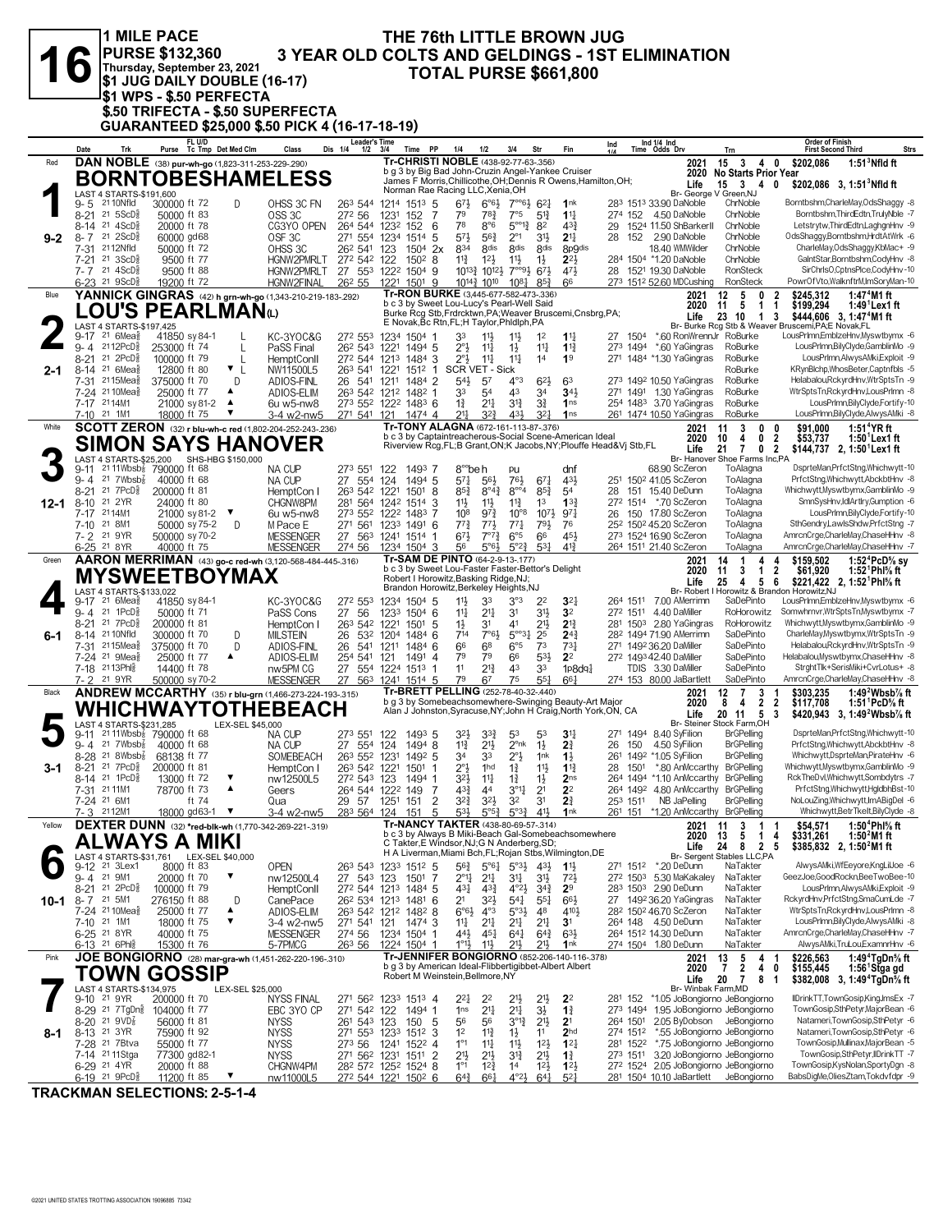|         |                     | <b>11 MILE PACE</b><br><b>PURSE \$132,360</b>                                                                      |                               |                                |                           |                                                                                     |                                                                                |                  |                                   |                                                                                                                                |                                               |                                                 |                                       | THE 76th LITTLE BROWN JUG                                                                                                         |          |                      |                                                                                |                                                                       |                                                                                                                                                            |
|---------|---------------------|--------------------------------------------------------------------------------------------------------------------|-------------------------------|--------------------------------|---------------------------|-------------------------------------------------------------------------------------|--------------------------------------------------------------------------------|------------------|-----------------------------------|--------------------------------------------------------------------------------------------------------------------------------|-----------------------------------------------|-------------------------------------------------|---------------------------------------|-----------------------------------------------------------------------------------------------------------------------------------|----------|----------------------|--------------------------------------------------------------------------------|-----------------------------------------------------------------------|------------------------------------------------------------------------------------------------------------------------------------------------------------|
|         |                     | Thursday, September 23, 2021                                                                                       |                               |                                |                           |                                                                                     |                                                                                |                  |                                   |                                                                                                                                |                                               |                                                 |                                       | <b>TOTAL PURSE \$661,800</b>                                                                                                      |          |                      | <b>3 YEAR OLD COLTS AND GELDINGS - 1ST ELIMINATION</b>                         |                                                                       |                                                                                                                                                            |
|         |                     | <sup>j</sup> \$1 WPS - \$.50 PERFECTA                                                                              |                               |                                |                           | \$1 JUG DAILY DOUBLE (16-17)                                                        |                                                                                |                  |                                   |                                                                                                                                |                                               |                                                 |                                       |                                                                                                                                   |          |                      |                                                                                |                                                                       |                                                                                                                                                            |
|         |                     |                                                                                                                    |                               |                                |                           | \$.50 TRIFECTA - \$.50 SUPERFECTA<br>GUARANTEED \$25,000 \$.50 PICK 4 (16-17-18-19) |                                                                                |                  |                                   |                                                                                                                                |                                               |                                                 |                                       |                                                                                                                                   |          |                      |                                                                                |                                                                       |                                                                                                                                                            |
|         | Date                | Trk                                                                                                                |                               | FL U/D                         | Purse Tc Tmp Det Med Clm  | Class                                                                               | <b>Leader's Time</b><br>Dis 1/4<br>$1/2$ $3/4$                                 |                  | PP<br>Time                        | 1/4                                                                                                                            | 1/2                                           | 3/4                                             | Str                                   | Fin                                                                                                                               | Ind      |                      | Ind 1/4 Ind<br>Time Odds Drv                                                   | Trn                                                                   | Order of Finish<br><b>First Second Third</b><br>Strs                                                                                                       |
| Red     |                     |                                                                                                                    |                               |                                |                           | DAN NOBLE (38) pur-wh-go (1,823-311-253-229-290)                                    |                                                                                |                  |                                   | Tr-CHRISTI NOBLE (438-92-77-63-.356)<br>b g 3 by Big Bad John-Cruzin Angel-Yankee Cruiser                                      |                                               |                                                 |                                       |                                                                                                                                   |          |                      | 2021<br>2020                                                                   | 15<br>3<br>No Starts Prior Year                                       | 4 0<br>\$202,086<br>$1:513$ Nfld ft                                                                                                                        |
|         |                     | LAST 4 STARTS-\$191,600                                                                                            |                               |                                |                           | <b>BORNTOBESHAMELESS</b>                                                            |                                                                                |                  |                                   | Norman Rae Racing LLC, Xenia, OH                                                                                               |                                               |                                                 |                                       | James F Morris, Chillicothe, OH; Dennis R Owens, Hamilton, OH;                                                                    |          |                      | Life<br>Br- George V Green, NJ                                                 | $15 \quad 3 \quad 4 \quad 0$                                          | \$202,086 3, 1:51 <sup>3</sup> Nfld ft                                                                                                                     |
|         | 9-5<br>$8 - 21$     | 21 10Nfld<br>$21 \, 5$ ScD $\frac{5}{8}$                                                                           | 300000 ft 72<br>50000 ft 83   |                                | D                         | OHSS 3C FN<br>OSS <sub>3C</sub>                                                     | 263 544<br>272 56                                                              | 1214<br>1231     | $151^3$ 5<br>152<br>7             | $6^{7}\frac{1}{2}$<br>79                                                                                                       | $6^{o6}\frac{1}{2}$<br>78}                    | $7^{\circ}$ <sup>61</sup> / <sub>2</sub><br>7°5 | $6^{21}$<br>5 <sup>12</sup>           | 1nk<br>$11\frac{1}{4}$                                                                                                            |          |                      | 283 1513 33.90 DaNoble<br>274 152 4.50 DaNoble                                 | ChrNoble<br>ChrNoble                                                  | Borntbshm,CharleMay,OdsShaggy -8<br>Borntbshm, ThirdEdtn, TrulyNble -7                                                                                     |
| $9 - 2$ | $8-14$              | 21 $4$ ScD $\frac{5}{8}$<br>$8 - 7$ 21 $2$ ScD <sup>5</sup> <sub>8</sub>                                           | 20000 ft 78<br>60000 gd68     |                                |                           | CG3YO OPEN<br>OSF <sub>3C</sub>                                                     | 264 544<br>271 554                                                             | 1232 152<br>1234 | 6<br>1514<br>-5                   | 78<br>$5^{71}$                                                                                                                 | 8°6<br>$56\frac{3}{4}$                        | $5^{\circ 12}$<br>$2^{\circ}1$                  | 82<br>$3^{11}$                        | $4^{3}3$<br>2 <sup>11</sup>                                                                                                       | 29<br>28 | 152                  | 1524 11.50 ShBarkerII<br>2.90 DaNoble                                          | ChrNoble<br>ChrNoble                                                  | Letstrytw, ThirdEdtn, LaghgnHnv -9<br>OdsShaggy,Borntbshm,HrdtAtWrk -6                                                                                     |
|         |                     | 7-31 2112Nfld<br>7-21 21 3ScD <sup>5</sup>                                                                         | 50000 ft 72<br>9500 ft 77     |                                |                           | OHSS 3C<br>HGNW2PMRLT                                                               | 26 <sup>2</sup> 541<br>272 542 122                                             | 123              | $150^4$ 2x<br>1502 8              | 834<br>$11\frac{3}{4}$                                                                                                         | 8 <sub>dis</sub><br>$12\frac{1}{2}$           | 8 <sub>dis</sub><br>$11\frac{1}{2}$             | 8 <sub>dis</sub><br>$1\frac{1}{2}$    | 8p9dis<br>$2^{21}$                                                                                                                |          |                      | 18.40 WMWilder<br>284 1504 *1.20 DaNoble                                       | ChrNoble<br>ChrNoble                                                  | CharleMay,OdsShaggy,KbMac+ -9<br>GaintStar,Borntbshm,CodyHnv -8                                                                                            |
|         |                     | $7 - 7$ 21 $4$ ScD <sup>5</sup> <sub>8</sub><br>$6-23$ 21 9ScD <sup>3</sup>                                        | 9500 ft 88<br>19200 ft 72     |                                |                           | HGNW2PMRLT<br>HGNW2FINAL                                                            | 27 553<br>26 <sup>2</sup> 55                                                   | 1221             | 1222 1504 9<br>1501 9             |                                                                                                                                | 1013} 1012}<br>1014 }1010                     | $7^{\circ\circ}9\frac{1}{2}$<br>$10^{8}$        | 673<br>$85\frac{3}{2}$                | 471<br>66                                                                                                                         |          |                      | 28 1521 19.30 DaNoble<br>273 1512 52.60 MDCushing                              | <b>RonSteck</b><br>RonSteck                                           | SirChrlsO,CptnsPlce,CodyHnv-10<br>PowrOfVto,WalknftrM,ImSoryMan-10                                                                                         |
| Blue    |                     | LOU'S PEARLMAN(L)                                                                                                  |                               |                                |                           | YANNICK GINGRAS (42) h grn-wh-go (1,343-210-219-183-.292)                           |                                                                                |                  |                                   | Tr-RON BURKE (3,445-677-582-473-.336)<br>b c 3 by Sweet Lou-Lucy's Pearl-Well Said                                             |                                               |                                                 |                                       | Burke Rcg Stb, Frdrcktwn, PA; Weaver Bruscemi, Cnsbrg, PA;                                                                        |          |                      | 2021<br>2020                                                                   | 12<br>5<br>0<br>11<br>5<br>$\mathbf{1}$                               | \$245,312<br>1:47 <sup>4</sup> M1 ft<br>2<br>\$199,294<br>$1:491$ Lex 1 ft<br>1                                                                            |
|         |                     | LAST 4 STARTS-\$197,425<br>9-17 21 6Meas                                                                           | 41850 sy 84-1                 |                                |                           | KC-3YOC&G                                                                           | 272 553                                                                        |                  | 1234 1504 1                       | E Novak, Bc Rtn, FL; H Taylor, Phidiph, PA<br>33                                                                               | $11\frac{1}{2}$                               | $11\frac{1}{2}$                                 | 1 <sup>2</sup>                        | $1\frac{11}{4}$                                                                                                                   |          | 27 1504              | Life<br>*.60 RonWrennJr RoBurke                                                | 23<br>10<br>$\mathbf{1}$                                              | \$444,606 3, 1:47 <sup>4</sup> M1 ft<br>3<br>Br- Burke Rcg Stb & Weaver Bruscemi, PA;E Novak, FL<br>LousPrImn,EmblzeHnv,Myswtbymx -6                       |
|         | $9 - 4$<br>$8 - 21$ | 2112PcD§<br>$21$ $2PCD85$                                                                                          | 253000 ft 74<br>100000 ft 79  |                                | $\mathbf{I}$<br>L         | PaSS Final<br><b>HemptConll</b>                                                     | 262 543<br>272 544 1213                                                        |                  | 1221 1494 5<br>1484 3             | $2^{\circ}3$<br>$2^{\circ}$                                                                                                    | $11\frac{1}{4}$<br>11                         | $1\frac{1}{2}$<br>$11\frac{1}{4}$               | $11\frac{1}{4}$<br>14                 | $1\frac{13}{4}$<br>1 <sup>9</sup>                                                                                                 |          | 273 1494             | *.60 YaGingras<br>271 1484 *1.30 YaGingras                                     | RoBurke<br>RoBurke                                                    | LousPrImn,BilyClyde,GamblinMo -9<br>LousPrImn,AlwysAMki,Exploit -9                                                                                         |
| $2 - 1$ |                     | 8-14 <sup>21</sup> 6Mea <sup>5</sup><br>7-31 <sup>21</sup> 15Mea                                                   | 12800 ft 80<br>375000 ft 70   |                                | $\mathbf{v}_{\perp}$<br>D | NW11500L5<br>ADIOS-FINL                                                             | 263 541 1221<br>26 541 1211                                                    |                  | $151^2$ 1<br>1484 2               | SCR VET - Sick<br>543                                                                                                          | 57                                            | $4^{\circ}3$                                    | $6^{21}$                              | 63                                                                                                                                |          |                      | 273 1492 10.50 YaGingras                                                       | RoBurke<br>RoBurke                                                    | KRynBlchp, WhosBeter, Captnfbls -5<br>Helabalou.RckvrdHnv.WtrSptsTn -9                                                                                     |
|         |                     | 7-24 2110Mea<br>7-17 2114M1                                                                                        | 25000 ft 77                   | 21000 sy 81-2                  | ▲<br>$\blacktriangle$     | ADIOS-ELIM<br>6u w5-nw8                                                             | 263 542 1212 1482 1<br>273 552 1222 1483 6                                     |                  |                                   | 33<br>$1\frac{3}{4}$                                                                                                           | 54<br>$21\frac{1}{4}$                         | 43<br>3 <sup>12</sup>                           | 34<br>31                              | 341<br>1 <sub>ns</sub>                                                                                                            |          |                      | 271 1491 1.30 YaGingras<br>254 1483 3.70 YaGingras                             | RoBurke<br>RoBurke                                                    | WtrSptsTn,RckyrdHnv,LousPrlmn -8<br>LousPrImn,BilyClyde,Fortify-10                                                                                         |
| White   |                     | 7-10 21 1M1                                                                                                        | 18000 ft 75                   |                                | ▼                         | 3-4 w2-nw5<br>SCOTT ZERON (32) r blu-wh-c red (1,802-204-252-243-236)               | 271 541                                                                        | 121              | 1474 4                            | 2 <sup>11</sup><br>Tr-TONY ALAGNA (672-161-113-87-.376)                                                                        | $3^{2}\frac{3}{4}$                            | 431                                             | $3^{2}$                               | 1 <sub>ns</sub>                                                                                                                   |          |                      | 261 1474 10.50 YaGingras<br>2021                                               | RoBurke<br>3<br>0<br>11                                               | LousPrImn,BilyClyde,AlwysAMki -8<br>1:51 $^4$ YR ft<br>0<br>\$91,000                                                                                       |
|         |                     | LAST 4 STARTS-\$25,200                                                                                             |                               |                                | SHS-HBG \$150,000         | <b>SIMON SAYS HANOVER</b>                                                           |                                                                                |                  |                                   |                                                                                                                                |                                               |                                                 |                                       | b c 3 by Captaintreacherous-Social Scene-American Ideal<br>Riverview Rcg, FL; B Grant, ON; K Jacobs, NY; Plouffe Head& Vj Stb, FL |          |                      | 2020<br>Life                                                                   | 0<br>10<br>4<br>21<br>$\overline{7}$<br>Br- Hanover Shoe Farms Inc,PA | $\boldsymbol{2}$<br>$1:501$ Lex1 ft<br>\$53,737<br>0 <sub>2</sub><br>\$144,737 2, 1:50 <sup>1</sup> Lex1 ft                                                |
|         | $9 - 11$<br>$9 - 4$ | 2111Wbsb <sub>8</sub> 790000 ft 68<br>21 $7Wbsb\overline{s}$                                                       | 40000 ft 68                   |                                |                           | NA CUP<br>NA CUP                                                                    | 273 551<br>27 554                                                              | 122<br>124       | 1493 7<br>1494 5                  | 8 <sup>°</sup> beh<br>$5^{71}$                                                                                                 | $56\frac{1}{2}$                               | pu<br>$76\frac{1}{2}$                           | $67\frac{1}{4}$                       | dnf<br>431                                                                                                                        |          |                      | 68.90 ScZeron<br>251 1502 41.05 ScZeron                                        | ToAlagna<br>ToAlagna                                                  | DsprteMan, PrfctStng, Whichwytt-10<br>PrfctStng, Whichwytt, AbckbtHnv -8                                                                                   |
| 12-1    | $8 - 21$            | $21$ $7PCD85$<br>8-10 <sup>21</sup> 2YR                                                                            | 200000 ft 81<br>24000 ft 80   |                                |                           | HemptCon I<br>CHGNW8PM                                                              | 263 542 1221<br>281 564 1242 1514 3                                            |                  | 1501<br>-8                        | $85\frac{3}{4}$<br>$11\frac{1}{2}$                                                                                             | $8^{\circ}4^{\frac{3}{4}}$<br>$11\frac{1}{2}$ | $8^{\circ\circ_4}$<br>$11\frac{3}{4}$           | $85\frac{3}{4}$<br>1 <sup>3</sup>     | 54<br>$13\frac{3}{4}$                                                                                                             |          |                      | 28 151 15.40 DeDunn<br>272 1514 *.70 ScZeron                                   | ToAlagna<br>ToAlagna                                                  | Whichwytt, Myswtbymx, Gamblin Mo -9<br>SmnSysHnv,IdlArtIry,Gumption -6                                                                                     |
|         | $7 - 17$            | 2114M1<br>7-10 21 8M1                                                                                              |                               | 21000 sy 81-2<br>50000 sy 75-2 | ▼<br>D                    | 6u w5-nw8<br>M Pace E                                                               | 273 552<br>271 561                                                             |                  | 1222 1483 7<br>1233 1491 6        | 10 <sup>8</sup><br>$77\frac{3}{4}$                                                                                             | $97\frac{3}{4}$<br>$77\frac{1}{2}$            | $10^{\circ}8$<br>$77\frac{1}{4}$                | $10^{7}$<br>791                       | 97 <sub>1</sub><br>76                                                                                                             |          |                      | 26 150 17.80 ScZeron<br>25 <sup>2</sup> 150 <sup>2</sup> 45.20 ScZeron         | ToAlagna<br>ToAlagna                                                  | LousPrImn,BilyClyde,Fortify-10<br>SthGendry,LawlsShdw,PrfctStng -7                                                                                         |
|         |                     | 7-2 <sup>21</sup> 9YR<br>6-25 <sup>21</sup> 8YR                                                                    | 500000 sy 70-2<br>40000 ft 75 |                                |                           | <b>MESSENGER</b><br><b>MESSENGER</b>                                                | 27 563<br>274 56                                                               |                  | 1241 1514 1<br>1234 1504 3        | $6^{71}$<br>56                                                                                                                 | $7^{07}\frac{3}{4}$<br>$5°6\frac{1}{2}$       | $6^{\circ}5$<br>$5^{\circ}2^{\frac{3}{4}}$      | 66<br>$53\frac{1}{4}$                 | 45}<br>$4^{13}$                                                                                                                   |          |                      | 273 1524 16.90 ScZeron<br>264 1511 21.40 ScZeron                               | ToAlagna<br>ToAlagna                                                  | AmrcnCrge,CharleMay,ChaseHHnv -8<br>AmrcnCrge,CharleMay,ChaseHHnv -7                                                                                       |
| Green   |                     | MYSWEETBOYMAX                                                                                                      |                               |                                |                           | AARON MERRIMAN (43) go-c red-wh (3,120-568-484-445-.316)                            |                                                                                |                  |                                   | Tr-SAM DE PINTO (64-2-9-13-.177)<br>b c 3 by Sweet Lou-Faster Faster-Bettor's Delight<br>Robert I Horowitz, Basking Ridge, NJ; |                                               |                                                 |                                       |                                                                                                                                   |          |                      | 2021<br>2020                                                                   | 14<br>-1<br>4<br>11<br>3<br>$\mathbf{1}$                              | \$159,502<br>1:52 ${}^4$ PcD ${}^5\! s$ sy<br>4<br>$\overline{2}$<br>\$61,920<br>1:52 <sup>1</sup> Phl% ft                                                 |
|         | $9 - 17$            | LAST 4 STARTS-\$133,022<br>$21.6$ Mea $\frac{5}{8}$                                                                | 41850 sy 84-1                 |                                |                           | KC-3YOC&G                                                                           | 272 553                                                                        |                  | 1234 1504 5                       | Brandon Horowitz, Berkeley Heights, NJ<br>11}                                                                                  | 33                                            | 3°3                                             | 2 <sup>2</sup>                        | 3 <sup>2</sup>                                                                                                                    |          |                      | Life<br>264 1511 7.00 AMerrimn                                                 | 5<br>25<br>4<br>SaDePinto                                             | 6<br>\$221,422 2, 1:52 <sup>1</sup> Phl <sup>5</sup> / <sub>8</sub> ft<br>Br- Robert I Horowitz & Brandon Horowitz, NJ<br>LousPrImn,EmblzeHnv,Myswtbymx -6 |
|         |                     | 9-4 21 1PcD <sup>3</sup><br>8-21 <sup>21</sup> 7PcD <sup>5</sup>                                                   | 50000 ft 71<br>200000 ft 81   |                                |                           | PaSS Cons<br>HemptCon I                                                             | 27 56<br>263 542 1221                                                          |                  | 1233 1504 6<br>$150^1$ 5          | 11<br>$1\frac{1}{2}$                                                                                                           | $21\frac{1}{4}$<br>31                         | 31<br>41                                        | $3^{11}$<br>21}                       | 3 <sup>2</sup><br>$2^{13}$                                                                                                        |          |                      | 272 1511 4.40 DaMiller<br>281 1503 2.80 YaGingras                              | RoHorowitz<br>RoHorowitz                                              | Somwhrnvr, WtrSptsTn, Myswtbymx -7<br>Whichwytt, Myswtbymx, Gamblin Mo -9                                                                                  |
| 6-1     | 7-31                | 8-14 21 10 Nfld<br>2115Mea                                                                                         | 300000 ft 70<br>375000 ft 70  |                                | D<br>D                    | <b>MILSTEIN</b><br>ADIOS-FINL                                                       | 26<br>532<br>26<br>541                                                         | 1204<br>1211     | 1484 6<br>1484 6                  | 714<br>66                                                                                                                      | 7°61<br>68                                    | $5^{\circ 3}$ <sup>1</sup><br>$6^{\circ}5$      | 25<br>7 <sup>3</sup>                  | 24 <sub>4</sub><br>$73\frac{1}{4}$                                                                                                |          |                      | 282 1494 71.90 AMerrimn<br>271 1492 36.20 DaMiller                             | SaDePinto<br>SaDePinto                                                | CharleMay,Myswtbymx,WtrSptsTn -9<br>Helabalou, RckyrdHnv, WtrSptsTn -9                                                                                     |
|         |                     | 7-24 <sup>21</sup> 9Mea <sup>§</sup><br>7-18 2113Phlg                                                              | 25000 ft 77<br>14400 ft 78    |                                | ▲                         | ADIOS-ELIM<br>nw5PM CG                                                              | 254 541<br>27 554 1224 1513 1                                                  | 121              | 1491 4                            | 79<br>11                                                                                                                       | 79<br>$2^{13}$                                | 66<br>43                                        | $5^{31}$<br>33                        | 2 <sup>2</sup><br>1p8dq <sub>4</sub>                                                                                              |          |                      | 272 1493 42.40 DaMiller<br>TDIS 3.30 DaMiller                                  | SaDePinto<br>SaDePinto                                                | Helabalou, Myswtbymx, ChaseHHnv -8<br>StrghtTlk+SerisMiki+CvrLotus+ -8                                                                                     |
| Black   |                     | 7-2 <sup>21</sup> 9YR                                                                                              | 500000 sy 70-2                |                                |                           | <b>MESSENGER</b><br><b>ANDREW MCCARTHY</b> (35) r blu-grn (1,466-273-224-193-.315)  | 27                                                                             |                  | 563 1241 1514 5                   | 79<br>Tr-BRETT PELLING (252-78-40-32-.440)                                                                                     | 6 <sup>7</sup>                                | 75                                              | 551                                   | 661                                                                                                                               |          |                      | 274 153 80.00 JaBartlett<br>2021                                               | SaDePinto<br>12<br>3<br>7                                             | AmrcnCrge,CharleMay,ChaseHHnv -8<br>\$303,235<br>1:49 $^2$ Wbsb $\%$ ft                                                                                    |
|         |                     |                                                                                                                    |                               |                                |                           | WHICHWAYTOTHEBEACH                                                                  |                                                                                |                  |                                   |                                                                                                                                |                                               |                                                 |                                       | b g 3 by Somebeachsomewhere-Swinging Beauty-Art Major<br>Alan J Johnston, Syracuse, NY; John H Craig, North York, ON, CA          |          |                      | 2020<br>Life<br>Br- Steiner                                                    | 8<br>2<br>4<br>20 11<br>5                                             | $\overline{2}$<br>\$117,708<br>1:51 PcD% ft<br>\$420,943 3, 1:49 <sup>2</sup> Wbsb <sup>7</sup> / <sub>8</sub> ft<br>-3                                    |
|         |                     | LAST 4 STARTS-\$231.285<br>$9-11$ <sup>21</sup> 11Wbsb <sup>2</sup> 790000 ft 68<br>$9 - 4$ 21 7Wbsb $\frac{7}{8}$ | 40000 ft 68                   |                                | LEX-SEL \$45,000          | NA CUP<br>NA CUP                                                                    | 273 551<br>27 554 124                                                          | 122              | 1493 5<br>1494 8                  | 32}<br>$11\frac{3}{4}$                                                                                                         | $3^{3}\frac{3}{4}$<br>21号                     | 53<br>$2^{\circ}$ nk                            | 53<br>$1\frac{1}{2}$                  | 3 <sup>11</sup><br>$2\frac{3}{4}$                                                                                                 | 26       | 150                  | 271 1494 8.40 SyFilion<br>4.50 SyFilion                                        | ыоск ⊨агтп.∪н<br><b>BrGPelling</b><br><b>BrGPelling</b>               | DsprteMan, PrfctStng, Whichwytt-10<br>PrfctStng, Whichwytt, AbckbtHnv -8                                                                                   |
| 3-1     |                     | 8-28 <sup>21</sup> 8Wbsb <sub>8</sub><br>8-21 21 7PcD <sup>5</sup>                                                 | 68138 ft 77<br>200000 ft 81   |                                |                           | SOMEBEACH<br>HemptCon I                                                             | 263 552 1231<br>263 542 1221                                                   |                  | 1492 5<br>1501 1                  | 34<br>$2^{\circ}$                                                                                                              | 33<br>1 <sub>hd</sub>                         | $2^{\circ}$ <sub>2</sub><br>$1\frac{3}{4}$      | 1nk<br>11}                            | $1\frac{1}{2}$<br>$1\frac{13}{4}$                                                                                                 |          |                      | 261 1492 *1.05 SyFilion<br>28 1501 *.80 AnMccarthy BrGPelling                  | <b>BrGPelling</b>                                                     | Whichwytt,DsprteMan,PirateHnv -6<br>Whichwytt, Myswtbymx, Gamblin Mo -9                                                                                    |
|         |                     | 8-14 21 1PcD <sup>5</sup><br>7-31 21 11 M1                                                                         | 13000 ft 72<br>78700 ft 73    |                                | ▼<br>▲                    | nw12500L5<br>Geers                                                                  | 272 543 123<br>264 544 1222 149                                                |                  | 1494 1<br>-7                      | 32}<br>$4^{3}\frac{3}{4}$                                                                                                      | $11\frac{1}{4}$<br>44                         | $1\frac{3}{4}$<br>$3^{\circ}1$                  | $1\frac{1}{2}$<br>2 <sup>1</sup>      | 2 <sub>ns</sub><br>2 <sup>2</sup>                                                                                                 |          |                      | 264 1494 *1.10 AnMccarthy<br>264 1492 4.80 AnMccarthy                          | <b>BrGPelling</b><br><b>BrGPelling</b>                                | RckTheDvl,Whichwytt,Sombdytrs -7<br>PrfctStng,Whichwytt,HgldbhBst-10                                                                                       |
|         |                     | 7-24 <sup>21</sup> 6M1<br>7-3 2112M1                                                                               |                               | ft 74<br>18000 gd63-1 ▼        |                           | Qua<br>3-4 w2-nw5                                                                   | 29 57<br>283 564 124                                                           | 1251             | $\overline{c}$<br>151<br>5<br>151 | 32}<br>531                                                                                                                     | 32}<br>$5^{\circ}5^{\frac{3}{2}}$             | 32<br>$5^{03}\frac{3}{4}$                       | 3 <sup>1</sup><br>$41\frac{1}{2}$     | $2\frac{3}{4}$<br>1nk                                                                                                             |          | 253 1511             | NB JaPelling<br>261 151 *1.20 AnMccarthy BrGPelling                            | <b>BrGPelling</b>                                                     | NoLouZing, Whichwytt, ImABigDel -6<br>Whichwytt,BetrTkelt,BilyClyde -8                                                                                     |
| Yellow  |                     | ALWAYS A MIKI                                                                                                      |                               |                                |                           | <b>DEXTER DUNN</b> (32) *red-blk-wh (1,770-342-269-221-.319)                        |                                                                                |                  |                                   | <b>Tr-NANCY TAKTER (438-80-69-57-.314)</b><br>C Takter, E Windsor, NJ; G N Anderberg, SD;                                      |                                               |                                                 |                                       | b c 3 by Always B Miki-Beach Gal-Somebeachsomewhere                                                                               |          |                      | 2021<br>2020                                                                   | 11<br>3<br>1<br>13<br>5<br>$\mathbf{1}$                               | 1:50 <sup>4</sup> Phl% ft<br>\$54,571<br>1:50 $^{2}$ M1 ft<br>\$331,261<br>4                                                                               |
|         |                     | LAST 4 STARTS-\$31.761 LEX-SEL \$40.000<br>9-12 <sup>21</sup> 3Lex1                                                | 8000 ft 83                    |                                |                           | <b>OPEN</b>                                                                         | 263 543                                                                        |                  | 1233 1512 5                       | 56}                                                                                                                            | $5^{\circ}6\frac{1}{4}$                       | $5^{\circ}3\frac{1}{2}$ 43 $\frac{1}{2}$        |                                       | H A Liverman, Miami Bch, FL; Rojan Stbs, Wilmington, DE<br>$1\frac{11}{2}$                                                        |          | 271 1512             | Life<br><b>Br-Sergent</b><br>*.20 DeDunn                                       | 24<br>8 2 5<br>Stables LLC,PA<br>NaTakter                             | \$385,832 2, 1:50 <sup>2</sup> M1 ft<br>AlwysAMki,WfEeyore,KngLilJoe -6                                                                                    |
|         |                     | 9-4 21 9M1<br>8-21 21 2PcD <sup>5</sup>                                                                            | 20000 ft 70<br>100000 ft 79   |                                | ▼                         | nw12500L4<br>HemptConll                                                             | 27 543 123<br>272 544 1213 1484 5                                              |                  | 1501<br>-7                        | $2^{\circ}1\frac{1}{4}$<br>431                                                                                                 | $2^{11}$<br>$4^{3}\frac{3}{4}$                | 3 <sup>11</sup><br>$4^{\circ}2\frac{1}{2}$      | 31}<br>$3^{4}$                        | $72\frac{1}{2}$<br>2 <sup>9</sup>                                                                                                 |          |                      | 272 1503 5.30 MaKakaley<br>283 1503 2.90 DeDunn                                | NaTakter<br>NaTakter                                                  | GeezJoe,GoodRockn,BeeTwoBee-10<br>LousPrImn, AlwysAMki, Exploit -9                                                                                         |
| 10-1    |                     | 8-7 21 5M1<br>7-24 21 10 Mea <sub>8</sub>                                                                          | 276150 ft 88<br>25000 ft 77   |                                | D<br>▲                    | CanePace<br>ADIOS-ELIM                                                              | 26 <sup>2</sup> 534 1213 1481 6<br>263 542 1212 1482 8                         |                  |                                   | 2 <sup>1</sup><br>$6°6\frac{1}{2}$                                                                                             | 32}<br>$4^{\circ}3$                           | $5^{4}$<br>$5°3\frac{1}{2}$                     | $55\frac{1}{4}$<br>48                 | $66\frac{1}{2}$<br>4101                                                                                                           |          |                      | 27 1492 36.20 YaGingras<br>282 1502 46.70 ScZeron                              | NaTakter<br>NaTakter                                                  | RckyrdHnv,PrfctStng,SmaCumLde -7<br>WtrSptsTn,RckyrdHnv,LousPrImn -8                                                                                       |
|         |                     | 7-10 21 1M1<br>6-25 21 8YR                                                                                         | 18000 ft 75<br>40000 ft 75    |                                | ▼                         | 3-4 w2-nw5<br><b>MESSENGER</b>                                                      | 271 541 121 1474 3<br>274 56                                                   |                  | 1234 1504 1                       | 11<br>443                                                                                                                      | $21\frac{1}{4}$<br>45}                        | $2^{11}$<br>$64\frac{1}{4}$                     | 2 <sup>11</sup><br>$64\frac{3}{4}$    | 3 <sup>1</sup><br>$63\frac{1}{2}$                                                                                                 |          |                      | 264 148 4.50 DeDunn<br>264 1512 14.30 DeDunn                                   | NaTakter<br>NaTakter                                                  | LousPrImn, BilyClyde, AlwysAMki -8<br>AmrcnCrge,CharleMay,ChaseHHnv -7                                                                                     |
| Pink    |                     | 6-13 21 6Ph                                                                                                        | 15300 ft 76                   |                                |                           | 5-7PMCG<br>JOE BONGIORNO (28) mar-gra-wh (1,451-262-220-196-.310)                   | 263 56                                                                         |                  | 1224 1504 1                       | $1^{\circ}1\frac{1}{2}$                                                                                                        | $11\frac{1}{2}$                               | 211,                                            | 21}                                   | 1nk<br>Tr-JENNIFER BONGIORNO (852-206-140-116-.378)                                                                               |          |                      | 274 1504 1.80 DeDunn<br>2021                                                   | NaTakter<br>13<br>5<br>4                                              | AlwysAMki,TruLou,ExamnrHnv -6<br>1:49 $4$ TgDn $%$ ft<br>\$226,563<br>- 1                                                                                  |
|         |                     | <b>TOWN GOSSIP</b>                                                                                                 |                               |                                |                           |                                                                                     |                                                                                |                  |                                   | b g 3 by American Ideal-Flibbertigibbet-Albert Albert<br>Robert M Weinstein, Bellmore, NY                                      |                                               |                                                 |                                       |                                                                                                                                   |          |                      | 2020<br>Life<br>Br- Winbak Farm, MD                                            | $\overline{7}$<br>$\mathbf{2}$<br>40<br>20<br>7<br>8                  | \$155,445<br>1:56 Stga gd<br>\$382,008 3, 1:49 <sup>4</sup> TgDn <sup>5</sup> / <sub>8</sub> ft<br>-1                                                      |
|         |                     | LAST 4 STARTS-\$134,975<br>9-10 21 9YR<br>8-29 <sup>21</sup> 7 TgDn <sup>3</sup>                                   | 200000 ft 70<br>104000 ft 77  |                                | LEX-SEL \$25,000          | <b>NYSS FINAL</b><br>EBC 3YO CP                                                     | 271 562 1233 1513 4<br>271 542 122 1494 1                                      |                  |                                   | 22‡<br>1 <sub>ns</sub>                                                                                                         | 22<br>2 <sup>11</sup>                         | 21}<br>$2^{11}$                                 | 21}<br>3½                             | 2 <sup>2</sup><br>$1\frac{3}{4}$                                                                                                  |          |                      | 281 152 *1.05 JoBongiorno JeBongiorno<br>273 1494 1.95 JoBongiorno JeBongiorno |                                                                       | IIDrinkTT,TownGosip,KingJmsEx -7<br>TownGosip,SthPetyr,MajorBean -6                                                                                        |
| 8-1     |                     | 8-20 $^{21}$ 9VD $\frac{7}{8}$<br>8-13 <sup>21</sup> 3YR                                                           | 56000 ft 81<br>75900 ft 92    |                                |                           | <b>NYSS</b><br><b>NYSS</b>                                                          | 261 543 123<br>271 553 1233                                                    |                  | 150<br>- 5<br>1512 3              | 56<br>1 <sup>2</sup>                                                                                                           | 56<br>$11\frac{3}{4}$                         | $3^{012}$<br>$1\frac{1}{2}$                     | 2 <sup>1</sup><br>11                  | 2 <sup>1</sup><br>2 <sub>hd</sub>                                                                                                 |          | 264 1501<br>274 1512 | 2.05 ByDobson JeBongiorno<br>*.55 JoBongiorno JeBongiorno                      |                                                                       | Natameri, TownGosip, SthPetyr -6<br>Natameri, TownGosip, SthPetyr -6                                                                                       |
|         |                     | 7-28 <sup>21</sup> 7Btva<br>7-14 21 11 Stga                                                                        | 55000 ft 77<br>77300 gd82-1   |                                |                           | <b>NYSS</b><br><b>NYSS</b>                                                          | 273 56<br>271 562 1231 1511 2                                                  | 1241             | 1522 4                            | $1^{\circ}1$<br>2 <sup>11</sup>                                                                                                | $11\frac{1}{4}$<br>$21\frac{1}{2}$            | $11\frac{1}{2}$<br>$3^{12}$                     | $12\frac{1}{2}$<br>$2^{1\frac{1}{2}}$ | $12\frac{1}{4}$<br>$1\frac{3}{4}$                                                                                                 |          | 273 1511             | 281 1522 *.75 JoBongiorno JeBongiorno<br>3.20 JoBongiorno JeBongiorno          |                                                                       | TownGosip,Mullinax,MajorBean -5<br>TownGosip,SthPetyr,IIDrinkTT -7                                                                                         |
|         |                     | 6-29 21 4YR<br>$6-10$ 21 $QP \cap \frac{5}{6}$                                                                     | 20000 ft 88<br>11200 ft 85    |                                |                           | CHGNW4PM<br>m/110005                                                                | 28 <sup>2</sup> 57 <sup>2</sup> 125 <sup>2</sup> 1524 8<br>272 544 1221 1502 6 |                  |                                   | $1^{\circ}1$<br>643                                                                                                            | $12\frac{3}{4}$<br>661                        | 1 <sup>4</sup><br>$\Lambda$ <sup>o</sup> 21     | $12\frac{1}{2}$<br>641                | $1^{2}$<br>521                                                                                                                    |          |                      | 272 1524 2.05 JoBongiorno JeBongiorno<br>281 1504 1010 laBartlett leBongiorno  |                                                                       | TownGosip,KysNolan,SportyDgn -8<br>BabsDigMe OliesZtam Tokdyfdpr -9                                                                                        |

TRACKMAN SELECTIONS: 2-5-1-4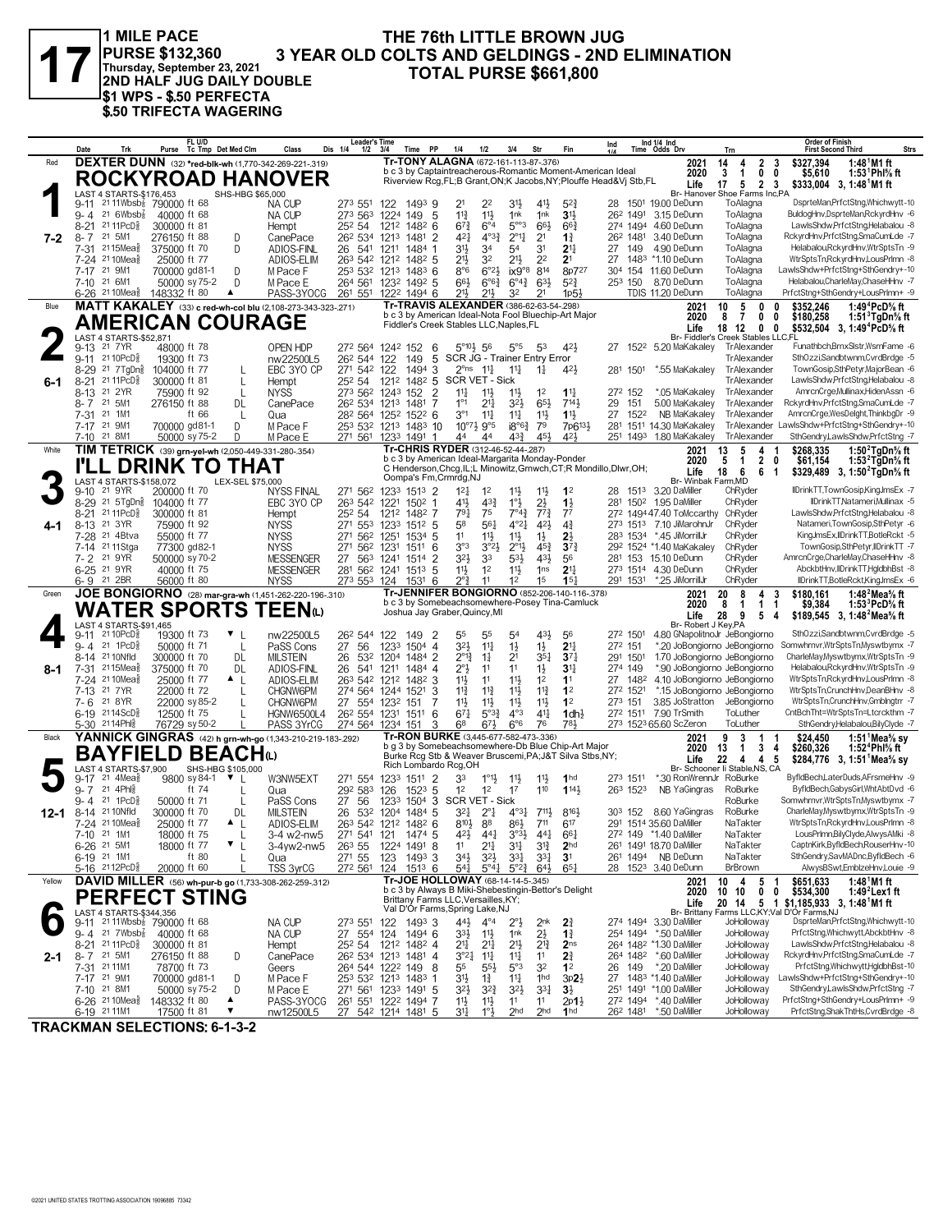

**PURSE \$132,360 Thursday, September 23, 2021 2ND HALF JUG DAILY DOUBLE \$1 WPS - \$.50 PERFECTA \$.50 TRIFECTA WAGERING**

## **THE 76th LITTLE BROWN JUG<br>3 YEAR OLD COLTS AND GELDINGS - 2ND ELIMINATION 1** MILE PACE THE 76th LITTLE BROWN JUG<br>
PURSE \$132,360 3 YEAR OLD COLTS AND GELDINGS - 2ND ELIMINATION<br>
INDIRALF JUG DAILY DOUBLE TOTAL PURSE \$661,800

|        | Date<br>Trk                                                                                       | FL U/D<br>Purse Tc Tmp Det Med Clm                                            | Class<br>Dis 1/4                                      | <b>Leader's Time</b><br>$1/2$ $3/4$<br>PP<br>Time                               | 1/4<br>1/2                                                                                                     | 3/4<br>Str                                                                         | Fin                                | Ind                    | Ind 1/4 Ind<br>Time Odds Drv                                 | Trn                                                                     | <b>Order of Finish</b><br><b>Strs</b><br><b>First Second Third</b>                                      |
|--------|---------------------------------------------------------------------------------------------------|-------------------------------------------------------------------------------|-------------------------------------------------------|---------------------------------------------------------------------------------|----------------------------------------------------------------------------------------------------------------|------------------------------------------------------------------------------------|------------------------------------|------------------------|--------------------------------------------------------------|-------------------------------------------------------------------------|---------------------------------------------------------------------------------------------------------|
| Red    |                                                                                                   | <b>DEXTER DUNN</b> (32) *red-blk-wh (1,770-342-269-221-319)                   |                                                       |                                                                                 | Tr-TONY ALAGNA (672-161-113-87-.376)<br>b c 3 by Captaintreacherous-Romantic Moment-American Ideal             |                                                                                    |                                    |                        | 2021                                                         | 2<br>14<br>4                                                            | $1:481M1$ ft<br>3<br>\$327.394                                                                          |
|        |                                                                                                   | <b>ROCKYROAD HANOVER</b>                                                      |                                                       |                                                                                 | Riverview Rcg, FL; B Grant, ON; K Jacobs, NY; Plouffe Head& Vj Stb, FL                                         |                                                                                    |                                    |                        | 2020<br>Life                                                 | 3<br>1<br>0<br>0<br>5<br>$\overline{2}$<br>-3<br>17                     | 1:53 <sup>1</sup> Phl <sup>5</sup> / <sub>8</sub> ft<br>\$5,610<br>\$333,004 3, 1:48 <sup>1</sup> M1 ft |
|        | LAST 4 STARTS-\$176,453<br>9-11                                                                   | SHS-HBG \$65,000<br>2111Wbsb <sup>7</sup> 790000 ft 68                        | <b>NA CUP</b><br>273 551                              | 14939<br>122                                                                    | 22<br>21                                                                                                       | 31}<br>41}                                                                         | $5^{2}$                            |                        | 28 1501 19.00 DeDunn                                         | Br- Hanover Shoe Farms Inc,PA<br>ToAlagna                               | DsprteMan,PrfctStng,Whichwytt-10                                                                        |
|        | $9 - 4$ 21 6Wbsb <sup>7</sup> / <sub>8</sub>                                                      | 40000 ft 68                                                                   | NA CUP                                                | 273 563 1224<br>149<br>-5                                                       | $11\frac{1}{2}$<br>$11\frac{3}{4}$                                                                             | 1nk<br>1nk                                                                         | 3 <sup>1</sup>                     | 262 1491               | 3.15 DeDunn                                                  | ToAlagna                                                                | BuldogHnv,DsprteMan,RckyrdHnv -6                                                                        |
|        | 21 11 PcD <sup>3</sup><br>$8 - 21$                                                                | 300000 ft 81                                                                  | 252 54<br>Hempt                                       | 1212<br>$148^2$ 6                                                               | $6^{\circ}4$<br>$67\frac{3}{4}$<br>$4^{03}\frac{3}{4}$                                                         | $5^{\circ\circ}3$<br>$66\frac{1}{2}$                                               | $66\frac{3}{4}$                    | 274 1494               | 4.60 DeDunn                                                  | ToAlagna                                                                | LawlsShdw,PrfctStng,Helabalou -8<br>RckyrdHnv,PrfctStng,SmaCumLde -7                                    |
| 7-2    | 8-7 21 5M1<br>7-31 <sup>21</sup> 15Mea}                                                           | 276150 ft 88<br>D<br>375000 ft 70<br>D                                        | CanePace<br>ADIOS-FINL                                | 26 <sup>2</sup> 534 1213<br>1481<br>2<br>1484<br>26 541 1211                    | 421<br>3 <sup>1</sup><br>34                                                                                    | $2^{\circ}1\frac{1}{4}$<br>2 <sup>1</sup><br>3 <sup>1</sup><br>54                  | $1\frac{3}{4}$<br>2 <sup>11</sup>  | 262 1481<br>27<br>149  | 3.40 DeDunn<br>4.90 DeDunn                                   | ToAlagna<br>ToAlagna                                                    | Helabalou, RckyrdHnv, WtrSptsTn -9                                                                      |
|        | 7-24 <sup>21</sup> 10 Mea <sup>5</sup>                                                            | 25000 ft 77                                                                   | ADIOS-ELIM                                            | 263 542 1212 1482 5                                                             | 21}<br>32                                                                                                      | $21\frac{1}{2}$<br>2 <sup>2</sup>                                                  | 2 <sup>1</sup>                     | 27                     | 1483 *1.10 DeDunn                                            | ToAlagna                                                                | WtrSptsTn,RckyrdHnv,LousPrImn -8                                                                        |
|        | 7-17 21 9M1<br>21 6M1<br>7-10                                                                     | 700000 gd81-1<br>D<br>50000 sy 75-2<br>D                                      | M Pace F<br>M Pace E                                  | 253 532 1213<br>$1483$ 6<br>264 561 1232 1492 5                                 | $8^{\circ}6$<br>$6^{\circ}2\frac{1}{2}$<br>$66\frac{1}{2}$<br>$6^{o6}\frac{3}{4}$                              | $1 \times 9^{\circ}8$ 814<br>$63\frac{1}{2}$<br>$6^{04}\frac{3}{4}$                | 8p727<br>$5^{2}3$                  | 253 150                | 304 154 11.60 DeDunn<br>8.70 DeDunn                          | ToAlagna<br>ToAlagna                                                    | LawlsShdw+PrfctStng+SthGendry+-10<br>Helabalou,CharleMay,ChaseHHnv -7                                   |
|        | 6-26 <sup>21</sup> 10 Mea <sub>8</sub> 148332 ft 80                                               | ▲                                                                             | PASS-3YOCG                                            | 261 551 1222 1494 6                                                             | 21}<br>21}                                                                                                     | 32<br>2 <sup>1</sup>                                                               | 1p5 <sup>1</sup>                   |                        | TDIS 11.20 DeDunn                                            | ToAlagna                                                                | PrfctStng+SthGendry+LousPrlmn+ -9                                                                       |
| Blue   |                                                                                                   | MATT KAKALEY (33) c red-wh-col blu (2,108-273-343-323-.271)                   |                                                       |                                                                                 | Tr-TRAVIS ALEXANDER (386-62-63-54-298)<br>b c 3 by American Ideal-Nota Fool Bluechip-Art Major                 |                                                                                    |                                    |                        | 2021<br>2020                                                 | 5<br>10<br>0<br>7<br>0<br>8<br>0                                        | \$352,246<br>1:49 ${}^4$ PcD ${}^5\!\!{\scriptstyle\rm S}$ ft<br>0<br>\$180,258<br>1:51 TgDn% ft        |
|        |                                                                                                   | <b>AMERICAN COURAGE</b>                                                       |                                                       |                                                                                 | Fiddler's Creek Stables LLC, Naples, FL                                                                        |                                                                                    |                                    |                        | Life                                                         | 18<br>12<br>0<br>0                                                      | \$532,504<br>3, 1:49 <sup>4</sup> PcD% ft                                                               |
|        | <b>LAST 4 STARTS-\$52.871</b><br>21 7 YR<br>9-13                                                  | 48000 ft 78                                                                   | OPEN HDP                                              | 272 564 1242 152<br>6                                                           | $5^{\circ}10\frac{1}{2}$ 56                                                                                    | $5^{\circ}5$<br>53                                                                 | 42}                                |                        | 27 152 <sup>2</sup> 5.20 MaKakaley                           | Br- Fiddler's Creek Stables LLC,FL<br>TrAlexander                       | Funathbch,BrnxSlstr,WsrnFame -6                                                                         |
|        | 9-11 2110PcD                                                                                      | 19300 ft 73                                                                   | nw22500L5                                             | 5<br>26 <sup>2</sup> 544 122<br>149                                             | SCR JG - Trainer Entry Error                                                                                   |                                                                                    |                                    |                        |                                                              | TrAlexander                                                             | SthOzzi,Sandbtwnm,CvrdBrdge -5                                                                          |
|        | 8-29 <sup>21</sup> 7TgDn៖<br>21 11 PcD <sup>5</sup><br>$8 - 21$                                   | 104000 ft 77<br>$\mathbf{L}$<br>300000 ft 81<br>L                             | EBC 3YO CP<br>252 54<br>Hempt                         | 271 542 122<br>$1494$ 3<br>1482 5<br>1212                                       | $2^{\circ}$ ns $11\frac{1}{4}$<br>SCR VET - Sick                                                               | $11\frac{1}{4}$<br>$1\frac{1}{4}$                                                  | 42}                                | 281 1501               | *.55 MaKakaley                                               | <b>TrAlexander</b><br>TrAlexander                                       | TownGosip,SthPetyr,MajorBean -6<br>LawlsShdw,PrfctStng,Helabalou -8                                     |
| 6-1    | 21 2 YR<br>8-13                                                                                   | 75900 ft 92<br>L                                                              | <b>NYSS</b>                                           | 273 562 1243<br>152<br>$\overline{2}$                                           | $11\frac{1}{4}$<br>$11\frac{1}{2}$                                                                             | $11\frac{1}{2}$<br>1 <sup>2</sup>                                                  | $11\frac{1}{4}$                    | 272 152                | *.05 MaKakaley                                               | TrAlexander                                                             | AmrcnCrge, Mullinax, HidenAssn -6                                                                       |
|        | 21 5M1<br>8-7<br>21 1M1                                                                           | 276150 ft 88<br>DL                                                            | CanePace                                              | 7<br>26 <sup>2</sup> 534 1213<br>1481                                           | $1^{\circ}1$<br>$21\frac{1}{4}$<br>$3^{\circ}1$                                                                | $3^{21}$<br>$65\frac{1}{2}$                                                        | $7^{14}$                           | 151<br>29              | 5.00 MaKakaley                                               | TrAlexander                                                             | RckyrdHnv,PrfctStng,SmaCumLde -7<br>AmrcnCrge,WesDelght,ThinkbgDr -9                                    |
|        | 7-31<br>21 9M1<br>7-17                                                                            | ft 66<br>L<br>D<br>700000 gd81-1                                              | Qua<br>M Pace F                                       | 28 <sup>2</sup> 564 125 <sup>2</sup> 152 <sup>2</sup> 6<br>253 532 1213 1483 10 | $11\frac{1}{4}$<br>$10^{97}\frac{1}{2}$ 9°5                                                                    | $11\frac{1}{4}$<br>11<br>$18^{\circ}6\frac{3}{4}$<br>79                            | $1\frac{11}{2}$<br>7p613}          | 27<br>1522<br>281      | NB MaKakaley<br>1511 14.30 MaKakaley                         | <b>TrAlexander</b><br>TrAlexander                                       | awlsShdw+PrfctStng+SthGendry+-10                                                                        |
|        | 21 8M1<br>7-10                                                                                    | 50000 sy 75-2<br>D                                                            | M Pace E                                              | 271 561 1233 1491                                                               | 44<br>44                                                                                                       | 43}<br>45}                                                                         | 421                                | 251 1493               | 1.80 MaKakaley                                               | TrAlexander                                                             | SthGendry,LawlsShdw,PrfctStng -7                                                                        |
| White  |                                                                                                   | TIM TETRICK (39) grn-yel-wh (2,050-449-331-280-.354)                          |                                                       |                                                                                 | Tr-CHRIS RYDER (312-46-52-44-.287)<br>b c 3 by American Ideal-Margarita Monday-Ponder                          |                                                                                    |                                    |                        | 2021<br>2020                                                 | 13<br>5<br>4<br>-1<br>5<br>$\overline{\mathbf{2}}$<br>$\mathbf{1}$<br>0 | \$268,335<br>1:50 $2$ TgDn $%$ ft<br>\$61,154<br>1:53 $4$ TgDn $\%$ ft                                  |
|        |                                                                                                   | <b>DRINK TO THAT</b>                                                          |                                                       | Oompa's Fm, Crmrdg, NJ                                                          | C Henderson, Chcg, IL; L Minowitz, Grnwch, CT; R Mondillo, Dlwr, OH;                                           |                                                                                    |                                    |                        | Life                                                         | 6<br>18<br>6<br>-1                                                      | \$329,489 3, 1:50 <sup>2</sup> TgDn <sup>5</sup> / <sub>8</sub> ft                                      |
|        | LAST 4 STARTS-\$158,072<br>9-10 21 9YR                                                            | LEX-SEL \$75,000<br>200000 ft 70                                              | <b>NYSS FINAL</b><br>271 562                          | 1233 1513 2                                                                     | $12\frac{1}{4}$<br>1 <sup>2</sup>                                                                              | 11号<br>11}                                                                         | 1 <sup>2</sup>                     | 28<br>1513             | Br- Winbak Farm, MD<br>3.20 DaMiller                         | ChRyder                                                                 | IIDrinkTT,TownGosip,KingJmsEx -7                                                                        |
|        | 21 5TgDng<br>$8 - 29$                                                                             | 104000 ft 77                                                                  | EBC 3YO CP                                            | 263 542 1221<br>$150^2$ 1                                                       | 433<br>41,                                                                                                     | $1^{\circ}$<br>$2\frac{1}{2}$                                                      | $1\frac{1}{2}$                     | 281 1502               | 1.95 DaMiller                                                | ChRyder                                                                 | IIDrinkTT.Natameri.Mullinax -5                                                                          |
| 4-1    | 21 11 PcD <sup>5</sup><br>$8 - 21$<br>21 3YR<br>$8 - 13$                                          | 300000 ft 81<br>75900 ft 92                                                   | 25 <sup>2</sup> 54<br>Hempt<br><b>NYSS</b><br>271 553 | 1482 7<br>1212<br>1233<br>$151^2$ 5                                             | 791<br>75<br>561<br>58                                                                                         | $7^{\circ}4^{\frac{3}{4}}$<br>$77\frac{3}{4}$<br>421<br>$4^{\circ}2^{\frac{1}{4}}$ | 7 <sup>7</sup><br>$4\frac{3}{4}$   |                        | 272 149447.40 ToMccarthy<br>273 1513 7.10 JiMarohnJr         | ChRyder<br>ChRyder                                                      | LawlsShdw,PrfctStng,Helabalou -8<br>Natameri, TownGosip, SthPetyr -6                                    |
|        | 21 4Btva<br>7-28                                                                                  | 55000 ft 77                                                                   | <b>NYSS</b><br>271                                    | 562 1251<br>$1534$ 5                                                            | 11<br>$11\frac{1}{2}$                                                                                          | 11号<br>$1\frac{1}{2}$                                                              | 2}                                 | 283 1534               | *.45 JiMorrillJr                                             | ChRyder                                                                 | KingJmsEx,IIDrinkTT,BotleRckt -5                                                                        |
|        | 7-14 21 11 Stga<br>7- 2 21 9YR                                                                    | 77300 gd82-1<br>500000 sy 70-2                                                | <b>NYSS</b><br>271<br><b>MESSENGER</b><br>27          | 562<br>6<br>1231<br>1511<br>$\overline{2}$<br>563<br>1241<br>1514               | 3°3<br>3°23<br>323<br>33                                                                                       | $2^{01}\frac{1}{2}$<br>$45\frac{3}{4}$<br>431<br>53}                               | $3^{7}$<br>56                      |                        | 292 1524 *1.40 MaKakaley<br>281 153 15.10 DeDunn             | ChRyder<br>ChRyder                                                      | TownGosip,SthPetyr,IIDrinkTT -7<br>AmrcnCrge,CharleMay,ChaseHHnv -8                                     |
|        | 6-25 21 9YR                                                                                       | 40000 ft 75                                                                   | <b>MESSENGER</b>                                      | 281 562 1241 1513<br>-5                                                         | 11}<br>1 <sup>2</sup>                                                                                          | $11\frac{1}{2}$<br>1 <sub>ns</sub>                                                 | 2 <sup>11</sup>                    |                        | 273 1514 4.30 DeDunn                                         | ChRyder                                                                 | AbckbtHnv,IIDrinkTT,HgldbhBst -8                                                                        |
|        | 6-9 21 2BR                                                                                        | 56000 ft 80                                                                   | <b>NYSS</b>                                           | 273 553 124<br>$153^1$ 6                                                        | つ?<br>11<br>Tr-JENNIFER BONGIORNO (852-206-140-116-.378)                                                       | 15<br>12                                                                           | 15 <sub>7</sub>                    | 291 1531               | *.25 JiMorrillJr                                             | ChRyder                                                                 | IIDrinkTT,BotleRckt,KingJmsEx -6                                                                        |
| Green  |                                                                                                   | JOE BONGIORNO (28) mar-gra-wh (1,451-262-220-196-.310)<br><b>WATER SPORTS</b> | <b>TEEN</b>                                           |                                                                                 | b c 3 by Somebeachsomewhere-Posey Tina-Camluck                                                                 |                                                                                    |                                    |                        | 2021<br>2020                                                 | 20<br>8<br>3<br>4<br>$\mathbf{1}$<br>8<br>$\mathbf{1}$<br>-1            | \$180.161<br>1:48 $^2$ Mea $\%$ ft<br>\$9,384<br>1:53 ${}^{3}$ PcD ${}^{5}$ sft                         |
|        | LAST 4 STARTS-\$91,465                                                                            |                                                                               |                                                       |                                                                                 | Joshua Jay Graber, Quincy, MI                                                                                  |                                                                                    |                                    |                        | Life<br>Br- Robert J Key, PA                                 | 28<br>9<br>5<br>-4                                                      | \$189,545 3, 1:48 Mea % ft                                                                              |
|        | 21 10 PcD<br>$9 - 11$                                                                             | 19300 ft 73                                                                   | nw22500L5                                             | 26 <sup>2</sup> 544 122<br>149<br>2                                             | 55<br>55                                                                                                       | $43\frac{1}{2}$<br>54                                                              | 56                                 | 272 1501               | 4.80 GNapolitnoJr JeBongiorno                                |                                                                         | SthOzzi,Sandbtwnm,CvrdBrdge -5                                                                          |
|        | 21 1 PcD<br>$9 - 4$<br>8-14 21 10 Nfld                                                            | 50000 ft 71<br>L<br>300000 ft 70<br>DL                                        | 27<br>56<br>PaSS Cons<br><b>MILSTEIN</b><br>26        | 1504 4<br>1233<br>532 1204<br>1484 2                                            | 32}<br>$11\frac{1}{4}$<br>$2^{\circ}1_{2}^{3}$<br>$1\frac{1}{4}$                                               | $1\frac{1}{2}$<br>$1\frac{1}{2}$<br>$35\frac{1}{4}$<br>21                          | 2 <sup>11</sup><br>$3^{71}$        | 272 151<br>291 1501    | *.20 JoBongiorno JeBongiorno<br>1.70 JoBongiorno JeBongiorno |                                                                         | Somwhrnvr, Wtr Spts Tn, Myswtbymx -7<br>CharleMay, Myswtbymx, WtrSptsTn -9                              |
| 8-1    | 2115Mea<br>7-31                                                                                   | 375000 ft 70<br>DL                                                            | ADIOS-FINL<br>26<br>541                               | 1484 4<br>1211                                                                  | $2^{\circ}3$<br>11                                                                                             | 11<br>$1\frac{1}{2}$                                                               | $3^{11}$                           | 274 149                | *.90 JoBongiorno JeBongiorno                                 |                                                                         | Helabalou, RckyrdHnv, WtrSptsTn -9                                                                      |
|        | 7-24 <sup>21</sup> 10 Mea <sup>5</sup><br>7-13 21 7 YR                                            | 25000 ft 77<br>▲ L<br>22000 ft 72                                             | ADIOS-ELIM<br>CHGNW6PM                                | 263 542 1212 1482 3<br>274 564 1244<br>1521<br>3                                | 11}<br>11<br>$11\frac{3}{4}$<br>$11\frac{3}{4}$                                                                | 11}<br>1 <sup>2</sup><br>$11\frac{3}{4}$<br>$11\frac{1}{2}$                        | 1 <sup>1</sup><br>1 <sup>2</sup>   | 27<br>1482<br>272 1521 | 4.10 JoBongiorno JeBongiorno<br>*.15 JoBongiorno JeBongiorno |                                                                         | WtrSptsTn,RckyrdHnv,LousPrImn -8<br>WtrSptsTn,CrunchHnv,DeanBHnv -8                                     |
|        | 21 8 YR<br>7-6                                                                                    | 22000 sy 85-2                                                                 | CHGNW6PM                                              | 27 554 1232<br>151                                                              | 11}<br>$11\frac{1}{2}$                                                                                         | $11\frac{1}{2}$<br>$11\frac{1}{2}$                                                 | 1 <sup>2</sup>                     | 273 151                | 3.85 JoStratton                                              | JeBongiorno                                                             | WtrSptsTn,CrunchHnv,Gmblngtrr -7                                                                        |
|        | 6-19 2114ScD <sup>3</sup><br>5-30 <sup>21</sup> 14Phl <sup>5</sup>                                | 12500 ft 75<br>L<br>76729 sy 50-2                                             | <b>HGNW6500L4</b><br>PASS 3YrCG                       | 26 <sup>2</sup> 554 1231 1511 6<br>274 564 1234 151<br>3                        | $67\frac{1}{4}$<br>$5^{\circ}3^{\frac{3}{4}}$<br>68<br>673                                                     | $4^{\circ}3$<br>$4^{11}$<br>6°6<br>76                                              | 1dh <sub>2</sub><br>781            |                        | 272 1511 7.90 TrSmith<br>273 1523 65.60 ScZeron              | ToLuther<br>ToLuther                                                    | CntBchTht=WtrSptsTn=Ltcrckthm -7<br>SthGendry,Helabalou,BilyClyde -7                                    |
| Black  |                                                                                                   | YANNICK GINGRAS (42) h grn-wh-go (1,343-210-219-183-.292)                     |                                                       |                                                                                 | Tr-RON BURKE (3,445-677-582-473-.336)                                                                          |                                                                                    |                                    |                        | 2021                                                         | 9<br>3<br>1                                                             | \$24.450<br>1:51 Mea% sy                                                                                |
|        |                                                                                                   | <b>BAYFIELD BEACH</b> t                                                       |                                                       |                                                                                 | b g 3 by Somebeachsomewhere-Db Blue Chip-Art Major<br>Burke Rcg Stb & Weaver Bruscemi, PA; J&T Silva Stbs, NY; |                                                                                    |                                    |                        | 2020<br>Life                                                 | 3<br>13<br>1<br>4<br>22<br>4<br>5<br>4                                  | 1:52 <sup>4</sup> Phl <sup>5</sup> / <sub>8</sub> ft<br>\$260,326<br>\$284,776 3, 1:51 Mea % sy         |
|        | LAST 4 STARTS-\$7,900                                                                             | SHS-HBG \$105,000                                                             |                                                       | Rich Lombardo Rcg, OH                                                           |                                                                                                                |                                                                                    |                                    |                        |                                                              | Br- Schooner Ii Stable, NS, CA                                          |                                                                                                         |
|        | $21$ 4Mea $\frac{2}{3}$<br>$9 - 17$<br>21 4Ph<br>$9 - 7$                                          | $\mathbf{v}_{\perp}$<br>9800 sy 84-1<br>ft 74                                 | W3NW5EXT<br>271 554<br>292 583<br>Qua                 | 1233<br>$151^1$ 2<br>$152^3$ 5<br>126                                           | 33<br>$1^{\circ}1\frac{1}{2}$<br>1 <sup>2</sup><br>1 <sup>2</sup>                                              | $11\frac{1}{2}$<br>11}<br>110<br>17                                                | 1 <sub>hd</sub><br>1143            | 273 1511<br>263 1523   | *.30 RonWrennJr RoBurke<br>NB YaGingras                      | RoBurke                                                                 | ByfldBech,LaterDuds,AFrsmeHnv -9<br>ByfldBech,GabysGirl,WhtAbtDvd -6                                    |
|        | 21 1PcD<br>$9 - 4$                                                                                | 50000 ft 71<br>L                                                              | PaSS Cons<br>27<br>56                                 | $1504$ 3<br>1233                                                                | SCR VET - Sick                                                                                                 |                                                                                    |                                    |                        |                                                              | RoBurke                                                                 | Somwhrnvr, WtrSptsTn, Myswtbymx -7                                                                      |
|        | 12-1 8-14 2110Nfld<br>7-24 2110Mea <sup>5</sup>                                                   | 300000 ft 70<br>DL<br>25000 ft 77<br>▲                                        | <b>MILSTEIN</b><br>26<br>ADIOS-ELIM                   | 532<br>1204 1484 5<br>263 542 1212 1482 6                                       | 321<br>$2^{\circ}1$<br>$8^{10}$<br>88                                                                          | 711,<br>$4^{\circ}3\frac{1}{4}$<br>$86\frac{1}{2}$<br>711                          | 8164<br>617                        | 303 152                | 8.60 YaGingras<br>291 1514 35.60 DaMiller                    | RoBurke<br>NaTakter                                                     | CharleMay,Myswtbymx,WtrSptsTn -9<br>WtrSptsTn,RckyrdHnv,LousPrlmn -8                                    |
|        | 7-10<br>21 1M1                                                                                    | 18000 ft 75                                                                   | 3-4 w2-nw5<br>271 541                                 | 121<br>1474 5                                                                   | 42}                                                                                                            | $3^{93}\frac{1}{2}$<br>$44\frac{1}{4}$                                             | $66\frac{1}{4}$                    |                        | 27 <sup>2</sup> 149 *1.40 DaMiller                           | NaTakter                                                                | LousPrimn,BilyClyde,AlwysAMki -8                                                                        |
|        | 6-26 <sup>21</sup> 5M1                                                                            | ▼<br>18000 ft 77<br>L                                                         | 3-4yw2-nw5<br>26 <sup>3</sup> 55                      | 1224 1491 8                                                                     | 11<br>21‡                                                                                                      | 34<br>$3^{13}$                                                                     | 2 <sub>hd</sub>                    |                        | 261 1491 18.70 DaMiller                                      | NaTakter                                                                | CaptnKirk,ByfldBech,RouserHnv-10<br>SthGendry,SavMADnc,ByfldBech -6                                     |
|        | 6-19 21 1M1<br>5-16 2112PcD}                                                                      | ft 80<br>20000 ft 60                                                          | 271 55<br>Qua<br>272 561<br><u>TSS 3yrCG</u>          | 123 1493 3<br>124<br>$151^3$ 6                                                  | $34\frac{1}{2}$<br>$3^{2}\frac{1}{2}$<br>$54\frac{1}{4}$<br>$5^{\circ}41$                                      | $3^{31}$<br>$3^{3}$<br>$5^{\circ}2^{\frac{3}{4}}$<br>$64\frac{1}{2}$               | 3 <sup>1</sup><br>$65\frac{1}{4}$  |                        | 261 1494 NB DeDunn<br>28 1523 3.40 DeDunn                    | NaTakter<br><b>BrBrown</b>                                              | AlwysBSwt,EmblzeHnv,Louie -9                                                                            |
| Yellow |                                                                                                   | DAVID MILLER (56) wh-pur-b go (1,733-308-262-259-.312)                        |                                                       |                                                                                 | Tr-JOE HOLLOWAY (68-14-14-5-.345)                                                                              |                                                                                    |                                    |                        | 2021                                                         | 10<br>4<br>5<br>-1                                                      | \$651,633<br>1:48 M1 ft                                                                                 |
|        |                                                                                                   | <b>PERFECT STING</b>                                                          |                                                       |                                                                                 | b c 3 by Always B Miki-Shebestingin-Bettor's Delight<br>Brittany Farms LLC, Versailles, KY;                    |                                                                                    |                                    |                        | 2020<br>Life                                                 | 10<br>0<br>0<br>10<br>5 <sub>1</sub><br>20 14                           | \$534,300<br>1:49 $^2$ Lex1 ft<br>\$1,185,933 3, 1:48 <sup>1</sup> M1 ft                                |
|        | LAST 4 STARTS-\$344,356                                                                           |                                                                               |                                                       |                                                                                 | Val D'Or Farms, Spring Lake, NJ                                                                                |                                                                                    |                                    |                        |                                                              |                                                                         | Br- Brittany Farms LLC, KY; Val D'Or Farms, NJ                                                          |
|        | 9-11 <sup>21</sup> 11Wbsb <sup>7</sup> 790000 ft 68<br>$9 - 4$ 21 7Wbsb <sup>7</sup> <sub>8</sub> | 40000 ft 68                                                                   | NA CUP<br>NA CUP                                      | 273 551 122 1493 3<br>27 554 124<br>1494 6                                      | 44}<br>$4^{\circ}4$<br>33}<br>$11\frac{1}{2}$                                                                  | $2^{\circ}$<br>2 <sup>nk</sup><br>$2\frac{1}{2}$<br>1nk                            | $2\frac{3}{4}$<br>$1\frac{3}{4}$   |                        | 274 1494 3.30 DaMiller<br>254 1494 *.50 DaMiller             | JoHolloway<br>JoHolloway                                                | DsprteMan, PrfctStng, Whichwytt-10<br>PrfctStna.Whichwytt.AbckbtHnv -8                                  |
|        | 21 11 PcD $\frac{5}{8}$<br>$8 - 21$                                                               | 300000 ft 81                                                                  | Hempt                                                 | 25 <sup>2</sup> 54 121 <sup>2</sup> 148 <sup>2</sup> 4                          | 21,<br>$21\frac{1}{4}$                                                                                         | $21\frac{1}{2}$<br>$2^{13}$                                                        | 2 <sub>ns</sub>                    |                        | 264 1482 *1.30 DaMiller                                      | JoHolloway                                                              | LawlsShdw,PrfctStng,Helabalou -8                                                                        |
| 2-1    | 8-7 21 5M1<br>7-31 21 11 M1                                                                       | 276150 ft 88<br>D<br>78700 ft 73                                              | CanePace<br>Geers                                     | 26 <sup>2</sup> 534 1213 1481 4<br>8<br>264 544 1222 149                        | $3^{°2}\frac{1}{4}$<br>$11\frac{1}{4}$<br>55<br>$5^{5}\frac{1}{2}$                                             | $11\frac{1}{4}$<br>11<br>5°3<br>32                                                 | 21<br>1 <sup>2</sup>               | 149<br>26              | 264 1482 *.60 DaMiller<br>*.20 DaMiller                      | JoHolloway<br>JoHolloway                                                | RckyrdHnv,PrfctStng,SmaCumLde -7<br>PrfctStng,Whichwytt,HgldbhBst-10                                    |
|        | 7-17 21 9M1                                                                                       | 700000 gd81-1<br>D                                                            | M Pace F                                              | 253 532 1213 1483 1                                                             | 3 <sup>1</sup><br>$1\frac{3}{4}$                                                                               | $11\frac{1}{4}$<br>1 <sup>hd</sup>                                                 | $3p2\frac{1}{2}$                   |                        | 27 1483 *1.40 DaMiller                                       | JoHolloway                                                              | LawlsShdw+PrfctStng+SthGendry+-10                                                                       |
|        | 7-10 21 8M1<br>$6-26$ 2110Mea $\frac{5}{8}$                                                       | 50000 sy 75-2<br>D<br>148332 ft 80<br>▲                                       | M Pace E<br>PASS-3YOCG                                | 271 561 1233 1491 5<br>261 551 1222 1494 7                                      | 32}<br>$3^{2}\frac{3}{4}$<br>11号<br>11}                                                                        | $3^{2}\frac{1}{2}$<br>3 <sup>31</sup><br>11<br>11                                  | $3\frac{1}{2}$<br>$2p1\frac{1}{2}$ |                        | 251 1491 *1.00 DaMiller<br>272 1494 *.40 DaMiller            | JoHolloway<br>JoHolloway                                                | SthGendry,LawlsShdw,PrfctStng -7<br>PrfctStng+SthGendry+LousPrlmn+ -9                                   |
|        | 6-19 21 11M1                                                                                      | 17500 ft 81                                                                   | nw12500L5                                             | 27 542 1214 1481 5                                                              | 1°3<br>3 <sup>11</sup>                                                                                         | 2 <sub>hd</sub><br>2 <sub>hd</sub>                                                 | 1 <sub>hd</sub>                    |                        | 26 <sup>2</sup> 1481 *.50 DaMiller                           | JoHolloway                                                              | PrfctStng,ShakThtHs,CvrdBrdge -8                                                                        |

**TRACKMAN SELECTIONS: 6-1-3-2**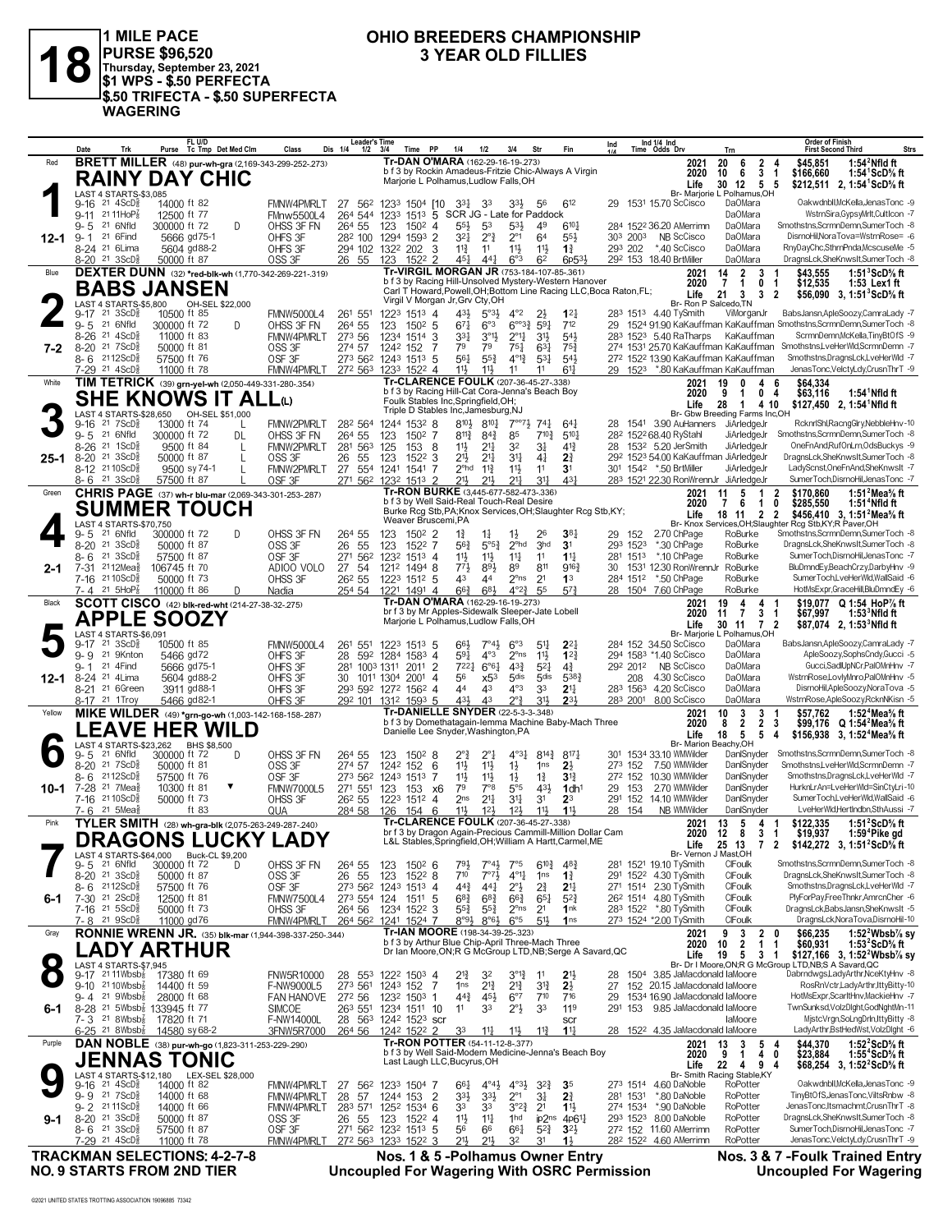

1 MILE PACE<br>|PURSE \$96,520<br>|Thursday, September 23, 2021<br>|\$1 WPS - \$.50 PERFECTA \$.50 TRIFECTA - \$.50 SUPERFECTA **WAGERING** 

#### OHIO BREEDERS CHAMPIONSHIP **3 YEAR OLD FILLIES**

|                                     | Date                                                              | Trk                                                |                                                                   | FL U/D<br>Purse Tc Tmp Det Med Clm |         | Class                                                              | <b>Leader's Time</b><br>Dis 1/4<br>$1/2$ $3/4$        |                       | PP<br>Time                                          | 1/4                                                                                                | 1/2                                      | 3/4                                        | Str                                    | Fin                               | Ind                                                                |                     | Ind 1/4 Ind<br>Time Odds Drv                                                        | Trn                                                              | <b>Order of Finish</b><br>Strs<br><b>First Second Third</b>                                                                        |
|-------------------------------------|-------------------------------------------------------------------|----------------------------------------------------|-------------------------------------------------------------------|------------------------------------|---------|--------------------------------------------------------------------|-------------------------------------------------------|-----------------------|-----------------------------------------------------|----------------------------------------------------------------------------------------------------|------------------------------------------|--------------------------------------------|----------------------------------------|-----------------------------------|--------------------------------------------------------------------|---------------------|-------------------------------------------------------------------------------------|------------------------------------------------------------------|------------------------------------------------------------------------------------------------------------------------------------|
| Red                                 |                                                                   |                                                    |                                                                   |                                    |         | <b>BRETT MILLER</b> (48) pur-wh-gra (2,169-343-299-252-.273)       |                                                       |                       |                                                     | Tr-DAN O'MARA (162-29-16-19-.273)<br>b f 3 by Rockin Amadeus-Fritzie Chic-Always A Virgin          |                                          |                                            |                                        |                                   |                                                                    |                     | 2021                                                                                | 20<br>$\overline{2}$<br>6                                        | 1:54 $^2$ Nfld ft<br>\$45.851<br>4                                                                                                 |
|                                     |                                                                   |                                                    | <b>RAINY DAY CHIC</b>                                             |                                    |         |                                                                    |                                                       |                       |                                                     | Marjorie L Polhamus, Ludlow Falls, OH                                                              |                                          |                                            |                                        |                                   |                                                                    |                     | 2020<br>Life                                                                        | 3<br>10<br>6<br>30 12 5                                          | \$166,660<br>1:54 <sup>1</sup> ScD% ft<br>-1<br>\$212,511 2, 1:54 ScD % ft<br>-5                                                   |
|                                     | 9-16                                                              | LAST 4 STARTS-\$3,085<br>$21 \text{ } 4\text{ScD}$ | 14000 ft 82                                                       |                                    |         | <b>FMNW4PMRLT</b>                                                  | 27 562 1233 1504 [10 331]                             |                       |                                                     |                                                                                                    | 33                                       | 3 <sup>3</sup>                             | 56                                     | 612                               |                                                                    |                     | 29 1531 15.70 ScCisco                                                               | Br- Marjorie L Polhamus, OH<br>DaOMara                           | Oakwdnbll, McKella, JenasTonc -9                                                                                                   |
|                                     | 9-11 21 11 Ho <sup>2</sup> <sub>8</sub>                           |                                                    | 12500 ft 77                                                       |                                    |         | FMnw5500L4                                                         | 264 544 1233                                          |                       | 1513                                                | 5 SCR JG - Late for Paddock                                                                        |                                          |                                            |                                        |                                   |                                                                    |                     |                                                                                     | DaOMara                                                          | WstrnSira,GypsyMrlt,CultIcon -7                                                                                                    |
|                                     | 9-5                                                               | 21 6Nfld                                           | 300000 ft 72                                                      |                                    | D       | OHSS 3F FN                                                         | 264 55                                                | 123                   | $150^2$ 4                                           | 55}                                                                                                | 53                                       | $5^{31}$                                   | 49                                     | $6^{10}$                          |                                                                    |                     | 284 1522 36.20 AMerrimn                                                             | DaOMara                                                          | Smothstns,ScrmnDemn,SumerToch -8<br>DisrnoHil.NoraTova=WstrnRose= -6                                                               |
| 12-1                                | 9-1<br>8-24 <sup>21</sup> 6Lima                                   | 21 6 Find                                          | 5666 gd75-1                                                       | 5604 gd88-2                        |         | OHFS 3F<br>OHFS 3F                                                 | 28 <sup>2</sup> 100 1294 1593 2<br>294 102 1322 202 3 |                       |                                                     | 321<br>$11\frac{3}{4}$                                                                             | $2^{\circ}$ <sub>4</sub><br>11           | $2^{\circ}1$<br>$11\frac{1}{2}$            | 64<br>11}                              | $55\frac{1}{2}$<br>$1\frac{3}{4}$ |                                                                    | 303 2003<br>293 202 | NB ScCisco<br>*.40 ScCisco                                                          | <b>DaOMara</b><br>DaOMara                                        | RnyDayChc,SthrnPnda,McscuseMe -5                                                                                                   |
|                                     | 8-20 <sup>21</sup> 3ScD <sup>5</sup>                              |                                                    | 50000 ft 87                                                       |                                    |         | OSS 3F                                                             | 26 55                                                 | 123                   | 1522 2                                              | 45}                                                                                                | 44 <sup>1</sup>                          | 6°3                                        | 62                                     | 6p533                             |                                                                    |                     | 292 153 18.40 BrtMiller                                                             | <b>DaOMara</b>                                                   | DragnsLck,SheKnwsIt,SumerToch -8                                                                                                   |
| Blue                                |                                                                   |                                                    |                                                                   |                                    |         | DEXTER DUNN (32) *red-blk-wh (1,770-342-269-221-.319)              |                                                       |                       |                                                     | Tr-VIRGIL MORGAN JR (753-184-107-85-.361)<br>b f 3 by Racing Hill-Unsolved Mystery-Western Hanover |                                          |                                            |                                        |                                   |                                                                    |                     | 2021<br>2020                                                                        | 14<br>2<br>3<br>$\overline{1}$<br>$\overline{7}$<br>$\mathbf{0}$ | 1:51 $3$ ScD $\%$ ft<br>\$43,555<br>-1<br>\$12,535<br>1:53 Lex1 ft<br>-1                                                           |
|                                     |                                                                   |                                                    | <b>BABS JANSEN</b>                                                |                                    |         |                                                                    |                                                       |                       |                                                     | Virgil V Morgan Jr, Grv Cty, OH                                                                    |                                          |                                            |                                        |                                   | Carl T Howard, Powell, OH; Bottom Line Racing LLC, Boca Raton, FL; |                     | Life                                                                                | 21<br>3<br>3                                                     | \$56,090<br>2<br>3, 1:51 <sup>3</sup> ScD% ft                                                                                      |
|                                     | 9-17                                                              | LAST 4 STARTS-\$5,800<br>$21 \space 3SCD\$         | 10500 ft 85                                                       | OH-SEL \$22,000                    |         | <b>FMNW5000L4</b>                                                  | 261 551                                               |                       | 1223 1513 4                                         | 43}                                                                                                | $5^{\circ}3\frac{1}{2}$                  | $4^{\circ}2$                               | 2}                                     | $1^{2}$                           |                                                                    |                     | 283 1513 4.40 TySmith                                                               | Br- Ron P Salcedo, TN<br>ViMorganJr                              | BabsJansn,ApleSoozy,CamraLady -7                                                                                                   |
|                                     | $9 - 5$                                                           | 21 6Nfld                                           | 300000 ft 72                                                      |                                    | D       | OHSS 3F FN                                                         | 264 55                                                | 123                   | $150^2$ 5                                           | $67\frac{1}{4}$                                                                                    | 6°3                                      | $6^{003\frac{3}{4}}$                       | $59\frac{1}{4}$                        | 712                               |                                                                    |                     |                                                                                     |                                                                  | 29 1524 91.90 KaKauffman KaKauffman Smothstns, ScrmnDemn, SumerToch -8                                                             |
| 7-2                                 | 8-26 <sup>21</sup> 4ScD}<br>$8 - 20$                              | 21 7 ScD <sup>3</sup>                              | 11000 ft 83<br>50000 ft 81                                        |                                    |         | <b>FMNW4PMRLT</b><br>OSS 3F                                        | 273 56<br>274 57                                      | 1234 1514<br>1242 152 |                                                     | 331<br>3<br>79<br>7                                                                                | $3^{01}$<br>79                           | $2^{\circ}1\frac{1}{4}$<br>$75\frac{1}{4}$ | 31}<br>$63\frac{1}{4}$                 | $5^{4}$<br>$75\frac{3}{4}$        |                                                                    |                     | 283 1523 5.40 RaTharps                                                              | KaKauffman                                                       | ScrmnDemn, McKella, Tiny BtOfS -9<br>274 1531 25.70 KaKauffman KaKauffman Smothstns,LveHerWid,ScrmnDemn -7                         |
|                                     | 8-6 2112ScD                                                       |                                                    | 57500 ft 76                                                       |                                    |         | OSF <sub>3F</sub>                                                  | 273 562 1243 1513 5                                   |                       |                                                     | 561                                                                                                | $55\frac{3}{4}$                          | $4^{\circ}1\frac{3}{4}$                    | $5^{31}$                               | $5^{4}$                           |                                                                    |                     |                                                                                     | 272 1522 13.90 KaKauffman KaKauffman                             | Smothstns,DragnsLck,LveHerWld -7                                                                                                   |
| White                               | 7-29 21 4ScD <sup>5</sup>                                         |                                                    | 11000 ft 78                                                       |                                    |         | FMNW4PMRLT<br>TIM TETRICK (39) grn-yel-wh (2,050-449-331-280-.354) | 272 563 1233 1522 4                                   |                       |                                                     | 11}<br>Tr-CLARENCE FOULK (207-36-45-27-.338)                                                       | $11\frac{1}{2}$                          | 11                                         | 11                                     | $6^{11}$                          |                                                                    |                     | 2021                                                                                | 29 1523 *.80 KaKauffman KaKauffman<br>19<br>4                    | JenasTonc, VelctyLdy, CrusnThrT -9<br>\$64,334<br>6                                                                                |
|                                     |                                                                   |                                                    | <b>SHE KNOWS IT ALL</b> ω                                         |                                    |         |                                                                    |                                                       |                       |                                                     | b f 3 by Racing Hill-Cat Cora-Jenna's Beach Boy                                                    |                                          |                                            |                                        |                                   |                                                                    |                     | 2020                                                                                | 9<br>1                                                           | 0 <sub>4</sub><br>\$63,116<br>$1:54^1$ Nfld ft                                                                                     |
|                                     |                                                                   |                                                    | LAST 4 STARTS-\$28,650 OH-SEL \$51,000                            |                                    |         |                                                                    |                                                       |                       |                                                     | Foulk Stables Inc, Springfield, OH;<br>Triple D Stables Inc, Jamesburg, NJ                         |                                          |                                            |                                        |                                   |                                                                    |                     | Life                                                                                | 28<br>$\mathbf{1}$<br>Br- Gbw Breeding Farms Inc,OH              | \$127,450 2, 1:54 <sup>1</sup> Nfld ft<br>4 10                                                                                     |
|                                     | 9-16                                                              | $21 \text{ } 7$ ScD $\frac{3}{8}$                  | 13000 ft 74                                                       |                                    | L       | <b>FMNW2PMRLT</b>                                                  | 282 564                                               |                       | 1244 1532 8                                         | 810}                                                                                               | $8^{10}$                                 | $7^{\circ}$ <sup>7</sup> }                 | 747                                    | 64 <sup>1</sup>                   | 28                                                                 |                     | 1541 3.90 AuHanners                                                                 | JiArledgeJr                                                      | RcknrlShl,RacngGlry,NebbleHnv-10                                                                                                   |
|                                     | $9 - 5$<br>$8 - 26$                                               | 21 6Nfld<br>$21 \text{ } 1$ ScD $\frac{5}{8}$      | 300000 ft 72<br>9500 ft 84                                        |                                    | DL<br>L | OHSS 3F FN<br>FMNW2PMRLT                                           | 264 55<br>281 563 125                                 | 123                   | $150^2$ 7<br>153                                    | $8^{11}\frac{3}{4}$<br>11}<br>- 8                                                                  | $8^{4^{3}_{4}}$<br>$2^{11}$              | 85<br>3 <sup>2</sup>                       | $7^{10\frac{3}{4}}$<br>31              | $5^{10}$<br>$4^{13}$              |                                                                    |                     | 28 <sup>2</sup> 152 <sup>2</sup> 68.40 RyStahl<br>28 153 <sup>2</sup> 5.20 JerSmith | JiArledgeJr<br>JiArledgeJr                                       | Smothstns, ScrmnDemn, SumerToch -8<br>OneFnAnd,RufOnLrn,OdsBuckys -9                                                               |
| $25 - 1$                            | 8-20 21 3ScD <sup>5</sup>                                         |                                                    | 50000 ft 87                                                       |                                    | L       | OSS 3F                                                             | 26<br>55                                              | 123                   | 1522 3                                              | 21}                                                                                                | $21\frac{1}{4}$                          | 3 <sup>11</sup>                            | 41                                     | 2 <sup>3</sup>                    |                                                                    |                     |                                                                                     | 292 1523 54.00 KaKauffman JiArledgeJr                            | DragnsLck,SheKnwsIt,SumerToch -8                                                                                                   |
|                                     | 8-12 2110ScD <sup>5</sup><br>$8 - 6$ 21 3 ScD <sup>3</sup>        |                                                    | 9500 sy 74-1<br>57500 ft 87                                       |                                    |         | FMNW2PMRLT<br>OSF 3F                                               | 27 554 1241 1541<br>271 562 1232 1513 2               |                       |                                                     | $2^{\circ}$ hd<br>7<br>21}                                                                         | $11\frac{3}{4}$<br>$21\frac{1}{2}$       | $11\frac{1}{2}$<br>$2^{11}$                | 11<br>$31\frac{1}{4}$                  | 3 <sup>1</sup><br>431             |                                                                    |                     | 301 1542 *.50 BrtMiller                                                             | JiArledgeJr<br>283 1521 22.30 RonWrennJr JiArledgeJr             | LadyScnst, OneFnAnd, SheKnwsIt -7<br>SumerToch,DisrnoHil,JenasTonc -7                                                              |
| Green                               |                                                                   |                                                    |                                                                   |                                    |         | CHRIS PAGE (37) wh-r blu-mar (2,069-343-301-253-.287)              |                                                       |                       |                                                     | Tr-RON BURKE (3,445-677-582-473-.336)                                                              |                                          |                                            |                                        |                                   |                                                                    |                     | 2021                                                                                | 5<br>11<br>1                                                     | $\overline{\mathbf{2}}$<br>1:51 $^2$ Mea $\%$ ft<br>\$170,860                                                                      |
|                                     |                                                                   |                                                    | <b>SUMMER TOUCH</b>                                               |                                    |         |                                                                    |                                                       |                       |                                                     | b f 3 by Well Said-Real Touch-Real Desire                                                          |                                          |                                            |                                        |                                   | Burke Rcg Stb, PA; Knox Services, OH; Slaughter Rcg Stb, KY;       |                     | 2020<br>Life                                                                        | 7<br>6<br>$\mathbf{1}$<br>$\overline{2}$<br>18<br>11             | 0<br>\$285,550<br>1:51 <sup>+</sup> Nfld ft<br>$\overline{2}$<br>\$456,410 3, 1:51 <sup>2</sup> Mea <sup>5</sup> / <sub>8</sub> ft |
|                                     |                                                                   | LAST 4 STARTS-\$70,750                             |                                                                   |                                    |         |                                                                    |                                                       |                       |                                                     | Weaver Bruscemi, PA                                                                                |                                          |                                            |                                        |                                   |                                                                    |                     |                                                                                     |                                                                  | Br- Knox Services, OH; Slaughter Rcg Stb, KY; R Paver, OH                                                                          |
|                                     | $9 - 5$<br>8-20                                                   | 21 6Nfld<br>$21 \text{ 3ScD}$                      | 300000 ft 72<br>50000 ft 87                                       |                                    | D       | OHSS 3F FN<br>OSS 3F                                               | 264 55<br>26<br>-55                                   | 123<br>123            | $150^2$ 2<br>1522 7                                 | 1,<br>$56\frac{3}{4}$                                                                              | $1\frac{1}{4}$<br>$5^{\circ 5^3}$        | $1\frac{1}{2}$<br>$2^{\circ}$ hd           | 26<br>3hd                              | 3 <sup>81</sup><br>3 <sup>1</sup> |                                                                    | 29 152<br>293 1523  | 2.70 ChPage<br>*.30 ChPage                                                          | RoBurke<br>RoBurke                                               | Smothstns, ScrmnDemn, SumerToch -8<br>DragnsLck,SheKnwsIt,SumerToch -8                                                             |
|                                     | 8- 6                                                              | $21 \, 3$ ScD $\frac{5}{8}$                        | 57500 ft 87                                                       |                                    |         | OSF <sub>3F</sub>                                                  | 271 562 1232 1513 4                                   |                       |                                                     | 11}                                                                                                | $11\frac{1}{2}$                          | $11\frac{1}{4}$                            | 11                                     | $1^{11}$                          |                                                                    |                     | 281 1513 *.10 ChPage                                                                | RoBurke                                                          | SumerToch,DisrnoHil,JenasTonc -7                                                                                                   |
| 2-1                                 | 7-31<br>7-16 21 10 ScD <sup>5</sup>                               | $2112$ Mea $\frac{5}{8}$                           | 106745 ft 70<br>50000 ft 73                                       |                                    |         | ADIOO VOLO<br>OHSS 3F                                              | 27 54<br>26 <sup>2</sup> 55                           |                       | 1212 1494 8<br>1223 1512 5                          | 771<br>43                                                                                          | 891<br>44                                | 89<br>$2^{\circ}$ ns                       | 811<br>2 <sup>1</sup>                  | $9^{16}$<br>1 <sup>3</sup>        | 30                                                                 |                     | 1531 12.30 RonWrennJr<br>284 1512 *.50 ChPage                                       | RoBurke<br>RoBurke                                               | BluDmndEy,BeachCrzy,DarbyHnv -9<br>SumerToch,LveHerWld,WallSaid -6                                                                 |
|                                     | 7-4 21 5HoP <sub>8</sub>                                          |                                                    | 110000 ft 86                                                      |                                    | D       | Nadia                                                              | 254 54                                                |                       | 1221 1491 4                                         | $66\frac{3}{4}$                                                                                    | $6^{8}$                                  | $4^{o}2^{3}$                               | -55                                    | $5^{7}$                           |                                                                    |                     | 28 1504 7.60 ChPage                                                                 | RoBurke                                                          | HotMsExpr,GraceHill,BluDmndEy -6                                                                                                   |
| Black                               |                                                                   |                                                    | <b>SCOTT CISCO</b> (42) blk-red-wht (214-27-38-32-.275)           |                                    |         |                                                                    |                                                       |                       |                                                     | Tr-DAN O'MARA (162-29-16-19-.273)<br>br f 3 by Mr Apples-Sidewalk Sleeper-Jate Lobell              |                                          |                                            |                                        |                                   |                                                                    |                     | 2021                                                                                | 19<br>4<br>4                                                     | \$19.077 Q 1:54 HoP% ft<br>-1                                                                                                      |
|                                     |                                                                   |                                                    | <b>APPLE SOOZY</b>                                                |                                    |         |                                                                    |                                                       |                       |                                                     | Marjorie L Polhamus, Ludlow Falls, OH                                                              |                                          |                                            |                                        |                                   |                                                                    |                     | 2020<br>Life                                                                        | 3<br>11<br>$\overline{7}$<br>30 11 7 2                           | \$67,997<br>1:53 $\,^{\circ}$ Nfld ft<br>-1<br>\$87,074 2, 1:53 Nfld ft                                                            |
|                                     | 9-17                                                              | LAST 4 STARTS-\$6,091<br>21 3ScD <sup>3</sup>      | 10500 ft 85                                                       |                                    |         | <b>FMNW5000L4</b>                                                  | 261 551                                               |                       | 1223 1513 5                                         | 66}                                                                                                | $7^\circ 4\frac{1}{2}$                   | $6^{\circ}3$                               | 54                                     | $2^{2}$                           |                                                                    |                     | 284 152 34.50 ScCisco                                                               | Br- Marjorie L Polhamus, OH<br>DaOMara                           | BabsJansn,ApleSoozy,CamraLady -7                                                                                                   |
|                                     | $9 - 9$                                                           | 21 9Knton                                          | 5466 gd72                                                         |                                    |         | OHFS 3F                                                            | 28 592 1284 1583 4                                    |                       |                                                     | 591                                                                                                | $4^{\circ}3$                             | $2^{\circ}$ ns                             | $11\frac{1}{2}$                        | $1^{2}$                           |                                                                    |                     | 294 1583 *1.40 ScCisco                                                              | DaOMara                                                          | ApleSoozy,SophsCndy,Gucci -5                                                                                                       |
| $12 - 1$                            | 9-1<br>8-24 <sup>21</sup> 4Lima                                   | 21 4Find                                           | 5666 gd75-1<br>5604 gd88-2                                        |                                    |         | OHFS 3F<br>OHFS 3F                                                 | 281 1003 1311<br>30                                   | 1011 1304 2001        | 2011 2                                              | 7221<br>56<br>-4                                                                                   | $6^{\circ}6^{\circ}4$<br>x5 <sup>3</sup> | $4^{3}\frac{3}{4}$<br>5 <sub>dis</sub>     | $5^{21}$<br>5 <sub>dis</sub>           | $4\frac{3}{4}$<br>538}            |                                                                    | 208                 | 292 2012 NB ScCisco<br>4.30 ScCisco                                                 | <b>DaOMara</b><br><b>DaOMara</b>                                 | Gucci,SadlUpNCr,PalOMnHnv -7<br>WstrnRose,LovlyMnro,PalOMnHnv -5                                                                   |
|                                     | 8-21 <sup>21</sup> 6Green                                         |                                                    | 3911 gd88-1                                                       |                                    |         | OHFS 3F                                                            | 293 592 1272 1562 4                                   |                       |                                                     | 44                                                                                                 | 43                                       | $4^{\circ}3$                               | 3 <sup>3</sup>                         | 2 <sup>11</sup>                   |                                                                    |                     | 283 1563 4.20 ScCisco                                                               | <b>DaOMara</b>                                                   | DisrnoHil,ApleSoozy,NoraTova -5                                                                                                    |
| Yellow                              | 8-17 <sup>21</sup> 1Troy                                          |                                                    | 5466 gd82-1                                                       |                                    |         | OHFS 3F                                                            | 292 101 1312 1593 5                                   |                       |                                                     | 431<br>Tr-DANIELLE SNYDER (22-5-3-3-348)                                                           | 4 <sup>3</sup>                           | $2^{\circ}$                                | 31}                                    | $2^{3}$                           |                                                                    |                     | 283 2001 8.00 ScCisco                                                               | <b>DaOMara</b>                                                   | WstrnRose,ApleSoozy,RcknNKisn -5                                                                                                   |
|                                     |                                                                   | <b>LEAVE</b>                                       | <b>HER WILD</b>                                                   |                                    |         | MIKE WILDER (49) *grn-go-wh (1,003-142-168-158-287)                |                                                       |                       |                                                     | b f 3 by Domethatagain-lemma Machine Baby-Mach Three                                               |                                          |                                            |                                        |                                   |                                                                    |                     | 2021<br>2020                                                                        | 3<br>10<br>3<br>$\overline{2}$<br>$\overline{2}$<br>8            | 1:52 <sup>4</sup> Mea% ft<br>\$57,762<br>3<br>\$99,176<br>Q 1:54 <sup>2</sup> Mea% ft                                              |
|                                     |                                                                   | <b>LAST 4 STARTS-\$23,262</b>                      |                                                                   | BHS \$8,500                        |         |                                                                    |                                                       |                       |                                                     | Danielle Lee Snyder, Washington, PA                                                                |                                          |                                            |                                        |                                   |                                                                    |                     | Life                                                                                | 18<br>5<br>5<br>Br- Marion Beachy, OH                            | \$156,938 3, 1:52 <sup>4</sup> Mea <sup>5</sup> / <sub>8</sub> ft<br>4                                                             |
|                                     | 9-5                                                               | 21 6Nfld                                           | 300000 ft 72                                                      |                                    | D       | OHSS 3F FN                                                         | 264 55                                                | 123                   | 1502 8                                              | 2°ł                                                                                                | $2^{\circ}1$                             | $4^{\circ}3\frac{1}{4}$                    | $8^{14}\frac{3}{4}$                    | $8^{17}$                          |                                                                    |                     | 301 1534 33.10 WMWilder                                                             | DanlSnyder                                                       | Smothstns, ScrmnDemn, SumerToch -8                                                                                                 |
|                                     | 8-20 21 7 ScD <sup>3</sup><br>8- 6                                | 2112ScD}                                           | 50000 ft 81<br>57500 ft 76                                        |                                    |         | OSS 3F<br>OSF <sub>3F</sub>                                        | 274 57<br>273 562 1243 1513                           | 1242 152              |                                                     | 11号<br>6<br>7<br>11}                                                                               | $11\frac{1}{2}$<br>$11\frac{1}{2}$       | $1\frac{1}{2}$<br>$1\frac{1}{2}$           | 1 <sub>ns</sub><br>$1\frac{3}{4}$      | $2\frac{1}{2}$<br>3 <sup>12</sup> |                                                                    | 273 152             | 7.50 WMWilder<br>272 152 10.30 WMWilder                                             | DanlSnyder<br>DanlSnyder                                         | Smothstns,LveHerWld,ScrmnDemn -7<br>Smothstns, DragnsLck, LveHerWld -7                                                             |
| 10-1                                | 7-28 <sup>21</sup> 7Mea <sup>5</sup>                              |                                                    | 10300 ft 81                                                       |                                    |         | <b>FMNW7000L5</b>                                                  | 271 551                                               | 123                   | 153                                                 | 79<br>x6                                                                                           | $7^{\circ}8$                             | $5^{\circ}5$                               | 43}                                    | 1dh <sup>1</sup>                  | 29                                                                 | 153                 | 2.70 WMWilder                                                                       | DanlSnyder                                                       | HurknLrAn=LveHerWld=SinCtyLri-10                                                                                                   |
|                                     | 7-16<br>7- 6                                                      | $2110$ ScD $\frac{5}{8}$<br>21 5Mea                | 50000 ft 73                                                       | ft 83                              |         | OHSS 3F<br>QUA                                                     | 26 <sup>2</sup> 55<br>284 58                          | 126                   | 1223 1512 4<br>154                                  | 2 <sub>ns</sub><br>6<br>11,                                                                        | $2^{11}$<br>12 <sub>3</sub>              | 34<br>$12\frac{1}{2}$                      | 3 <sup>1</sup><br>11}                  | 23<br>11,                         |                                                                    | 291 152<br>28 154   | 14.10 WMWilder<br>NB WMWilder                                                       | DanlSnyder<br>DanlSnyder                                         | SumerToch,LveHerWld,WallSaid -6<br>LveHerWld,HertIndbn,SthAussi -7                                                                 |
| Pink                                |                                                                   |                                                    |                                                                   |                                    |         | TYLER SMITH (28) wh-gra-blk (2,075-263-249-287-.240)               |                                                       |                       |                                                     | Tr-CLARENCE FOULK (207-36-45-27-.338)                                                              |                                          |                                            |                                        |                                   |                                                                    |                     | 2021                                                                                | 13<br>5<br>$\overline{4}$                                        | \$122,335<br>1:51 $2$ ScD $\%$ ft<br>-1                                                                                            |
|                                     |                                                                   |                                                    |                                                                   |                                    |         | A I IIAI/V I ANV<br><b>DRAGONS LUCKY LADY</b>                      |                                                       |                       |                                                     | L&L Stables, Springfield, OH; William A Hartt, Carmel, ME                                          |                                          |                                            |                                        |                                   | br f 3 by Dragon Again-Precious Cammill-Million Dollar Cam         |                     | Life                                                                                | 2020 12 8<br>31<br>25 13<br>$\overline{7}$                       | \$19,937<br>1:59 <sup>4</sup> Pike ad<br>$\overline{2}$<br>\$142,272 3, 1:51 <sup>2</sup> ScD <sup>5</sup> / <sub>8</sub> ft       |
|                                     |                                                                   | LAST 4 STARTS-\$64,000                             |                                                                   | Buck-CL \$9,200                    |         |                                                                    |                                                       |                       |                                                     |                                                                                                    |                                          |                                            |                                        |                                   |                                                                    |                     |                                                                                     | Br- Vernon J Mast, OH                                            |                                                                                                                                    |
|                                     | 9-5<br>8-20 <sup>21</sup> 3ScD <sup>5</sup>                       | 21 6Nfld                                           | 300000 ft 72<br>50000 ft 87                                       |                                    | D.      | OHSS 3F FN<br>OSS 3F                                               | 264 55<br>26 55                                       | 123<br>123            | 1502 6<br>$152^2$ 8                                 | $79\frac{1}{2}$<br>$7^{10}$                                                                        | $7^\circ 43$<br>$7^{\circ}7^{\circ}$     | 7°5<br>$4^{\circ}1\frac{1}{4}$             | $6^{10\frac{3}{4}}$<br>1 <sub>ns</sub> | $4^{8}$<br>$1\frac{3}{4}$         |                                                                    |                     | 281 1521 19.10 TySmith<br>291 1522 4.30 TySmith                                     | CIFoulk<br>CIFoulk                                               | Smothstns, ScrmnDemn, SumerToch -8<br>DragnsLck,SheKnwsIt,SumerToch -8                                                             |
|                                     | $8 - 6$ 2112ScD $\frac{5}{8}$                                     |                                                    | 57500 ft 76                                                       |                                    |         | OSF <sub>3F</sub>                                                  | 273 562 1243 1513 4                                   |                       |                                                     | $44\frac{3}{4}$                                                                                    | $44\frac{1}{4}$                          | $2^{\circ}$                                | $2\frac{3}{4}$                         | 2 <sup>11</sup>                   |                                                                    |                     | 271 1514 2.30 TySmith                                                               | CIFoulk                                                          | Smothstns,DragnsLck,LveHerWld -7                                                                                                   |
| 6-1                                 | 7-30 21 2ScD <sup>3</sup><br>7-16 <sup>21</sup> 5ScD <sup>3</sup> |                                                    | 12500 ft 81<br>50000 ft 73                                        |                                    |         | <b>FMNW7500L4</b><br>OHSS 3F                                       | 273 554 124<br>264 56                                 |                       | 1511 5<br>1234 1522 3                               | $6^{8}$ <sub>4</sub><br>55}                                                                        | $6^{8}$ <sub>4</sub><br>$55\frac{3}{4}$  | $66\frac{3}{4}$<br>$2^{\circ}$ ns          | $65\frac{1}{4}$<br>2 <sup>1</sup>      | $5^{2}3$<br>1nk                   |                                                                    |                     | 26 <sup>2</sup> 1514 4.80 TySmith<br>283 1522 *.80 TySmith                          | CIFoulk<br>CIFoulk                                               | PlyForPay,FreeThnkr,AmrcnCher -6<br>DragnsLck,BabsJansn,SheKnwsIt -5                                                               |
|                                     | 7-8                                                               | 21 9ScD <sup>3</sup>                               | 11000 gd76                                                        |                                    |         | FMNW4PMRLT                                                         | 264 562 1241 1524 7                                   |                       |                                                     | $8°9\frac{1}{2}$                                                                                   | $8°6\frac{1}{2}$                         | $6^{\circ}5$                               | 51}                                    | 1 <sub>ns</sub>                   |                                                                    |                     | 273 1524 *2.00 TySmith                                                              | CIFoulk                                                          | DragnsLck, NoraTova, DismoHil-10                                                                                                   |
| Gray                                |                                                                   |                                                    |                                                                   |                                    |         | RONNIE WRENN JR. (35) blk-mar (1,944-398-337-250-.344)             |                                                       |                       |                                                     | Tr-IAN MOORE (198-34-39-25-.323)<br>b f 3 by Arthur Blue Chip-April Three-Mach Three               |                                          |                                            |                                        |                                   |                                                                    |                     | 2021<br>2020                                                                        | $\overline{2}$<br>9<br>3<br>$\overline{2}$<br>10<br>1            | \$66,235<br>1:52 <sup>2</sup> Wbsb% sy<br>1:53 <sup>2</sup> ScD% ft<br>0<br>\$60,931<br>1                                          |
|                                     |                                                                   |                                                    | ADY ARTHUR.                                                       |                                    |         |                                                                    |                                                       |                       |                                                     |                                                                                                    |                                          |                                            |                                        |                                   | Dr Ian Moore, ON; R G McGroup LTD, NB; Serge A Savard, QC          |                     | Life                                                                                | 19<br>5<br>3                                                     | \$127,166 3, 1:52 <sup>2</sup> Wbsb <sup>7</sup> / <sub>8</sub> sv<br>-1                                                           |
| $\bullet$                           |                                                                   | LAST 4 STARTS-\$7,945                              | 9-17 <sup>21</sup> 11 Wbsb <sub>8</sub> 17380 ft 69               |                                    |         | <b>FNW5R10000</b>                                                  | 28 553 1222 1503 4                                    |                       |                                                     | 21                                                                                                 | 32                                       | $3^{012}$                                  | 11                                     | 2 <sup>1</sup>                    |                                                                    |                     | 28 1504 3.85 JaMacdonald laMoore                                                    |                                                                  | Br- Dr I Moore, ON; R G McGroup LTD, NB; S A Savard, QC<br>Dabrndwgs,LadyArthr,NceKtyHnv -8                                        |
|                                     |                                                                   | $9-10$ 21 10 Wbsb $\frac{1}{8}$                    | 14400 ft 59                                                       |                                    |         | F-NW9000L5                                                         | 273 561                                               | 1243 152              |                                                     | 7<br>1 <sub>ns</sub>                                                                               | $2^{13}$                                 | $2^{13}$                                   | $3^{13}$                               | $2\frac{1}{2}$                    | 27                                                                 |                     | 152 20.15 JaMacdonald laMoore                                                       |                                                                  | RosRnVctr,LadyArthr,IttyBitty-10                                                                                                   |
| 6-1                                 |                                                                   | $9 - 4$ 21 9Wbsb $\frac{7}{8}$                     | 28000 ft 68<br>8-28 <sup>21</sup> 5Wbsb <sub>8</sub> 133945 ft 77 |                                    |         | FAN HANOVE<br><b>SIMCOE</b>                                        | 272 56<br>263 551 1234 1511 10                        | 1232 1503             |                                                     | 44}<br>-1<br>11                                                                                    | $45\frac{1}{2}$<br>33                    | $6^{\circ}7$<br>$2^{\circ}$                | $7^{10}$<br>3 <sup>3</sup>             | 716<br>119                        | 29                                                                 |                     | 1534 16.90 JaMacdonald laMoore<br>291 153 9.85 JaMacdonald laMoore                  |                                                                  | HotMsExpr,ScarltHnv,MackieHnv -7<br>TwnSunksd,VolzDlght,GodNghtMn-11                                                               |
|                                     |                                                                   |                                                    | 7-3 <sup>21</sup> 8Wbsb <sup>3</sup> 17820 ft 71                  |                                    |         | F-NW14000L                                                         | 28 563 1242 1523 scr                                  |                       |                                                     |                                                                                                    |                                          |                                            |                                        | scr                               |                                                                    |                     |                                                                                     | laMoore                                                          | MistcVrgn,SoLngDrln,IttyBitty -8                                                                                                   |
| Purple                              |                                                                   | $6-25$ 21 8Wbsb $\frac{1}{8}$                      | 14580 sy 68-2                                                     |                                    |         | 3FNW5R7000<br>DAN NOBLE (38) pur-wh-go (1,823-311-253-229-.290)    | 264 56                                                |                       | 1242 1522 2                                         | 33<br><b>Tr-RON POTTER (54-11-12-8-.377)</b>                                                       | $11\frac{1}{4}$                          | $11\frac{1}{2}$                            | $11\frac{3}{4}$                        | $1^{11}$                          |                                                                    |                     | 28 152 <sup>2</sup> 4.35 JaMacdonald laMoore<br>2021                                | 13<br>3<br>5                                                     | LadyArthr,BstHedWst,VolzDlght -6<br>1:52 $2$ ScD $\%$ ft<br>\$44,370<br>-4                                                         |
|                                     |                                                                   |                                                    | <b>JENNAS TONIC</b>                                               |                                    |         |                                                                    |                                                       |                       |                                                     | b f 3 by Well Said-Modern Medicine-Jenna's Beach Boy                                               |                                          |                                            |                                        |                                   |                                                                    |                     | 2020                                                                                | 9<br>1<br>4                                                      | \$23,884<br>0<br>1:55 <sup>+</sup> ScD% ft                                                                                         |
|                                     |                                                                   |                                                    | LAST 4 STARTS-\$12,180 LEX-SEL \$28,000                           |                                    |         |                                                                    |                                                       |                       |                                                     | Last Laugh LLC, Bucyrus, OH                                                                        |                                          |                                            |                                        |                                   |                                                                    |                     | Life                                                                                | 22<br>4<br>Br- Smith Racing Stable, KY                           | \$68,254 3, 1:52 <sup>2</sup> ScD <sup>5</sup> / <sub>8</sub> ft<br>94                                                             |
|                                     | $9-16$ 21 $4ScD\frac{5}{8}$                                       |                                                    | 14000 ft 82                                                       |                                    |         | FMNW4PMRLT                                                         | 27                                                    |                       | 56 <sup>2</sup> 123 <sup>3</sup> 150 <sup>4</sup> 7 | $66\frac{1}{4}$                                                                                    | $4^{\circ}4^{\circ}$                     | $4^{\circ}3\frac{1}{2}$                    | $3^{2}\frac{3}{4}$                     | 3 <sup>5</sup>                    |                                                                    |                     | 273 1514 4.60 DaNoble                                                               | RoPotter                                                         | Oakwdnbll, McKella, JenasTonc -9                                                                                                   |
|                                     | $9 - 9$ 21 7 ScD <sup>3</sup><br>$9 - 2$                          | 21 11 ScD $\frac{5}{8}$                            | 14000 ft 68<br>14000 ft 66                                        |                                    |         | FMNW4PMRLT<br>FMNW4PMRLT                                           | 28<br>57<br>283 571                                   | 1244 153              | 125 <sup>2</sup> 1534 6                             | $3^{3}\frac{1}{2}$<br>$\overline{2}$<br>33                                                         | 3 <sup>31</sup><br>33                    | $2^{\circ}1$<br>$3^{°2}\frac{3}{4}$        | 34<br>2 <sup>1</sup>                   | $2\frac{3}{4}$<br>$11\frac{1}{2}$ |                                                                    | 281 1531            | *.80 DaNoble<br>274 1534 *.90 DaNoble                                               | RoPotter<br>RoPotter                                             | TinyBtOfS,JenasTonc,ViltsRnbw -8<br>JenasTonc, Itsmachmt, CrusnThrT -8                                                             |
| 9-1                                 | $8-20$ 21 $3ScD_{8}^{5}$                                          |                                                    | 50000 ft 87                                                       |                                    |         | OSS 3F                                                             | 26 55                                                 | 123                   | 1522 4                                              | $11\frac{1}{2}$                                                                                    | $11\frac{1}{4}$                          | 1 <sup>hd</sup>                            |                                        | $ip2ns$ 4p6 <sup>11</sup>         |                                                                    |                     | 293 1523 8.00 DaNoble                                                               | RoPotter                                                         | DragnsLck,SheKnwsIt,SumerToch -8                                                                                                   |
|                                     | $8 - 6$ 21 3 ScD <sup>3</sup><br>7-29 21 4ScD <sup>5</sup>        |                                                    | 57500 ft 87<br>11000 ft 78                                        |                                    |         | OSF 3F<br>FMNW4PMRLT 272 563 1233 1522 3                           | 271 562 1232 1513 5                                   |                       |                                                     | 56<br>21}                                                                                          | 66<br>$21\frac{1}{2}$                    | $66\frac{1}{4}$<br>32                      | $5^{2}\frac{3}{4}$<br>31               | $3^{2}$<br>1 <sup>3</sup>         |                                                                    |                     | 272 152 11.60 AMerrimn<br>28 <sup>2</sup> 152 <sup>2</sup> 4.60 AMerrimn            | RoPotter<br>RoPotter                                             | SumerToch,DisrnoHil,JenasTonc -7<br>JenasTonc, VelctyLdy, CrusnThrT -9                                                             |
| <b>TRACKMAN SELECTIONS: 4-2-7-8</b> |                                                                   |                                                    |                                                                   |                                    |         |                                                                    |                                                       |                       |                                                     | Nos. 1 & 5 -Polhamus Owner Entry                                                                   |                                          |                                            |                                        |                                   |                                                                    |                     |                                                                                     |                                                                  | Nos. 3 & 7 -Foulk Trained Entry                                                                                                    |

**NO. 9 STARTS FROM 2ND TIER** 

Uncoupled For Wagering With OSRC Permission

Uncoupled For Wagering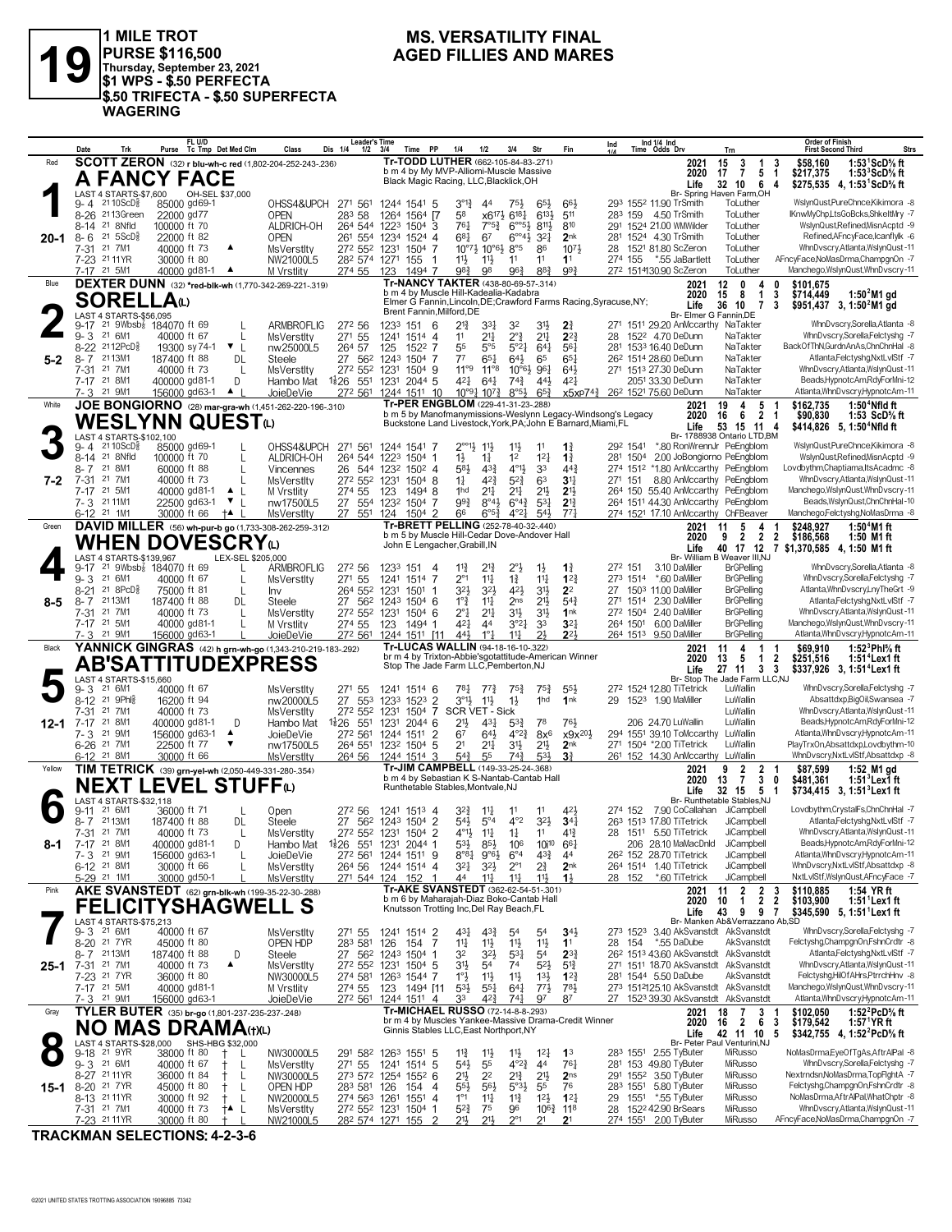

1 MILE TROT<br>PURSE \$116,500<br>Thursday, September 23, 2021<br>\$1 WPS - \$.50 PERFECTA<br>J\$.50 TRIFECTA - \$.50 SUPERFECTA **WAGERING** 

#### **MS. VERSATILITY FINAL AGED FILLIES AND MARES**

|          | Date                                  | Trk                                        | FL U/D<br>Purse Tc Tmp Det Med Clm                                             | Class<br>Dis 1/4                                                              | <b>Leader's Time</b><br>PP<br>$1/2$ $3/4$<br>Time                                                          | 1/4<br>1/2                                                                       | 3/4<br>Str                                                                         | Fin                                       | Ind 1/4 Ind<br>Time Odds Drv<br>Ind                                                                  | Trn                                                                                          | <b>Order of Finish</b><br>Strs<br><b>First Second Third</b>                          |
|----------|---------------------------------------|--------------------------------------------|--------------------------------------------------------------------------------|-------------------------------------------------------------------------------|------------------------------------------------------------------------------------------------------------|----------------------------------------------------------------------------------|------------------------------------------------------------------------------------|-------------------------------------------|------------------------------------------------------------------------------------------------------|----------------------------------------------------------------------------------------------|--------------------------------------------------------------------------------------|
| Red      |                                       |                                            |                                                                                | <b>SCOTT ZERON</b> (32) r blu-wh-c red (1,802-204-252-243-.236)               | Tr-TODD LUTHER (662-105-84-83-271)<br>b m 4 by My MVP-Alliomi-Muscle Massive                               |                                                                                  |                                                                                    |                                           | 2021<br>2020                                                                                         | 15<br>$\frac{3}{7}$<br>$\mathbf{1}$<br>3<br>5 <sub>1</sub><br>17                             | 1:53 $1$ ScD% ft<br>\$58,160<br>\$217,375<br>1:53 $3$ ScD $\%$ ft                    |
|          |                                       |                                            | <b>A FANCY FACE</b>                                                            |                                                                               | Black Magic Racing, LLC, Blacklick, OH                                                                     |                                                                                  |                                                                                    |                                           | Life                                                                                                 | 32 10 6<br>-4                                                                                | \$275,535 4, 1:53 ScD % ft                                                           |
|          | LAST<br>9- 4                          | 4 STARTS-\$7,600<br>21 10 ScD <sup>3</sup> | OH-SEL \$37,000<br>85000 gd69-1                                                | OHSS4&UPCH<br>271 561                                                         | 1244 1541 5                                                                                                | $3^{\circ}1_{4}^{3}$<br>44                                                       | $65\frac{1}{2}$<br>75}                                                             | 661                                       | 293 1552 11.90 TrSmith                                                                               | Br- Spring Haven Farm, OH<br>ToLuther                                                        | WslynQust,PureChnce,Kikimora -8                                                      |
|          |                                       | 8-26 2113Green<br>8-14 21 8Nfld            | 22000 gd77<br>100000 ft 70                                                     | 283 58<br><b>OPEN</b><br>ALDRICH-OH<br>264 544 1223                           | 1264<br>1564 [7<br>1504 3                                                                                  | 58<br>761<br>$7^{\circ}5^{\frac{3}{4}}$                                          | x617} 6181<br>6133<br>$6^{805}$<br>8113                                            | 511<br>810                                | 283 159 4.50 TrSmith<br>291 1524 21.00 WMWilder                                                      | ToLuther<br>ToLuther                                                                         | IKnwMyChp,LtsGoBcks,ShkeltMry -7<br>WslynQust,Refined,MisnAcptd -9                   |
| $20 - 1$ | $8 - 6$<br>7-31 21 7M1                | $21 \, 5$ ScD $\frac{5}{8}$                | 22000 ft 82<br>40000 ft 73                                                     | <b>OPEN</b><br>272 552 1231<br>MsVerstlty                                     | 261 554 1234 1524 4<br>1504 7                                                                              | $6^{81}$<br>67<br>$10^{\circ}7\frac{1}{2}$ $10^{\circ}6\frac{1}{2}$ $8^{\circ}5$ | $6^{\circ 4}$ <sup>3</sup><br>$3^{2}$<br>86                                        | 2 <sub>nk</sub><br>1073                   | 281 1524 4.30 TrSmith<br>28<br>1521 81.80 ScZeron                                                    | ToLuther<br>ToLuther                                                                         | Refined, AFncyFace, Icanflylk -6<br>WhnDvscry,Atlanta,WslynQust-11                   |
|          | 7-23 2111YR                           |                                            | 30000 ft 80                                                                    | NW21000L5                                                                     | 282 574 1271 155<br>-1                                                                                     | $11\frac{1}{2}$<br>11}                                                           | 11<br>11                                                                           | 11                                        | 274 155<br>*.55 JaBartlett                                                                           | ToLuther                                                                                     | AFncyFace,NoMasDrma,ChampgnOn -7                                                     |
| Blue     | 7-17 21 5M1                           |                                            | 40000 gd81-1 ▲                                                                 | 274 55<br>M Vrstlity<br>DEXTER DUNN (32) *red-blk-wh (1,770-342-269-221-.319) | 1494 7<br>123<br>Tr-NANCY TAKTER (438-80-69-57-.314)                                                       | 98}<br>98                                                                        | $96\frac{3}{4}$<br>883                                                             | 993                                       | 272 1514130.90 ScZeron<br>2021                                                                       | ToLuther<br>12<br>$\mathbf{0}$<br>4                                                          | Manchego, WslynQust, WhnD vscry-11<br>0<br>\$101.675                                 |
|          |                                       | <b>SORELLA</b> (L)                         |                                                                                |                                                                               | b m 4 by Muscle Hill-Kadealia-Kadabra<br>Elmer G Fannin, Lincoln, DE; Crawford Farms Racing, Syracuse, NY; |                                                                                  |                                                                                    |                                           | 2020<br>Life                                                                                         | 15<br>8<br>$\mathbf{1}$<br>3<br>36<br>10<br>$\overline{7}$<br>-3                             | \$714,449<br>1:50 $4$ M1 gd<br>$$951,437$ 3, 1:50 M1 gd                              |
|          |                                       | LAST 4 STARTS-\$56,095                     | 9-17 <sup>21</sup> 9Wbsb <sup>7</sup> 184070 ft 69                             | ARMBROFLIG<br>272 56                                                          | Brent Fannin, Milford, DE<br>1233 151<br>- 6                                                               | $21\frac{3}{4}$<br>3 <sup>31</sup>                                               | 32<br>31}                                                                          | 2 <sup>3</sup>                            | 271 1511 29.20 AnMccarthy NaTakter                                                                   | Br- Elmer G Fannin, DE                                                                       | WhnDvscry,Sorella,Atlanta -8                                                         |
|          | 9-3 21 6M1                            |                                            | 40000 ft 67                                                                    | 271 55<br>MsVerstlty                                                          | 1241 1514 4                                                                                                | $21\frac{1}{4}$<br>11                                                            | $2^{\circ}$<br>2 <sup>11</sup>                                                     | $2^{2}$                                   | 28 1522 4.70 DeDunn                                                                                  | NaTakter                                                                                     | WhnDvscry,Sorella,Felctyshg -7                                                       |
| 5-2      | 8-7 2113M1                            | 8-22 2112PcD}                              | 19300 sy 74-1 ▼ L<br>187400 ft 88                                              | 264 57<br>nw25000L5<br>DL<br>27 562<br>Steele                                 | 125<br>1522 7<br>1243 1504 7                                                                               | 55<br>$5^{\circ}5$<br>77<br>$65\frac{1}{4}$                                      | 5°21<br>$64\frac{1}{4}$<br>$64\frac{1}{2}$<br>65                                   | 561<br>$65\frac{1}{4}$                    | 281 1533 16.40 DeDunn<br>26 <sup>2</sup> 1514 28.60 DeDunn                                           | NaTakter<br>NaTakter                                                                         | BackOfThN,GurdnAnAs,ChnChnHal -8<br>Atlanta,Felctyshg,NxtLvlStf -7                   |
|          | 7-31 21 7M1<br>7-17 21 8M1            |                                            | 40000 ft 73<br>400000 gd81-1                                                   | 272 552 1231<br>L<br>MsVerstlty<br>D<br>$1\frac{1}{2}26$ 551<br>Hambo Mat     | 1504 9<br>1231 2044 5                                                                                      | $11^{\circ 9}$<br>$11^{\circ 8}$<br>421<br>$64\frac{1}{4}$                       | $10^{\circ}6\frac{1}{2}$ 96 <sup>1</sup><br>$74\frac{3}{4}$<br>443                 | $64\frac{1}{2}$<br>421                    | 271 1513 27.30 DeDunn<br>2051 33.30 DeDunn                                                           | NaTakter<br>NaTakter                                                                         | WhnDvscry,Atlanta,WslynQust-11<br>Beads, HypnotcAm, RdyForMni-12                     |
|          | 7-3 21 9M1                            |                                            | 156000 gd63-1<br>$\blacktriangle$ 1                                            | JoieDeVie                                                                     | 272 561 1244 1511 10                                                                                       | 10°91 1073                                                                       | $8°5\frac{1}{2}$<br>$65\frac{3}{4}$                                                | x5xP74 <sup>3</sup>                       | 26 <sup>2</sup> 1521 75.60 DeDunn                                                                    | NaTakter                                                                                     | Atlanta, WhnDvscry, HypnotcAm-11                                                     |
| White    |                                       |                                            | <b>WESLYNN QUEST</b> ധ                                                         | JOE BONGIORNO (28) mar-gra-wh (1,451-262-220-196-.310)                        | Tr-PER ENGBLOM (229-41-31-23-288)<br>b m 5 by Manofmanymissions-Weslynn Legacy-Windsong's Legacy           |                                                                                  |                                                                                    |                                           | 2021<br>2020                                                                                         | 19<br>5<br>4<br>2 <sub>1</sub><br>16<br>6                                                    | \$162,735<br>$1:504$ Nfld ft<br>\$90,830<br>1:53 $ScD\%$ ft                          |
|          | LAST                                  | 4 STARTS-\$102,100                         |                                                                                |                                                                               | Buckstone Land Livestock, York, PA; John E Barnard, Miami, FL                                              |                                                                                  |                                                                                    |                                           | Life                                                                                                 | 53 15 11<br>-4<br>Br- 1788938 Ontario LTD,BM                                                 | \$414,826 5, 1:50 <sup>4</sup> Nfld ft                                               |
|          | 9- 4                                  | $2110$ ScD $\frac{5}{8}$<br>8-14 21 8Nfld  | 85000 gd69-1<br>100000 ft 70                                                   | OHSS4&UPCH<br>271 561<br>ALDRICH-OH<br>264 544                                | 1244 1541 7<br>$1504$ 1<br>1223                                                                            | $2^{\circ\circ}$ 1}<br>11}<br>$1\frac{1}{2}$<br>$1\frac{1}{4}$                   | $11\frac{1}{2}$<br>11<br>1 <sup>2</sup><br>12 <sub>1</sub>                         | $1\frac{3}{4}$<br>$1\frac{3}{4}$          | 292 1541<br>281 1504                                                                                 | *.80 RonWrennJr PeEngblom<br>2.00 JoBongiorno PeEngblom                                      | WslynQustPureChnce.Kikimora -8<br>WslynQust,Refined,MisnAcptd -9                     |
|          | 8-7                                   | 21 8M1<br>21 7M1                           | 60000 ft 88                                                                    | 26<br>544<br>Vincennes<br>272 552 1231                                        | 1232<br>$150^2$ 4                                                                                          | 58}<br>$4^{3}\frac{3}{4}$<br>423                                                 | $4^{01}$<br>33<br>$5^{2}\frac{3}{4}$<br>63                                         | $44\frac{3}{4}$<br>3 <sup>11</sup>        | 274 1512 *1.80 AnMccarthy PeEngblom<br>271 151                                                       | 8.80 AnMccarthy PeEngblom                                                                    | Lovdbythm.Chaptiama.ItsAcadmc -8<br>WhnDvscry,Atlanta,WslynQust-11                   |
| 7-2      | $7 - 31$<br>7-17 21 5M1               |                                            | 40000 ft 73<br>40000 gd81-1<br>$\blacktriangle$                                | <b>MsVerstlty</b><br>274 55<br>M Vrstlity<br>-1                               | 1504 8<br>123<br>14948                                                                                     | $1\frac{1}{4}$<br>$2^{11}$<br>1hd                                                | 21<br>2 <sup>11</sup>                                                              | 2 <sup>1</sup>                            | 264 150 55.40 AnMccarthy PeEngblom                                                                   |                                                                                              | Manchego, WslynQust, WhnD vscry-11                                                   |
|          | 7-3 2111M1<br>6-12 21 1M1             |                                            | 22500 gd63-1<br>$\mathbf{v}$ $\mathbf{L}$<br>30000 ft 66<br>$+$                | nw17500L5<br>27 551 124<br>MsVerstlty                                         | 27 554 1232 1504 7<br>1504 2                                                                               | 993<br>$8^{\circ}4\frac{1}{2}$<br>66<br>$6^{\circ 5\frac{3}{4}}$                 | $6^{\circ}4^{\frac{3}{4}}$<br>$5^{3}$<br>541<br>$4^{\circ}2\frac{1}{2}$            | $2^{13}$<br>77 <sub>1</sub>               | 264 1511 44.30 AnMccarthy PeEngblom<br>274 1521 17.10 AnMccarthy ChFBeaver                           |                                                                                              | Beads, WslynQust, ChnChnHal-10<br>Manchego,Felctyshg,NoMasDrma -8                    |
| Green    |                                       |                                            |                                                                                | DAVID MILLER (56) wh-pur-b go (1,733-308-262-259-.312)                        | Tr-BRETT PELLING (252-78-40-32-.440)<br>b m 5 by Muscle Hill-Cedar Dove-Andover Hall                       |                                                                                  |                                                                                    |                                           | 2021<br>2020                                                                                         | 5<br>4<br>11<br>$\overline{2}$<br>9<br>$\overline{2}$<br>$\overline{2}$                      | \$248,927<br>1:50 $4$ M1 ft<br>\$186,568<br>1:50 M1 ft                               |
|          |                                       | WHEN                                       | <b>DOVESCRY</b>                                                                |                                                                               | John E Lengacher, Grabill, IN                                                                              |                                                                                  |                                                                                    |                                           | Life                                                                                                 | 40 17 12<br>Br- William B Weaver III.NJ                                                      | 7 \$1,370,585 4, 1:50 M1 ft                                                          |
|          | 9-17                                  | LAST 4 STARTS-\$139,967                    | <sup>21</sup> 9Wbsb <sub>8</sub> 184070 ft 69                                  | LEX-SEL \$205,000<br>L<br><b>ARMBROFLIG</b><br>272 56                         | 1233 151<br>4                                                                                              | $11\frac{3}{4}$<br>21                                                            | $2^{\circ}$<br>$1\frac{1}{2}$                                                      | $1\frac{3}{4}$                            | 272 151<br>3.10 DaMiller                                                                             | <b>BrGPelling</b>                                                                            | WhnDvscry,Sorella,Atlanta -8                                                         |
|          | 9-3 21 6M1<br>8-21                    | 218PCD <sub>8</sub>                        | 40000 ft 67<br>75000 ft 81                                                     | 271 55<br>L<br><b>MsVerstltv</b><br>264 552<br>L<br>Inv                       | 1241<br>1514 7<br>1231<br>1501                                                                             | $2^{\circ}1$<br>$11\frac{1}{4}$<br>32}<br>$3^{2}$                                | $1\frac{3}{4}$<br>$11\frac{1}{4}$<br>42}<br>3 <sup>1</sup>                         | $1^{22}$<br>2 <sup>2</sup>                | 273 1514 *.60 DaMiller<br>27 1503 11.00 DaMiller                                                     | <b>BrGPelling</b><br><b>BrGPelling</b>                                                       | WhnDvscry,Sorella,Felctyshg -7<br>Atlanta, Whn Dvscry, Lny The Grt -9                |
|          | 8-7<br>7-31 21 7M1                    | 2113M1                                     | 187400 ft 88<br>40000 ft 73                                                    | 27 562<br>DL<br>Steele<br>L<br>MsVerstlty                                     | 1243 1504 6<br>272 552 1231 1504 6                                                                         | $1^{\circ}$ $\frac{3}{4}$<br>$11\frac{1}{4}$<br>$2^{\circ}1$<br>2 <sup>11</sup>  | $21\frac{1}{2}$<br>2ns<br>3 <sup>1</sup><br>3 <sup>1</sup>                         | $5^{4}$<br>1nk                            | 271 1514 2.30 DaMiller<br>272 1504 2.40 DaMiller                                                     | <b>BrGPelling</b><br><b>BrGPelling</b>                                                       | Atlanta,Felctyshg,NxtLvlStf -7<br>WhnDvscry,Atlanta,WslynQust-11                     |
|          | 7-17 21 5M1<br>7-3 21 9M1             |                                            | 40000 gd81-1<br>156000 gd63-1                                                  | 274 55<br>M Vrstlity<br>272 561                                               | 123<br>1494 1                                                                                              | 421<br>44<br>$1^{\circ}$ $\frac{1}{4}$<br>443                                    | 3°27<br>3 <sup>3</sup><br>21<br>$11\frac{1}{2}$                                    | $3^{2}$<br>$2^{2}$                        | 264 1501<br>6.00 DaMiller<br>264 1513 9.50 DaMiller                                                  | <b>BrGPelling</b><br><b>BrGPelling</b>                                                       | Manchego, WslynQust, WhnD vscry-11<br>Atlanta, WhnDvscry, HypnotcAm-11               |
| Black    |                                       |                                            |                                                                                | JoieDeVie<br>YANNICK GINGRAS (42) h grn-wh-go (1,343-210-219-183-292)         | 1244 1511 111<br>Tr-LUCAS WALLIN (94-18-16-10-322)                                                         |                                                                                  |                                                                                    |                                           | 2021                                                                                                 | 4<br>$\mathbf{1}$<br>11<br>-1                                                                | 1:52 $3$ Phl $%$ ft<br>\$69,910                                                      |
|          |                                       |                                            | <b>AB'SATTITUDEXPRESS</b>                                                      |                                                                               | br m 4 by Trixton-Abbie'sgotattitude-American Winner<br>Stop The Jade Farm LLC, Pemberton, NJ              |                                                                                  |                                                                                    |                                           | 2020<br>Life                                                                                         | 13<br>$\overline{2}$<br>5<br>$\overline{1}$<br>27 11 3 3                                     | \$251,516<br>1:51 <sup>4</sup> Lex1 ft<br>\$337,926 3, 1:51 <sup>4</sup> Lex1 ft     |
|          | 9-3                                   | LAST 4 STARTS-\$15,660<br>21 6M1           | 40000 ft 67                                                                    | <b>MsVerstlty</b><br>271 55                                                   | 1241 1514 6                                                                                                | 781<br>$77\frac{3}{4}$                                                           | $75\frac{3}{4}$<br>$75\frac{3}{4}$                                                 | 553                                       | 272 1524 12.80 TiTetrick                                                                             | Br- Stop The Jade Farm LLC,NJ<br>LuWallin                                                    | WhnDvscry,Sorella,Felctyshg -7                                                       |
|          | 8-12 21 9Phls<br>$7 - 31$             | 21 7M1                                     | 16200 ft 94<br>40000 ft 73                                                     | 27 553<br>nw20000L5<br>272 552<br><b>MsVerstlty</b>                           | $\mathcal{P}$<br>1523<br>1233<br>1231<br>$1504$ 7                                                          | $3^{\circ}1\frac{1}{2}$<br>$11\frac{1}{2}$<br>SCR VET - Sick                     | 1hd<br>$1\frac{1}{2}$                                                              | 1nk                                       | 29 1523 1.90 MaMiller                                                                                | LuWallin<br>LuWallin                                                                         | Absattdxp,BigOil,Swansea -7<br>WhnDvscry,Atlanta,WslynQust-11                        |
| 12-1     | 7-17<br>7-3                           | 21 8M1<br>21 9M1                           | 400000 gd81-1<br>156000 gd63-1<br>▲                                            | 551<br>Hambo Mat<br>1,26<br>D<br>272 561                                      | 1231 2044 6<br>1244 1511<br>$\overline{2}$                                                                 | 21}<br>$43\frac{1}{4}$<br>$64\frac{1}{2}$<br>67                                  | $5^{3}\}$<br>78<br>$4^{\circ}2^{\frac{3}{4}}$<br>$8x^6$                            | 76}<br>x9x <sup>201</sup>                 | 206 24.70 LuWallin<br>294 1551 39.10 ToMccarthy LuWallin                                             | LuWallin                                                                                     | Beads, HypnotcAm, RdyForMni-12<br>Atlanta.WhnDvscrv.HvpnotcAm-11                     |
|          | 6-26 <sup>21</sup> 7M1                |                                            | 22500 ft 77<br>▼                                                               | JoieDeVie<br>nw17500L5<br>264 551                                             | 1232 1504 5                                                                                                | 21<br>$21\frac{1}{4}$                                                            | 31}<br>$21\frac{1}{2}$                                                             | 2 <sub>nk</sub>                           | 271 1504 *2.00 TiTetrick                                                                             | LuWallin                                                                                     | PlayTrxOn,Absattdxp,Lovdbythm-10                                                     |
| Yellow   | 6-12 21 8M1                           |                                            | 30000 ft 66<br>TIM TETRICK (39) grn-yel-wh (2,050-449-331-280-.354)            | <b>MsVerstltv</b><br>264 56                                                   | 1244 1514 3<br>Tr-JIM CAMPBELL (149-33-25-24-.368)                                                         | 55<br>$5^{4}$                                                                    | 74}<br>53}                                                                         | 3 <sup>3</sup>                            | 261 152 14.30 AnMccarthy LuWallin<br>2021                                                            | $\overline{\mathbf{2}}$<br>9<br>2                                                            | WhnDvscry, NxtLvlStf, Absattdxp -8<br>\$87.599<br>1:52 M1 gd                         |
|          |                                       |                                            | <b>NEXT LEVEL STUFF@</b>                                                       |                                                                               | b m 4 by Sebastian K S-Nantab-Cantab Hall<br>Runthetable Stables, Montvale, NJ                             |                                                                                  |                                                                                    |                                           | 2020<br>Life                                                                                         | $\mathbf{3}$<br>$\overline{7}$<br>13<br>0<br>32 15 5 1                                       | $1:513$ Lex $\overline{1}$ ft<br>\$481,361<br>\$734,415 3, 1:51 <sup>3</sup> Lex1 ft |
|          | 9-11                                  | AST 4 STARTS-\$32.118<br>21 6M1            | 36000 ft 71                                                                    | L<br>Open                                                                     | 27 <sup>2</sup> 56 1241 1513 4                                                                             | 324                                                                              | 11<br>11                                                                           | 421                                       | 274 152 7.90 CoCallahan JiCampbell                                                                   | Br- Runthetable Stables, NJ                                                                  | Lovdbythm,CrystalFs,ChnChnHal -7                                                     |
|          | 8-7 2113M1                            |                                            | 187400 ft 88                                                                   | DL<br>Steele                                                                  | 27 562 1243 1504 2                                                                                         | 54}<br>$5^{\circ}4$                                                              | $4^{\circ}2$<br>$3^{2}$                                                            | $34\frac{1}{4}$                           | 263 1513 17.80 TiTetrick                                                                             | JiCampbell                                                                                   | Atlanta,Felctyshg,NxtLvlStf -7                                                       |
| 8-1      | 7-31<br>7-17 21 8M1                   | 21 7M1                                     | 40000 ft 73<br>400000 gd81-1                                                   | MsVerstlty<br>272 552<br>L.<br>D<br>Hambo Mat                                 | 1231<br>1504 2<br>1 2044 1                                                                                 | 4°1}<br>$11\frac{1}{4}$<br>$5^{3}\frac{1}{2}$<br>$85\frac{1}{2}$                 | 11<br>$1\frac{1}{4}$<br>10i <sup>10</sup><br>106                                   | 41<br>$66\frac{1}{4}$                     | 28<br>1511 5.50 TiTetrick<br>206 28.10 MaMacDnld                                                     | JiCampbell<br>JiCampbell                                                                     | WhnDvscry,Atlanta,WslynQust-11<br>Beads, HypnotcAm, RdyForMni-12                     |
|          | 7-3 21 9M1<br>6-12 <sup>21</sup> 8M1  |                                            | 156000 gd63-1<br>30000 ft 66                                                   | JoieDeVie<br>L<br>264 56<br><b>MsVerstltv</b>                                 | 272 561 1244 1511 9<br>1244 1514 4                                                                         | $8^{\circ}8^{\circ}$<br>$9°6\frac{1}{2}$<br>$3^{21}$<br>$3^{2}\frac{1}{2}$       | $43\frac{3}{4}$<br>$6^{\circ}4$<br>$2\frac{3}{4}$<br>$2^{\circ}1$                  | 44<br>2 <sub>nk</sub>                     | 26 <sup>2</sup> 152 28.70 TiTetrick<br>264 1514 1.40 TiTetrick                                       | JiCampbell<br>JiCampbell                                                                     | Atlanta, WhnDvscry, HypnotcAm-11<br>WhnDvscry, NxtLvlStf, Absattdxp -8               |
| Pink     | 5-29 21 1M1                           |                                            | 30000 gd50-1                                                                   | <b>MsVerstlty</b>                                                             | 271 544 124 152<br>Tr-AKE SVANSTEDT (362-62-54-51-.301)                                                    | 44<br>$11\frac{1}{2}$                                                            | $11\frac{1}{2}$<br>11}                                                             | $1\frac{1}{2}$                            | 28 152<br>*.60 TiTetrick                                                                             | JiCampbell                                                                                   | NxtLvlStf,WslynQust,AFncyFace -7                                                     |
|          |                                       |                                            | AKE SVANSTEDT (62) grn-blk-wh (199-35-22-30-.288)<br><b>FELICITYSHAGWELL S</b> |                                                                               | b m 6 by Maharajah-Diaz Boko-Cantab Hall<br>Knutsson Trotting Inc, Del Ray Beach, FL                       |                                                                                  |                                                                                    |                                           | 2021<br>2020                                                                                         | $\overline{2}$<br>$\begin{smallmatrix}2&3\\2&2\end{smallmatrix}$<br>11<br>$\mathbf{1}$<br>10 | \$110,885<br>1:54 YR ft<br>\$103,900<br>$1:51$ <sup>1</sup> Lex1 ft                  |
|          |                                       | <b>LAST 4 STARTS-\$75.213</b><br>21 6M1    |                                                                                |                                                                               |                                                                                                            |                                                                                  |                                                                                    |                                           | Life<br>273 1523 3.40 AkSvanstdt AkSvanstdt                                                          | 43<br>9<br>97<br>Br- Manken Ab&Verrazzano Ab,SD                                              | \$345,590 5, 1:51 <sup>1</sup> Lex1 ft                                               |
|          | 9-3<br>8-20 21 7YR                    |                                            | 40000 ft 67<br>45000 ft 80                                                     | <b>MsVerstIty</b><br>271 55<br>OPEN HDP<br>283 581                            | 1241 1514 2<br>154 7<br>126                                                                                | 431<br>$4^{3}\frac{3}{4}$<br>$11\frac{1}{2}$<br>14                               | 54<br>54<br>$11\frac{1}{2}$<br>11}                                                 | $34\frac{1}{2}$<br>1 <sup>1</sup>         | 28 154<br>*.55 DaDube                                                                                | AkSvanstdt                                                                                   | WhnDvscry,Sorella,Felctyshg -7<br>Felctyshg,ChampgnOn,FshnCrdtr -8                   |
| 25-1     | 8-7 2113M1<br>7-31                    | 21 7M1                                     | 187400 ft 88<br>$\blacktriangle$<br>40000 ft 73                                | 27 562<br>D<br>Steele<br>MsVerstlty                                           | 1243 1504 1<br>272 552 1231 1504 5                                                                         | 32<br>32}<br>3 <sup>11</sup><br>5 <sup>4</sup>                                   | 531<br>54<br>74<br>$5^{2}$                                                         | $2^{3}\frac{3}{4}$<br>$5^{13}$            | 26 <sup>2</sup> 151 <sup>3</sup> 43.60 AkSvanstdt AkSvanstdt<br>271 1511 18.70 AkSvanstdt AkSvanstdt |                                                                                              | Atlanta,Felctyshg,NxtLvlStf -7<br>WhnDvscry,Atlanta,WslynQust-11                     |
|          | 7-23 21 7YR<br>7-17 21 5M1            |                                            | 36000 ft 80<br>40000 gd81-1                                                    | NW30000L5<br>274 55<br>M Vrstlity                                             | 274 581 1263 1544 7<br>123<br>1494 [11                                                                     | $1^\circ \frac{1}{2}$<br>11号<br>$5^{3}$<br>$55\frac{1}{4}$                       | 11<br>$13\frac{1}{2}$<br>$77\frac{1}{2}$<br>$64\frac{1}{4}$                        | $1^{2}\frac{3}{4}$<br>$78\frac{1}{2}$     | 281 1544 5.50 DaDube<br>273 1512125.10 AkSvanstdt AkSvanstdt                                         | AkSvanstdt                                                                                   | Felctyshg, HilOf AHrs, PtrrchHnv -8<br>Manchego, WslynQust, WhnDvscry-11             |
|          | 7-3 21 9M1                            |                                            | 156000 gd63-1                                                                  | JoieDeVie                                                                     | 272 561 1244 1511 4                                                                                        | 423<br>33                                                                        | 97<br>741                                                                          | 87                                        | 27 1523 39.30 AkSvanstdt AkSvanstdt                                                                  |                                                                                              | Atlanta, WhnDvscry, HypnotcAm-11                                                     |
| Gray     |                                       |                                            | TYLER BUTER (35) br-go (1,801-237-235-237-248)<br><b>NO MAS DRAMA(t)(L)</b>    |                                                                               | Tr-MICHAEL RUSSO (72-14-8-8-.293)<br>br m 4 by Muscles Yankee-Massive Drama-Credit Winner                  |                                                                                  |                                                                                    |                                           | 2021<br>2020                                                                                         | $\begin{array}{ccc} 7 & 3 & 1 \\ 2 & 6 & 3 \end{array}$<br>18<br>16                          | 1:52 <sup>2</sup> PcD% ft<br>\$102,050<br>\$179,542<br>1:57 <sup>1</sup> YR ft       |
|          |                                       | LAST 4 STARTS-\$28,000                     | SHS-HBG \$32,000                                                               |                                                                               | Ginnis Stables LLC, East Northport, NY                                                                     |                                                                                  |                                                                                    |                                           | Life                                                                                                 | 42 11 10<br>- 5<br>Br- Peter Paul Venturini, NJ                                              | \$342,755 4, 1:52 <sup>2</sup> PcD <sup>5</sup> / <sub>8</sub> ft                    |
|          | 9-18 21 9YR<br>9-3 21 6M1             |                                            | 38000 ft 80<br>40000 ft 67<br>Ť.                                               | L<br>NW30000L5<br>271 55<br>-L<br>MsVerstlty                                  | 291 582 1263 1551 5<br>1241 1514 5                                                                         | $11\frac{3}{4}$<br>$11\frac{1}{2}$<br>$54\frac{1}{2}$<br>55                      | $12\frac{1}{4}$<br>$11\frac{1}{2}$<br>4 <sup>4</sup><br>$4^{\circ}2^{\frac{3}{4}}$ | 1 <sup>3</sup><br>$76\frac{1}{4}$         | 283 1551 2.55 TyButer<br>281 153 49.80 TyButer                                                       | MiRusso<br>MiRusso                                                                           | NoMasDrma,EyeOfTgAs,AftrAlPal -8<br>WhnDvscry,Sorella,Felctyshg -7                   |
|          | 8-27 2111YR                           |                                            | 36000 ft 84<br>$^{+}$                                                          | NW30000L5<br>L                                                                | 273 572 1254 1552 6                                                                                        | 21}<br>2 <sup>2</sup>                                                            | $2^{13}$<br>2 <sup>1</sup>                                                         | 2 <sub>ns</sub>                           | 291 1552 3.50 TyButer                                                                                | MiRusso                                                                                      | Nextrndsn, NoMasDrma, TopFlghtA -7<br>Felctyshg,ChampgnOn,FshnCrdtr -8               |
| 15-1     | 8-20 <sup>21</sup> 7YR<br>8-13 2111YR |                                            | 45000 ft 80<br>$^+$<br>30000 ft 92<br>$^+$                                     | OPEN HDP<br>283 581 126<br>-L<br>NW20000L5<br>L                               | 154 4<br>274 563 1261 1551 4                                                                               | $55\frac{1}{2}$<br>$56\frac{1}{2}$<br>$1^{\circ}1$<br>$11\frac{1}{4}$            | $5°3\frac{1}{2}$<br>55<br>$11\frac{3}{4}$<br>$12\frac{1}{2}$                       | 76<br>$1^{21}$                            | 283 1551 5.80 TyButer<br>29<br>1551<br>*.55 TyButer                                                  | MiRusso<br>MiRusso                                                                           | NoMasDrma, Aftr AlPal, WhatChptr -8                                                  |
|          | 7-31 21 7M1<br>7-23 2111YR            |                                            | 40000 ft 73<br>†▲ L<br>30000 ft 80                                             | <b>MsVerstIty</b><br>NW21000L5                                                | 272 552 1231 1504 1<br>282 574 1271 155<br>່າ                                                              | 52}<br>75<br>211<br>21,                                                          | 96<br>$2^{\circ}1$<br>21                                                           | $10^{6}\frac{3}{4}$ 118<br>2 <sup>1</sup> | 152 <sup>2</sup> 42.90 BrSears<br>28<br>274 1551 2.00 TyButer                                        | MiRusso<br>MiRusso                                                                           | WhnDvscry,Atlanta,WslynQust-11<br>AFncyFace,NoMasDrma,ChampgnOn -7                   |

**TRACKMAN SELECTIONS: 4-2-3-6**